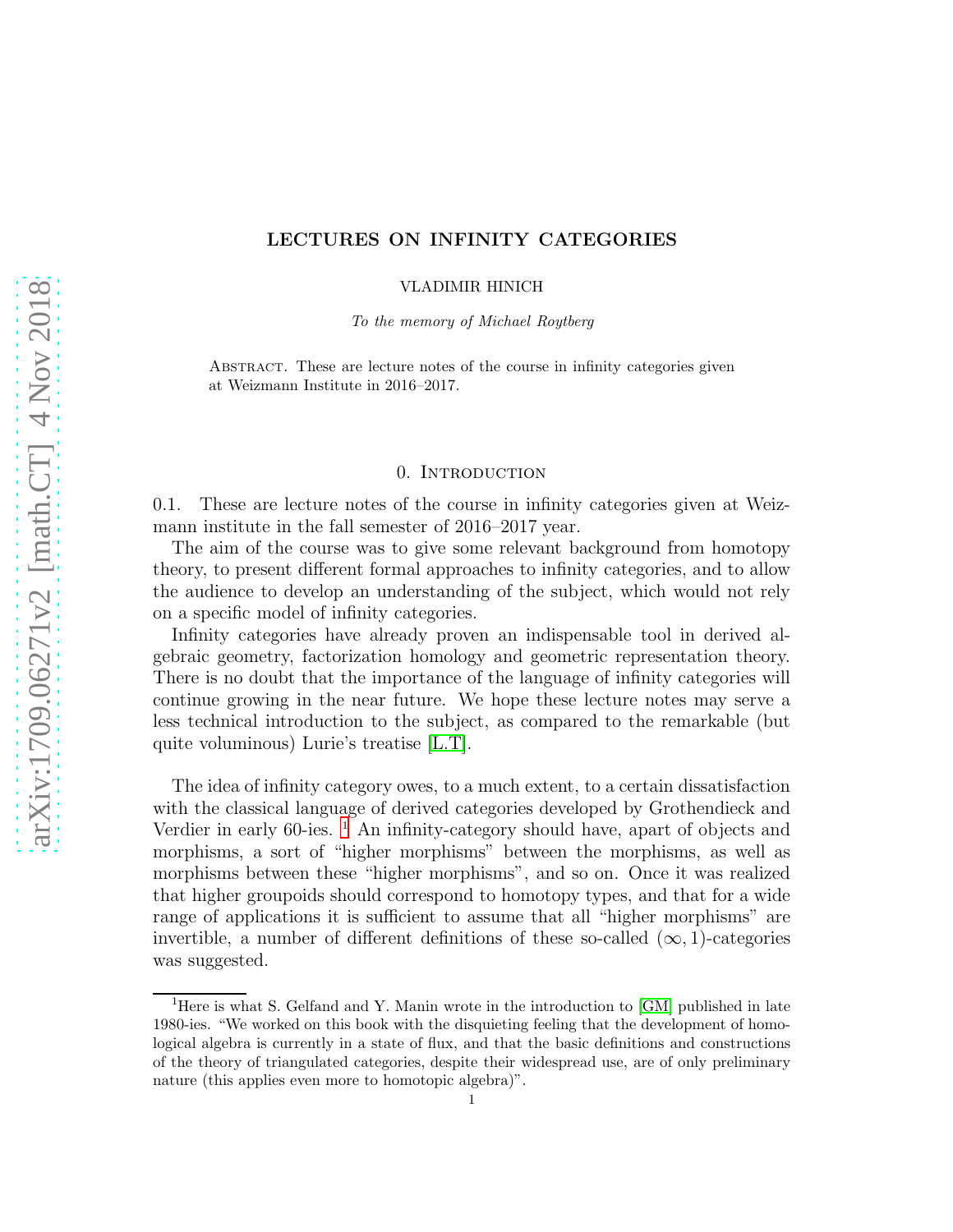# LECTURES ON INFINITY CATEGORIES

VLADIMIR HINICH

To the memory of Michael Roytberg

Abstract. These are lecture notes of the course in infinity categories given at Weizmann Institute in 2016–2017.

### 0. INTRODUCTION

0.1. These are lecture notes of the course in infinity categories given at Weizmann institute in the fall semester of 2016–2017 year.

The aim of the course was to give some relevant background from homotopy theory, to present different formal approaches to infinity categories, and to allow the audience to develop an understanding of the subject, which would not rely on a specific model of infinity categories.

Infinity categories have already proven an indispensable tool in derived algebraic geometry, factorization homology and geometric representation theory. There is no doubt that the importance of the language of infinity categories will continue growing in the near future. We hope these lecture notes may serve a less technical introduction to the subject, as compared to the remarkable (but quite voluminous) Lurie's treatise [\[L.T\]](#page-123-0).

The idea of infinity category owes, to a much extent, to a certain dissatisfaction with the classical language of derived categories developed by Grothendieck and Verdier in early  $60$ -ies. <sup>[1](#page-0-0)</sup> An infinity-category should have, apart of objects and morphisms, a sort of "higher morphisms" between the morphisms, as well as morphisms between these "higher morphisms", and so on. Once it was realized that higher groupoids should correspond to homotopy types, and that for a wide range of applications it is sufficient to assume that all "higher morphisms" are invertible, a number of different definitions of these so-called  $(\infty, 1)$ -categories was suggested.

<span id="page-0-0"></span><sup>&</sup>lt;sup>1</sup>Here is what S. Gelfand and Y. Manin wrote in the introduction to [\[GM\]](#page-123-1) published in late 1980-ies. "We worked on this book with the disquieting feeling that the development of homological algebra is currently in a state of flux, and that the basic definitions and constructions of the theory of triangulated categories, despite their widespread use, are of only preliminary nature (this applies even more to homotopic algebra)".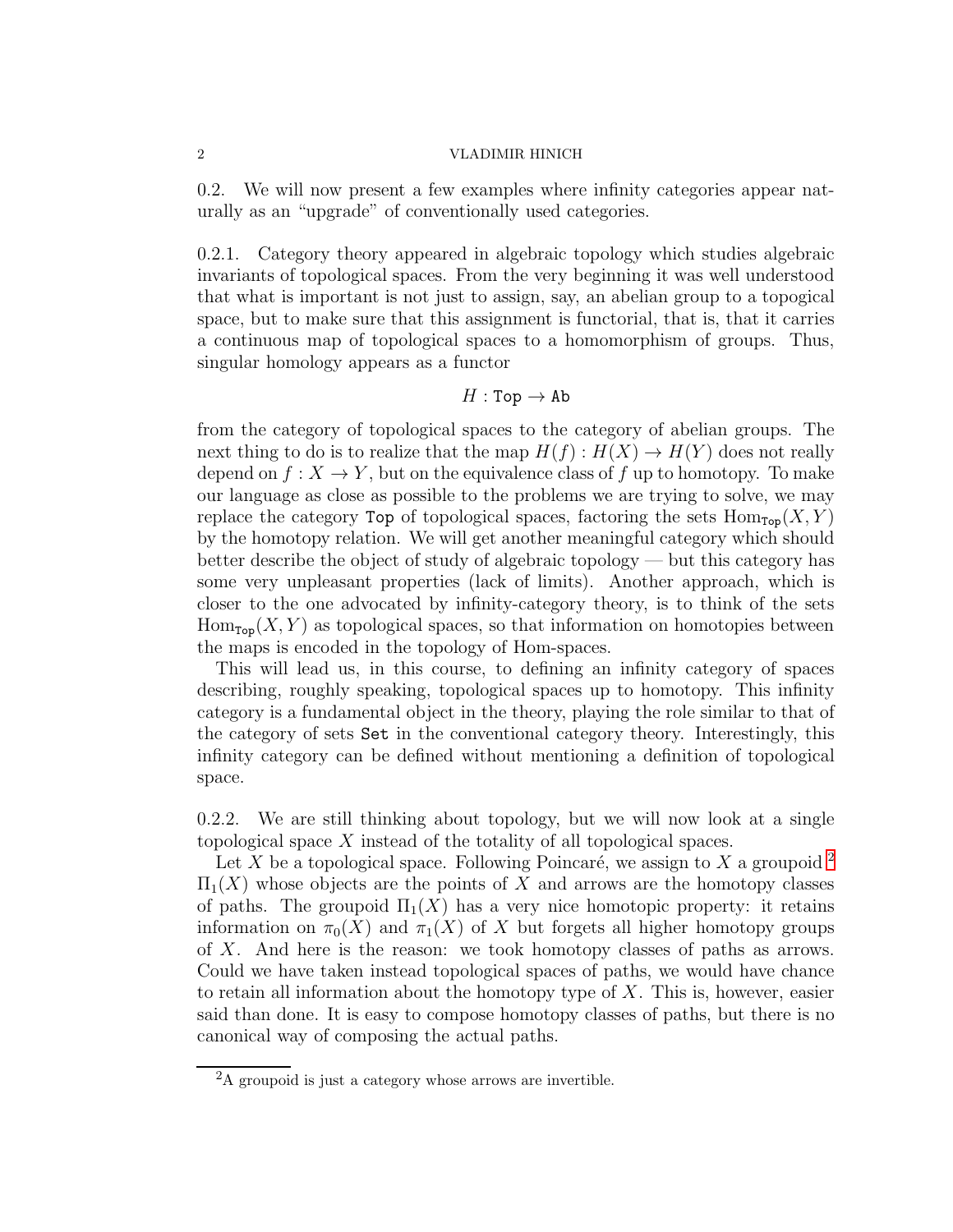0.2. We will now present a few examples where infinity categories appear naturally as an "upgrade" of conventionally used categories.

0.2.1. Category theory appeared in algebraic topology which studies algebraic invariants of topological spaces. From the very beginning it was well understood that what is important is not just to assign, say, an abelian group to a topogical space, but to make sure that this assignment is functorial, that is, that it carries a continuous map of topological spaces to a homomorphism of groups. Thus, singular homology appears as a functor

# $H : Top \rightarrow Ab$

from the category of topological spaces to the category of abelian groups. The next thing to do is to realize that the map  $H(f): H(X) \to H(Y)$  does not really depend on  $f: X \to Y$ , but on the equivalence class of f up to homotopy. To make our language as close as possible to the problems we are trying to solve, we may replace the category Top of topological spaces, factoring the sets  $\text{Hom}_{\text{Top}}(X, Y)$ by the homotopy relation. We will get another meaningful category which should better describe the object of study of algebraic topology — but this category has some very unpleasant properties (lack of limits). Another approach, which is closer to the one advocated by infinity-category theory, is to think of the sets  $\text{Hom}_{\text{Top}}(X, Y)$  as topological spaces, so that information on homotopies between the maps is encoded in the topology of Hom-spaces.

This will lead us, in this course, to defining an infinity category of spaces describing, roughly speaking, topological spaces up to homotopy. This infinity category is a fundamental object in the theory, playing the role similar to that of the category of sets Set in the conventional category theory. Interestingly, this infinity category can be defined without mentioning a definition of topological space.

0.2.2. We are still thinking about topology, but we will now look at a single topological space X instead of the totality of all topological spaces.

Let X be a topological space. Following Poincaré, we assign to X a groupoid  $^2$  $^2$  $\Pi_1(X)$  whose objects are the points of X and arrows are the homotopy classes of paths. The groupoid  $\Pi_1(X)$  has a very nice homotopic property: it retains information on  $\pi_0(X)$  and  $\pi_1(X)$  of X but forgets all higher homotopy groups of X. And here is the reason: we took homotopy classes of paths as arrows. Could we have taken instead topological spaces of paths, we would have chance to retain all information about the homotopy type of  $X$ . This is, however, easier said than done. It is easy to compose homotopy classes of paths, but there is no canonical way of composing the actual paths.

<span id="page-1-0"></span><sup>2</sup>A groupoid is just a category whose arrows are invertible.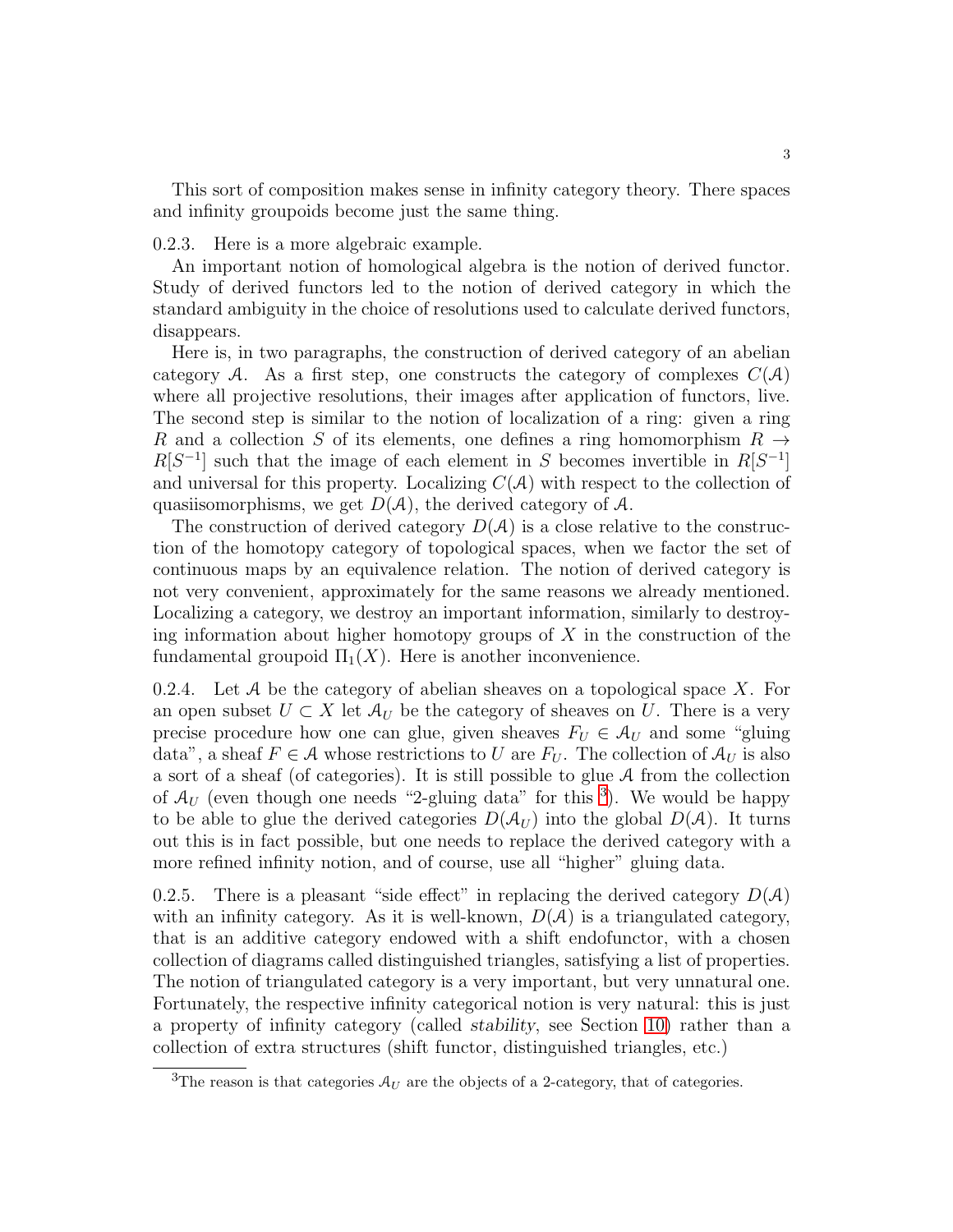This sort of composition makes sense in infinity category theory. There spaces and infinity groupoids become just the same thing.

0.2.3. Here is a more algebraic example.

An important notion of homological algebra is the notion of derived functor. Study of derived functors led to the notion of derived category in which the standard ambiguity in the choice of resolutions used to calculate derived functors, disappears.

Here is, in two paragraphs, the construction of derived category of an abelian category A. As a first step, one constructs the category of complexes  $C(\mathcal{A})$ where all projective resolutions, their images after application of functors, live. The second step is similar to the notion of localization of a ring: given a ring R and a collection S of its elements, one defines a ring homomorphism  $R \to$  $R[S^{-1}]$  such that the image of each element in S becomes invertible in  $R[S^{-1}]$ and universal for this property. Localizing  $C(\mathcal{A})$  with respect to the collection of quasiisomorphisms, we get  $D(\mathcal{A})$ , the derived category of  $\mathcal{A}$ .

The construction of derived category  $D(\mathcal{A})$  is a close relative to the construction of the homotopy category of topological spaces, when we factor the set of continuous maps by an equivalence relation. The notion of derived category is not very convenient, approximately for the same reasons we already mentioned. Localizing a category, we destroy an important information, similarly to destroying information about higher homotopy groups of  $X$  in the construction of the fundamental groupoid  $\Pi_1(X)$ . Here is another inconvenience.

0.2.4. Let A be the category of abelian sheaves on a topological space X. For an open subset  $U \subset X$  let  $\mathcal{A}_U$  be the category of sheaves on U. There is a very precise procedure how one can glue, given sheaves  $F_U \in \mathcal{A}_U$  and some "gluing" data", a sheaf  $F \in \mathcal{A}$  whose restrictions to U are  $F_U$ . The collection of  $\mathcal{A}_U$  is also a sort of a sheaf (of categories). It is still possible to glue A from the collection of  $A_U$  (even though one needs "2-gluing data" for this <sup>[3](#page-2-0)</sup>). We would be happy to be able to glue the derived categories  $D(\mathcal{A}_{U})$  into the global  $D(\mathcal{A})$ . It turns out this is in fact possible, but one needs to replace the derived category with a more refined infinity notion, and of course, use all "higher" gluing data.

0.2.5. There is a pleasant "side effect" in replacing the derived category  $D(\mathcal{A})$ with an infinity category. As it is well-known,  $D(\mathcal{A})$  is a triangulated category, that is an additive category endowed with a shift endofunctor, with a chosen collection of diagrams called distinguished triangles, satisfying a list of properties. The notion of triangulated category is a very important, but very unnatural one. Fortunately, the respective infinity categorical notion is very natural: this is just a property of infinity category (called *stability*, see Section [10\)](#page-107-0) rather than a collection of extra structures (shift functor, distinguished triangles, etc.)

<span id="page-2-0"></span><sup>&</sup>lt;sup>3</sup>The reason is that categories  $A_U$  are the objects of a 2-category, that of categories.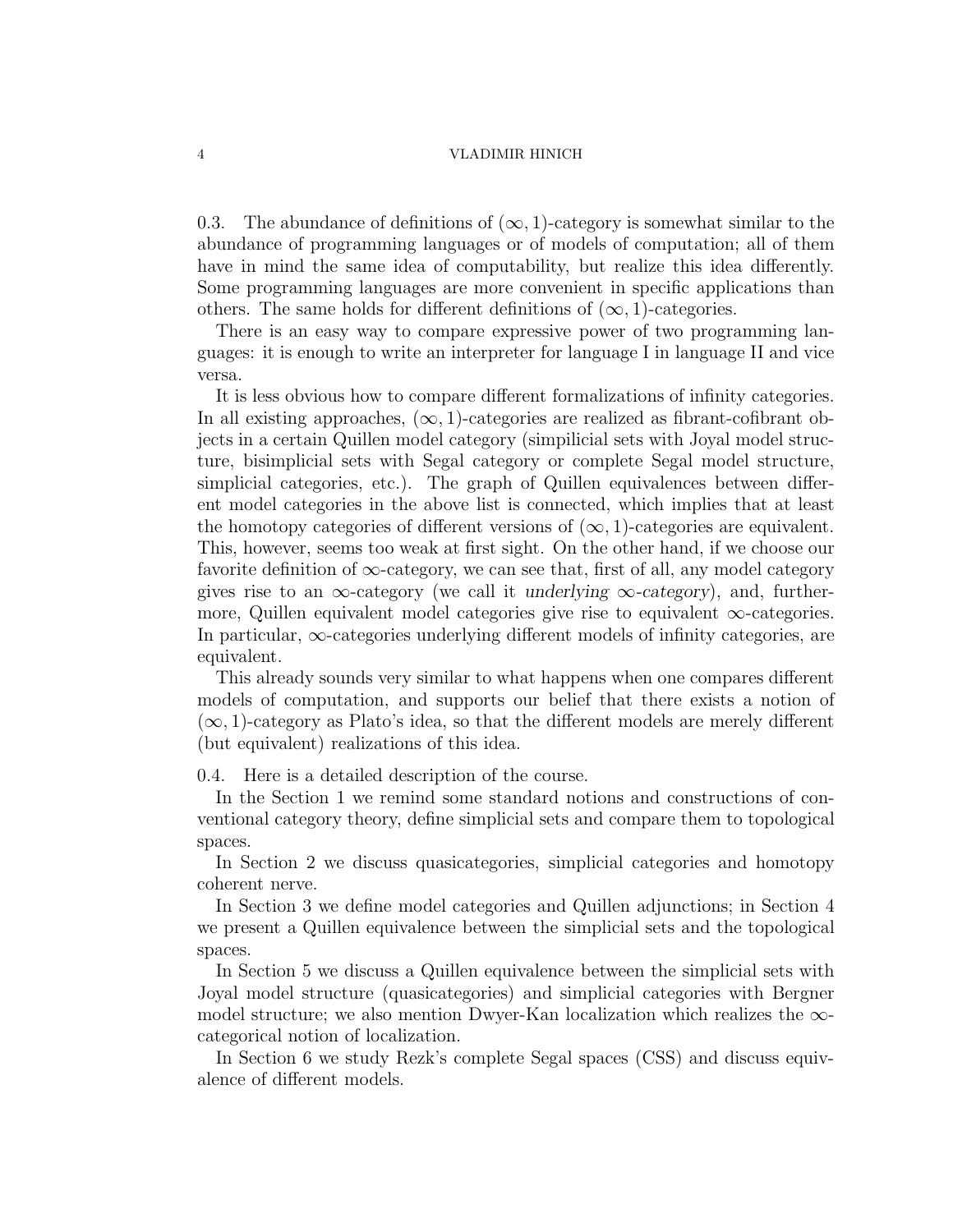0.3. The abundance of definitions of  $(\infty, 1)$ -category is somewhat similar to the abundance of programming languages or of models of computation; all of them have in mind the same idea of computability, but realize this idea differently. Some programming languages are more convenient in specific applications than others. The same holds for different definitions of  $(\infty, 1)$ -categories.

There is an easy way to compare expressive power of two programming languages: it is enough to write an interpreter for language I in language II and vice versa.

It is less obvious how to compare different formalizations of infinity categories. In all existing approaches,  $(\infty, 1)$ -categories are realized as fibrant-cofibrant objects in a certain Quillen model category (simpilicial sets with Joyal model structure, bisimplicial sets with Segal category or complete Segal model structure, simplicial categories, etc.). The graph of Quillen equivalences between different model categories in the above list is connected, which implies that at least the homotopy categories of different versions of  $(\infty, 1)$ -categories are equivalent. This, however, seems too weak at first sight. On the other hand, if we choose our favorite definition of  $\infty$ -category, we can see that, first of all, any model category gives rise to an  $\infty$ -category (we call it *underlying*  $\infty$ -category), and, furthermore, Quillen equivalent model categories give rise to equivalent  $\infty$ -categories. In particular,  $\infty$ -categories underlying different models of infinity categories, are equivalent.

This already sounds very similar to what happens when one compares different models of computation, and supports our belief that there exists a notion of  $(\infty, 1)$ -category as Plato's idea, so that the different models are merely different (but equivalent) realizations of this idea.

0.4. Here is a detailed description of the course.

In the Section 1 we remind some standard notions and constructions of conventional category theory, define simplicial sets and compare them to topological spaces.

In Section 2 we discuss quasicategories, simplicial categories and homotopy coherent nerve.

In Section 3 we define model categories and Quillen adjunctions; in Section 4 we present a Quillen equivalence between the simplicial sets and the topological spaces.

In Section 5 we discuss a Quillen equivalence between the simplicial sets with Joyal model structure (quasicategories) and simplicial categories with Bergner model structure; we also mention Dwyer-Kan localization which realizes the  $\infty$ categorical notion of localization.

In Section 6 we study Rezk's complete Segal spaces (CSS) and discuss equivalence of different models.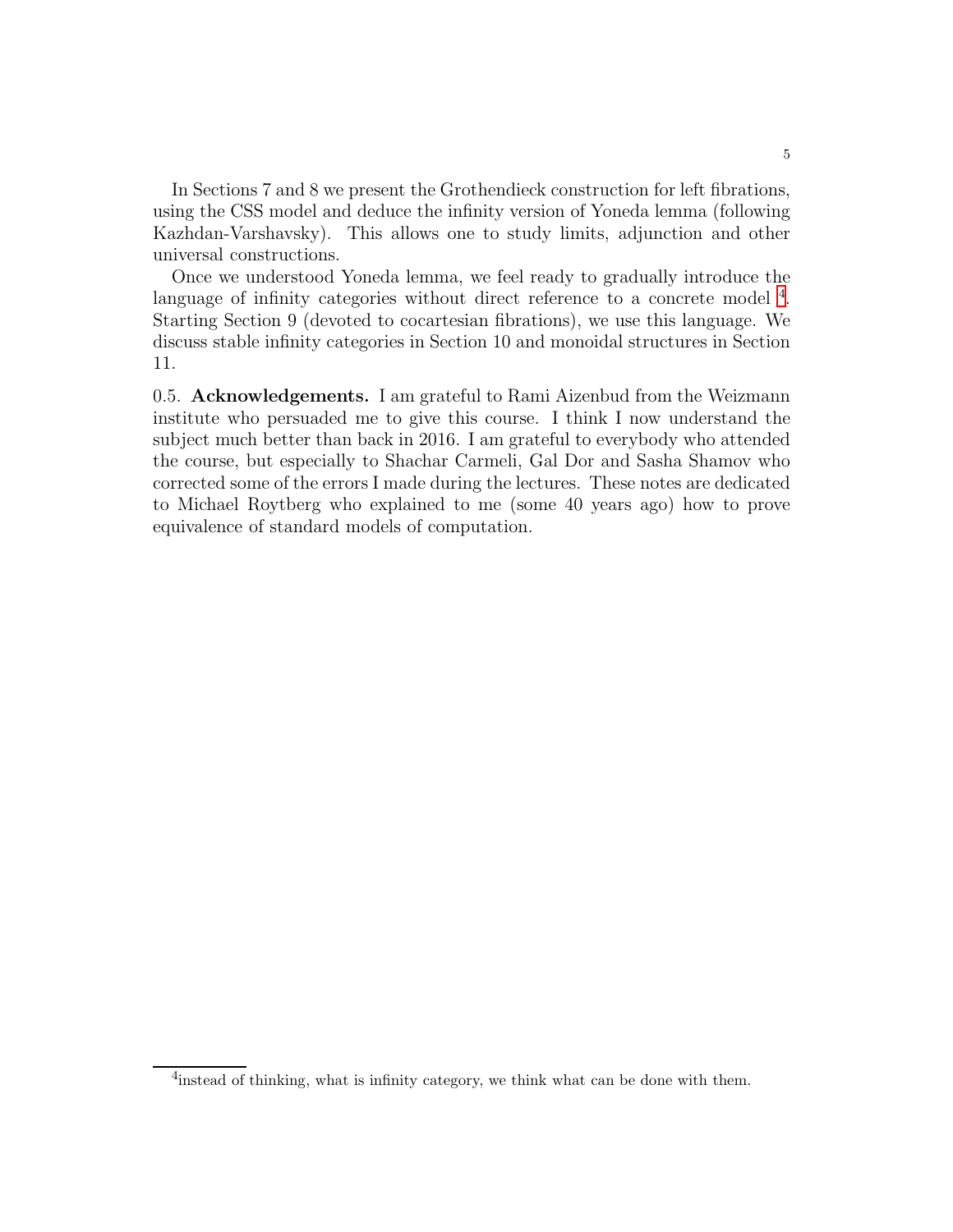In Sections 7 and 8 we present the Grothendieck construction for left fibrations, using the CSS model and deduce the infinity version of Yoneda lemma (following Kazhdan-Varshavsky). This allows one to study limits, adjunction and other universal constructions.

Once we understood Yoneda lemma, we feel ready to gradually introduce the language of infinity categories without direct reference to a concrete model <sup>[4](#page-4-0)</sup>. Starting Section 9 (devoted to cocartesian fibrations), we use this language. We discuss stable infinity categories in Section 10 and monoidal structures in Section 11.

0.5. Acknowledgements. I am grateful to Rami Aizenbud from the Weizmann institute who persuaded me to give this course. I think I now understand the subject much better than back in 2016. I am grateful to everybody who attended the course, but especially to Shachar Carmeli, Gal Dor and Sasha Shamov who corrected some of the errors I made during the lectures. These notes are dedicated to Michael Roytberg who explained to me (some 40 years ago) how to prove equivalence of standard models of computation.

<span id="page-4-0"></span><sup>&</sup>lt;sup>4</sup>instead of thinking, what is infinity category, we think what can be done with them.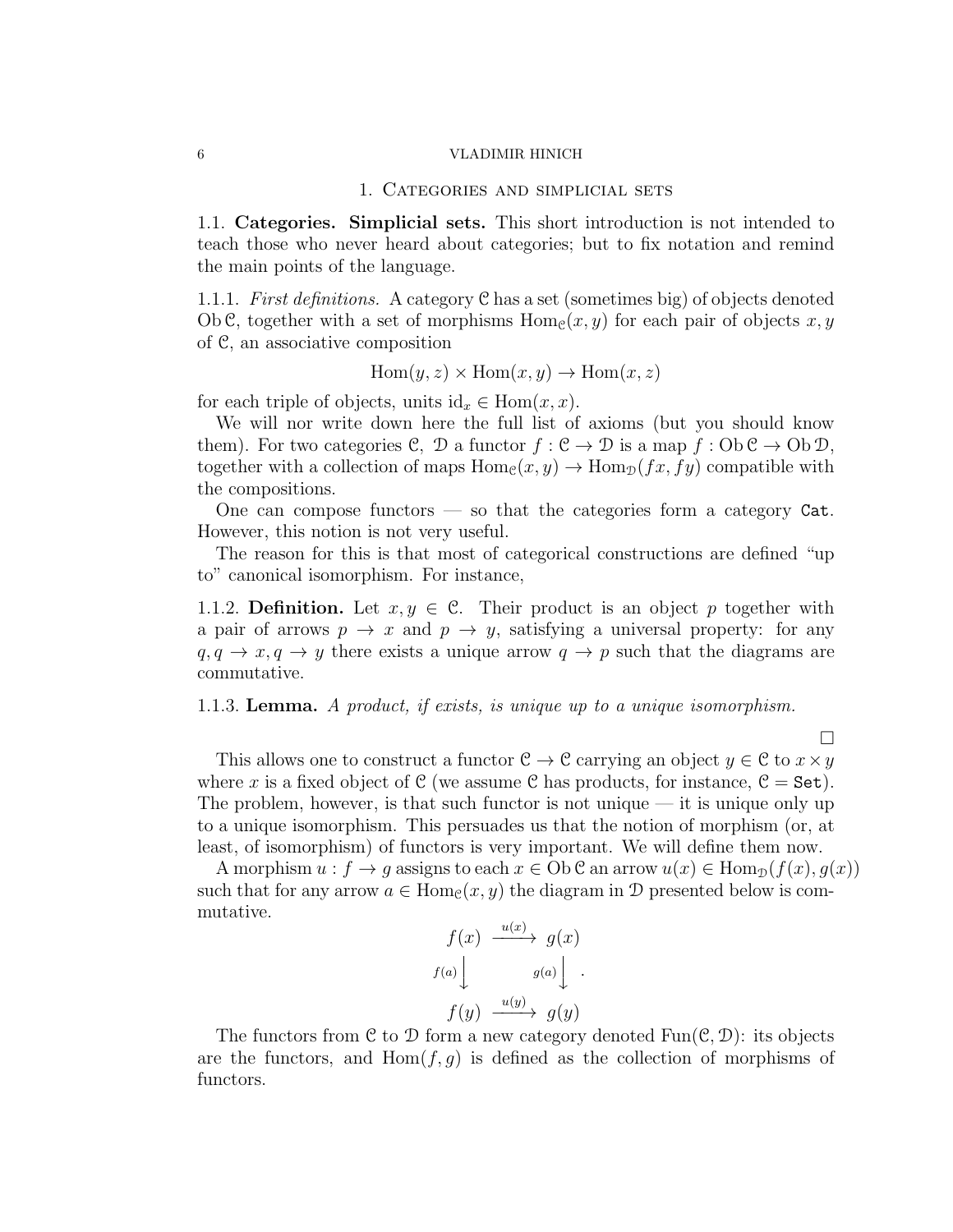### 1. Categories and simplicial sets

1.1. Categories. Simplicial sets. This short introduction is not intended to teach those who never heard about categories; but to fix notation and remind the main points of the language.

1.1.1. First definitions. A category C has a set (sometimes big) of objects denoted Ob C, together with a set of morphisms  $\text{Hom}_{\mathcal{C}}(x, y)$  for each pair of objects  $x, y$ of C, an associative composition

 $Hom(y, z) \times Hom(x, y) \rightarrow Hom(x, z)$ 

for each triple of objects, units  $id_x \in Hom(x, x)$ .

We will nor write down here the full list of axioms (but you should know them). For two categories C, D a functor  $f : \mathcal{C} \to \mathcal{D}$  is a map  $f : Ob \mathcal{C} \to Ob \mathcal{D}$ , together with a collection of maps  $Hom_{\mathcal{C}}(x, y) \to Hom_{\mathcal{D}}(fx, fy)$  compatible with the compositions.

One can compose functors  $\sim$  so that the categories form a category Cat. However, this notion is not very useful.

The reason for this is that most of categorical constructions are defined "up to" canonical isomorphism. For instance,

1.1.2. Definition. Let  $x, y \in \mathcal{C}$ . Their product is an object p together with a pair of arrows  $p \to x$  and  $p \to y$ , satisfying a universal property: for any  $q, q \rightarrow x, q \rightarrow y$  there exists a unique arrow  $q \rightarrow p$  such that the diagrams are commutative.

#### 1.1.3. Lemma. A product, if exists, is unique up to a unique isomorphism.

This allows one to construct a functor  $C \to C$  carrying an object  $y \in C$  to  $x \times y$ where x is a fixed object of C (we assume C has products, for instance,  $C = Set$ ). The problem, however, is that such functor is not unique — it is unique only up to a unique isomorphism. This persuades us that the notion of morphism (or, at least, of isomorphism) of functors is very important. We will define them now.

 $\Box$ 

A morphism  $u : f \to g$  assigns to each  $x \in Ob \mathcal{C}$  an arrow  $u(x) \in Hom_{\mathcal{D}}(f(x), g(x))$ such that for any arrow  $a \in \text{Hom}_{\mathcal{C}}(x, y)$  the diagram in  $\mathcal D$  presented below is commutative.

$$
f(x) \xrightarrow{u(x)} g(x)
$$
  

$$
f(a) \downarrow g(a) \downarrow \qquad \qquad
$$
  

$$
f(y) \xrightarrow{u(y)} g(y)
$$

The functors from C to D form a new category denoted  $Fun(\mathcal{C}, \mathcal{D})$ : its objects are the functors, and  $Hom(f, g)$  is defined as the collection of morphisms of functors.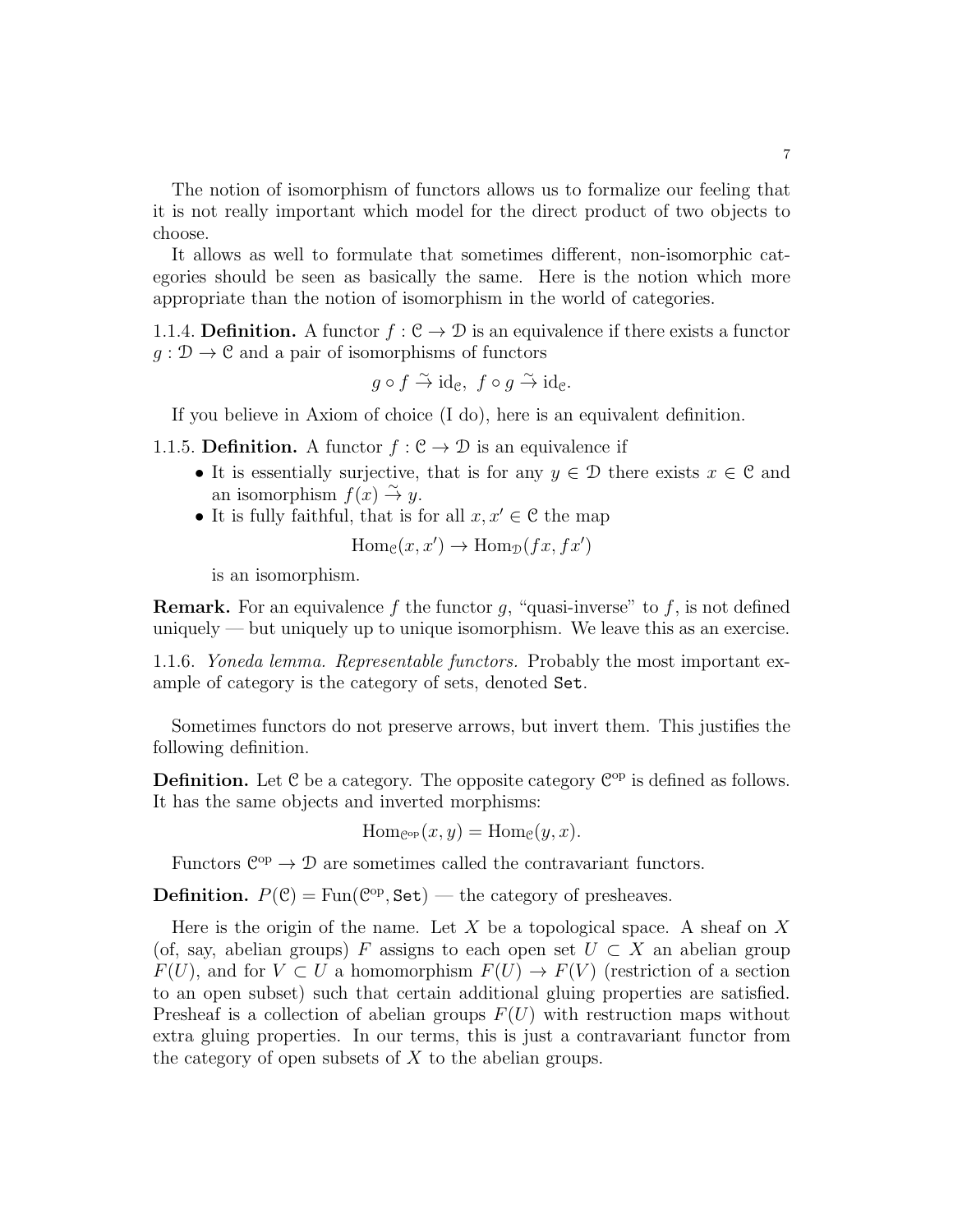The notion of isomorphism of functors allows us to formalize our feeling that it is not really important which model for the direct product of two objects to choose.

It allows as well to formulate that sometimes different, non-isomorphic categories should be seen as basically the same. Here is the notion which more appropriate than the notion of isomorphism in the world of categories.

1.1.4. Definition. A functor  $f : \mathcal{C} \to \mathcal{D}$  is an equivalence if there exists a functor  $q: \mathcal{D} \to \mathcal{C}$  and a pair of isomorphisms of functors

$$
g \circ f \stackrel{\sim}{\to} \text{id}_{\mathcal{C}}, \ f \circ g \stackrel{\sim}{\to} \text{id}_{\mathcal{C}}.
$$

If you believe in Axiom of choice (I do), here is an equivalent definition.

1.1.5. Definition. A functor  $f : \mathcal{C} \to \mathcal{D}$  is an equivalence if

- It is essentially surjective, that is for any  $y \in \mathcal{D}$  there exists  $x \in \mathcal{C}$  and an isomorphism  $f(x) \stackrel{\sim}{\to} y$ .
- It is fully faithful, that is for all  $x, x' \in \mathcal{C}$  the map

$$
\text{Hom}_{\mathcal{C}}(x, x') \to \text{Hom}_{\mathcal{D}}(fx, fx')
$$

is an isomorphism.

**Remark.** For an equivalence f the functor q, "quasi-inverse" to f, is not defined uniquely — but uniquely up to unique isomorphism. We leave this as an exercise.

1.1.6. Yoneda lemma. Representable functors. Probably the most important example of category is the category of sets, denoted Set.

Sometimes functors do not preserve arrows, but invert them. This justifies the following definition.

**Definition.** Let  $C$  be a category. The opposite category  $C^{op}$  is defined as follows. It has the same objects and inverted morphisms:

$$
\mathrm{Hom}_{\mathcal{C}^{\mathrm{op}}}(x,y)=\mathrm{Hom}_{\mathcal{C}}(y,x).
$$

Functors  $\mathbb{C}^{op} \to \mathcal{D}$  are sometimes called the contravariant functors.

**Definition.**  $P(\mathcal{C}) = \text{Fun}(\mathcal{C}^{\text{op}}, \text{Set})$  — the category of presheaves.

Here is the origin of the name. Let X be a topological space. A sheaf on X (of, say, abelian groups) F assigns to each open set  $U \subset X$  an abelian group  $F(U)$ , and for  $V \subset U$  a homomorphism  $F(U) \to F(V)$  (restriction of a section to an open subset) such that certain additional gluing properties are satisfied. Presheaf is a collection of abelian groups  $F(U)$  with restruction maps without extra gluing properties. In our terms, this is just a contravariant functor from the category of open subsets of  $X$  to the abelian groups.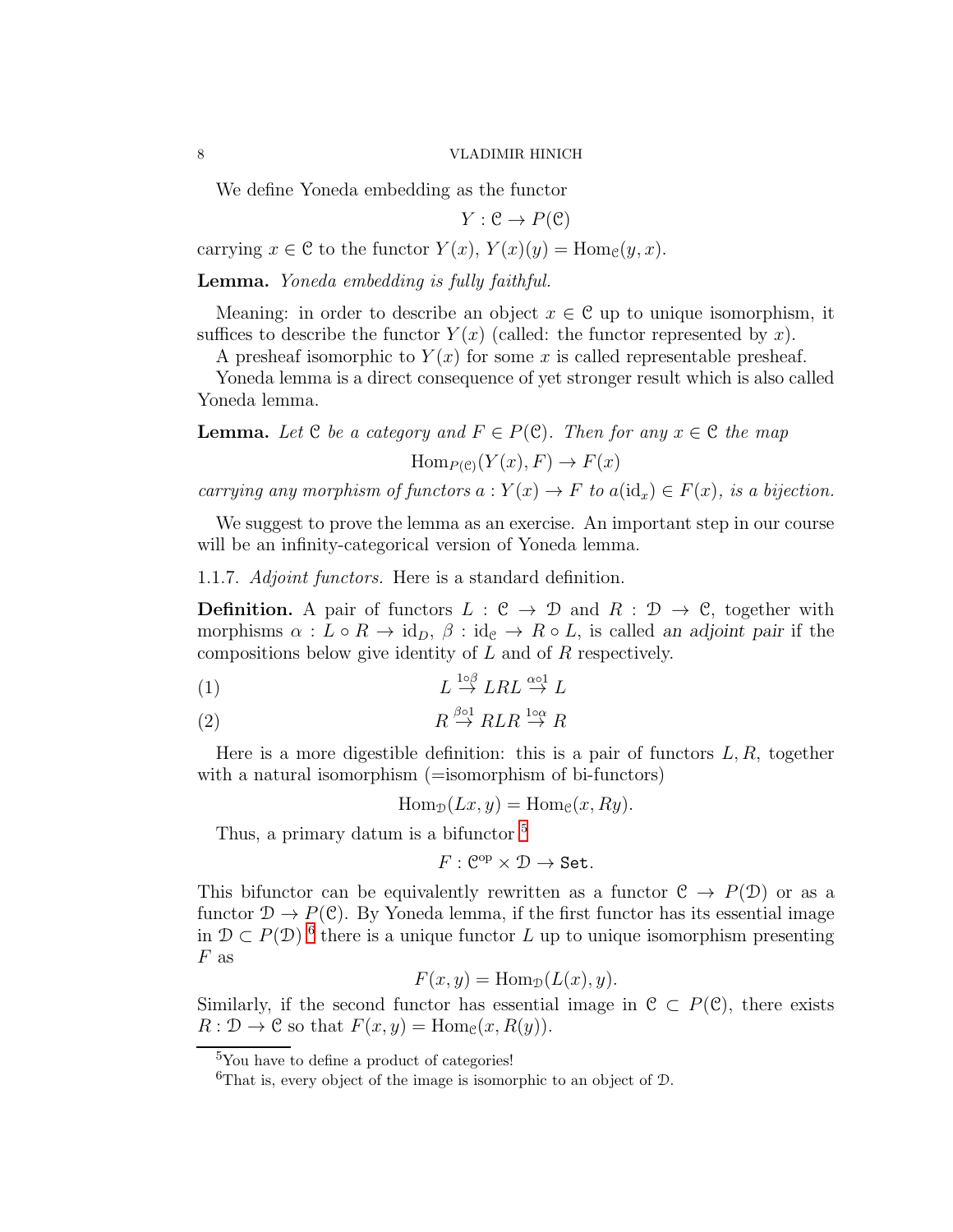We define Yoneda embedding as the functor

$$
Y: \mathcal{C} \to P(\mathcal{C})
$$

carrying  $x \in \mathcal{C}$  to the functor  $Y(x)$ ,  $Y(x)(y) = \text{Hom}_{\mathcal{C}}(y, x)$ .

Lemma. Yoneda embedding is fully faithful.

Meaning: in order to describe an object  $x \in \mathcal{C}$  up to unique isomorphism, it suffices to describe the functor  $Y(x)$  (called: the functor represented by x).

A presheaf isomorphic to  $Y(x)$  for some x is called representable presheaf.

Yoneda lemma is a direct consequence of yet stronger result which is also called Yoneda lemma.

**Lemma.** Let  $C$  be a category and  $F \in P(C)$ . Then for any  $x \in C$  the map

 $\text{Hom}_{P(\mathcal{C})}(Y(x), F) \to F(x)$ 

carrying any morphism of functors  $a: Y(x) \to F$  to  $a(\mathrm{id}_x) \in F(x)$ , is a bijection.

We suggest to prove the lemma as an exercise. An important step in our course will be an infinity-categorical version of Yoneda lemma.

1.1.7. Adjoint functors. Here is a standard definition.

**Definition.** A pair of functors  $L : \mathcal{C} \to \mathcal{D}$  and  $R : \mathcal{D} \to \mathcal{C}$ , together with morphisms  $\alpha : L \circ R \to id_D$ ,  $\beta : id_{\mathcal{C}} \to R \circ L$ , is called an adjoint pair if the compositions below give identity of L and of R respectively.

$$
(1) \tL \stackrel{1 \circ \beta}{\to} LRL \stackrel{\alpha \circ 1}{\to} L
$$

$$
(2) \t\t R \stackrel{\beta \circ 1}{\rightarrow} RLR \stackrel{1 \circ \alpha}{\rightarrow} R
$$

Here is a more digestible definition: this is a pair of functors  $L, R$ , together with a natural isomorphism (=isomorphism of bi-functors)

$$
\operatorname{Hom}_{\mathcal{D}}(Lx, y) = \operatorname{Hom}_{\mathcal{C}}(x, Ry).
$$

Thus, a primary datum is a bifunctor  $5$ 

$$
F:\mathcal{C}^{op}\times\mathcal{D}\to\mathbf{Set}.
$$

This bifunctor can be equivalently rewritten as a functor  $C \to P(\mathcal{D})$  or as a functor  $\mathcal{D} \to P(\mathcal{C})$ . By Yoneda lemma, if the first functor has its essential image in  $\mathcal{D} \subset P(\mathcal{D})$ <sup>[6](#page-7-1)</sup> there is a unique functor L up to unique isomorphism presenting  $F$  as

$$
F(x, y) = \text{Hom}_{\mathcal{D}}(L(x), y).
$$

Similarly, if the second functor has essential image in  $C \subset P(C)$ , there exists  $R: \mathcal{D} \to \mathcal{C}$  so that  $F(x, y) = \text{Hom}_{\mathcal{C}}(x, R(y)).$ 

 ${}^{5}$ You have to define a product of categories!

<span id="page-7-1"></span><span id="page-7-0"></span><sup>&</sup>lt;sup>6</sup>That is, every object of the image is isomorphic to an object of  $\mathcal{D}$ .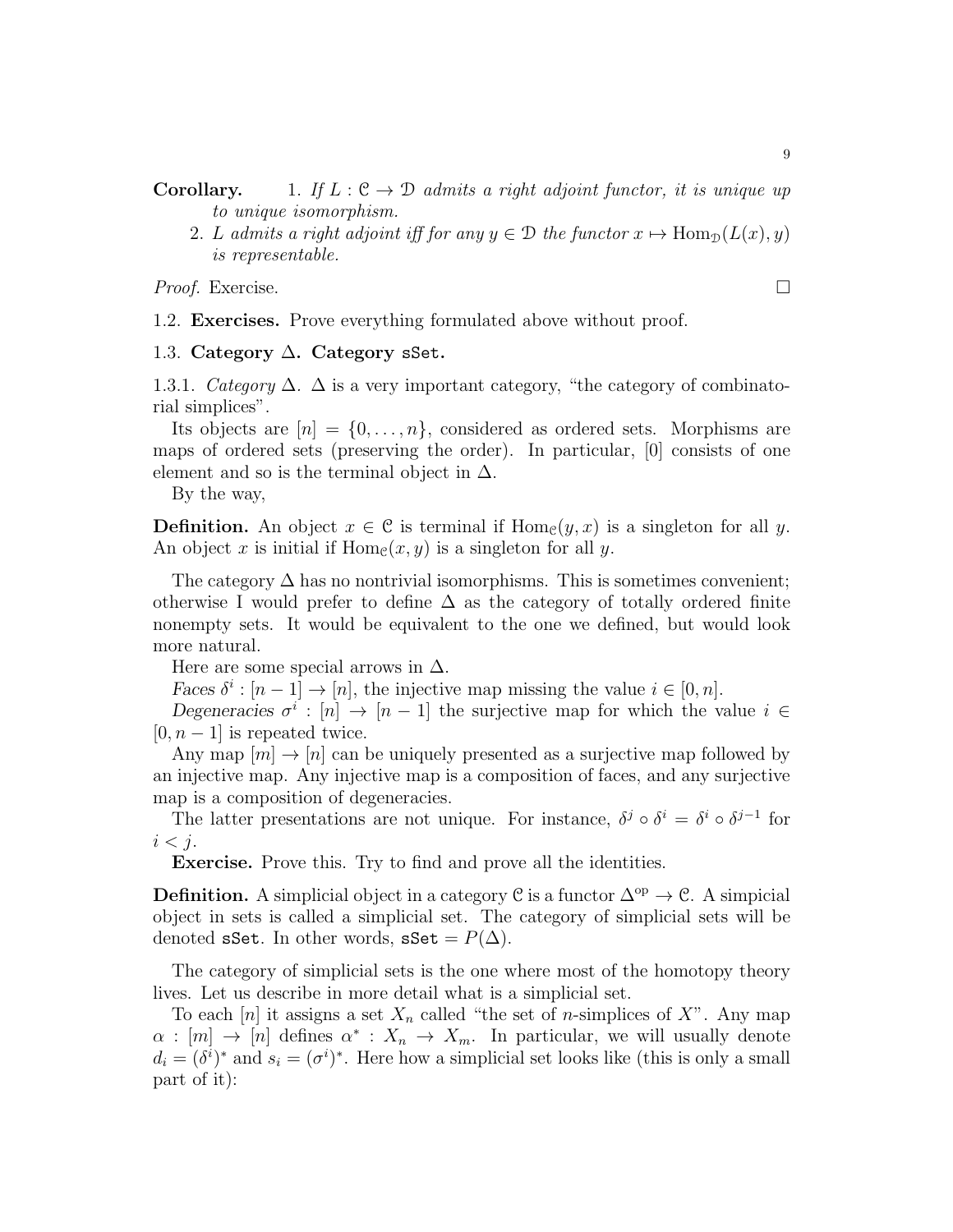**Corollary.** 1. If  $L : \mathcal{C} \to \mathcal{D}$  admits a right adjoint functor, it is unique up to unique isomorphism.

2. L admits a right adjoint iff for any  $y \in \mathcal{D}$  the functor  $x \mapsto \text{Hom}_{\mathcal{D}}(L(x), y)$ is representable.

<span id="page-8-0"></span>*Proof.* Exercise.  $\Box$ 

1.2. Exercises. Prove everything formulated above without proof.

<span id="page-8-1"></span>1.3. Category ∆. Category sSet.

1.3.1. Category  $\Delta$ .  $\Delta$  is a very important category, "the category of combinatorial simplices".

Its objects are  $[n] = \{0, \ldots, n\}$ , considered as ordered sets. Morphisms are maps of ordered sets (preserving the order). In particular, [0] consists of one element and so is the terminal object in  $\Delta$ .

By the way,

**Definition.** An object  $x \in \mathcal{C}$  is terminal if  $\text{Hom}_{\mathcal{C}}(y, x)$  is a singleton for all y. An object x is initial if  $\text{Hom}_{\mathcal{C}}(x, y)$  is a singleton for all y.

The category  $\Delta$  has no nontrivial isomorphisms. This is sometimes convenient; otherwise I would prefer to define  $\Delta$  as the category of totally ordered finite nonempty sets. It would be equivalent to the one we defined, but would look more natural.

Here are some special arrows in  $\Delta$ .

*Faces*  $\delta^i$  :  $[n-1] \to [n]$ , the injective map missing the value  $i \in [0, n]$ .

Degeneracies  $\sigma^i : [n] \to [n-1]$  the surjective map for which the value  $i \in$  $[0, n-1]$  is repeated twice.

Any map  $|m| \to |n|$  can be uniquely presented as a surjective map followed by an injective map. Any injective map is a composition of faces, and any surjective map is a composition of degeneracies.

The latter presentations are not unique. For instance,  $\delta^j \circ \delta^i = \delta^i \circ \delta^{j-1}$  for  $i < j$ .

Exercise. Prove this. Try to find and prove all the identities.

**Definition.** A simplicial object in a category C is a functor  $\Delta^{\rm op} \to \mathcal{C}$ . A simplicial object in sets is called a simplicial set. The category of simplicial sets will be denoted sSet. In other words, sSet =  $P(\Delta)$ .

The category of simplicial sets is the one where most of the homotopy theory lives. Let us describe in more detail what is a simplicial set.

To each [n] it assigns a set  $X_n$  called "the set of n-simplices of X". Any map  $\alpha : [m] \to [n]$  defines  $\alpha^* : X_n \to X_m$ . In particular, we will usually denote  $d_i = (\delta^i)^*$  and  $s_i = (\sigma^i)^*$ . Here how a simplicial set looks like (this is only a small part of it):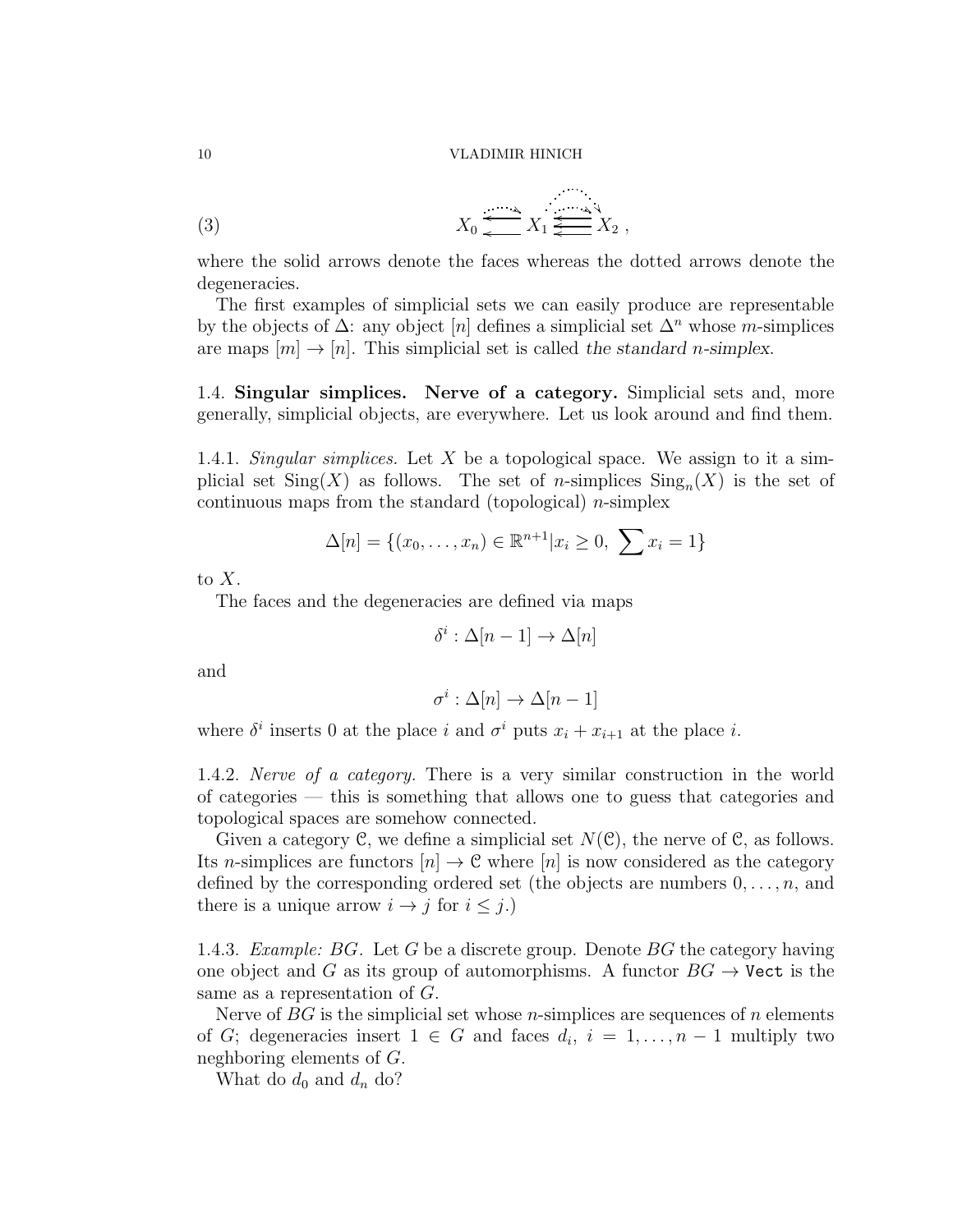$$
(3) \t\t X_0 \xleftarrow{\lambda} X_1 \xleftarrow{\lambda} X_2 ,
$$

where the solid arrows denote the faces whereas the dotted arrows denote the degeneracies.

The first examples of simplicial sets we can easily produce are representable by the objects of  $\Delta$ : any object [n] defines a simplicial set  $\Delta^n$  whose m-simplices are maps  $[m] \to [n]$ . This simplicial set is called the standard *n*-simplex.

1.4. Singular simplices. Nerve of a category. Simplicial sets and, more generally, simplicial objects, are everywhere. Let us look around and find them.

1.4.1. Singular simplices. Let X be a topological space. We assign to it a simplicial set  $\text{Sing}(X)$  as follows. The set of *n*-simplices  $\text{Sing}_n(X)$  is the set of continuous maps from the standard (topological)  $n$ -simplex

$$
\Delta[n] = \{(x_0, \dots, x_n) \in \mathbb{R}^{n+1} | x_i \ge 0, \sum x_i = 1\}
$$

to  $X$ .

The faces and the degeneracies are defined via maps

$$
\delta^i : \Delta[n-1] \to \Delta[n]
$$

and

$$
\sigma^i : \Delta[n] \to \Delta[n-1]
$$

where  $\delta^i$  inserts 0 at the place i and  $\sigma^i$  puts  $x_i + x_{i+1}$  at the place i.

1.4.2. Nerve of a category. There is a very similar construction in the world of categories — this is something that allows one to guess that categories and topological spaces are somehow connected.

Given a category C, we define a simplicial set  $N(\mathcal{C})$ , the nerve of C, as follows. Its n-simplices are functors  $[n] \to \mathcal{C}$  where  $[n]$  is now considered as the category defined by the corresponding ordered set (the objects are numbers  $0, \ldots, n$ , and there is a unique arrow  $i \rightarrow j$  for  $i \leq j$ .)

1.4.3. *Example: BG.* Let G be a discrete group. Denote  $BG$  the category having one object and G as its group of automorphisms. A functor  $BG \rightarrow$  Vect is the same as a representation of G.

Nerve of  $BG$  is the simplicial set whose *n*-simplices are sequences of *n* elements of G; degeneracies insert  $1 \in G$  and faces  $d_i$ ,  $i = 1, \ldots, n-1$  multiply two neghboring elements of G.

What do  $d_0$  and  $d_n$  do?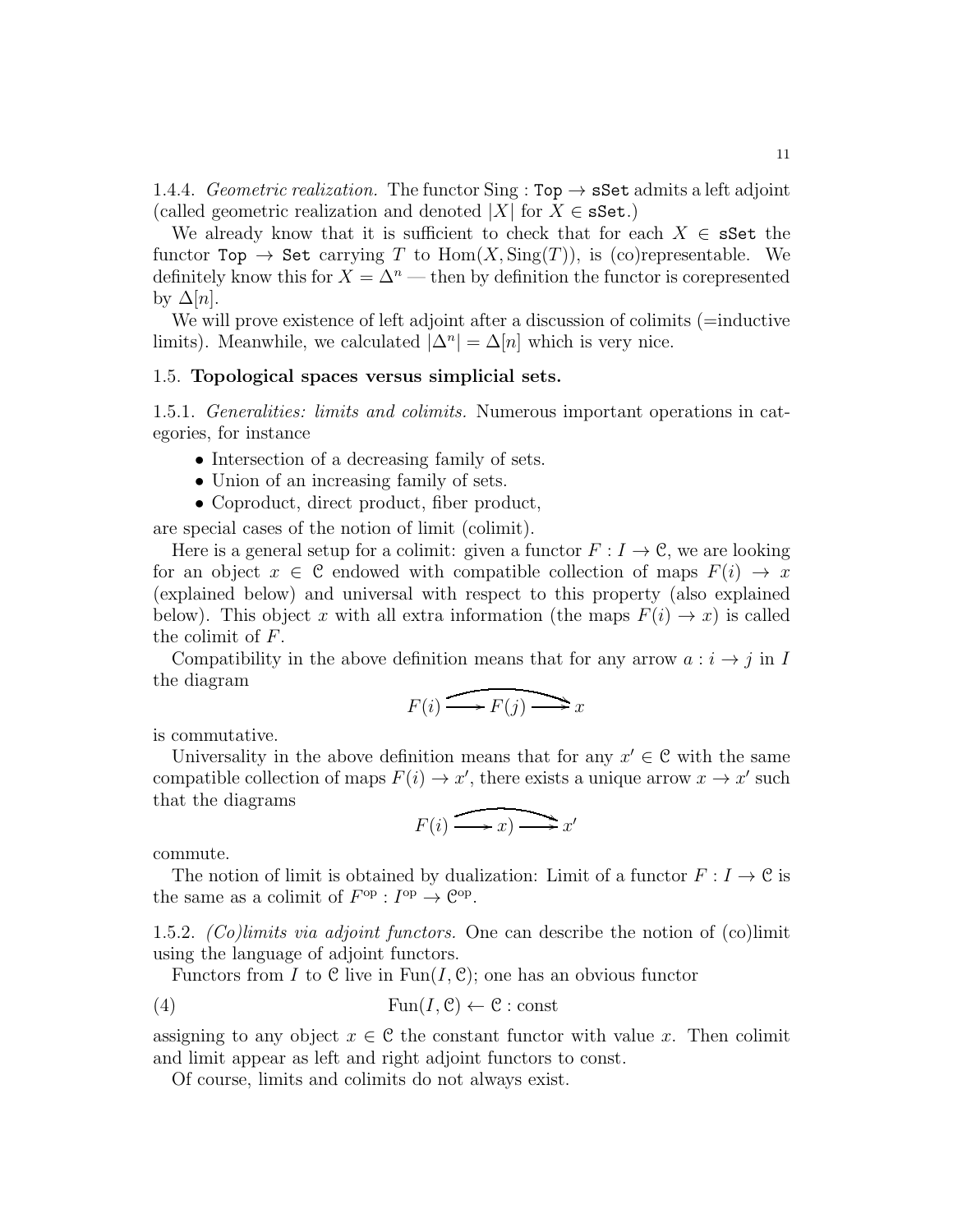1.4.4. Geometric realization. The functor Sing :  $Top \rightarrow \mathbf{sSet}$  admits a left adjoint (called geometric realization and denoted  $|X|$  for  $X \in \mathbf{sSet}$ .)

We already know that it is sufficient to check that for each  $X \in \mathbf{sSet}$  the functor Top  $\rightarrow$  Set carrying T to Hom $(X, \text{Sing}(T))$ , is (co)representable. We definitely know this for  $X = \Delta^n$  — then by definition the functor is corepresented by  $\Delta[n]$ .

We will prove existence of left adjoint after a discussion of colimits (=inductive limits). Meanwhile, we calculated  $|\Delta^n| = \Delta[n]$  which is very nice.

### <span id="page-10-0"></span>1.5. Topological spaces versus simplicial sets.

1.5.1. Generalities: limits and colimits. Numerous important operations in categories, for instance

- Intersection of a decreasing family of sets.
- Union of an increasing family of sets.
- Coproduct, direct product, fiber product,

are special cases of the notion of limit (colimit).

Here is a general setup for a colimit: given a functor  $F: I \to \mathcal{C}$ , we are looking for an object  $x \in \mathcal{C}$  endowed with compatible collection of maps  $F(i) \to x$ (explained below) and universal with respect to this property (also explained below). This object x with all extra information (the maps  $F(i) \rightarrow x$ ) is called the colimit of F.

Compatibility in the above definition means that for any arrow  $a : i \rightarrow j$  in I the diagram

$$
F(i) \longrightarrow F(j) \longrightarrow x
$$

is commutative.

Universality in the above definition means that for any  $x' \in \mathcal{C}$  with the same compatible collection of maps  $F(i) \to x'$ , there exists a unique arrow  $x \to x'$  such that the diagrams

$$
F(i) \xrightarrow{f^{-1}(i)} x
$$

commute.

The notion of limit is obtained by dualization: Limit of a functor  $F: I \to \mathcal{C}$  is the same as a colimit of  $F^{\text{op}}: I^{\text{op}} \to \mathcal{C}^{\text{op}}$ .

1.5.2. (Co)limits via adjoint functors. One can describe the notion of (co)limit using the language of adjoint functors.

Functors from I to C live in  $\text{Fun}(I, \mathcal{C})$ ; one has an obvious functor

(4) 
$$
\text{Fun}(I, \mathcal{C}) \leftarrow \mathcal{C} : \text{const}
$$

assigning to any object  $x \in \mathcal{C}$  the constant functor with value x. Then colimit and limit appear as left and right adjoint functors to const.

Of course, limits and colimits do not always exist.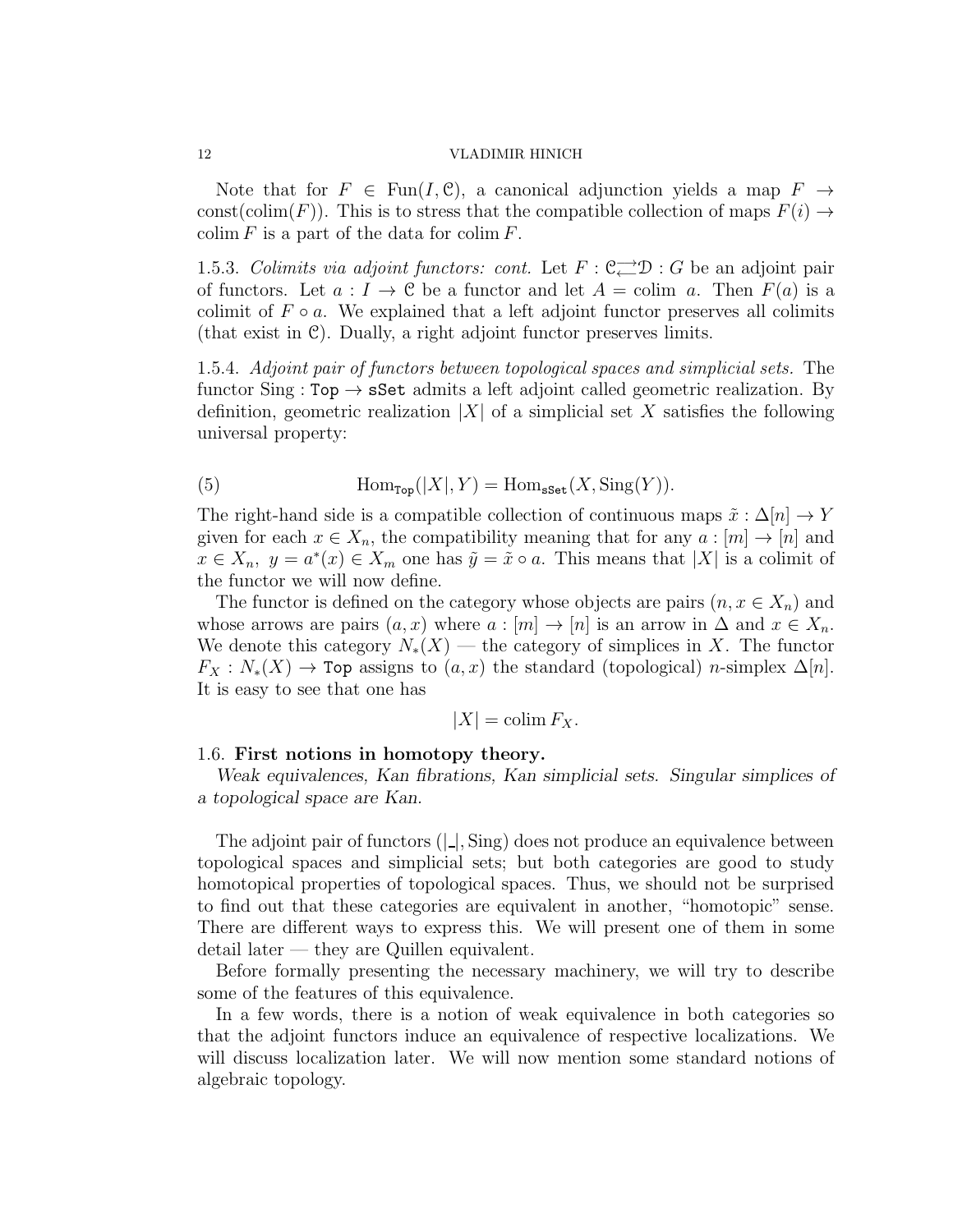Note that for  $F \in \text{Fun}(I, \mathcal{C})$ , a canonical adjunction yields a map  $F \to$ const(colim(F)). This is to stress that the compatible collection of maps  $F(i) \rightarrow$ colim  $F$  is a part of the data for colim  $F$ .

1.5.3. Colimits via adjoint functors: cont. Let  $F: \mathbb{C} \longrightarrow \mathbb{D} : G$  be an adjoint pair of functors. Let  $a: I \to \mathcal{C}$  be a functor and let  $A = \text{colim } a$ . Then  $F(a)$  is a colimit of  $F \circ a$ . We explained that a left adjoint functor preserves all colimits (that exist in C). Dually, a right adjoint functor preserves limits.

1.5.4. Adjoint pair of functors between topological spaces and simplicial sets. The functor Sing :  $Top \rightarrow sSet$  admits a left adjoint called geometric realization. By definition, geometric realization  $|X|$  of a simplicial set X satisfies the following universal property:

(5) 
$$
\text{Hom}_{\text{Top}}(|X|, Y) = \text{Hom}_{\text{sset}}(X, \text{Sing}(Y)).
$$

The right-hand side is a compatible collection of continuous maps  $\tilde{x} : \Delta[n] \to Y$ given for each  $x \in X_n$ , the compatibility meaning that for any  $a : [m] \to [n]$  and  $x \in X_n$ ,  $y = a^*(x) \in X_m$  one has  $\tilde{y} = \tilde{x} \circ a$ . This means that  $|X|$  is a colimit of the functor we will now define.

The functor is defined on the category whose objects are pairs  $(n, x \in X_n)$  and whose arrows are pairs  $(a, x)$  where  $a : [m] \to [n]$  is an arrow in  $\Delta$  and  $x \in X_n$ . We denote this category  $N_*(X)$  — the category of simplices in X. The functor  $F_X : N_*(X) \to \text{Top}$  assigns to  $(a, x)$  the standard (topological) n-simplex  $\Delta[n]$ . It is easy to see that one has

$$
|X| = \operatorname{colim} F_X.
$$

### 1.6. First notions in homotopy theory.

*Weak equivalences, Kan fibrations, Kan simplicial sets. Singular simplices of a topological space are Kan.*

The adjoint pair of functors  $(| \cdot |, \text{Sing})$  does not produce an equivalence between topological spaces and simplicial sets; but both categories are good to study homotopical properties of topological spaces. Thus, we should not be surprised to find out that these categories are equivalent in another, "homotopic" sense. There are different ways to express this. We will present one of them in some detail later — they are Quillen equivalent.

Before formally presenting the necessary machinery, we will try to describe some of the features of this equivalence.

In a few words, there is a notion of weak equivalence in both categories so that the adjoint functors induce an equivalence of respective localizations. We will discuss localization later. We will now mention some standard notions of algebraic topology.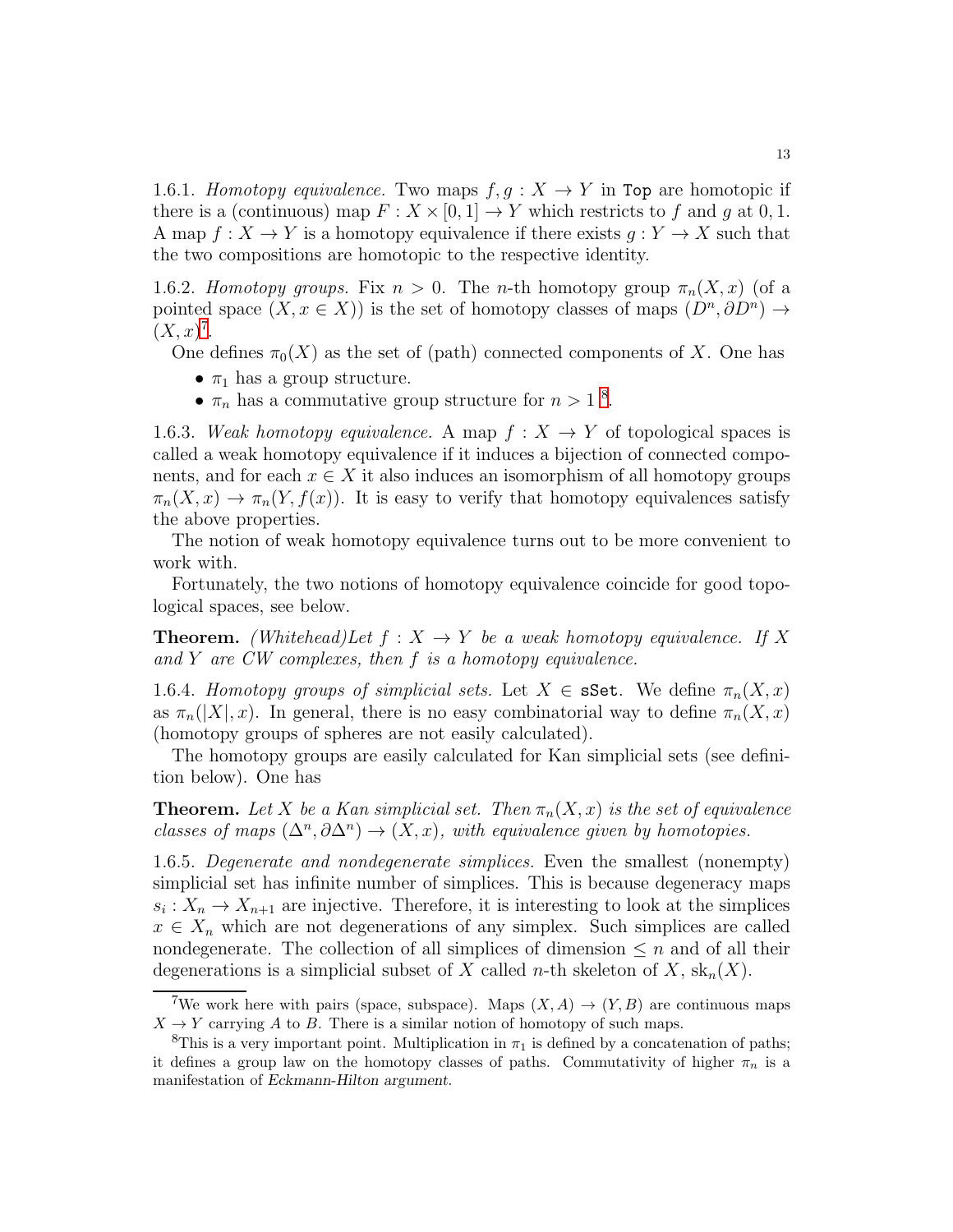1.6.1. Homotopy equivalence. Two maps  $f, g: X \to Y$  in Top are homotopic if there is a (continuous) map  $F: X \times [0,1] \to Y$  which restricts to f and g at 0, 1. A map  $f: X \to Y$  is a homotopy equivalence if there exists  $q: Y \to X$  such that the two compositions are homotopic to the respective identity.

1.6.2. Homotopy groups. Fix  $n > 0$ . The n-th homotopy group  $\pi_n(X, x)$  (of a pointed space  $(X, x \in X)$  is the set of homotopy classes of maps  $(D^n, \partial D^n) \to$  $(X, x)^7$  $(X, x)^7$ .

One defines  $\pi_0(X)$  as the set of (path) connected components of X. One has

- $\pi_1$  has a group structure.
- $\pi_n$  has a commutative group structure for  $n > 1$ <sup>[8](#page-12-1)</sup>.

1.6.3. Weak homotopy equivalence. A map  $f: X \to Y$  of topological spaces is called a weak homotopy equivalence if it induces a bijection of connected components, and for each  $x \in X$  it also induces an isomorphism of all homotopy groups  $\pi_n(X, x) \to \pi_n(Y, f(x))$ . It is easy to verify that homotopy equivalences satisfy the above properties.

The notion of weak homotopy equivalence turns out to be more convenient to work with.

Fortunately, the two notions of homotopy equivalence coincide for good topological spaces, see below.

**Theorem.** (Whitehead)Let  $f : X \to Y$  be a weak homotopy equivalence. If X and Y are  $CW$  complexes, then  $f$  is a homotopy equivalence.

1.6.4. Homotopy groups of simplicial sets. Let  $X \in \mathbf{sSet}$ . We define  $\pi_n(X, x)$ as  $\pi_n(|X|, x)$ . In general, there is no easy combinatorial way to define  $\pi_n(X, x)$ (homotopy groups of spheres are not easily calculated).

The homotopy groups are easily calculated for Kan simplicial sets (see definition below). One has

**Theorem.** Let X be a Kan simplicial set. Then  $\pi_n(X, x)$  is the set of equivalence classes of maps  $(\Delta^n, \partial \Delta^n) \to (X, x)$ , with equivalence given by homotopies.

1.6.5. Degenerate and nondegenerate simplices. Even the smallest (nonempty) simplicial set has infinite number of simplices. This is because degeneracy maps  $s_i: X_n \to X_{n+1}$  are injective. Therefore, it is interesting to look at the simplices  $x \in X_n$  which are not degenerations of any simplex. Such simplices are called nondegenerate. The collection of all simplices of dimension  $\leq n$  and of all their degenerations is a simplicial subset of X called n-th skeleton of X,  $\operatorname{sk}_n(X)$ .

<span id="page-12-0"></span><sup>&</sup>lt;sup>7</sup>We work here with pairs (space, subspace). Maps  $(X, A) \rightarrow (Y, B)$  are continuous maps  $X \to Y$  carrying A to B. There is a similar notion of homotopy of such maps.

<span id="page-12-1"></span><sup>&</sup>lt;sup>8</sup>This is a very important point. Multiplication in  $\pi_1$  is defined by a concatenation of paths; it defines a group law on the homotopy classes of paths. Commutativity of higher  $\pi_n$  is a manifestation of Eckmann-Hilton argument.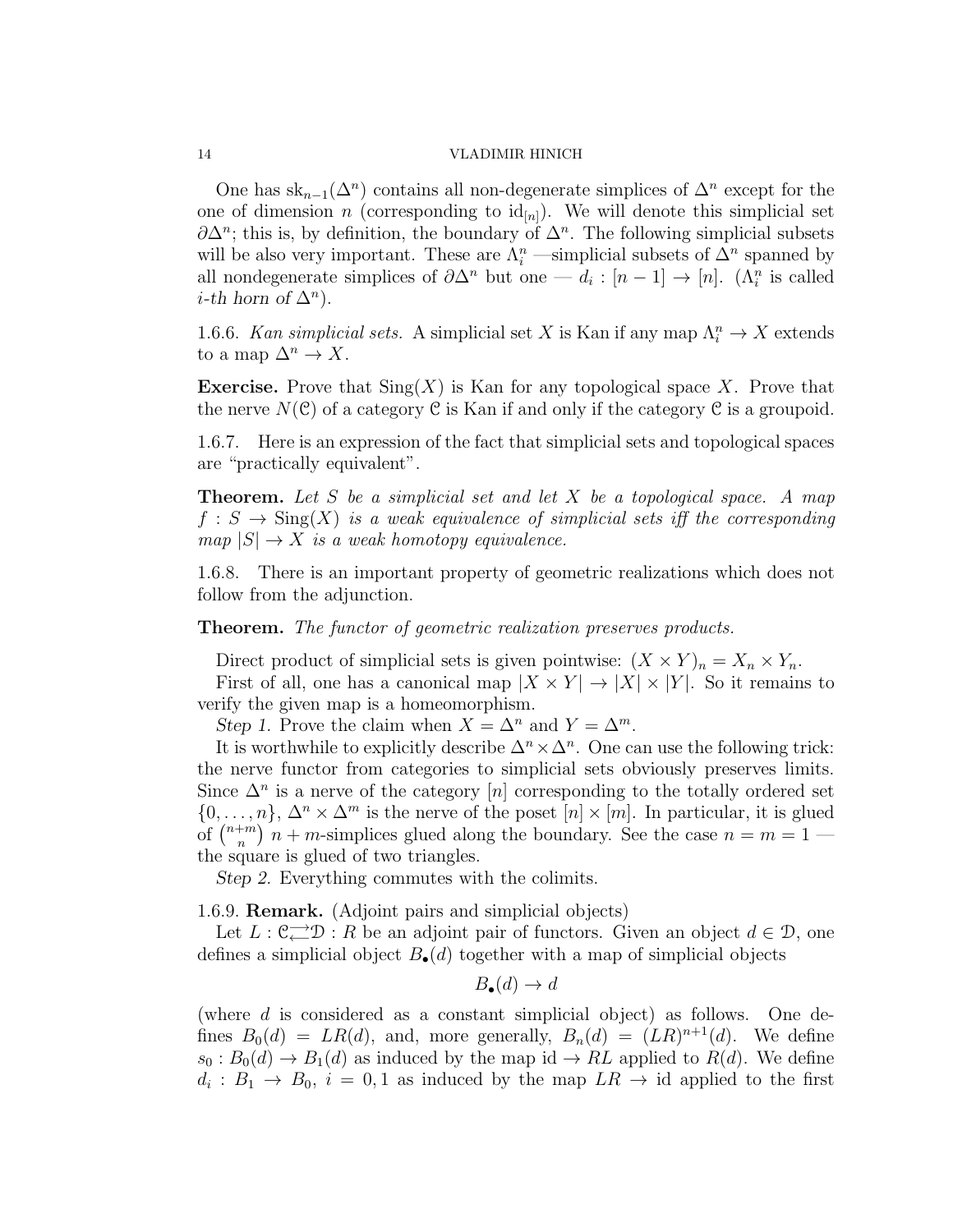One has  $sk_{n-1}(\Delta^n)$  contains all non-degenerate simplices of  $\Delta^n$  except for the one of dimension n (corresponding to  $\mathrm{id}_{[n]}$ ). We will denote this simplicial set  $\partial \Delta^n$ ; this is, by definition, the boundary of  $\Delta^n$ . The following simplicial subsets will be also very important. These are  $\Lambda_i^n$  —simplicial subsets of  $\Delta^n$  spanned by all nondegenerate simplices of  $\partial \Delta^n$  but one —  $d_i : [n-1] \to [n]$ . ( $\Lambda_i^n$  is called  $i$ -th horn of  $\Delta^n$ ).

1.6.6. Kan simplicial sets. A simplicial set X is Kan if any map  $\Lambda_i^n \to X$  extends to a map  $\Delta^n \to X$ .

**Exercise.** Prove that  $\text{Sing}(X)$  is Kan for any topological space X. Prove that the nerve  $N(\mathcal{C})$  of a category  $\mathcal C$  is Kan if and only if the category  $\mathcal C$  is a groupoid.

1.6.7. Here is an expression of the fact that simplicial sets and topological spaces are "practically equivalent".

**Theorem.** Let S be a simplicial set and let X be a topological space. A map  $f : S \to \text{Sing}(X)$  is a weak equivalence of simplicial sets iff the corresponding  $map |S| \rightarrow X$  is a weak homotopy equivalence.

1.6.8. There is an important property of geometric realizations which does not follow from the adjunction.

Theorem. The functor of geometric realization preserves products.

Direct product of simplicial sets is given pointwise:  $(X \times Y)_n = X_n \times Y_n$ . First of all, one has a canonical map  $|X \times Y| \to |X| \times |Y|$ . So it remains to verify the given map is a homeomorphism.

*Step 1.* Prove the claim when  $X = \Delta^n$  and  $Y = \Delta^m$ .

It is worthwhile to explicitly describe  $\Delta^n \times \Delta^n$ . One can use the following trick: the nerve functor from categories to simplicial sets obviously preserves limits. Since  $\Delta^n$  is a nerve of the category [n] corresponding to the totally ordered set  $\{0, \ldots, n\}, \Delta^n \times \Delta^m$  is the nerve of the poset  $[n] \times [m]$ . In particular, it is glued of  $\left(\begin{matrix}n+m\\n\end{matrix}\right)$  $\binom{m}{n}$  in + m-simplices glued along the boundary. See the case  $n = m = 1$ the square is glued of two triangles.

*Step 2.* Everything commutes with the colimits.

1.6.9. Remark. (Adjoint pairs and simplicial objects)

Let  $L: \mathbb{C} \longrightarrow \mathbb{D} : R$  be an adjoint pair of functors. Given an object  $d \in \mathcal{D}$ , one defines a simplicial object  $B_{\bullet}(d)$  together with a map of simplicial objects

$$
B_{\bullet}(d) \to d
$$

(where  $d$  is considered as a constant simplicial object) as follows. One defines  $B_0(d) = LR(d)$ , and, more generally,  $B_n(d) = (LR)^{n+1}(d)$ . We define  $s_0 : B_0(d) \to B_1(d)$  as induced by the map id  $\to RL$  applied to  $R(d)$ . We define  $d_i: B_1 \to B_0$ ,  $i = 0, 1$  as induced by the map  $LR \to id$  applied to the first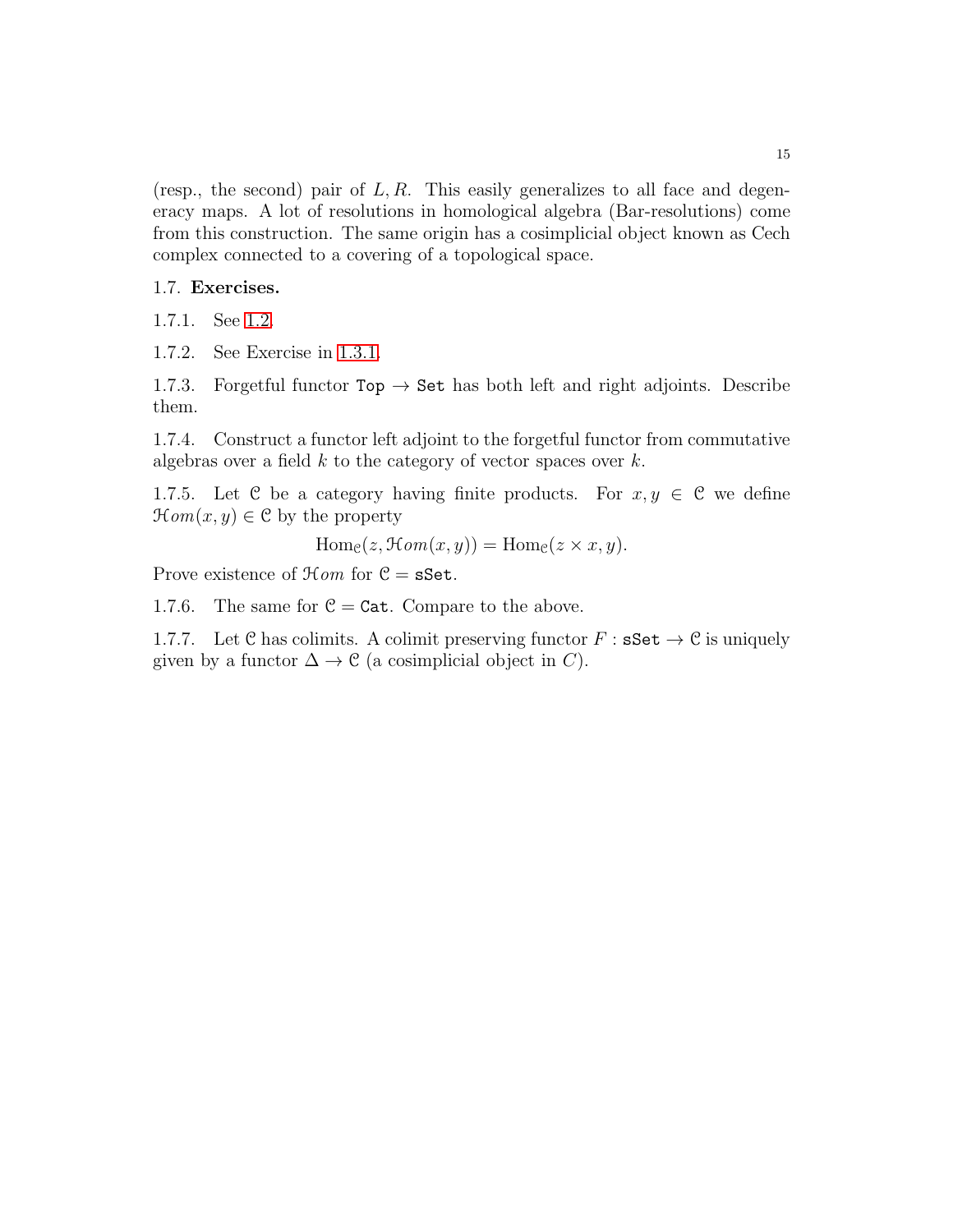(resp., the second) pair of  $L, R$ . This easily generalizes to all face and degeneracy maps. A lot of resolutions in homological algebra (Bar-resolutions) come from this construction. The same origin has a cosimplicial object known as Cech complex connected to a covering of a topological space.

## 1.7. Exercises.

1.7.1. See [1.2.](#page-8-0)

1.7.2. See Exercise in [1.3.1.](#page-8-1)

1.7.3. Forgetful functor  $Top \rightarrow Set$  has both left and right adjoints. Describe them.

1.7.4. Construct a functor left adjoint to the forgetful functor from commutative algebras over a field  $k$  to the category of vector spaces over  $k$ .

1.7.5. Let C be a category having finite products. For  $x, y \in C$  we define  $\mathcal{H}om(x, y) \in \mathcal{C}$  by the property

$$
\operatorname{Hom}_{\mathcal{C}}(z, \mathcal{H}om(x, y)) = \operatorname{Hom}_{\mathcal{C}}(z \times x, y).
$$

Prove existence of  $\mathcal{H}$ om for  $\mathcal{C} = s$ Set.

1.7.6. The same for  $C = \text{Cat}$ . Compare to the above.

1.7.7. Let C has colimits. A colimit preserving functor  $F : \mathbf{sSet} \to \mathcal{C}$  is uniquely given by a functor  $\Delta \to \mathcal{C}$  (a cosimplicial object in C).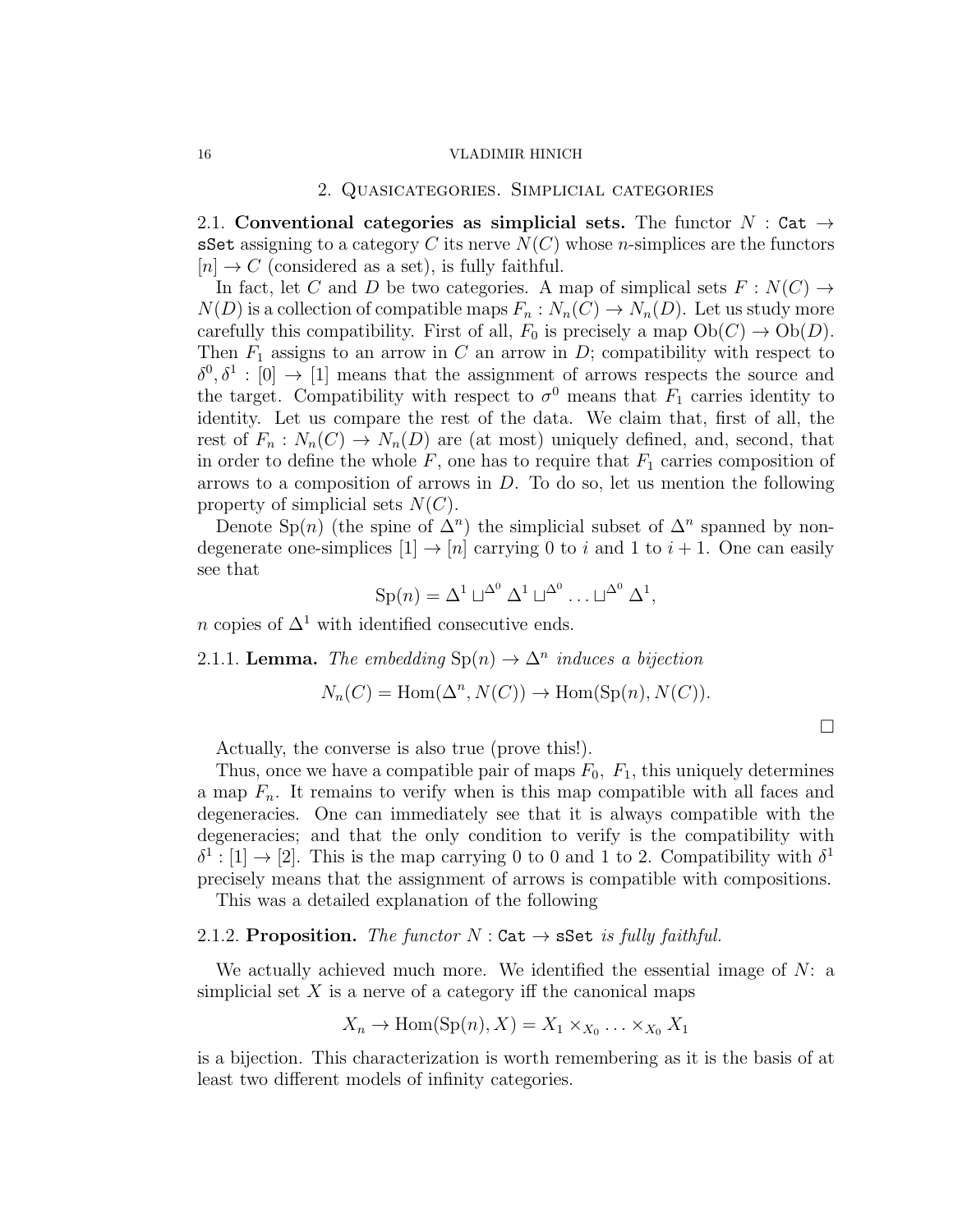### 2. Quasicategories. Simplicial categories

2.1. Conventional categories as simplicial sets. The functor  $N : \mathsf{Cat} \to$ sSet assigning to a category C its nerve  $N(C)$  whose *n*-simplices are the functors  $[n] \rightarrow C$  (considered as a set), is fully faithful.

In fact, let C and D be two categories. A map of simplical sets  $F: N(C) \rightarrow$  $N(D)$  is a collection of compatible maps  $F_n : N_n(C) \to N_n(D)$ . Let us study more carefully this compatibility. First of all,  $F_0$  is precisely a map  $Ob(C) \rightarrow Ob(D)$ . Then  $F_1$  assigns to an arrow in C an arrow in D; compatibility with respect to  $\delta^0$ ,  $\delta^1$  : [0]  $\rightarrow$  [1] means that the assignment of arrows respects the source and the target. Compatibility with respect to  $\sigma^0$  means that  $F_1$  carries identity to identity. Let us compare the rest of the data. We claim that, first of all, the rest of  $F_n: N_n(C) \to N_n(D)$  are (at most) uniquely defined, and, second, that in order to define the whole  $F$ , one has to require that  $F_1$  carries composition of arrows to a composition of arrows in  $D$ . To do so, let us mention the following property of simplicial sets  $N(C)$ .

Denote Sp(n) (the spine of  $\Delta^n$ ) the simplicial subset of  $\Delta^n$  spanned by nondegenerate one-simplices  $[1] \rightarrow [n]$  carrying 0 to i and 1 to  $i + 1$ . One can easily see that

$$
\mathrm{Sp}(n) = \Delta^1 \sqcup^{\Delta^0} \Delta^1 \sqcup^{\Delta^0} \ldots \sqcup^{\Delta^0} \Delta^1,
$$

n copies of  $\Delta^1$  with identified consecutive ends.

2.1.1. **Lemma.** The embedding  $\text{Sp}(n) \to \Delta^n$  induces a bijection

$$
N_n(C) = \text{Hom}(\Delta^n, N(C)) \to \text{Hom}(\text{Sp}(n), N(C)).
$$

Actually, the converse is also true (prove this!).

Thus, once we have a compatible pair of maps  $F_0$ ,  $F_1$ , this uniquely determines a map  $F_n$ . It remains to verify when is this map compatible with all faces and degeneracies. One can immediately see that it is always compatible with the degeneracies; and that the only condition to verify is the compatibility with  $\delta^1: [1] \to [2]$ . This is the map carrying 0 to 0 and 1 to 2. Compatibility with  $\delta^1$ precisely means that the assignment of arrows is compatible with compositions.

This was a detailed explanation of the following

# 2.1.2. Proposition. The functor  $N:$  Cat  $\rightarrow$  sSet is fully faithful.

We actually achieved much more. We identified the essential image of  $N$ : a simplicial set  $X$  is a nerve of a category iff the canonical maps

$$
X_n \to \text{Hom}(\text{Sp}(n), X) = X_1 \times_{X_0} \dots \times_{X_0} X_1
$$

is a bijection. This characterization is worth remembering as it is the basis of at least two different models of infinity categories.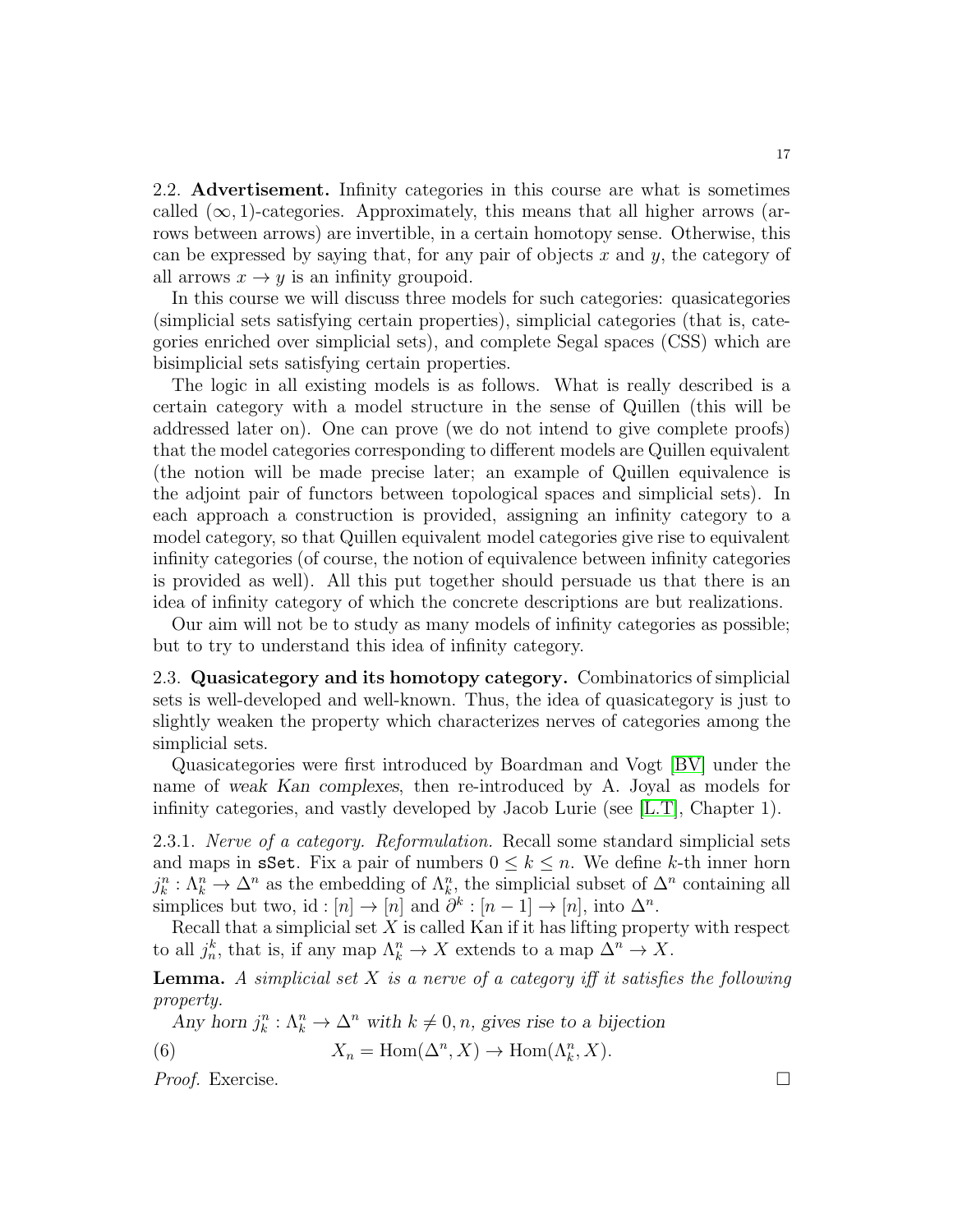2.2. Advertisement. Infinity categories in this course are what is sometimes called  $(\infty, 1)$ -categories. Approximately, this means that all higher arrows (arrows between arrows) are invertible, in a certain homotopy sense. Otherwise, this can be expressed by saying that, for any pair of objects  $x$  and  $y$ , the category of all arrows  $x \to y$  is an infinity groupoid.

In this course we will discuss three models for such categories: quasicategories (simplicial sets satisfying certain properties), simplicial categories (that is, categories enriched over simplicial sets), and complete Segal spaces (CSS) which are bisimplicial sets satisfying certain properties.

The logic in all existing models is as follows. What is really described is a certain category with a model structure in the sense of Quillen (this will be addressed later on). One can prove (we do not intend to give complete proofs) that the model categories corresponding to different models are Quillen equivalent (the notion will be made precise later; an example of Quillen equivalence is the adjoint pair of functors between topological spaces and simplicial sets). In each approach a construction is provided, assigning an infinity category to a model category, so that Quillen equivalent model categories give rise to equivalent infinity categories (of course, the notion of equivalence between infinity categories is provided as well). All this put together should persuade us that there is an idea of infinity category of which the concrete descriptions are but realizations.

Our aim will not be to study as many models of infinity categories as possible; but to try to understand this idea of infinity category.

2.3. Quasicategory and its homotopy category. Combinatorics of simplicial sets is well-developed and well-known. Thus, the idea of quasicategory is just to slightly weaken the property which characterizes nerves of categories among the simplicial sets.

Quasicategories were first introduced by Boardman and Vogt [\[BV\]](#page-123-2) under the name of *weak Kan complexes*, then re-introduced by A. Joyal as models for infinity categories, and vastly developed by Jacob Lurie (see [\[L.T\]](#page-123-0), Chapter 1).

2.3.1. Nerve of a category. Reformulation. Recall some standard simplicial sets and maps in **sSet**. Fix a pair of numbers  $0 \leq k \leq n$ . We define k-th inner horn  $j_k^n : \Lambda_k^n \to \Delta^n$  as the embedding of  $\Lambda_k^n$ , the simplicial subset of  $\Delta^n$  containing all simplices but two, id : [n] → [n] and  $\partial^k : [n-1] \to [n]$ , into  $\Delta^n$ .

Recall that a simplicial set  $X$  is called Kan if it has lifting property with respect to all  $j_n^k$ , that is, if any map  $\Lambda_k^n \to X$  extends to a map  $\Delta^n \to X$ .

**Lemma.** A simplicial set  $X$  is a nerve of a category iff it satisfies the following property.

<span id="page-16-0"></span>*Any* horn  $j_k^n : \Lambda_k^n \to \Delta^n$  with  $k \neq 0, n$ , gives rise to a bijection

(6) 
$$
X_n = \text{Hom}(\Delta^n, X) \to \text{Hom}(\Lambda^n_k, X).
$$

Proof. Exercise. □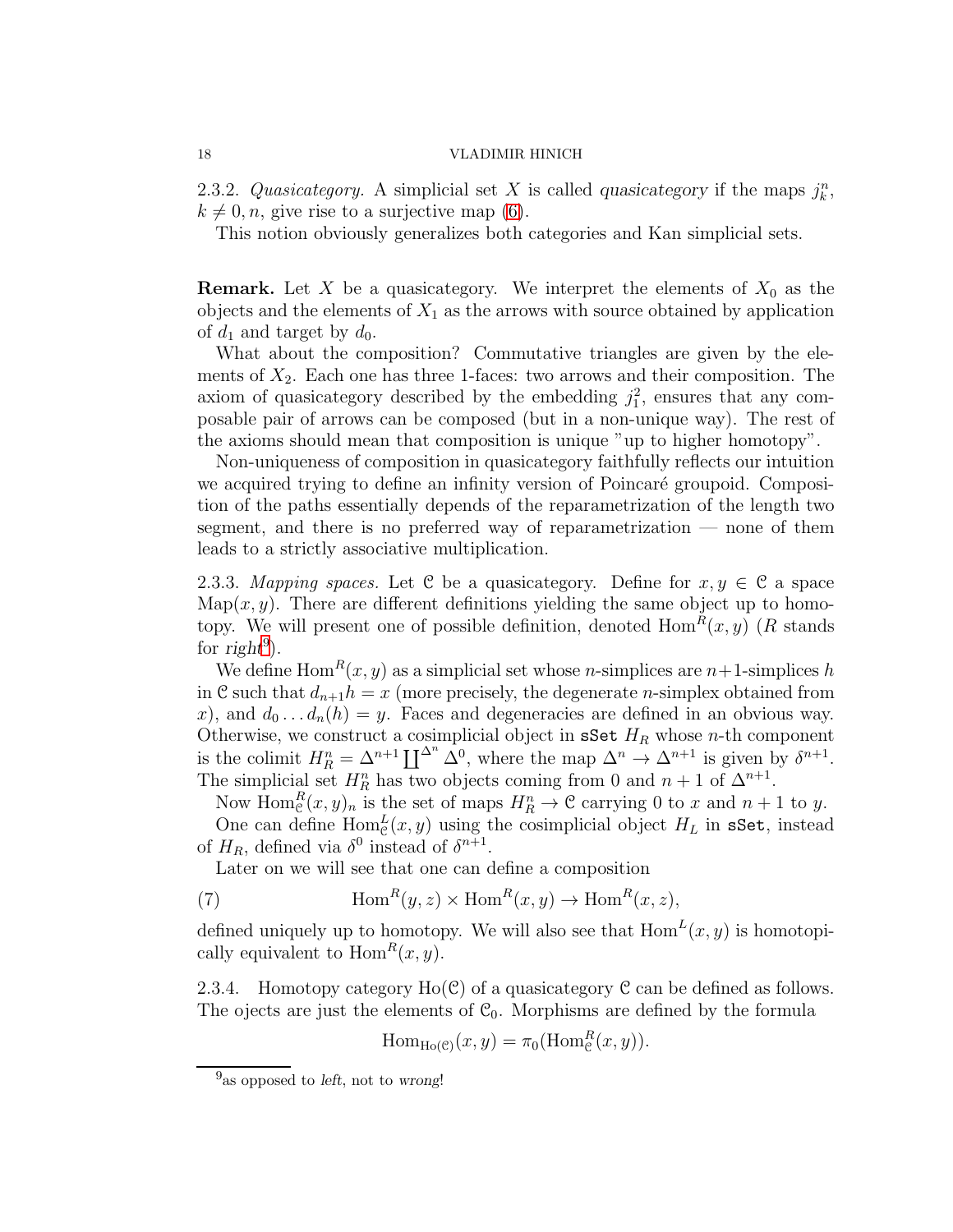2.3.2. Quasicategory. A simplicial set X is called *quasicategory* if the maps  $j_k^n$ ,  $k \neq 0, n$ , give rise to a surjective map [\(6\)](#page-16-0).

This notion obviously generalizes both categories and Kan simplicial sets.

**Remark.** Let X be a quasicategory. We interpret the elements of  $X_0$  as the objects and the elements of  $X_1$  as the arrows with source obtained by application of  $d_1$  and target by  $d_0$ .

What about the composition? Commutative triangles are given by the elements of  $X_2$ . Each one has three 1-faces: two arrows and their composition. The axiom of quasicategory described by the embedding  $j_1^2$ , ensures that any composable pair of arrows can be composed (but in a non-unique way). The rest of the axioms should mean that composition is unique "up to higher homotopy".

Non-uniqueness of composition in quasicategory faithfully reflects our intuition we acquired trying to define an infinity version of Poincaré groupoid. Composition of the paths essentially depends of the reparametrization of the length two segment, and there is no preferred way of reparametrization — none of them leads to a strictly associative multiplication.

2.3.3. Mapping spaces. Let C be a quasicategory. Define for  $x, y \in C$  a space Map $(x, y)$ . There are different definitions yielding the same object up to homotopy. We will present one of possible definition, denoted  $\text{Hom}^R(x, y)$  (R stands for  $\text{right}^9$  $\text{right}^9$ ).

We define  $\text{Hom}^R(x, y)$  as a simplicial set whose *n*-simplices are *n*+1-simplices *h* in C such that  $d_{n+1}h = x$  (more precisely, the degenerate *n*-simplex obtained from x), and  $d_0 \dots d_n(h) = y$ . Faces and degeneracies are defined in an obvious way. Otherwise, we construct a cosimplicial object in sSet  $H_R$  whose *n*-th component is the colimit  $H_R^n = \Delta^{n+1} \coprod^{\Delta^n} \Delta^0$ , where the map  $\Delta^n \to \Delta^{n+1}$  is given by  $\delta^{n+1}$ . The simplicial set  $H_R^n$  has two objects coming from 0 and  $n+1$  of  $\Delta^{n+1}$ .

Now  $\text{Hom}_{\mathcal{C}}^R(x, y)_n$  is the set of maps  $H_R^n \to \mathcal{C}$  carrying 0 to x and  $n+1$  to y. One can define  $\text{Hom}_{\mathcal{C}}^{L}(x, y)$  using the cosimplicial object  $H_L$  in sSet, instead of  $H_R$ , defined via  $\delta^0$  instead of  $\delta^{n+1}$ .

Later on we will see that one can define a composition

(7) 
$$
\text{Hom}^R(y, z) \times \text{Hom}^R(x, y) \to \text{Hom}^R(x, z),
$$

defined uniquely up to homotopy. We will also see that  $Hom<sup>L</sup>(x, y)$  is homotopically equivalent to  $\text{Hom}^R(x, y)$ .

2.3.4. Homotopy category  $Ho(\mathcal{C})$  of a quasicategory  $\mathcal C$  can be defined as follows. The ojects are just the elements of  $C_0$ . Morphisms are defined by the formula

<span id="page-17-1"></span>
$$
\mathrm{Hom}_{\mathrm{Ho}(\mathcal{C})}(x,y) = \pi_0(\mathrm{Hom}^R_{\mathcal{C}}(x,y)).
$$

<span id="page-17-0"></span><sup>&</sup>lt;sup>9</sup> as opposed to *left*, not to wrong!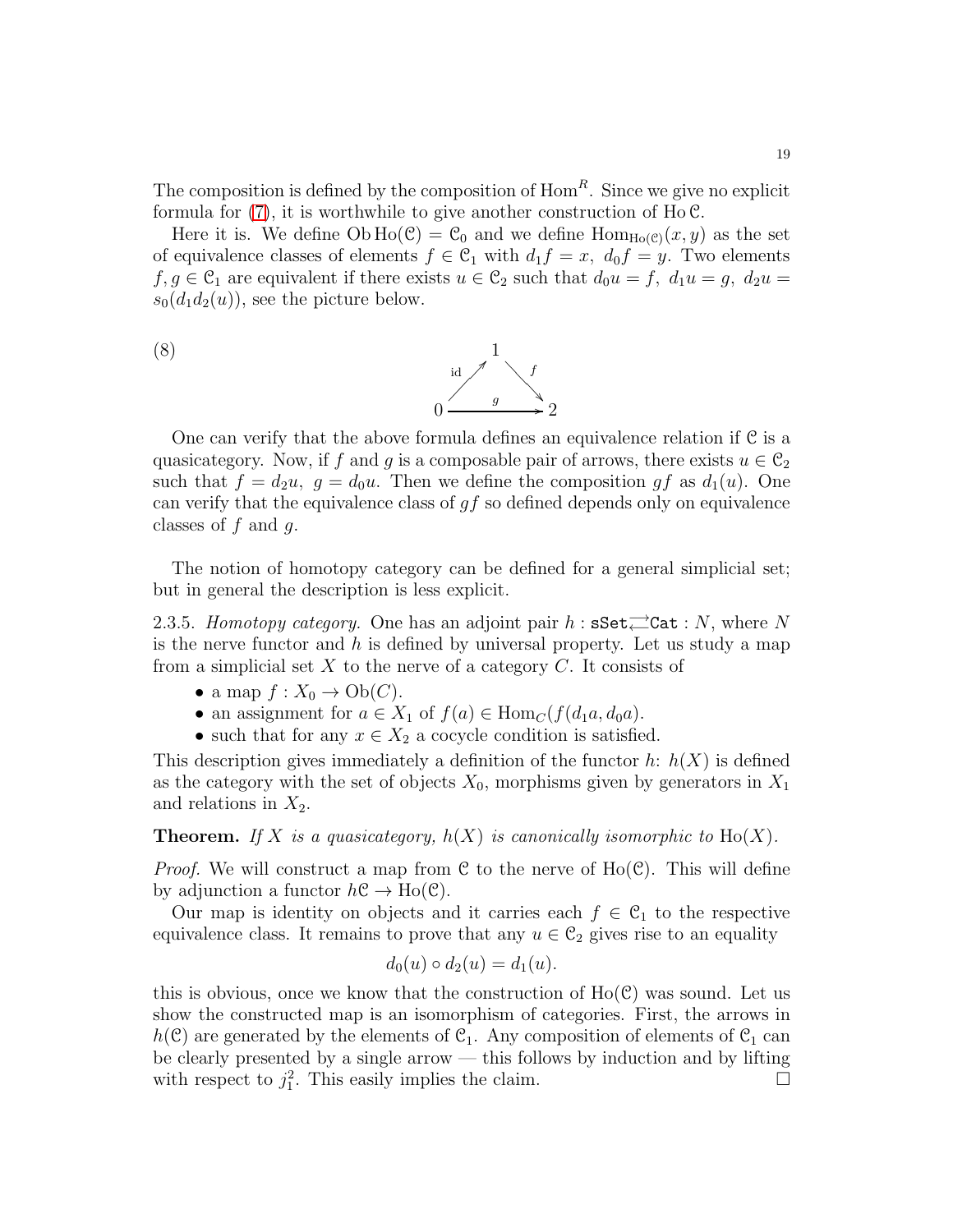The composition is defined by the composition of  $Hom<sup>R</sup>$ . Since we give no explicit formula for  $(7)$ , it is worthwhile to give another construction of Ho  $\mathcal{C}$ .

Here it is. We define  $Ob Ho(\mathcal{C}) = \mathcal{C}_0$  and we define  $Hom_{Ho(\mathcal{C})}(x, y)$  as the set of equivalence classes of elements  $f \in \mathcal{C}_1$  with  $d_1 f = x$ ,  $d_0 f = y$ . Two elements  $f, g \in \mathcal{C}_1$  are equivalent if there exists  $u \in \mathcal{C}_2$  such that  $d_0u = f, d_1u = g, d_2u =$  $s_0(d_1d_2(u))$ , see the picture below.

<span id="page-18-0"></span>

One can verify that the above formula defines an equivalence relation if C is a quasicategory. Now, if f and g is a composable pair of arrows, there exists  $u \in C_2$ such that  $f = d_2u$ ,  $g = d_0u$ . Then we define the composition gf as  $d_1(u)$ . One can verify that the equivalence class of  $gf$  so defined depends only on equivalence classes of  $f$  and  $g$ .

The notion of homotopy category can be defined for a general simplicial set; but in general the description is less explicit.

2.3.5. Homotopy category. One has an adjoint pair  $h$ :  $\texttt{sSet}$   $\rightleftarrows$   $\texttt{Cat} : N$ , where N is the nerve functor and h is defined by universal property. Let us study a map from a simplicial set  $X$  to the nerve of a category  $C$ . It consists of

- a map  $f: X_0 \to Ob(C)$ .
- an assignment for  $a \in X_1$  of  $f(a) \in \text{Hom}_C(f(d_1a, d_0a))$ .
- such that for any  $x \in X_2$  a cocycle condition is satisfied.

This description gives immediately a definition of the functor  $h: h(X)$  is defined as the category with the set of objects  $X_0$ , morphisms given by generators in  $X_1$ and relations in  $X_2$ .

**Theorem.** If X is a quasicategory,  $h(X)$  is canonically isomorphic to  $Ho(X)$ .

*Proof.* We will construct a map from C to the nerve of  $Ho(\mathcal{C})$ . This will define by adjunction a functor  $h\mathcal{C} \to Ho(\mathcal{C})$ .

Our map is identity on objects and it carries each  $f \in \mathcal{C}_1$  to the respective equivalence class. It remains to prove that any  $u \in \mathcal{C}_2$  gives rise to an equality

$$
d_0(u) \circ d_2(u) = d_1(u).
$$

this is obvious, once we know that the construction of  $Ho(\mathcal{C})$  was sound. Let us show the constructed map is an isomorphism of categories. First, the arrows in  $h(\mathcal{C})$  are generated by the elements of  $\mathcal{C}_1$ . Any composition of elements of  $\mathcal{C}_1$  can be clearly presented by a single arrow — this follows by induction and by lifting with respect to  $j_1^2$ . This easily implies the claim.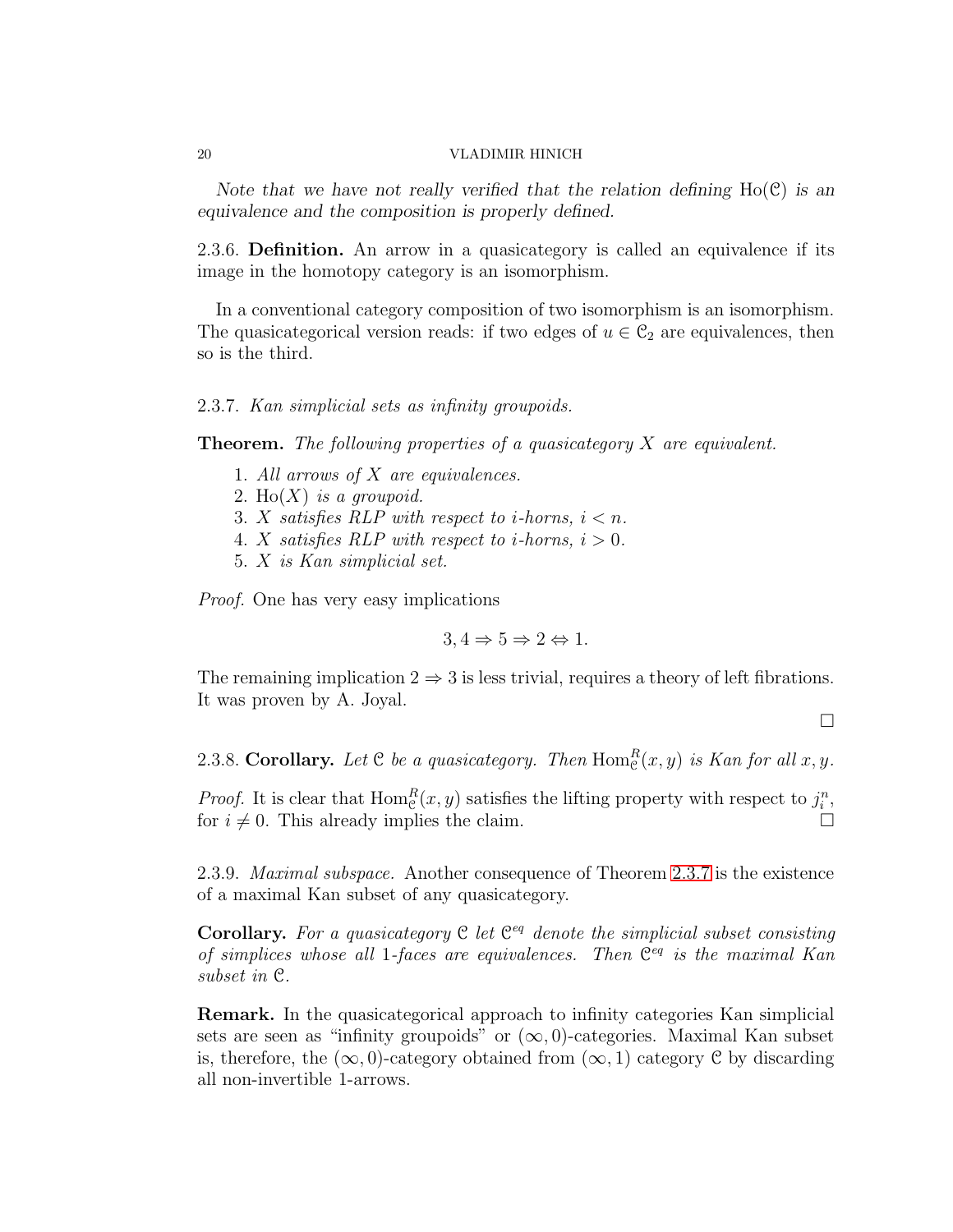*Note that we have not really verified that the relation defining* Ho(C) *is an equivalence and the composition is properly defined.*

2.3.6. Definition. An arrow in a quasicategory is called an equivalence if its image in the homotopy category is an isomorphism.

In a conventional category composition of two isomorphism is an isomorphism. The quasicategorical version reads: if two edges of  $u \in \mathcal{C}_2$  are equivalences, then so is the third.

### <span id="page-19-0"></span>2.3.7. Kan simplicial sets as infinity groupoids.

**Theorem.** The following properties of a quasicategory  $X$  are equivalent.

- 1. All arrows of X are equivalences.
- 2. Ho $(X)$  is a groupoid.
- 3. X satisfies RLP with respect to *i*-horns,  $i < n$ .
- 4. X satisfies RLP with respect to *i*-horns,  $i > 0$ .
- 5. X is Kan simplicial set.

Proof. One has very easy implications

$$
3,4 \Rightarrow 5 \Rightarrow 2 \Leftrightarrow 1.
$$

The remaining implication  $2 \Rightarrow 3$  is less trivial, requires a theory of left fibrations. It was proven by A. Joyal.

 $\Box$ 

2.3.8. Corollary. Let  $C$  be a quasicategory. Then  $\text{Hom}_{\mathcal{C}}^R(x, y)$  is Kan for all  $x, y$ .

*Proof.* It is clear that  $Hom_{\mathcal{C}}^R(x, y)$  satisfies the lifting property with respect to  $j_i^n$ , for  $i \neq 0$ . This already implies the claim.

2.3.9. Maximal subspace. Another consequence of Theorem [2.3.7](#page-19-0) is the existence of a maximal Kan subset of any quasicategory.

Corollary. For a quasicategory  $C$  let  $C^{eq}$  denote the simplicial subset consisting of simplices whose all 1-faces are equivalences. Then  $\mathbb{C}^{eq}$  is the maximal Kan subset in C.

Remark. In the quasicategorical approach to infinity categories Kan simplicial sets are seen as "infinity groupoids" or  $(\infty, 0)$ -categories. Maximal Kan subset is, therefore, the  $(\infty, 0)$ -category obtained from  $(\infty, 1)$  category C by discarding all non-invertible 1-arrows.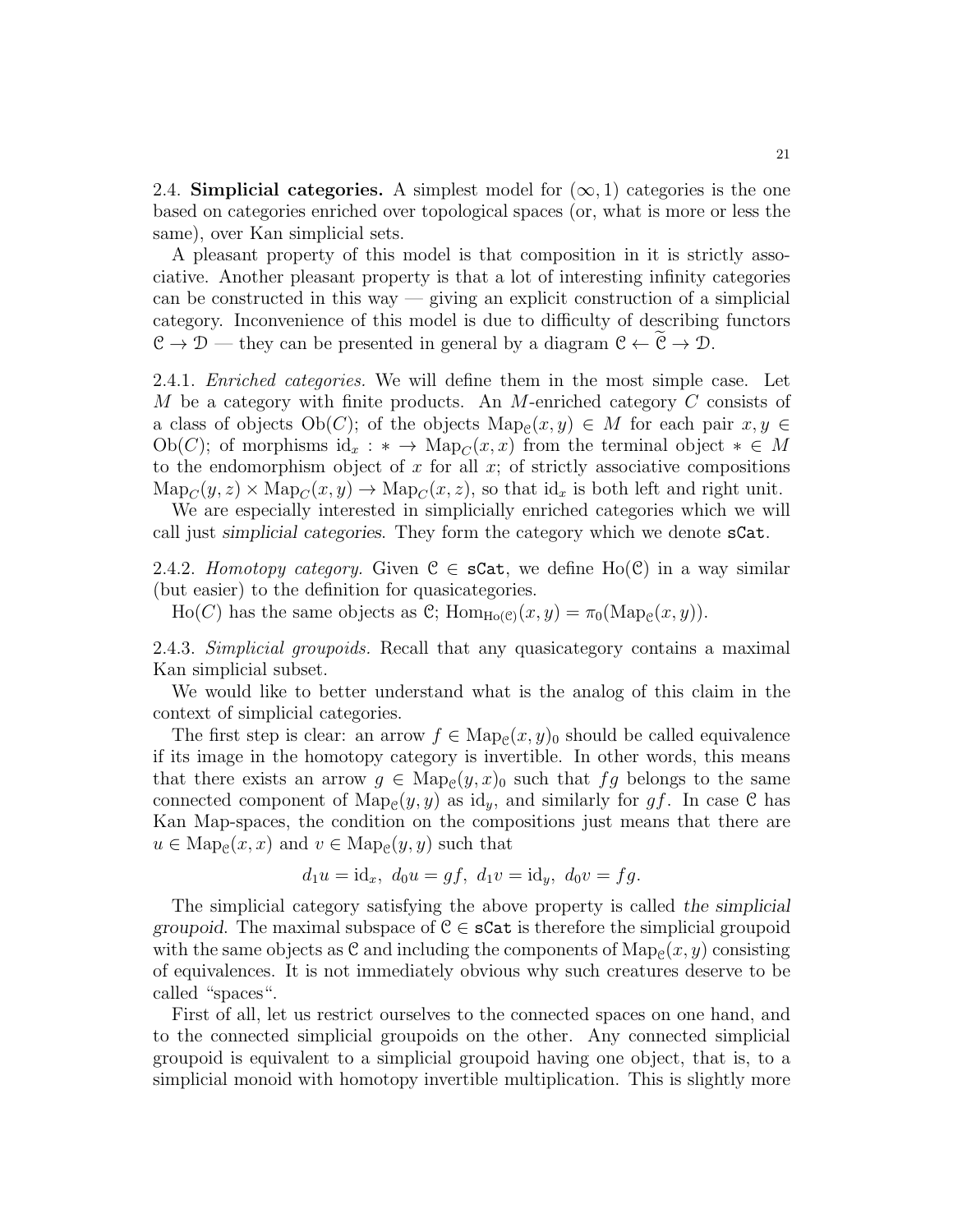2.4. Simplicial categories. A simplest model for  $(\infty, 1)$  categories is the one based on categories enriched over topological spaces (or, what is more or less the same), over Kan simplicial sets.

A pleasant property of this model is that composition in it is strictly associative. Another pleasant property is that a lot of interesting infinity categories can be constructed in this way — giving an explicit construction of a simplicial category. Inconvenience of this model is due to difficulty of describing functors  $\mathcal{C} \to \mathcal{D}$  — they can be presented in general by a diagram  $\mathcal{C} \leftarrow \widetilde{\mathcal{C}} \to \mathcal{D}$ .

2.4.1. Enriched categories. We will define them in the most simple case. Let M be a category with finite products. An M-enriched category C consists of a class of objects  $Ob(C)$ ; of the objects  $Map_{\mathcal{C}}(x, y) \in M$  for each pair  $x, y \in$ Ob(C); of morphisms id<sub>x</sub> : \* → Map<sub>C</sub>(x, x) from the terminal object  $* \in M$ to the endomorphism object of x for all x; of strictly associative compositions  $\text{Map}_C(y, z) \times \text{Map}_C(x, y) \to \text{Map}_C(x, z)$ , so that  $\text{id}_x$  is both left and right unit.

We are especially interested in simplicially enriched categories which we will call just *simplicial categories*. They form the category which we denote sCat.

2.4.2. Homotopy category. Given  $\mathcal{C} \in \mathbf{SCat}$ , we define Ho( $\mathcal{C}$ ) in a way similar (but easier) to the definition for quasicategories.

Ho(C) has the same objects as C;  $\text{Hom}_{\text{Ho}(\mathcal{C})}(x, y) = \pi_0(\text{Map}_{\mathcal{C}}(x, y)).$ 

2.4.3. Simplicial groupoids. Recall that any quasicategory contains a maximal Kan simplicial subset.

We would like to better understand what is the analog of this claim in the context of simplicial categories.

The first step is clear: an arrow  $f \in \text{Map}_{\mathcal{C}}(x, y)_0$  should be called equivalence if its image in the homotopy category is invertible. In other words, this means that there exists an arrow  $g \in \text{Map}_{\mathcal{C}}(y,x)_0$  such that  $fg$  belongs to the same connected component of  $\text{Map}_{\mathcal{C}}(y, y)$  as id<sub>y</sub>, and similarly for gf. In case  $\mathcal{C}$  has Kan Map-spaces, the condition on the compositions just means that there are  $u \in \text{Map}_{\mathcal{C}}(x, x)$  and  $v \in \text{Map}_{\mathcal{C}}(y, y)$  such that

$$
d_1u = id_x
$$
,  $d_0u = gf$ ,  $d_1v = id_y$ ,  $d_0v = fg$ .

The simplicial category satisfying the above property is called *the simplicial groupoid*. The maximal subspace of  $C \in \mathcal{S}$  can be the simplicial groupoid with the same objects as  $\mathfrak C$  and including the components of  $\mathrm{Map}_{\mathfrak C}(x,y)$  consisting of equivalences. It is not immediately obvious why such creatures deserve to be called "spaces".

First of all, let us restrict ourselves to the connected spaces on one hand, and to the connected simplicial groupoids on the other. Any connected simplicial groupoid is equivalent to a simplicial groupoid having one object, that is, to a simplicial monoid with homotopy invertible multiplication. This is slightly more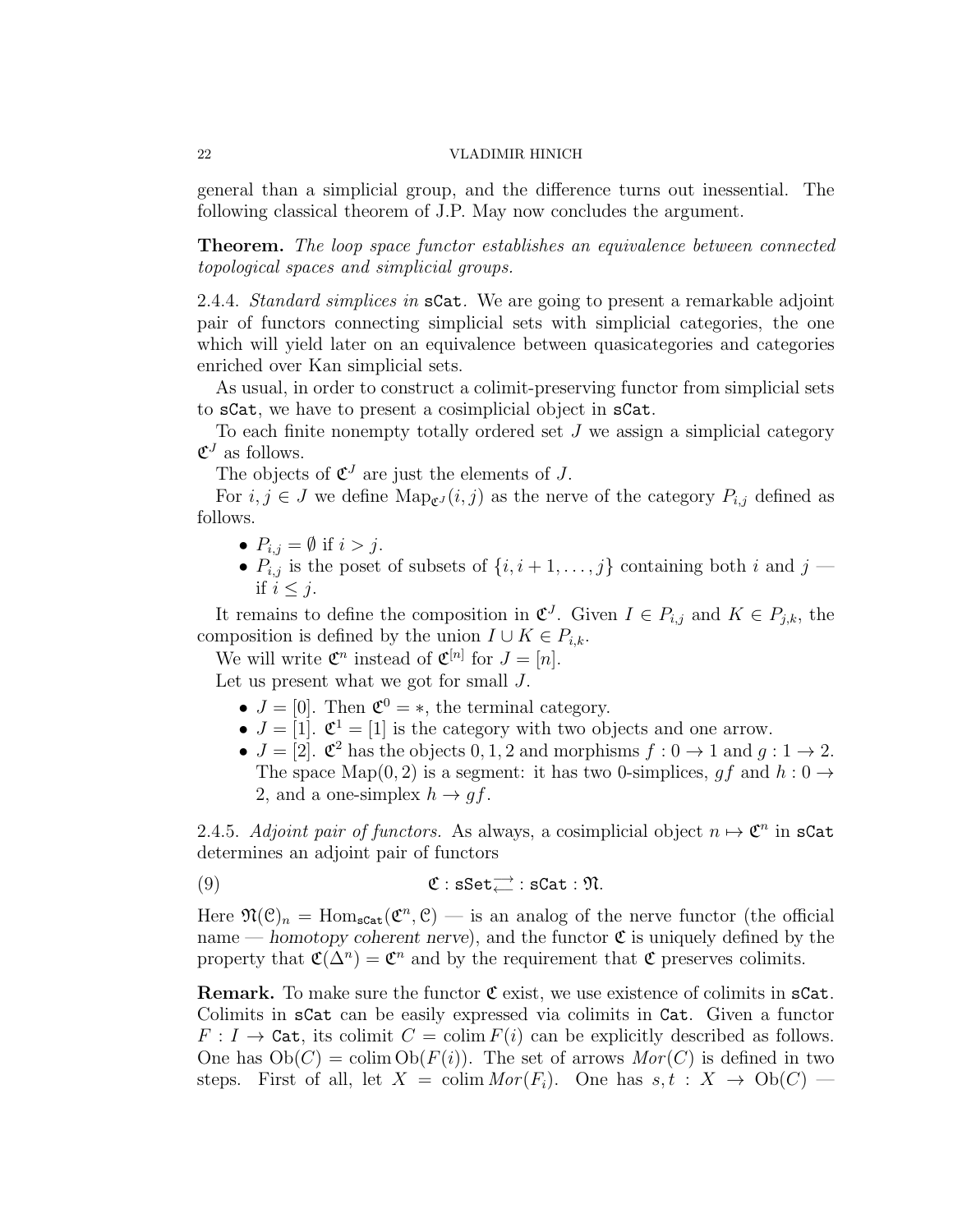general than a simplicial group, and the difference turns out inessential. The following classical theorem of J.P. May now concludes the argument.

Theorem. The loop space functor establishes an equivalence between connected topological spaces and simplicial groups.

2.4.4. Standard simplices in sCat. We are going to present a remarkable adjoint pair of functors connecting simplicial sets with simplicial categories, the one which will yield later on an equivalence between quasicategories and categories enriched over Kan simplicial sets.

As usual, in order to construct a colimit-preserving functor from simplicial sets to sCat, we have to present a cosimplicial object in sCat.

To each finite nonempty totally ordered set  $J$  we assign a simplicial category  $\mathfrak{C}^J$  as follows.

The objects of  $\mathfrak{C}^J$  are just the elements of J.

For  $i, j \in J$  we define  $\text{Map}_{\mathfrak{C}^J}(i, j)$  as the nerve of the category  $P_{i,j}$  defined as follows.

- $P_{i,j} = \emptyset$  if  $i > j$ .
- $P_{i,j}$  is the poset of subsets of  $\{i, i+1, \ldots, j\}$  containing both i and  $j$  if  $i \leq j$ .

It remains to define the composition in  $\mathfrak{C}^J$ . Given  $I \in P_{i,j}$  and  $K \in P_{j,k}$ , the composition is defined by the union  $I \cup K \in P_{i,k}$ .

We will write  $\mathfrak{C}^n$  instead of  $\mathfrak{C}^{[n]}$  for  $J = [n]$ .

Let us present what we got for small J.

- $J = [0]$ . Then  $\mathfrak{C}^0 = *$ , the terminal category.
- $J = [1]$ .  $\mathfrak{C}^1 = [1]$  is the category with two objects and one arrow.
- $J = [2]$ .  $\mathfrak{C}^2$  has the objects 0, 1, 2 and morphisms  $f : 0 \to 1$  and  $g : 1 \to 2$ . The space Map(0, 2) is a segment: it has two 0-simplices,  $gf$  and  $h: 0 \rightarrow$ 2, and a one-simplex  $h \to gf$ .

2.4.5. Adjoint pair of functors. As always, a cosimplicial object  $n \mapsto \mathfrak{C}^n$  in sCat determines an adjoint pair of functors

(9)  $\mathfrak{C} : \mathbf{sSet}_{\leftarrow}^{-} : \mathbf{sCat} : \mathfrak{N}.$ 

Here  $\mathfrak{N}(\mathcal{C})_n = \text{Hom}_{\text{scat}}(\mathfrak{C}^n, \mathcal{C})$  — is an analog of the nerve functor (the official name — *homotopy coherent nerve*), and the functor  $\mathfrak{C}$  is uniquely defined by the property that  $\mathfrak{C}(\Delta^n) = \mathfrak{C}^n$  and by the requirement that  $\mathfrak{C}$  preserves colimits.

**Remark.** To make sure the functor  $C$  exist, we use existence of colimits in  $sCat$ . Colimits in sCat can be easily expressed via colimits in Cat. Given a functor  $F: I \to \text{Cat}$ , its colimit  $C = \text{colim } F(i)$  can be explicitly described as follows. One has  $Ob(C) = colim Ob(F(i))$ . The set of arrows  $Mor(C)$  is defined in two steps. First of all, let  $X = \text{colim} Mor(F_i)$ . One has  $s, t : X \to Ob(C)$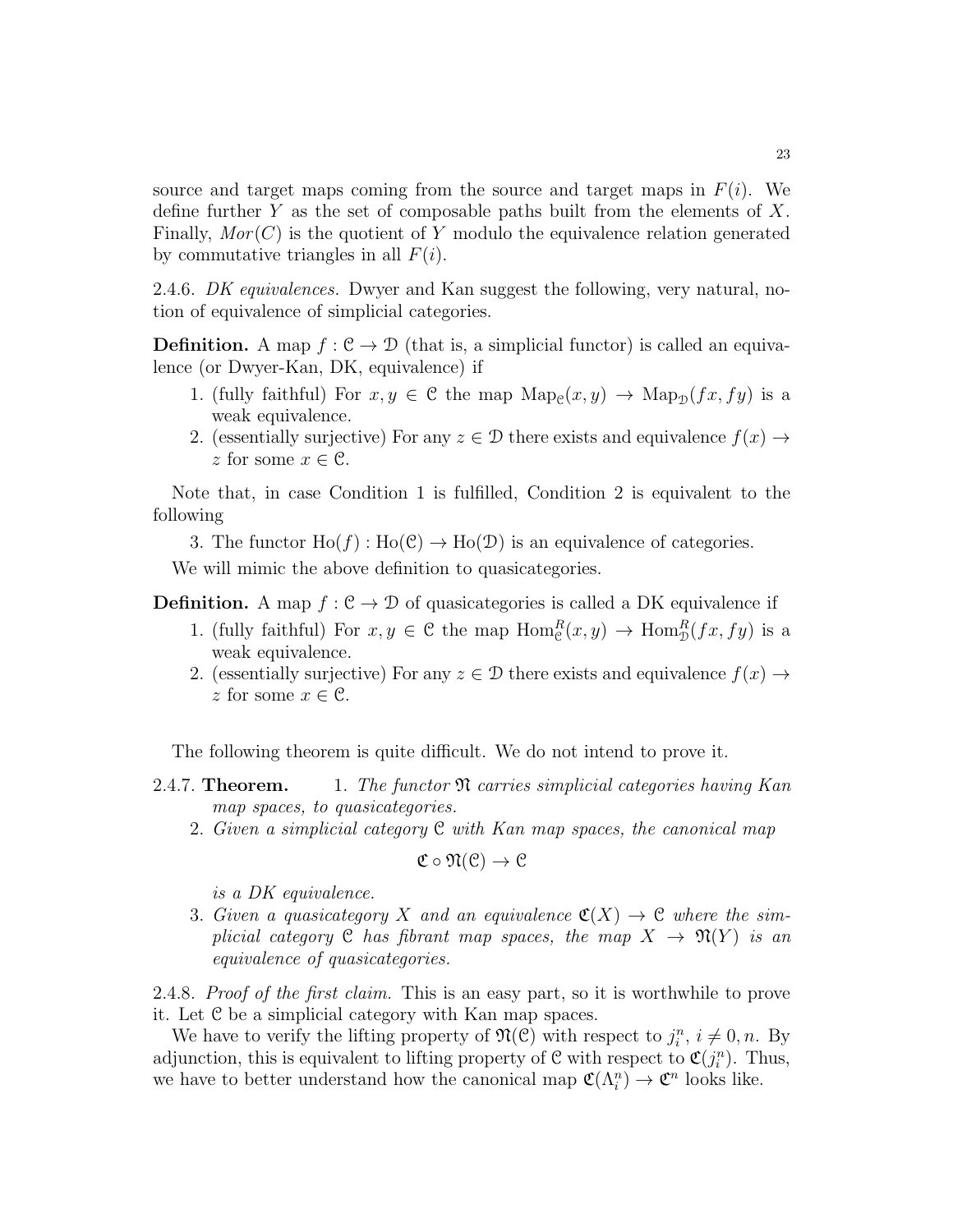source and target maps coming from the source and target maps in  $F(i)$ . We define further Y as the set of composable paths built from the elements of X. Finally,  $Mor(C)$  is the quotient of Y modulo the equivalence relation generated by commutative triangles in all  $F(i)$ .

2.4.6. DK equivalences. Dwyer and Kan suggest the following, very natural, notion of equivalence of simplicial categories.

**Definition.** A map  $f : \mathcal{C} \to \mathcal{D}$  (that is, a simplicial functor) is called an equivalence (or Dwyer-Kan, DK, equivalence) if

- 1. (fully faithful) For  $x, y \in C$  the map  $\text{Map}_{C}(x, y) \to \text{Map}_{D}(fx, fy)$  is a weak equivalence.
- 2. (essentially surjective) For any  $z \in \mathcal{D}$  there exists and equivalence  $f(x) \rightarrow$ z for some  $x \in \mathcal{C}$ .

Note that, in case Condition 1 is fulfilled, Condition 2 is equivalent to the following

3. The functor  $Ho(f): Ho(\mathcal{C}) \to Ho(\mathcal{D})$  is an equivalence of categories.

We will mimic the above definition to quasicategories.

**Definition.** A map  $f : \mathcal{C} \to \mathcal{D}$  of quasicategories is called a DK equivalence if

- 1. (fully faithful) For  $x, y \in C$  the map  $\text{Hom}_{\mathcal{C}}^R(x, y) \to \text{Hom}_{\mathcal{D}}^R(fx, fy)$  is a weak equivalence.
- 2. (essentially surjective) For any  $z \in \mathcal{D}$  there exists and equivalence  $f(x) \rightarrow$ z for some  $x \in \mathcal{C}$ .

The following theorem is quite difficult. We do not intend to prove it.

- 2.4.7. **Theorem.** 1. The functor  $\mathfrak{N}$  carries simplicial categories having Kan map spaces, to quasicategories.
	- 2. Given a simplicial category C with Kan map spaces, the canonical map

$$
\mathfrak{C} \circ \mathfrak{N}(\mathfrak{C}) \to \mathfrak{C}
$$

is a DK equivalence.

3. Given a quasicategory X and an equivalence  $\mathfrak{C}(X) \to \mathfrak{C}$  where the simplicial category C has fibrant map spaces, the map  $X \to \mathfrak{N}(Y)$  is an equivalence of quasicategories.

2.4.8. Proof of the first claim. This is an easy part, so it is worthwhile to prove it. Let C be a simplicial category with Kan map spaces.

We have to verify the lifting property of  $\mathfrak{N}(\mathcal{C})$  with respect to  $j_i^n$ ,  $i \neq 0, n$ . By adjunction, this is equivalent to lifting property of  $\mathcal{C}$  with respect to  $\mathfrak{C}(j_i^n)$ . Thus, we have to better understand how the canonical map  $\mathfrak{C}(\Lambda_i^n) \to \mathfrak{C}^n$  looks like.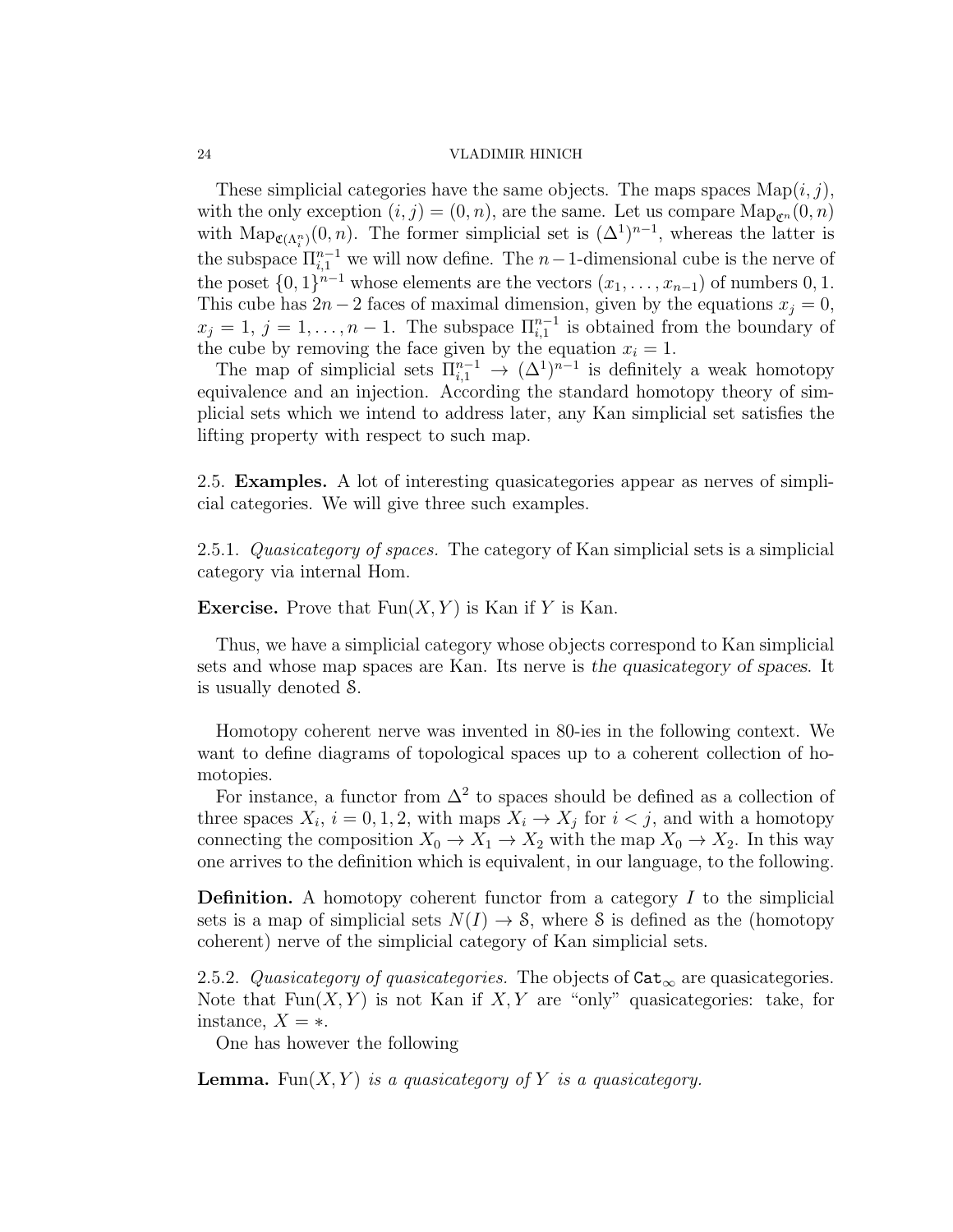These simplicial categories have the same objects. The maps spaces  $\text{Map}(i, j)$ , with the only exception  $(i, j) = (0, n)$ , are the same. Let us compare  $\text{Map}_{\mathcal{C}^n}(0, n)$ with  $\text{Map}_{\mathfrak{C}(\Lambda_i^n)}(0,n)$ . The former simplicial set is  $(\Delta^1)^{n-1}$ , whereas the latter is the subspace  $\prod_{i=1}^{n-1}$  we will now define. The  $n-1$ -dimensional cube is the nerve of the poset  $\{0,1\}^{n-1}$  whose elements are the vectors  $(x_1, \ldots, x_{n-1})$  of numbers 0, 1. This cube has  $2n - 2$  faces of maximal dimension, given by the equations  $x_j = 0$ ,  $x_j = 1, j = 1, \ldots, n-1$ . The subspace  $\prod_{i=1}^{n-1}$  is obtained from the boundary of the cube by removing the face given by the equation  $x_i = 1$ .

The map of simplicial sets  $\Pi_{i,1}^{n-1} \to (\Delta^1)^{n-1}$  is definitely a weak homotopy equivalence and an injection. According the standard homotopy theory of simplicial sets which we intend to address later, any Kan simplicial set satisfies the lifting property with respect to such map.

2.5. Examples. A lot of interesting quasicategories appear as nerves of simplicial categories. We will give three such examples.

2.5.1. Quasicategory of spaces. The category of Kan simplicial sets is a simplicial category via internal Hom.

**Exercise.** Prove that  $Fun(X, Y)$  is Kan if Y is Kan.

Thus, we have a simplicial category whose objects correspond to Kan simplicial sets and whose map spaces are Kan. Its nerve is *the quasicategory of spaces*. It is usually denoted S.

Homotopy coherent nerve was invented in 80-ies in the following context. We want to define diagrams of topological spaces up to a coherent collection of homotopies.

For instance, a functor from  $\Delta^2$  to spaces should be defined as a collection of three spaces  $X_i$ ,  $i = 0, 1, 2$ , with maps  $X_i \to X_j$  for  $i < j$ , and with a homotopy connecting the composition  $X_0 \to X_1 \to X_2$  with the map  $X_0 \to X_2$ . In this way one arrives to the definition which is equivalent, in our language, to the following.

**Definition.** A homotopy coherent functor from a category  $I$  to the simplicial sets is a map of simplicial sets  $N(I) \rightarrow S$ , where S is defined as the (homotopy coherent) nerve of the simplicial category of Kan simplicial sets.

2.5.2. Quasicategory of quasicategories. The objects of  $\texttt{Cat}_{\infty}$  are quasicategories. Note that  $Fun(X, Y)$  is not Kan if  $X, Y$  are "only" quasicategories: take, for instance,  $X = *$ .

One has however the following

**Lemma.** Fun $(X, Y)$  is a quasicategory of Y is a quasicategory.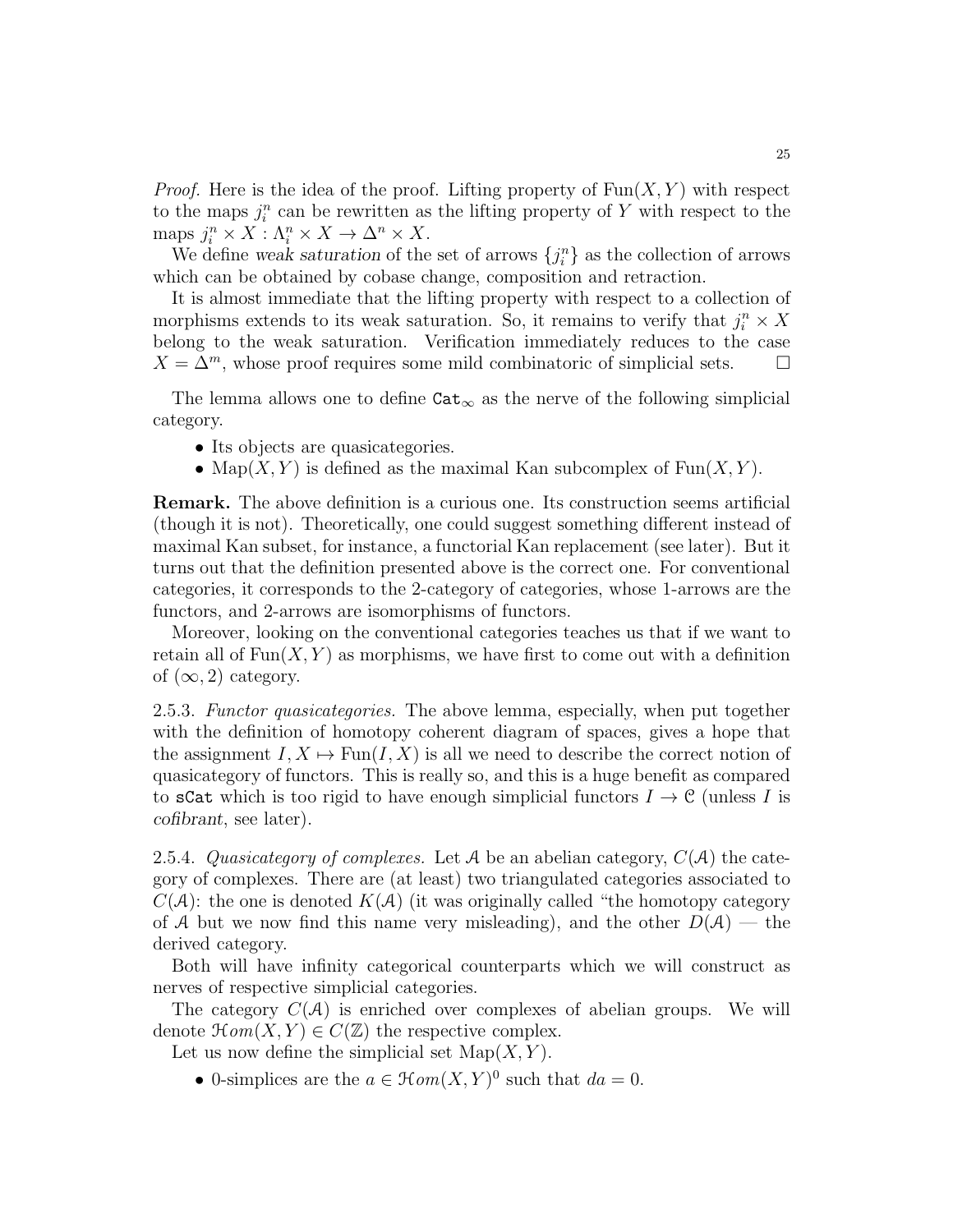*Proof.* Here is the idea of the proof. Lifting property of  $Fun(X, Y)$  with respect to the maps  $j_i^n$  can be rewritten as the lifting property of Y with respect to the maps  $j_i^n \times X : \Lambda_i^n \times X \to \Delta^n \times X$ .

We define *weak saturation* of the set of arrows  $\{j_i^n\}$  as the collection of arrows which can be obtained by cobase change, composition and retraction.

It is almost immediate that the lifting property with respect to a collection of morphisms extends to its weak saturation. So, it remains to verify that  $j_i^n \times X$ belong to the weak saturation. Verification immediately reduces to the case  $X = \Delta^m$ , whose proof requires some mild combinatoric of simplicial sets.  $\square$ 

The lemma allows one to define  $\texttt{Cat}_{\infty}$  as the nerve of the following simplicial category.

- Its objects are quasicategories.
- Map $(X, Y)$  is defined as the maximal Kan subcomplex of Fun $(X, Y)$ .

Remark. The above definition is a curious one. Its construction seems artificial (though it is not). Theoretically, one could suggest something different instead of maximal Kan subset, for instance, a functorial Kan replacement (see later). But it turns out that the definition presented above is the correct one. For conventional categories, it corresponds to the 2-category of categories, whose 1-arrows are the functors, and 2-arrows are isomorphisms of functors.

Moreover, looking on the conventional categories teaches us that if we want to retain all of  $Fun(X, Y)$  as morphisms, we have first to come out with a definition of  $(\infty, 2)$  category.

2.5.3. Functor quasicategories. The above lemma, especially, when put together with the definition of homotopy coherent diagram of spaces, gives a hope that the assignment  $I, X \mapsto \text{Fun}(I, X)$  is all we need to describe the correct notion of quasicategory of functors. This is really so, and this is a huge benefit as compared to sCat which is too rigid to have enough simplicial functors  $I \to \mathcal{C}$  (unless I is *cofibrant*, see later).

2.5.4. Quasicategory of complexes. Let A be an abelian category,  $C(\mathcal{A})$  the category of complexes. There are (at least) two triangulated categories associated to  $C(\mathcal{A})$ : the one is denoted  $K(\mathcal{A})$  (it was originally called "the homotopy category of A but we now find this name very misleading), and the other  $D(\mathcal{A})$  — the derived category.

Both will have infinity categorical counterparts which we will construct as nerves of respective simplicial categories.

The category  $C(\mathcal{A})$  is enriched over complexes of abelian groups. We will denote  $\mathcal{H}\mathit{om}(X,Y) \in C(\mathbb{Z})$  the respective complex.

Let us now define the simplicial set  $\text{Map}(X, Y)$ .

• 0-simplices are the  $a \in \mathcal{H}om(X,Y)^0$  such that  $da = 0$ .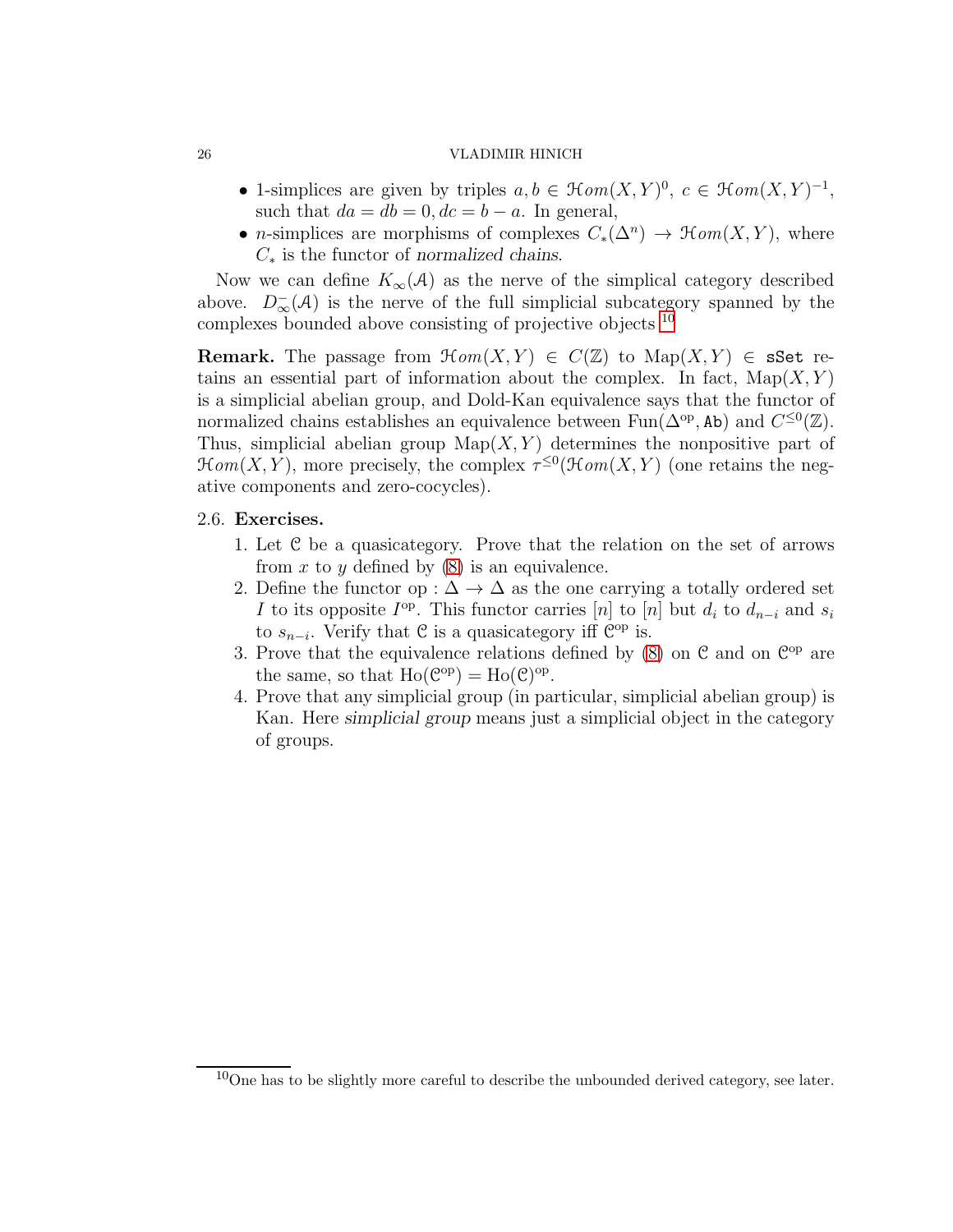- 1-simplices are given by triples  $a, b \in \mathcal{H}om(X, Y)^0$ ,  $c \in \mathcal{H}om(X, Y)^{-1}$ , such that  $da = db = 0, dc = b - a$ . In general,
- *n*-simplices are morphisms of complexes  $C_*(\Delta^n) \to \mathcal{H}om(X,Y)$ , where C<sup>∗</sup> is the functor of *normalized chains*.

Now we can define  $K_{\infty}(\mathcal{A})$  as the nerve of the simplical category described above.  $D_{\infty}^{-}(\mathcal{A})$  is the nerve of the full simplicial subcategory spanned by the complexes bounded above consisting of projective objects [10](#page-25-0)

**Remark.** The passage from  $\mathcal{H}om(X, Y) \in C(\mathbb{Z})$  to  $\mathrm{Map}(X, Y) \in \mathbf{sSet}$  retains an essential part of information about the complex. In fact,  $\text{Map}(X, Y)$ is a simplicial abelian group, and Dold-Kan equivalence says that the functor of normalized chains establishes an equivalence between  $\text{Fun}(\Delta^{\text{op}}, \text{Ab})$  and  $C^{\leq 0}(\mathbb{Z})$ . Thus, simplicial abelian group  $\text{Map}(X, Y)$  determines the nonpositive part of  $\mathcal{H}\mathit{om}(X,Y)$ , more precisely, the complex  $\tau^{\leq 0}(\mathcal{H}\mathit{om}(X,Y))$  (one retains the negative components and zero-cocycles).

## 2.6. Exercises.

- 1. Let C be a quasicategory. Prove that the relation on the set of arrows from  $x$  to  $y$  defined by  $(8)$  is an equivalence.
- 2. Define the functor op :  $\Delta \rightarrow \Delta$  as the one carrying a totally ordered set I to its opposite  $I^{\text{op}}$ . This functor carries [n] to [n] but  $d_i$  to  $d_{n-i}$  and  $s_i$ to  $s_{n-i}$ . Verify that  $\mathfrak C$  is a quasicategory iff  $\mathfrak C^{\mathrm{op}}$  is.
- 3. Prove that the equivalence relations defined by  $(8)$  on  $\mathcal{C}$  and on  $\mathcal{C}^{op}$  are the same, so that  $Ho(\mathcal{C}^{op}) = Ho(\mathcal{C})^{op}.$
- 4. Prove that any simplicial group (in particular, simplicial abelian group) is Kan. Here *simplicial group* means just a simplicial object in the category of groups.

<span id="page-25-0"></span> $10$ One has to be slightly more careful to describe the unbounded derived category, see later.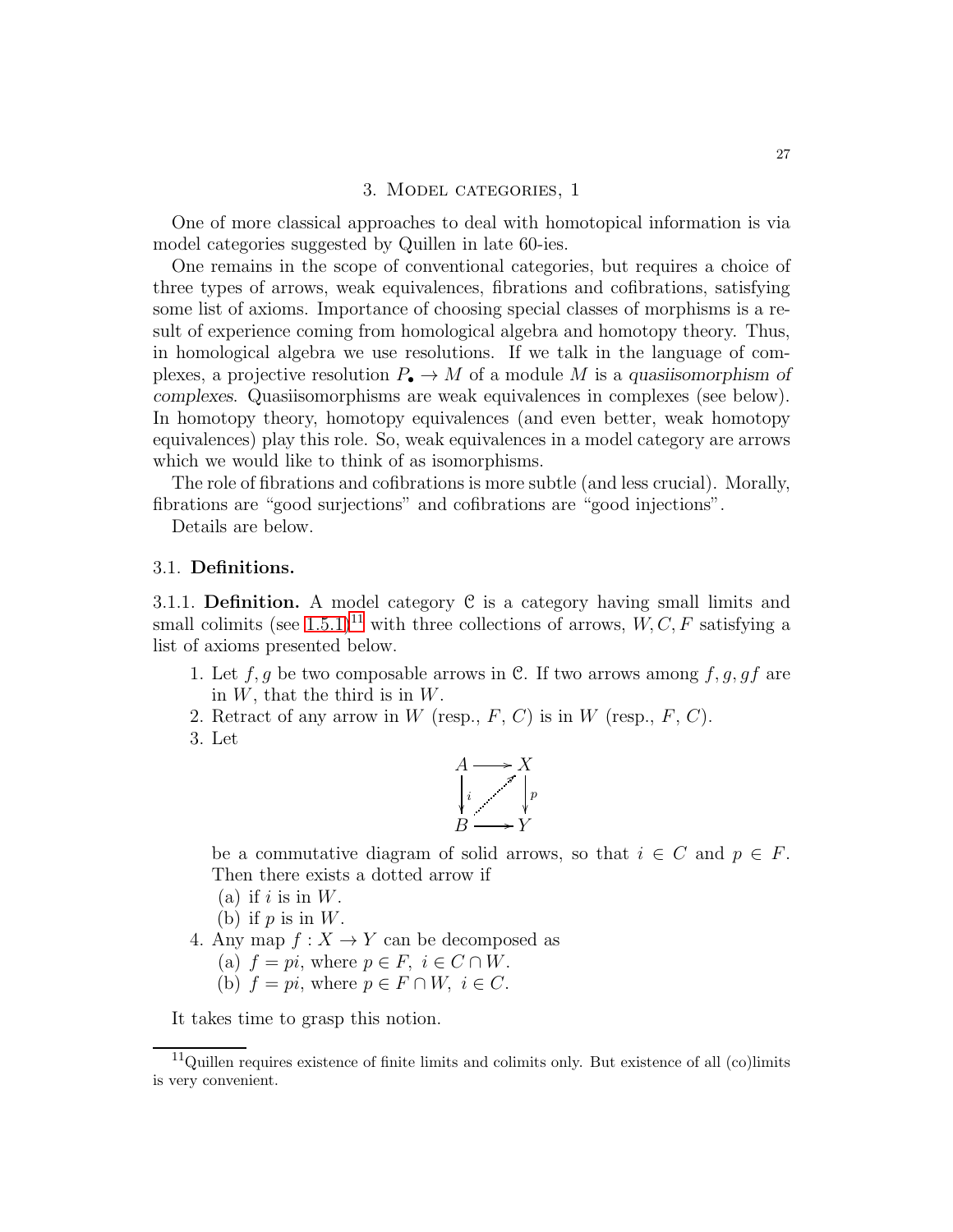#### 3. Model categories, 1

One of more classical approaches to deal with homotopical information is via model categories suggested by Quillen in late 60-ies.

One remains in the scope of conventional categories, but requires a choice of three types of arrows, weak equivalences, fibrations and cofibrations, satisfying some list of axioms. Importance of choosing special classes of morphisms is a result of experience coming from homological algebra and homotopy theory. Thus, in homological algebra we use resolutions. If we talk in the language of complexes, a projective resolution  $P_{\bullet} \to M$  of a module M is a *quasiisomorphism of complexes*. Quasiisomorphisms are weak equivalences in complexes (see below). In homotopy theory, homotopy equivalences (and even better, weak homotopy equivalences) play this role. So, weak equivalences in a model category are arrows which we would like to think of as isomorphisms.

The role of fibrations and cofibrations is more subtle (and less crucial). Morally, fibrations are "good surjections" and cofibrations are "good injections".

Details are below.

### 3.1. Definitions.

<span id="page-26-1"></span>3.1.1. **Definition.** A model category  $C$  is a category having small limits and small colimits (see [1.5.1\)](#page-10-0)<sup>[11](#page-26-0)</sup> with three collections of arrows,  $W, C, F$  satisfying a list of axioms presented below.

- 1. Let f, g be two composable arrows in C. If two arrows among f, g, gf are in  $W$ , that the third is in  $W$ .
- 2. Retract of any arrow in W (resp.,  $F, C$ ) is in W (resp.,  $F, C$ ).
- 3. Let



be a commutative diagram of solid arrows, so that  $i \in C$  and  $p \in F$ . Then there exists a dotted arrow if

- (a) if  $i$  is in  $W$ .
- (b) if  $p$  is in  $W$ .
- 4. Any map  $f: X \to Y$  can be decomposed as
	- (a)  $f = pi$ , where  $p \in F$ ,  $i \in C \cap W$ .
	- (b)  $f = pi$ , where  $p \in F \cap W$ ,  $i \in C$ .

It takes time to grasp this notion.

<span id="page-26-0"></span> $11$ Quillen requires existence of finite limits and colimits only. But existence of all (co)limits is very convenient.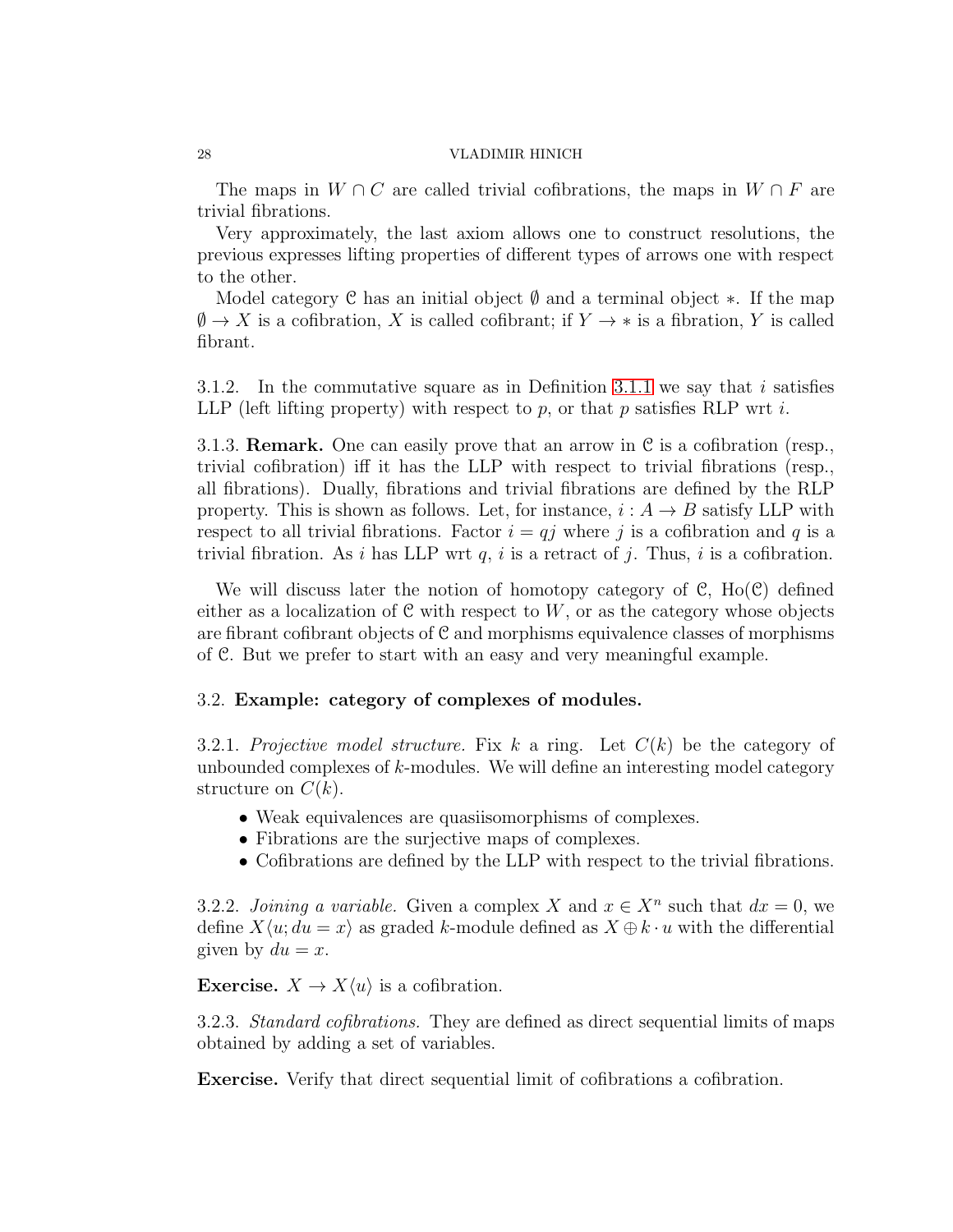The maps in  $W \cap C$  are called trivial cofibrations, the maps in  $W \cap F$  are trivial fibrations.

Very approximately, the last axiom allows one to construct resolutions, the previous expresses lifting properties of different types of arrows one with respect to the other.

Model category C has an initial object  $\emptyset$  and a terminal object \*. If the map  $\emptyset \to X$  is a cofibration, X is called cofibrant; if  $Y \to *$  is a fibration, Y is called fibrant.

3.1.2. In the commutative square as in Definition [3.1.1](#page-26-1) we say that i satisfies LLP (left lifting property) with respect to  $p$ , or that  $p$  satisfies RLP wrt  $i$ .

3.1.3. **Remark.** One can easily prove that an arrow in  $C$  is a cofibration (resp., trivial cofibration) iff it has the LLP with respect to trivial fibrations (resp., all fibrations). Dually, fibrations and trivial fibrations are defined by the RLP property. This is shown as follows. Let, for instance,  $i : A \rightarrow B$  satisfy LLP with respect to all trivial fibrations. Factor  $i = qj$  where j is a cofibration and q is a trivial fibration. As i has LLP wrt  $q$ , i is a retract of j. Thus, i is a cofibration.

We will discuss later the notion of homotopy category of  $\mathcal{C}$ , Ho( $\mathcal{C}$ ) defined either as a localization of  $C$  with respect to  $W$ , or as the category whose objects are fibrant cofibrant objects of  $C$  and morphisms equivalence classes of morphisms of C. But we prefer to start with an easy and very meaningful example.

## 3.2. Example: category of complexes of modules.

<span id="page-27-0"></span>3.2.1. Projective model structure. Fix k a ring. Let  $C(k)$  be the category of unbounded complexes of k-modules. We will define an interesting model category structure on  $C(k)$ .

- Weak equivalences are quasiisomorphisms of complexes.
- Fibrations are the surjective maps of complexes.
- Cofibrations are defined by the LLP with respect to the trivial fibrations.

<span id="page-27-1"></span>3.2.2. *Joining a variable*. Given a complex X and  $x \in X^n$  such that  $dx = 0$ , we define  $X\langle u; du = x \rangle$  as graded k-module defined as  $X \oplus k \cdot u$  with the differential given by  $du = x$ .

<span id="page-27-2"></span>**Exercise.**  $X \to X\langle u \rangle$  is a cofibration.

3.2.3. Standard cofibrations. They are defined as direct sequential limits of maps obtained by adding a set of variables.

Exercise. Verify that direct sequential limit of cofibrations a cofibration.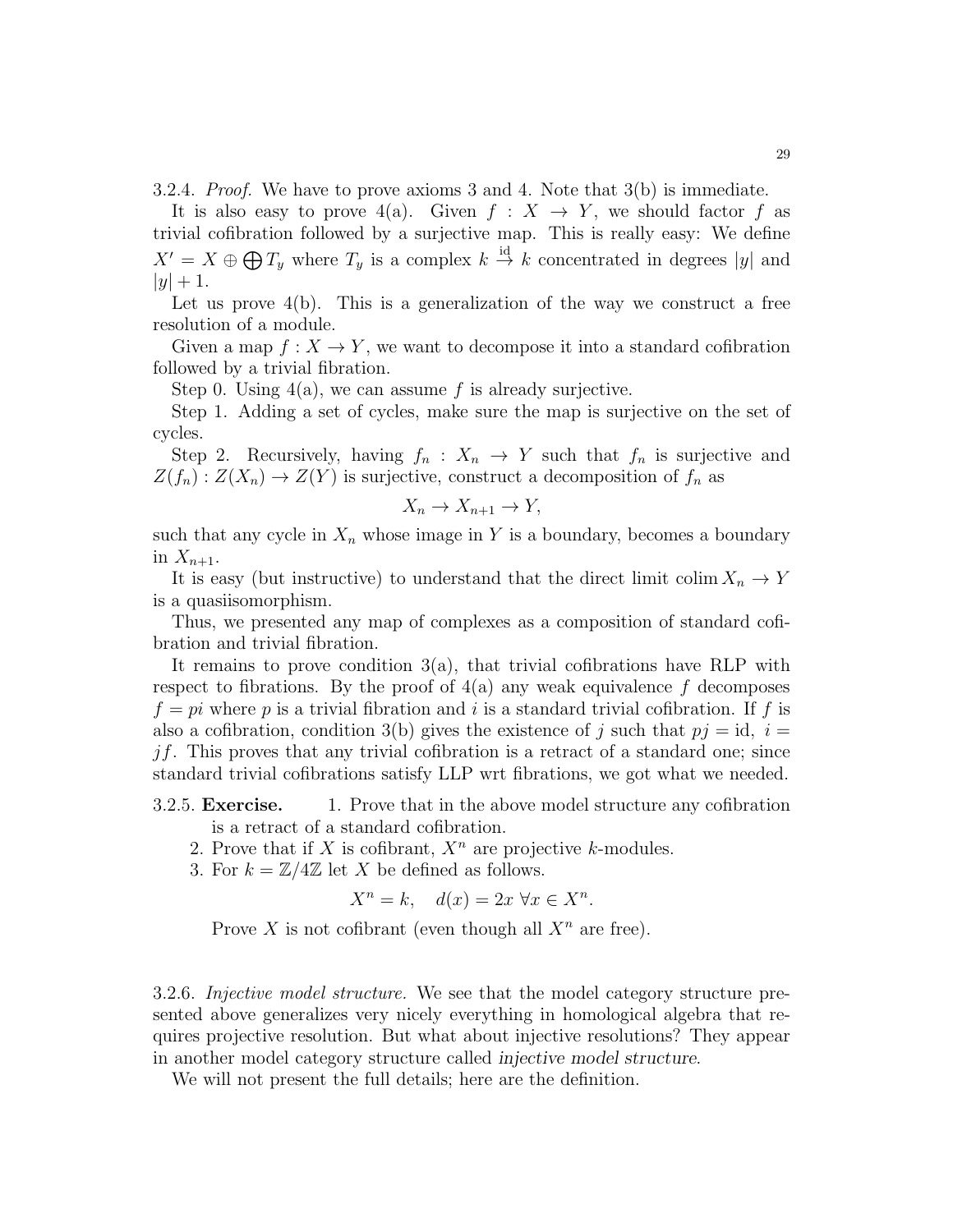3.2.4. Proof. We have to prove axioms 3 and 4. Note that 3(b) is immediate.

It is also easy to prove 4(a). Given  $f: X \to Y$ , we should factor f as trivial cofibration followed by a surjective map. This is really easy: We define  $X' = X \oplus \bigoplus T_y$  where  $T_y$  is a complex  $k \stackrel{\text{id}}{\rightarrow} k$  concentrated in degrees |y| and  $|y| + 1.$ 

Let us prove  $4(b)$ . This is a generalization of the way we construct a free resolution of a module.

Given a map  $f: X \to Y$ , we want to decompose it into a standard cofibration followed by a trivial fibration.

Step 0. Using  $4(a)$ , we can assume f is already surjective.

Step 1. Adding a set of cycles, make sure the map is surjective on the set of cycles.

Step 2. Recursively, having  $f_n: X_n \to Y$  such that  $f_n$  is surjective and  $Z(f_n): Z(X_n) \to Z(Y)$  is surjective, construct a decomposition of  $f_n$  as

$$
X_n \to X_{n+1} \to Y,
$$

such that any cycle in  $X_n$  whose image in Y is a boundary, becomes a boundary in  $X_{n+1}$ .

It is easy (but instructive) to understand that the direct limit colim  $X_n \to Y$ is a quasiisomorphism.

Thus, we presented any map of complexes as a composition of standard cofibration and trivial fibration.

It remains to prove condition  $3(a)$ , that trivial cofibrations have RLP with respect to fibrations. By the proof of  $4(a)$  any weak equivalence f decomposes  $f = pi$  where p is a trivial fibration and i is a standard trivial cofibration. If f is also a cofibration, condition 3(b) gives the existence of j such that  $pj = id$ ,  $i =$  $jf.$  This proves that any trivial cofibration is a retract of a standard one; since standard trivial cofibrations satisfy LLP wrt fibrations, we got what we needed.

- 3.2.5. Exercise. 1. Prove that in the above model structure any cofibration is a retract of a standard cofibration.
	- 2. Prove that if X is cofibrant,  $X^n$  are projective k-modules.
	- 3. For  $k = \mathbb{Z}/4\mathbb{Z}$  let X be defined as follows.

$$
X^n = k, \quad d(x) = 2x \,\forall x \in X^n.
$$

Prove X is not cofibrant (even though all  $X^n$  are free).

3.2.6. Injective model structure. We see that the model category structure presented above generalizes very nicely everything in homological algebra that requires projective resolution. But what about injective resolutions? They appear in another model category structure called *injective model structure*.

We will not present the full details; here are the definition.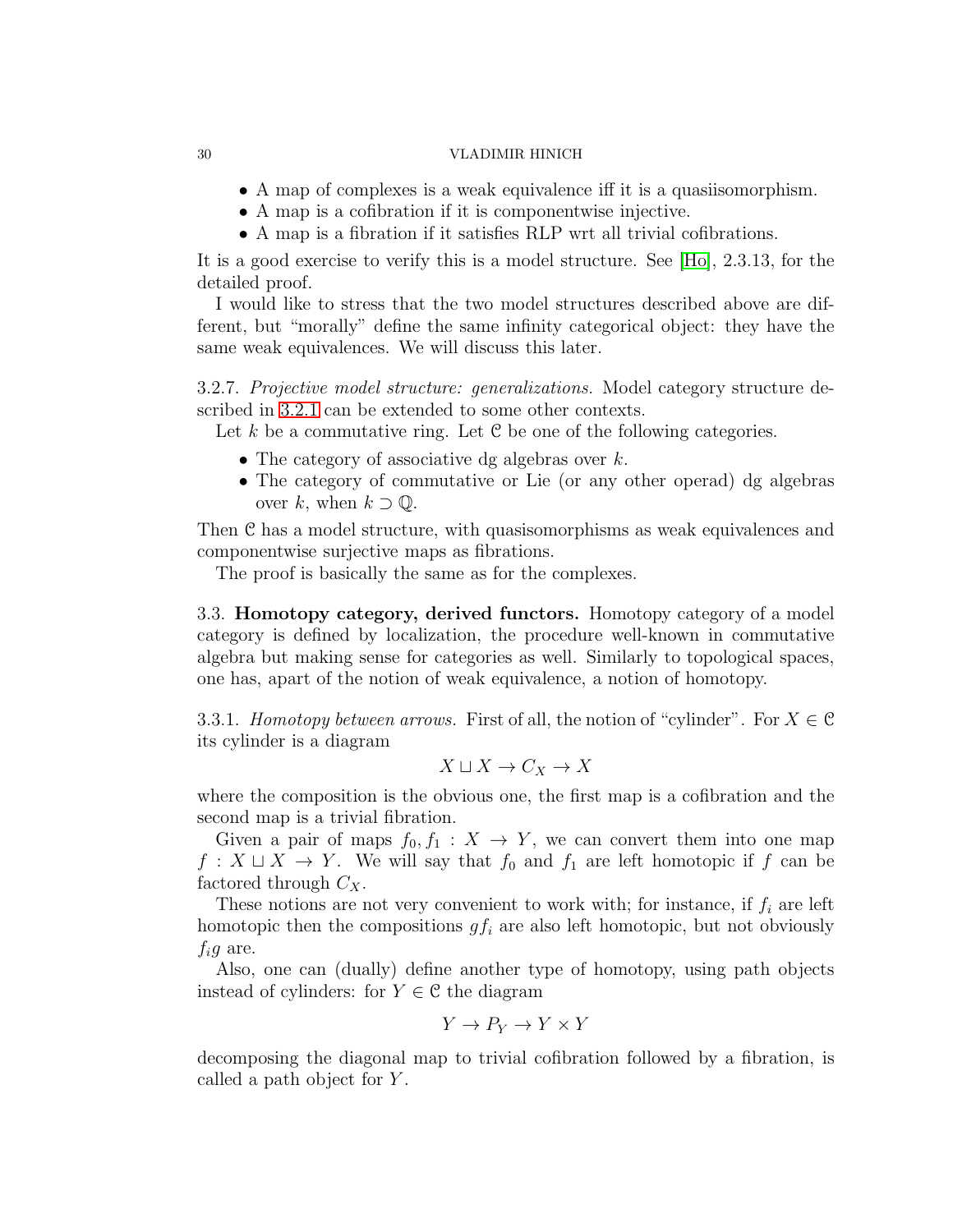- A map of complexes is a weak equivalence iff it is a quasiisomorphism.
- A map is a cofibration if it is componentwise injective.
- A map is a fibration if it satisfies RLP wrt all trivial cofibrations.

It is a good exercise to verify this is a model structure. See [\[Ho\]](#page-123-3), 2.3.13, for the detailed proof.

I would like to stress that the two model structures described above are different, but "morally" define the same infinity categorical object: they have the same weak equivalences. We will discuss this later.

3.2.7. Projective model structure: generalizations. Model category structure described in [3.2.1](#page-27-0) can be extended to some other contexts.

Let k be a commutative ring. Let  $C$  be one of the following categories.

- The category of associative dg algebras over  $k$ .
- The category of commutative or Lie (or any other operad) dg algebras over k, when  $k \supset \mathbb{Q}$ .

Then C has a model structure, with quasisomorphisms as weak equivalences and componentwise surjective maps as fibrations.

The proof is basically the same as for the complexes.

3.3. Homotopy category, derived functors. Homotopy category of a model category is defined by localization, the procedure well-known in commutative algebra but making sense for categories as well. Similarly to topological spaces, one has, apart of the notion of weak equivalence, a notion of homotopy.

3.3.1. Homotopy between arrows. First of all, the notion of "cylinder". For  $X \in \mathcal{C}$ its cylinder is a diagram

$$
X\sqcup X\to C_X\to X
$$

where the composition is the obvious one, the first map is a cofibration and the second map is a trivial fibration.

Given a pair of maps  $f_0, f_1 : X \to Y$ , we can convert them into one map  $f: X \sqcup X \rightarrow Y$ . We will say that  $f_0$  and  $f_1$  are left homotopic if f can be factored through  $C_X$ .

These notions are not very convenient to work with; for instance, if  $f_i$  are left homotopic then the compositions  $gf_i$  are also left homotopic, but not obviously  $f_i g$  are.

Also, one can (dually) define another type of homotopy, using path objects instead of cylinders: for  $Y \in \mathcal{C}$  the diagram

$$
Y\to P_Y\to Y\times Y
$$

decomposing the diagonal map to trivial cofibration followed by a fibration, is called a path object for Y.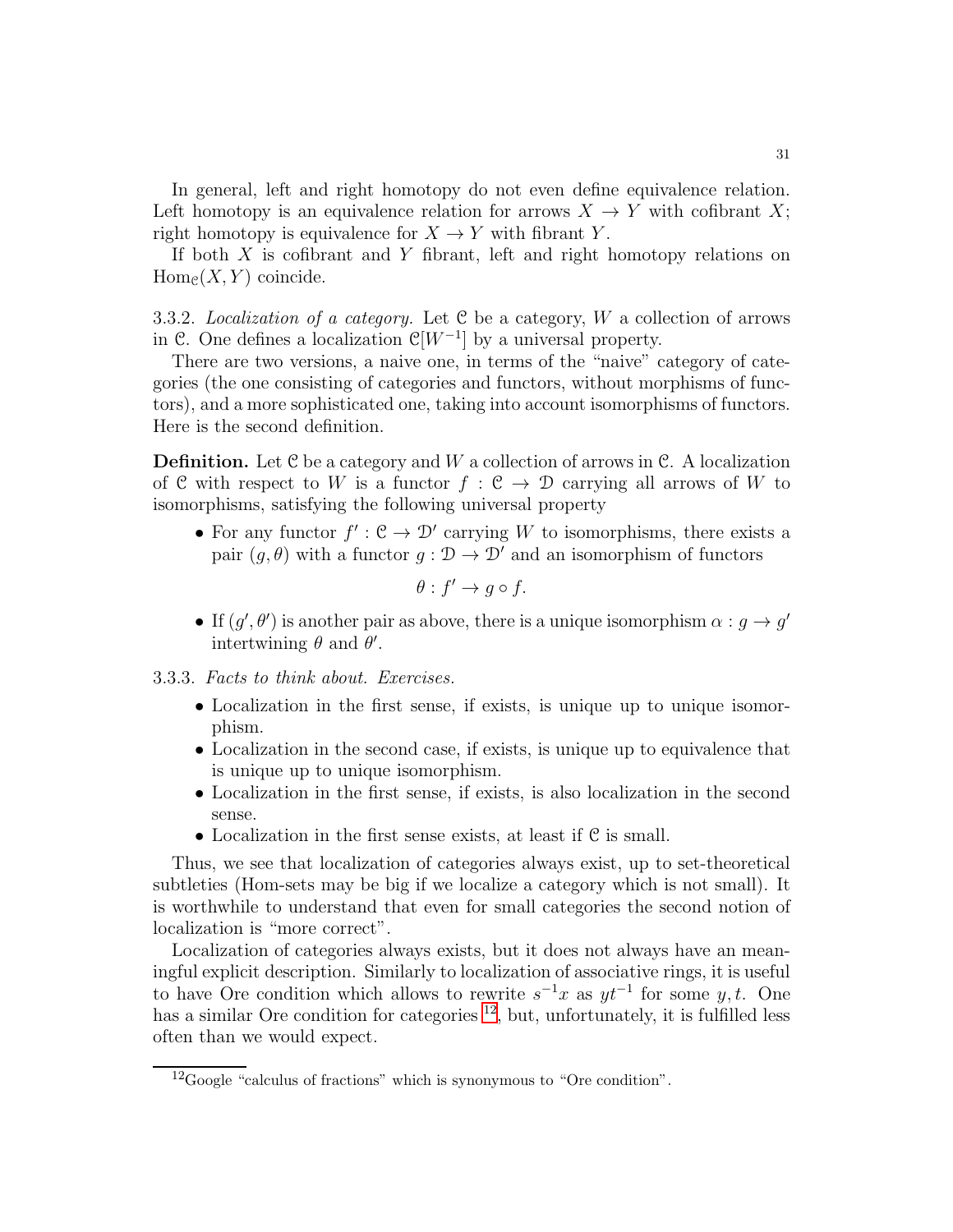In general, left and right homotopy do not even define equivalence relation. Left homotopy is an equivalence relation for arrows  $X \to Y$  with cofibrant X; right homotopy is equivalence for  $X \to Y$  with fibrant Y.

If both  $X$  is cofibrant and  $Y$  fibrant, left and right homotopy relations on  $Hom<sub>e</sub>(X, Y)$  coincide.

3.3.2. Localization of a category. Let  $C$  be a category,  $W$  a collection of arrows in C. One defines a localization  $\mathcal{C}[W^{-1}]$  by a universal property.

There are two versions, a naive one, in terms of the "naive" category of categories (the one consisting of categories and functors, without morphisms of functors), and a more sophisticated one, taking into account isomorphisms of functors. Here is the second definition.

**Definition.** Let  $C$  be a category and  $W$  a collection of arrows in  $C$ . A localization of C with respect to W is a functor  $f : \mathcal{C} \to \mathcal{D}$  carrying all arrows of W to isomorphisms, satisfying the following universal property

• For any functor  $f' : \mathcal{C} \to \mathcal{D}'$  carrying W to isomorphisms, there exists a pair  $(g, \theta)$  with a functor  $g : \mathcal{D} \to \mathcal{D}'$  and an isomorphism of functors

$$
\theta: f' \to g \circ f.
$$

• If  $(g', \theta')$  is another pair as above, there is a unique isomorphism  $\alpha : g \to g'$ intertwining  $\theta$  and  $\theta'$ .

<span id="page-30-1"></span>3.3.3. Facts to think about. Exercises.

- Localization in the first sense, if exists, is unique up to unique isomorphism.
- Localization in the second case, if exists, is unique up to equivalence that is unique up to unique isomorphism.
- Localization in the first sense, if exists, is also localization in the second sense.
- Localization in the first sense exists, at least if C is small.

Thus, we see that localization of categories always exist, up to set-theoretical subtleties (Hom-sets may be big if we localize a category which is not small). It is worthwhile to understand that even for small categories the second notion of localization is "more correct".

Localization of categories always exists, but it does not always have an meaningful explicit description. Similarly to localization of associative rings, it is useful to have Ore condition which allows to rewrite  $s^{-1}x$  as  $yt^{-1}$  for some y, t. One has a similar Ore condition for categories  $^{12}$  $^{12}$  $^{12}$ , but, unfortunately, it is fulfilled less often than we would expect.

<span id="page-30-0"></span><sup>12</sup>Google "calculus of fractions" which is synonymous to "Ore condition".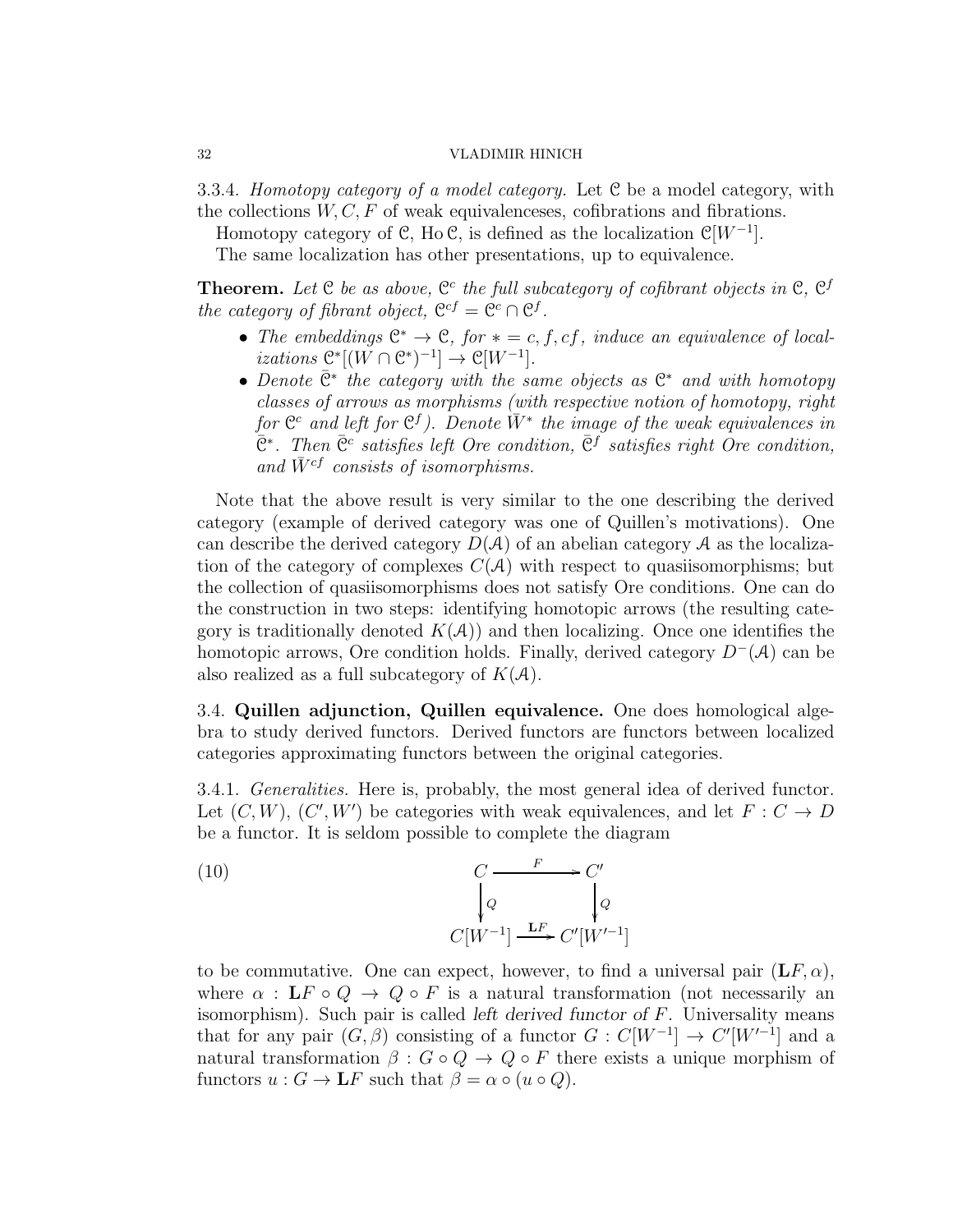3.3.4. Homotopy category of a model category. Let C be a model category, with the collections  $W, C, F$  of weak equivalenceses, cofibrations and fibrations.

Homotopy category of  $\mathcal{C}$ , Ho  $\mathcal{C}$ , is defined as the localization  $\mathcal{C}[W^{-1}]$ .

The same localization has other presentations, up to equivalence.

**Theorem.** Let  $C$  be as above,  $C^c$  the full subcategory of cofibrant objects in  $C$ ,  $C^f$ the category of fibrant object,  $\mathbb{C}^{cf} = \mathbb{C}^c \cap \mathbb{C}^f$ .

- The embeddings  $\mathbb{C}^* \to \mathbb{C}$ , for  $* = c, f, cf,$  induce an equivalence of local*izations*  $\mathcal{C}^*[(W \cap \mathcal{C}^*)^{-1}] \to \mathcal{C}[W^{-1}].$
- Denote  $\bar{C}^*$  the category with the same objects as  $C^*$  and with homotopy classes of arrows as morphisms (with respective notion of homotopy, right for  $\mathfrak{C}^c$  and left for  $\mathfrak{C}^f$ ). Denote  $\bar W^*$  the image of the weak equivalences in  $\overline{C}^*$ . Then  $\overline{C}^c$  satisfies left Ore condition,  $\overline{C}^f$  satisfies right Ore condition, and  $\bar{W}^{cf}$  consists of isomorphisms.

Note that the above result is very similar to the one describing the derived category (example of derived category was one of Quillen's motivations). One can describe the derived category  $D(\mathcal{A})$  of an abelian category  $\mathcal A$  as the localization of the category of complexes  $C(A)$  with respect to quasiisomorphisms; but the collection of quasiisomorphisms does not satisfy Ore conditions. One can do the construction in two steps: identifying homotopic arrows (the resulting category is traditionally denoted  $K(\mathcal{A})$  and then localizing. Once one identifies the homotopic arrows, Ore condition holds. Finally, derived category  $D^{-}(\mathcal{A})$  can be also realized as a full subcategory of  $K(\mathcal{A})$ .

3.4. Quillen adjunction, Quillen equivalence. One does homological algebra to study derived functors. Derived functors are functors between localized categories approximating functors between the original categories.

3.4.1. Generalities. Here is, probably, the most general idea of derived functor. Let  $(C, W)$ ,  $(C', W')$  be categories with weak equivalences, and let  $F: C \to D$ be a functor. It is seldom possible to complete the diagram

(10)  
\n
$$
\begin{array}{ccc}\nC & \xrightarrow{F} & C' \\
Q & Q & Q \\
C[W^{-1}] & \xrightarrow{\mathbf{L}F} & C'[W'^{-1}]\n\end{array}
$$

to be commutative. One can expect, however, to find a universal pair  $(\mathbf{L}F,\alpha)$ , where  $\alpha : \mathbf{L} F \circ Q \to Q \circ F$  is a natural transformation (not necessarily an isomorphism). Such pair is called *left derived functor of* F. Universality means that for any pair  $(G, \beta)$  consisting of a functor  $G : C[W^{-1}] \to C'[W'^{-1}]$  and a natural transformation  $\beta : G \circ Q \to Q \circ F$  there exists a unique morphism of functors  $u : G \to \mathbf{L}F$  such that  $\beta = \alpha \circ (u \circ Q)$ .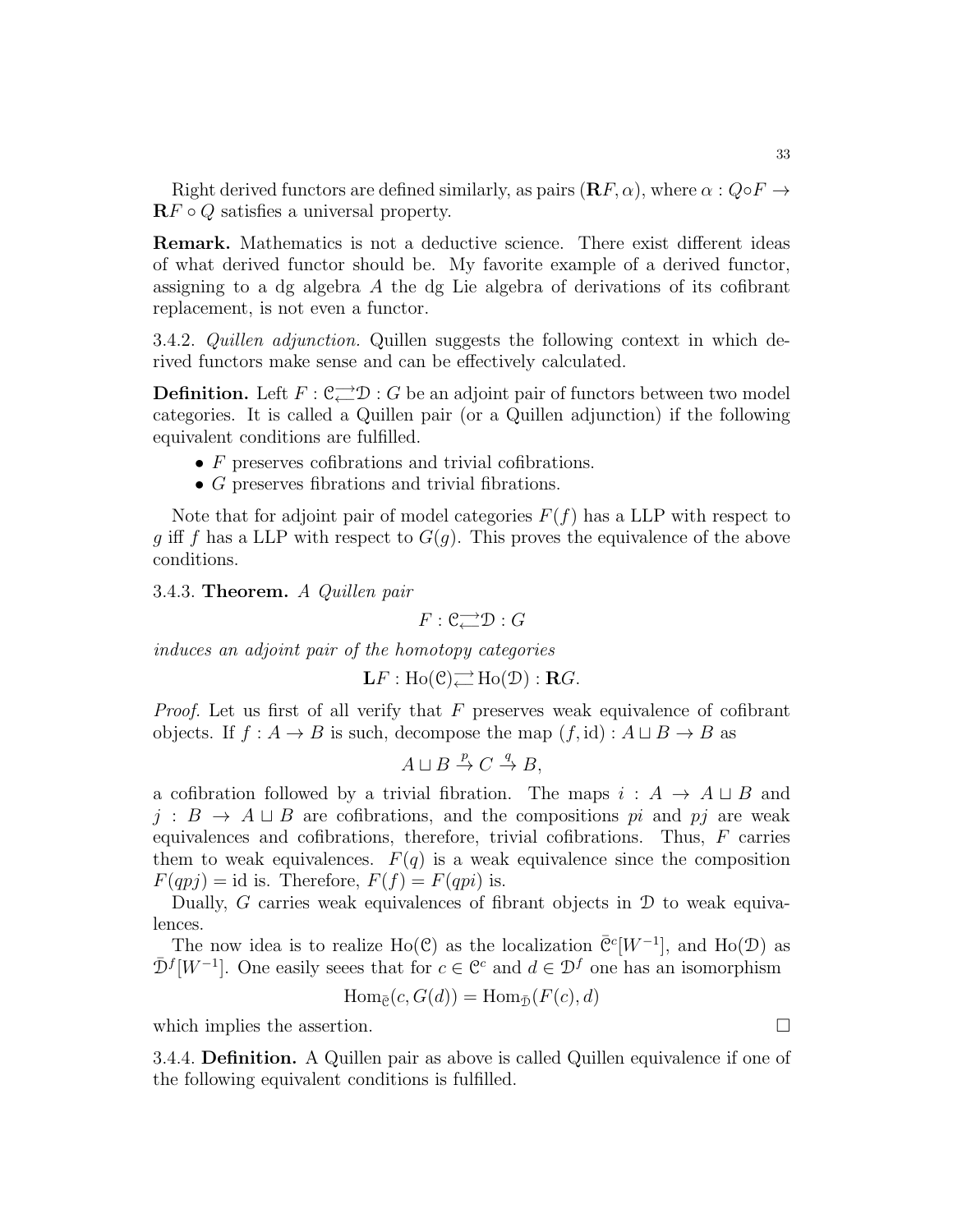Right derived functors are defined similarly, as pairs  $(\mathbf{R}F, \alpha)$ , where  $\alpha : Q \circ F \to$  $\mathbf{R} F \circ Q$  satisfies a universal property.

Remark. Mathematics is not a deductive science. There exist different ideas of what derived functor should be. My favorite example of a derived functor, assigning to a dg algebra A the dg Lie algebra of derivations of its cofibrant replacement, is not even a functor.

3.4.2. Quillen adjunction. Quillen suggests the following context in which derived functors make sense and can be effectively calculated.

**Definition.** Left  $F: \mathbb{C} \to \mathbb{D} : G$  be an adjoint pair of functors between two model categories. It is called a Quillen pair (or a Quillen adjunction) if the following equivalent conditions are fulfilled.

- $\bullet$  F preserves cofibrations and trivial cofibrations.
- G preserves fibrations and trivial fibrations.

Note that for adjoint pair of model categories  $F(f)$  has a LLP with respect to g iff f has a LLP with respect to  $G(g)$ . This proves the equivalence of the above conditions.

3.4.3. Theorem. A Quillen pair

 $F: \mathbb{C} \longrightarrow \mathcal{D}: G$ 

induces an adjoint pair of the homotopy categories

$$
\mathbf{L} F : \text{Ho}(\mathcal{C}) \rightleftarrows \text{Ho}(\mathcal{D}) : \mathbf{R} G.
$$

*Proof.* Let us first of all verify that  $F$  preserves weak equivalence of cofibrant objects. If  $f : A \to B$  is such, decompose the map  $(f, id) : A \sqcup B \to B$  as

$$
A \sqcup B \stackrel{p}{\to} C \stackrel{q}{\to} B,
$$

a cofibration followed by a trivial fibration. The maps  $i : A \rightarrow A \sqcup B$  and  $j : B \to A \sqcup B$  are cofibrations, and the compositions pi and pj are weak equivalences and cofibrations, therefore, trivial cofibrations. Thus, F carries them to weak equivalences.  $F(q)$  is a weak equivalence since the composition  $F(qpj) = id$  is. Therefore,  $F(f) = F(qpi)$  is.

Dually, G carries weak equivalences of fibrant objects in  $\mathcal D$  to weak equivalences.

The now idea is to realize Ho(C) as the localization  $\overline{C}^c[W^{-1}]$ , and Ho(D) as  $\bar{\mathcal{D}}^f[W^{-1}]$ . One easily seees that for  $c \in \mathbb{C}^c$  and  $d \in \mathcal{D}^f$  one has an isomorphism

$$
\operatorname{Hom}_{\bar{\mathcal{C}}}(c, G(d)) = \operatorname{Hom}_{\bar{\mathcal{D}}}(F(c), d)
$$

which implies the assertion.  $\Box$ 

3.4.4. Definition. A Quillen pair as above is called Quillen equivalence if one of the following equivalent conditions is fulfilled.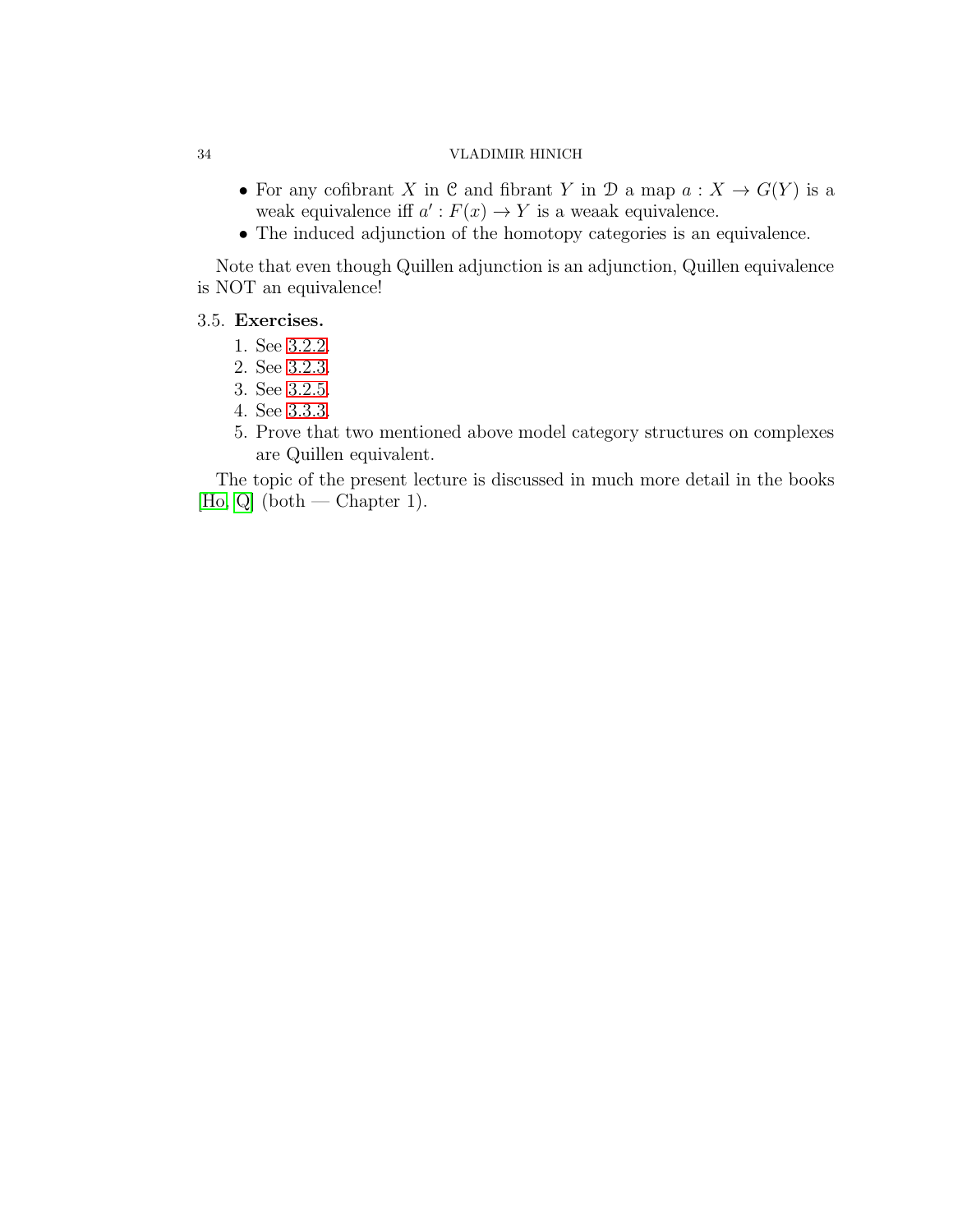- For any cofibrant X in C and fibrant Y in D a map  $a: X \to G(Y)$  is a weak equivalence iff  $a': F(x) \to Y$  is a weaak equivalence.
- The induced adjunction of the homotopy categories is an equivalence.

Note that even though Quillen adjunction is an adjunction, Quillen equivalence is NOT an equivalence!

# 3.5. Exercises.

- 1. See [3.2.2.](#page-27-1)
- 2. See [3.2.3.](#page-27-2)
- 3. See 3.2.5.
- 4. See [3.3.3.](#page-30-1)
- 5. Prove that two mentioned above model category structures on complexes are Quillen equivalent.

The topic of the present lecture is discussed in much more detail in the books  $[Ho, Q]$  $[Ho, Q]$  (both — Chapter 1).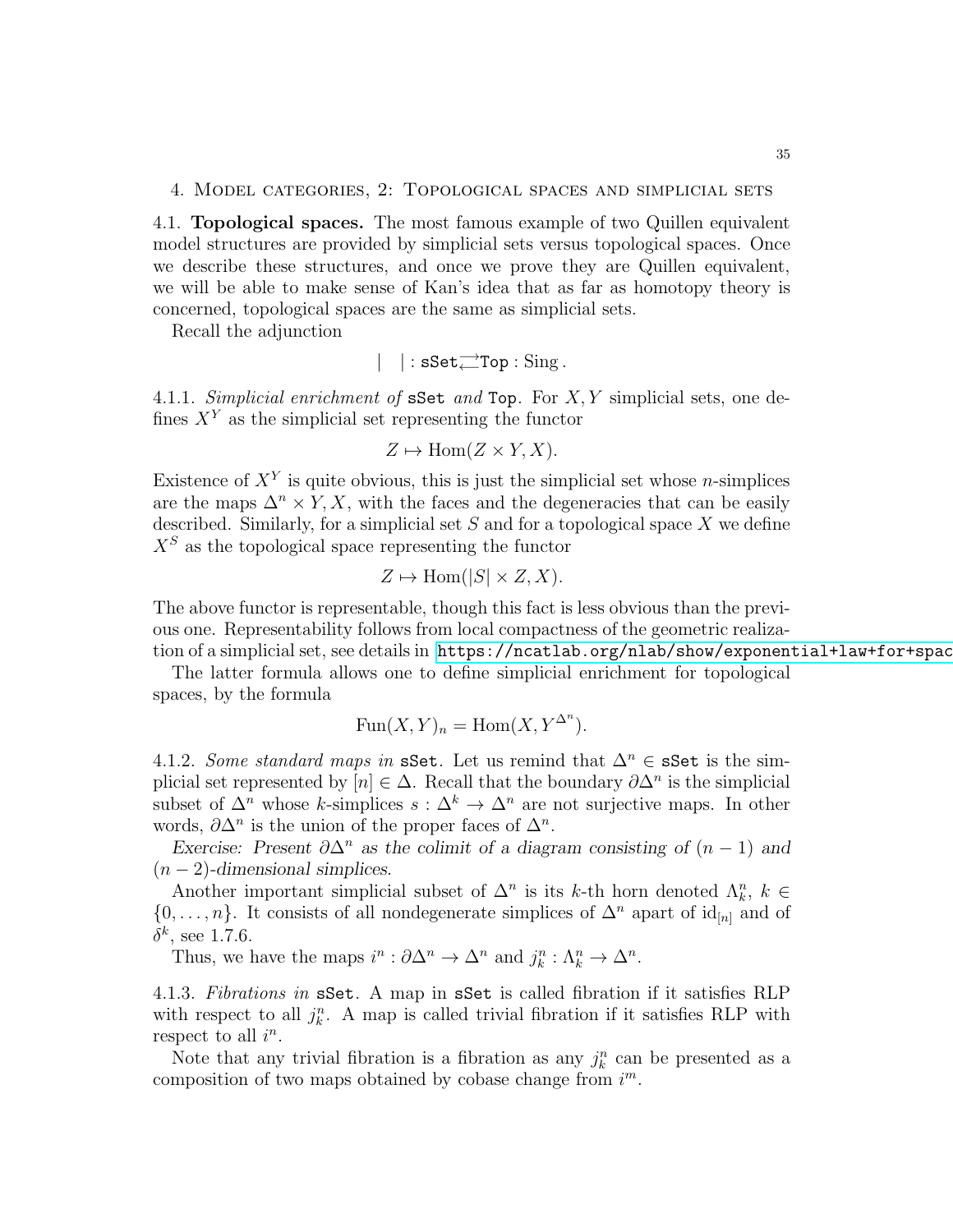#### 4. Model categories, 2: Topological spaces and simplicial sets

4.1. Topological spaces. The most famous example of two Quillen equivalent model structures are provided by simplicial sets versus topological spaces. Once we describe these structures, and once we prove they are Quillen equivalent, we will be able to make sense of Kan's idea that as far as homotopy theory is concerned, topological spaces are the same as simplicial sets.

Recall the adjunction

$$
|\ \ | : \mathtt{sSet} {\overset{\longrightarrow}{\longleftarrow}} \mathtt{Top}: \mathop{\mathrm{Sing}}.
$$

4.1.1. Simplicial enrichment of  $sSet$  and Top. For  $X, Y$  simplicial sets, one defines  $X<sup>Y</sup>$  as the simplicial set representing the functor

$$
Z \mapsto \text{Hom}(Z \times Y, X).
$$

Existence of  $X<sup>Y</sup>$  is quite obvious, this is just the simplicial set whose *n*-simplices are the maps  $\Delta^n \times Y$ , X, with the faces and the degeneracies that can be easily described. Similarly, for a simplicial set  $S$  and for a topological space  $X$  we define  $X<sup>S</sup>$  as the topological space representing the functor

$$
Z \mapsto \text{Hom}(|S| \times Z, X).
$$

The above functor is representable, though this fact is less obvious than the previous one. Representability follows from local compactness of the geometric realization of a simplicial set, see details in https://ncatlab.org/nlab/show/exponential+law+for+spac

The latter formula allows one to define simplicial enrichment for topological spaces, by the formula

$$
Fun(X, Y)_n = Hom(X, Y^{\Delta^n}).
$$

4.1.2. Some standard maps in sSet. Let us remind that  $\Delta^n \in \mathbf{sSet}$  is the simplicial set represented by  $[n] \in \Delta$ . Recall that the boundary  $\partial \Delta^n$  is the simplicial subset of  $\Delta^n$  whose k-simplices  $s : \Delta^k \to \Delta^n$  are not surjective maps. In other words,  $\partial \Delta^n$  is the union of the proper faces of  $\Delta^n$ .

*Exercise: Present*  $\partial \Delta^n$  *as the colimit of a diagram consisting of*  $(n-1)$  *and* (n − 2)*-dimensional simplices.*

Another important simplicial subset of  $\Delta^n$  is its k-th horn denoted  $\Lambda_k^n$ ,  $k \in$  $\{0,\ldots,n\}$ . It consists of all nondegenerate simplices of  $\Delta^n$  apart of id<sub>[n]</sub> and of  $\delta^k$ , see 1.7.6.

Thus, we have the maps  $i^n : \partial \Delta^n \to \Delta^n$  and  $j_k^n : \Lambda_k^n \to \Delta^n$ .

4.1.3. Fibrations in sSet. A map in sSet is called fibration if it satisfies RLP with respect to all  $j_k^n$ . A map is called trivial fibration if it satisfies RLP with respect to all  $i^n$ .

Note that any trivial fibration is a fibration as any  $j_k^n$  can be presented as a composition of two maps obtained by cobase change from  $i<sup>m</sup>$ .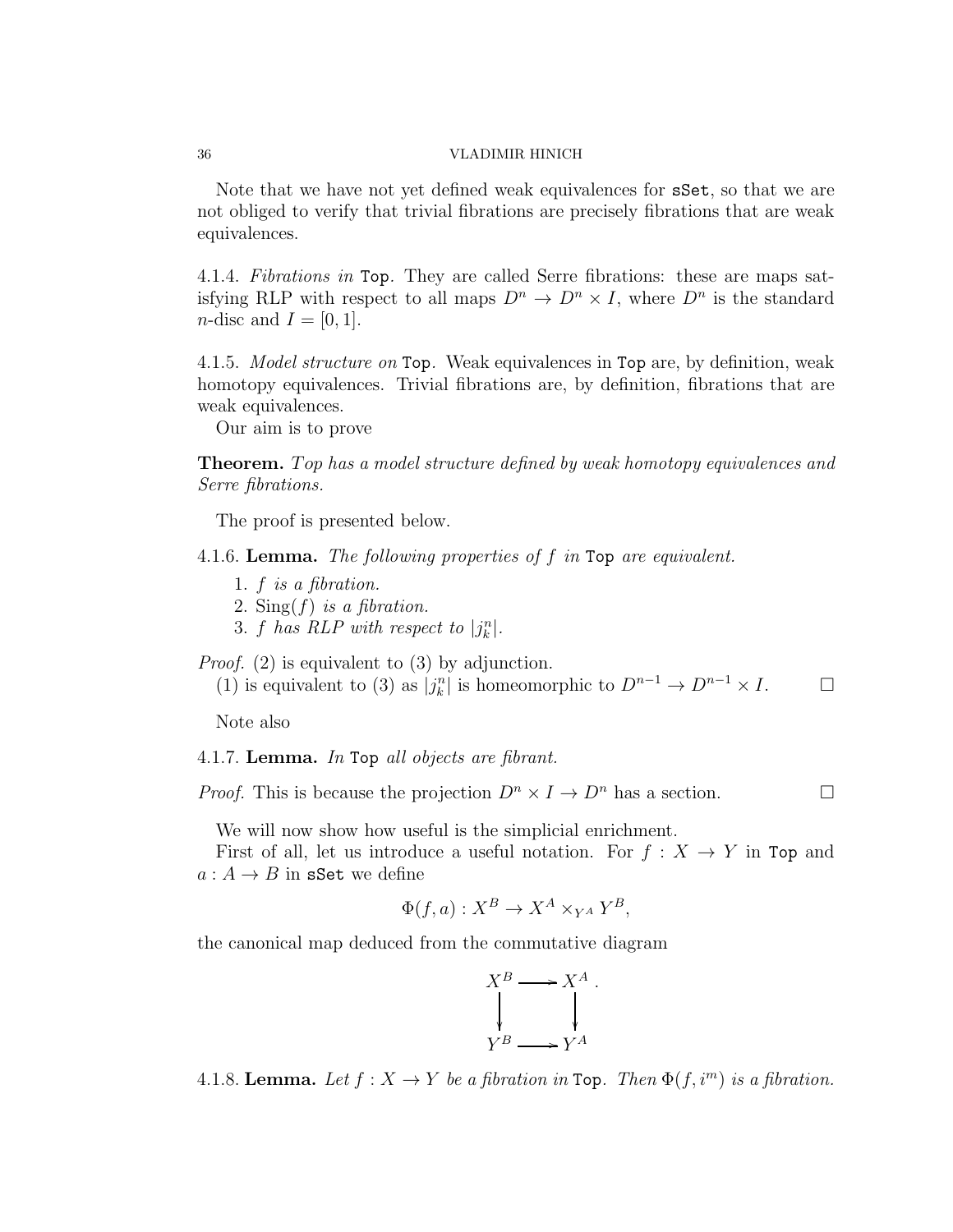Note that we have not yet defined weak equivalences for sSet, so that we are not obliged to verify that trivial fibrations are precisely fibrations that are weak equivalences.

4.1.4. Fibrations in Top. They are called Serre fibrations: these are maps satisfying RLP with respect to all maps  $D^n \to D^n \times I$ , where  $D^n$  is the standard *n*-disc and  $I = [0, 1]$ .

4.1.5. Model structure on Top. Weak equivalences in Top are, by definition, weak homotopy equivalences. Trivial fibrations are, by definition, fibrations that are weak equivalences.

Our aim is to prove

**Theorem.** Top has a model structure defined by weak homotopy equivalences and Serre fibrations.

The proof is presented below.

4.1.6. Lemma. The following properties of f in Top are equivalent.

- 1. f is a fibration.
- 2. Sing( $f$ ) is a fibration.
- 3. f has RLP with respect to  $|j_k^n|$ .

Proof. (2) is equivalent to (3) by adjunction.

(1) is equivalent to (3) as  $|j_k^n|$  is homeomorphic to  $D^{n-1} \to D^{n-1} \times I$ .  $\Box$ 

Note also

### 4.1.7. Lemma. In Top all objects are fibrant.

*Proof.* This is because the projection  $D^n \times I \to D^n$  has a section.

We will now show how useful is the simplicial enrichment.

First of all, let us introduce a useful notation. For  $f : X \to Y$  in Top and  $a: A \rightarrow B$  in sSet we define

$$
\Phi(f, a) : X^B \to X^A \times_{Y^A} Y^B,
$$

the canonical map deduced from the commutative diagram



4.1.8. Lemma. Let  $f: X \to Y$  be a fibration in Top. Then  $\Phi(f, i^m)$  is a fibration.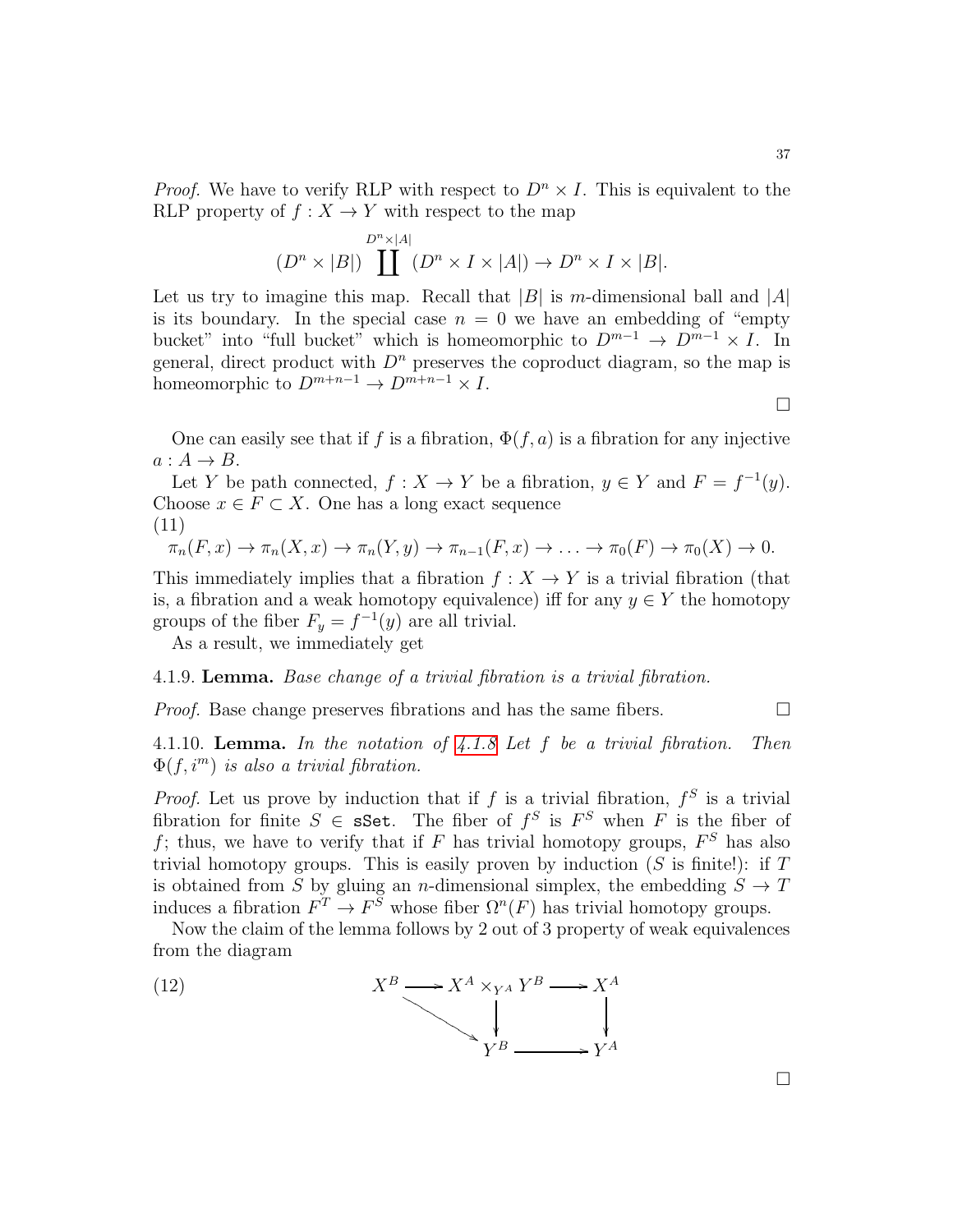*Proof.* We have to verify RLP with respect to  $D<sup>n</sup> \times I$ . This is equivalent to the RLP property of  $f : X \to Y$  with respect to the map

$$
(D^{n} \times |B|) \prod^{D^{n} \times |A|} (D^{n} \times I \times |A|) \to D^{n} \times I \times |B|.
$$

Let us try to imagine this map. Recall that  $|B|$  is m-dimensional ball and  $|A|$ is its boundary. In the special case  $n = 0$  we have an embedding of "empty" bucket" into "full bucket" which is homeomorphic to  $D^{m-1} \to D^{m-1} \times I$ . In general, direct product with  $D^n$  preserves the coproduct diagram, so the map is homeomorphic to  $D^{m+n-1} \to D^{m+n-1} \times I$ .

 $\Box$ 

One can easily see that if f is a fibration,  $\Phi(f, a)$  is a fibration for any injective  $a: A \rightarrow B$ .

Let Y be path connected,  $f: X \to Y$  be a fibration,  $y \in Y$  and  $F = f^{-1}(y)$ . Choose  $x \in F \subset X$ . One has a long exact sequence

$$
(11)
$$

$$
\pi_n(F, x) \to \pi_n(X, x) \to \pi_n(Y, y) \to \pi_{n-1}(F, x) \to \ldots \to \pi_0(F) \to \pi_0(X) \to 0.
$$

This immediately implies that a fibration  $f : X \to Y$  is a trivial fibration (that is, a fibration and a weak homotopy equivalence) iff for any  $y \in Y$  the homotopy groups of the fiber  $F_y = f^{-1}(y)$  are all trivial.

As a result, we immediately get

## <span id="page-36-0"></span>4.1.9. Lemma. Base change of a trivial fibration is a trivial fibration.

*Proof.* Base change preserves fibrations and has the same fibers.  $\Box$ 

4.1.10. **Lemma.** In the notation of  $4.1.8$  Let  $f$  be a trivial fibration. Then  $\Phi(f, i^m)$  is also a trivial fibration.

*Proof.* Let us prove by induction that if f is a trivial fibration,  $f^S$  is a trivial fibration for finite  $S \in \mathbf{sSet}$ . The fiber of  $f^S$  is  $F^S$  when F is the fiber of f; thus, we have to verify that if F has trivial homotopy groups,  $F^S$  has also trivial homotopy groups. This is easily proven by induction  $(S$  is finite!): if  $T$ is obtained from S by gluing an n-dimensional simplex, the embedding  $S \to T$ induces a fibration  $F^T \to F^S$  whose fiber  $\Omega^n(F)$  has trivial homotopy groups.

Now the claim of the lemma follows by 2 out of 3 property of weak equivalences from the diagram



 $\Box$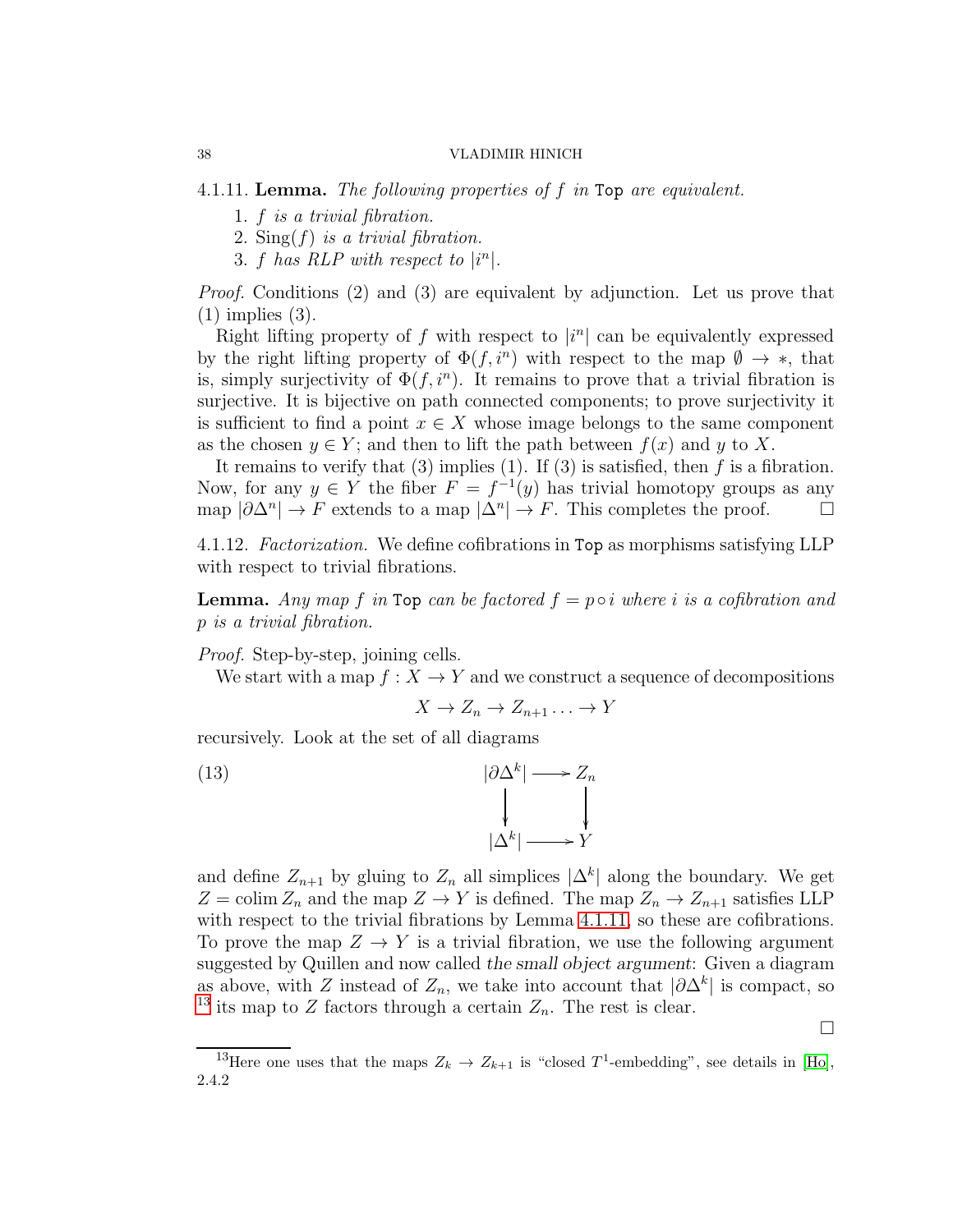<span id="page-37-0"></span>4.1.11. Lemma. The following properties of f in Top are equivalent.

- 1. f is a trivial fibration.
- 2.  $\text{Sing}(f)$  is a trivial fibration.
- 3. f has RLP with respect to  $|i^n|$ .

Proof. Conditions (2) and (3) are equivalent by adjunction. Let us prove that (1) implies (3).

Right lifting property of f with respect to  $|i^n|$  can be equivalently expressed by the right lifting property of  $\Phi(f, i^n)$  with respect to the map  $\emptyset \to *,$  that is, simply surjectivity of  $\Phi(f, i^n)$ . It remains to prove that a trivial fibration is surjective. It is bijective on path connected components; to prove surjectivity it is sufficient to find a point  $x \in X$  whose image belongs to the same component as the chosen  $y \in Y$ ; and then to lift the path between  $f(x)$  and y to X.

It remains to verify that  $(3)$  implies  $(1)$ . If  $(3)$  is satisfied, then f is a fibration. Now, for any  $y \in Y$  the fiber  $F = f^{-1}(y)$  has trivial homotopy groups as any map  $|\partial \Delta^n| \to F$  extends to a map  $|\Delta^n| \to F$ . This completes the proof.  $\Box$ 

4.1.12. Factorization. We define cofibrations in Top as morphisms satisfying LLP with respect to trivial fibrations.

**Lemma.** Any map f in Top can be factored  $f = p \circ i$  where i is a cofibration and p is a trivial fibration.

*Proof.* Step-by-step, joining cells.

We start with a map  $f: X \to Y$  and we construct a sequence of decompositions

$$
X \to Z_n \to Z_{n+1} \dots \to Y
$$

recursively. Look at the set of all diagrams

(13) 
$$
|\partial \Delta^k| \longrightarrow Z_n
$$

$$
|\Delta^k| \longrightarrow Y
$$

and define  $Z_{n+1}$  by gluing to  $Z_n$  all simplices  $|\Delta^k|$  along the boundary. We get  $Z = \text{colim } Z_n$  and the map  $Z \to Y$  is defined. The map  $Z_n \to Z_{n+1}$  satisfies LLP with respect to the trivial fibrations by Lemma [4.1.11,](#page-37-0) so these are cofibrations. To prove the map  $Z \to Y$  is a trivial fibration, we use the following argument suggested by Quillen and now called *the small object argument*: Given a diagram as above, with Z instead of  $Z_n$ , we take into account that  $|\partial \Delta^k|$  is compact, so <sup>[13](#page-37-1)</sup> its map to Z factors through a certain  $Z_n$ . The rest is clear.

 $\Box$ 

<span id="page-37-1"></span><sup>&</sup>lt;sup>13</sup>Here one uses that the maps  $Z_k \to Z_{k+1}$  is "closed T<sup>1</sup>-embedding", see details in [\[Ho\]](#page-123-0), 2.4.2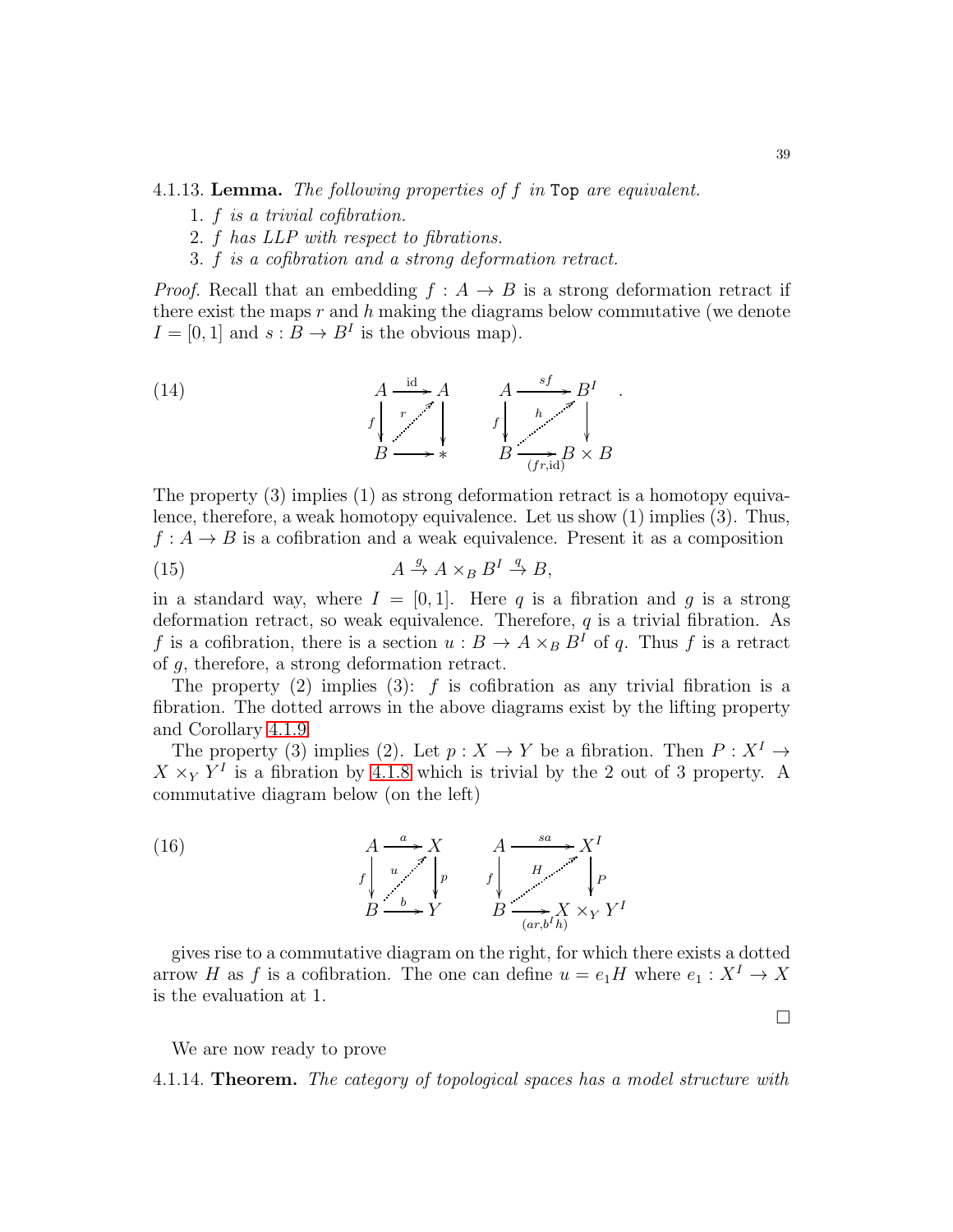<span id="page-38-0"></span>4.1.13. Lemma. The following properties of f in Top are equivalent.

- 1. f is a trivial cofibration.
- 2. f has LLP with respect to fibrations.
- 3. f is a cofibration and a strong deformation retract.

*Proof.* Recall that an embedding  $f : A \rightarrow B$  is a strong deformation retract if there exist the maps  $r$  and  $h$  making the diagrams below commutative (we denote  $I = [0, 1]$  and  $s : B \to B^I$  is the obvious map).

(14) 
$$
A \xrightarrow{id} A \xrightarrow{A \xrightarrow{sf}} B^I
$$
  
\n
$$
f \downarrow \qquad f \downarrow \qquad h \searrow^{sf}
$$
  
\n
$$
B \longrightarrow * \qquad B \xrightarrow{(fr, id)} B \times B
$$

The property (3) implies (1) as strong deformation retract is a homotopy equivalence, therefore, a weak homotopy equivalence. Let us show (1) implies (3). Thus,  $f: A \to B$  is a cofibration and a weak equivalence. Present it as a composition

(15) 
$$
A \stackrel{g}{\rightarrow} A \times_B B^I \stackrel{q}{\rightarrow} B,
$$

in a standard way, where  $I = [0, 1]$ . Here q is a fibration and q is a strong deformation retract, so weak equivalence. Therefore,  $q$  is a trivial fibration. As f is a cofibration, there is a section  $u : B \to A \times_B B^I$  of q. Thus f is a retract of g, therefore, a strong deformation retract.

The property (2) implies (3):  $f$  is cofibration as any trivial fibration is a fibration. The dotted arrows in the above diagrams exist by the lifting property and Corollary [4.1.9.](#page-36-0)

The property (3) implies (2). Let  $p : X \to Y$  be a fibration. Then  $P : X^I \to Y$  $X \times_Y Y^I$  is a fibration by [4.1.8](#page-35-0) which is trivial by the 2 out of 3 property. A commutative diagram below (on the left)



gives rise to a commutative diagram on the right, for which there exists a dotted arrow H as f is a cofibration. The one can define  $u = e_1H$  where  $e_1 : X^I \to X$ is the evaluation at 1.

We are now ready to prove

4.1.14. **Theorem.** The category of topological spaces has a model structure with

 $\Box$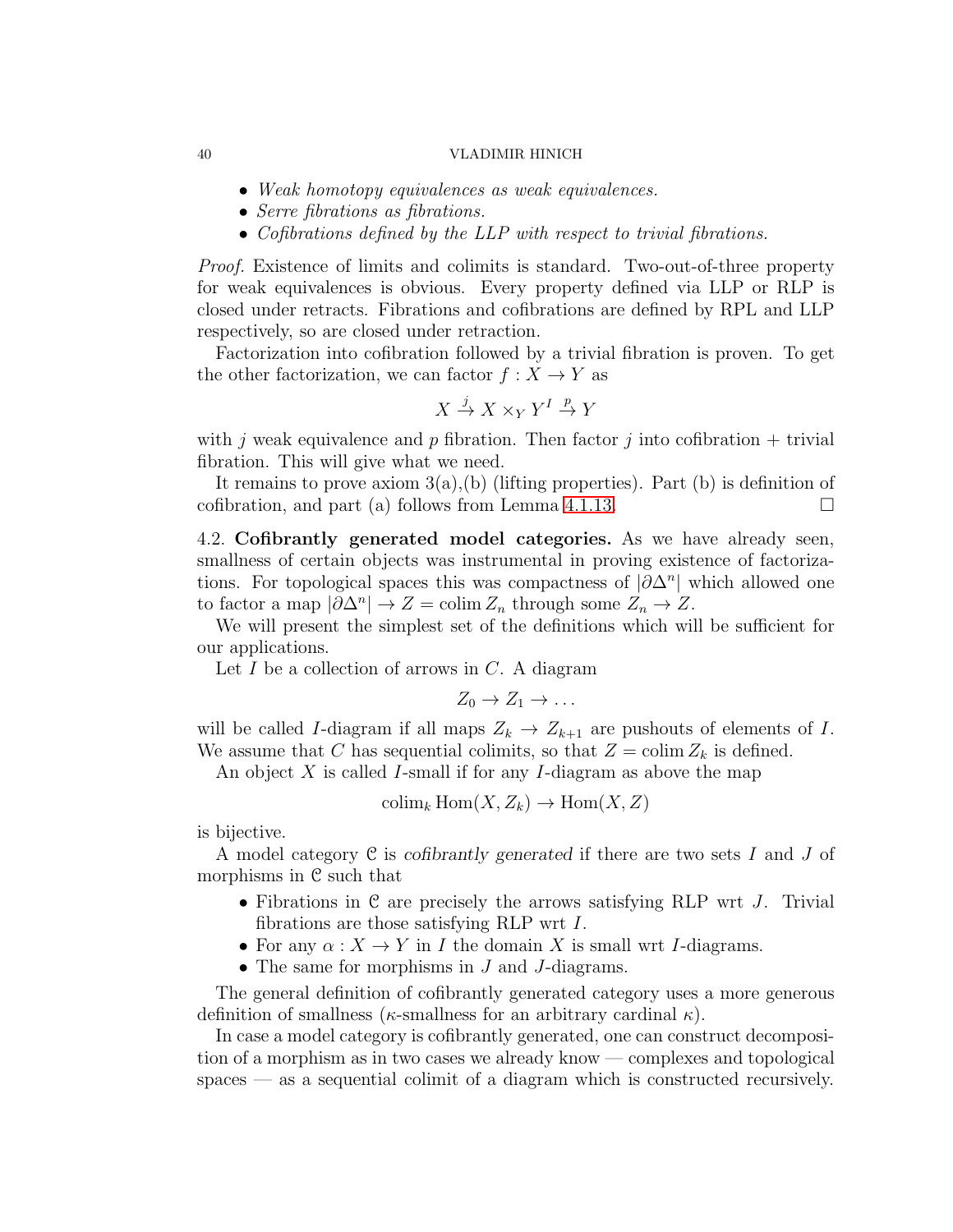- Weak homotopy equivalences as weak equivalences.
- Serre fibrations as fibrations.
- Cofibrations defined by the LLP with respect to trivial fibrations.

Proof. Existence of limits and colimits is standard. Two-out-of-three property for weak equivalences is obvious. Every property defined via LLP or RLP is closed under retracts. Fibrations and cofibrations are defined by RPL and LLP respectively, so are closed under retraction.

Factorization into cofibration followed by a trivial fibration is proven. To get the other factorization, we can factor  $f : X \to Y$  as

$$
X\stackrel{j}{\to} X\times_Y Y^I\stackrel{p}{\to} Y
$$

with j weak equivalence and p fibration. Then factor j into cofibration  $+$  trivial fibration. This will give what we need.

It remains to prove axiom 3(a),(b) (lifting properties). Part (b) is definition of cofibration, and part (a) follows from Lemma [4.1.13.](#page-38-0)

<span id="page-39-0"></span>4.2. Cofibrantly generated model categories. As we have already seen, smallness of certain objects was instrumental in proving existence of factorizations. For topological spaces this was compactness of  $|\partial \Delta^n|$  which allowed one to factor a map  $|\partial \Delta^n| \to Z = \text{colim } Z_n$  through some  $Z_n \to Z$ .

We will present the simplest set of the definitions which will be sufficient for our applications.

Let  $I$  be a collection of arrows in  $C$ . A diagram

$$
Z_0 \to Z_1 \to \ldots
$$

will be called I-diagram if all maps  $Z_k \to Z_{k+1}$  are pushouts of elements of I. We assume that C has sequential colimits, so that  $Z = \text{colim } Z_k$  is defined.

An object X is called I-small if for any I-diagram as above the map

$$
\operatorname{colim}_k \operatorname{Hom}(X, Z_k) \to \operatorname{Hom}(X, Z)
$$

is bijective.

A model category C is *cofibrantly generated* if there are two sets I and J of morphisms in C such that

- Fibrations in  $C$  are precisely the arrows satisfying RLP wrt  $J$ . Trivial fibrations are those satisfying RLP wrt I.
- For any  $\alpha: X \to Y$  in I the domain X is small wrt I-diagrams.
- The same for morphisms in J and J-diagrams.

The general definition of cofibrantly generated category uses a more generous definition of smallness ( $\kappa$ -smallness for an arbitrary cardinal  $\kappa$ ).

In case a model category is cofibrantly generated, one can construct decomposition of a morphism as in two cases we already know — complexes and topological spaces — as a sequential colimit of a diagram which is constructed recursively.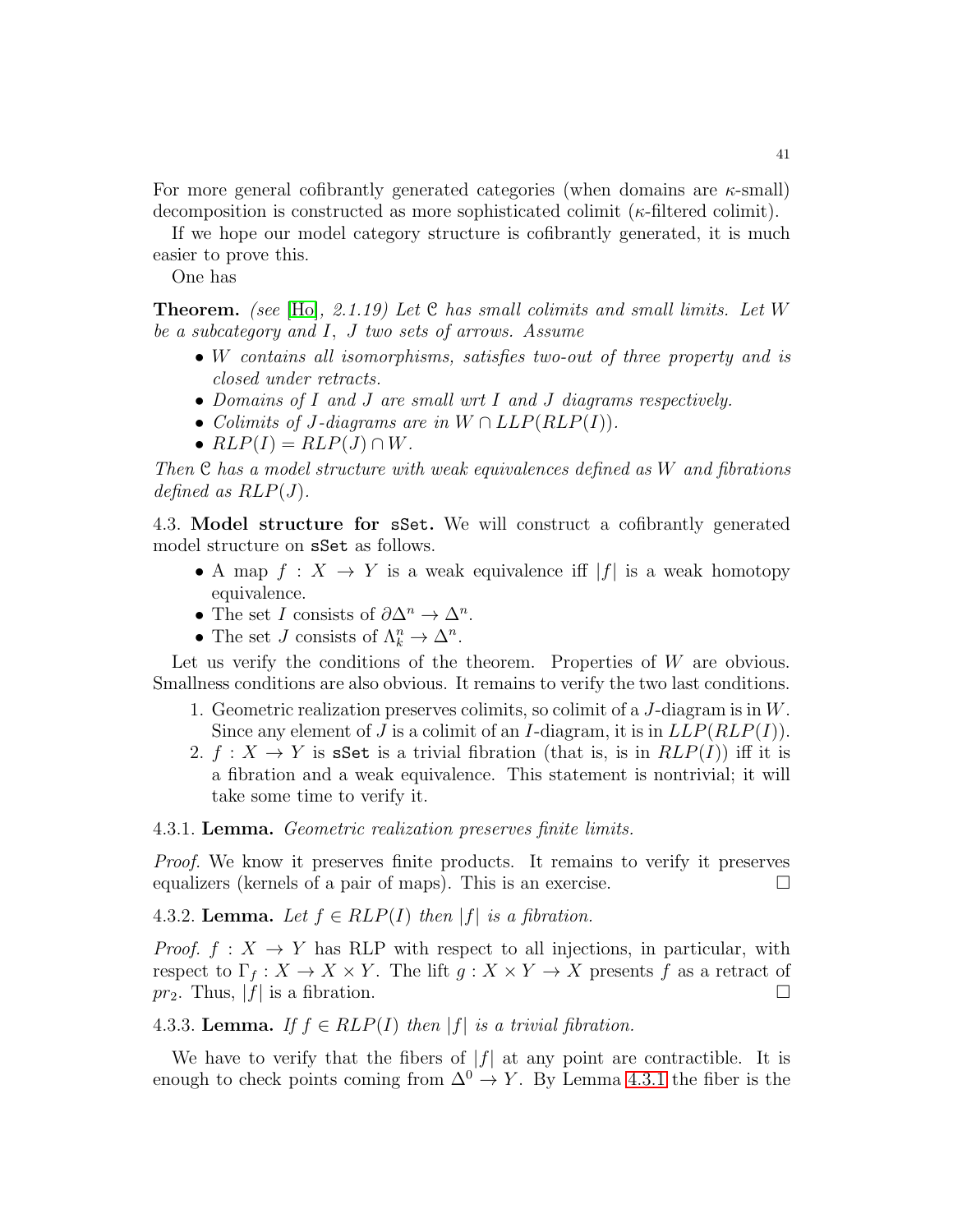For more general cofibrantly generated categories (when domains are  $\kappa$ -small) decomposition is constructed as more sophisticated colimit ( $\kappa$ -filtered colimit).

If we hope our model category structure is cofibrantly generated, it is much easier to prove this.

One has

**Theorem.** (see [\[Ho\]](#page-123-0), 2.1.19) Let C has small colimits and small limits. Let W be a subcategory and I, J two sets of arrows. Assume

- W contains all isomorphisms, satisfies two-out of three property and is closed under retracts.
- Domains of I and J are small wrt I and J diagrams respectively.
- Colimits of J-diagrams are in  $W \cap LLP(RLP(I)).$
- $RLP(I) = RLP(J) \cap W$ .

Then C has a model structure with weak equivalences defined as W and fibrations defined as  $RLP(J)$ .

4.3. Model structure for sSet. We will construct a cofibrantly generated model structure on sSet as follows.

- A map  $f: X \to Y$  is a weak equivalence if  $|f|$  is a weak homotopy equivalence.
- The set I consists of  $\partial \Delta^n \to \Delta^n$ .
- The set *J* consists of  $\Lambda_k^n \to \Delta^n$ .

Let us verify the conditions of the theorem. Properties of  $W$  are obvious. Smallness conditions are also obvious. It remains to verify the two last conditions.

- 1. Geometric realization preserves colimits, so colimit of a J-diagram is in W. Since any element of J is a colimit of an I-diagram, it is in  $LLP(RLP(I))$ .
- 2.  $f: X \to Y$  is sSet is a trivial fibration (that is, is in  $RLP(I)$ ) iff it is a fibration and a weak equivalence. This statement is nontrivial; it will take some time to verify it.

## <span id="page-40-0"></span>4.3.1. Lemma. Geometric realization preserves finite limits.

Proof. We know it preserves finite products. It remains to verify it preserves equalizers (kernels of a pair of maps). This is an exercise.  $\Box$ 

4.3.2. Lemma. Let  $f \in RLP(I)$  then  $|f|$  is a fibration.

*Proof.*  $f: X \to Y$  has RLP with respect to all injections, in particular, with respect to  $\Gamma_f: X \to X \times Y$ . The lift  $g: X \times Y \to X$  presents f as a retract of  $pr_2$ . Thus,  $|f|$  is a fibration.

# 4.3.3. Lemma. If  $f \in RLP(I)$  then  $|f|$  is a trivial fibration.

We have to verify that the fibers of  $|f|$  at any point are contractible. It is enough to check points coming from  $\Delta^0 \to Y$ . By Lemma [4.3.1](#page-40-0) the fiber is the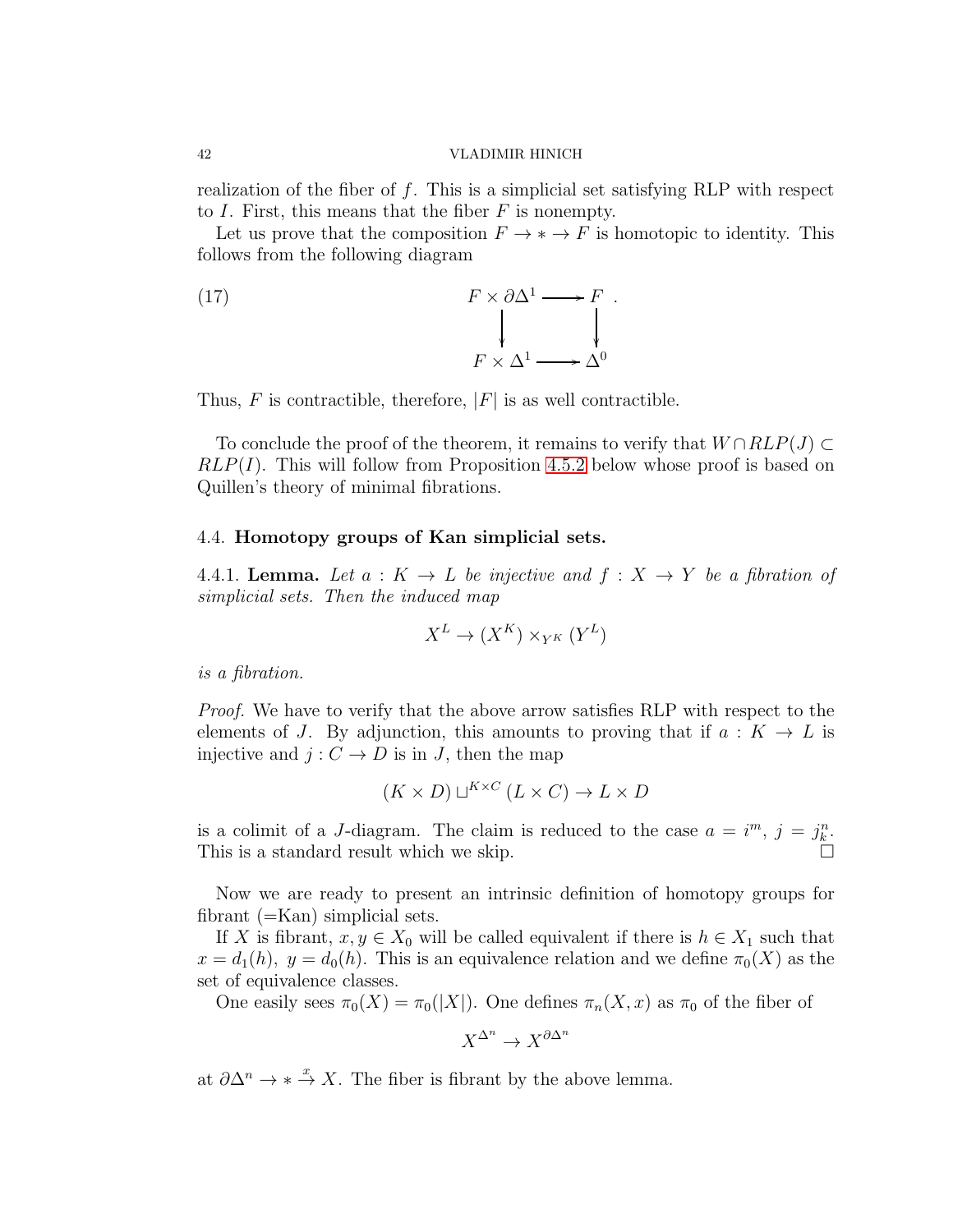realization of the fiber of  $f$ . This is a simplicial set satisfying RLP with respect to I. First, this means that the fiber  $F$  is nonempty.

Let us prove that the composition  $F \to * \to F$  is homotopic to identity. This follows from the following diagram

(17) 
$$
F \times \partial \Delta^{1} \longrightarrow F
$$

$$
\downarrow \qquad \qquad \downarrow
$$

$$
F \times \Delta^{1} \longrightarrow \Delta^{0}
$$

Thus, F is contractible, therefore,  $|F|$  is as well contractible.

To conclude the proof of the theorem, it remains to verify that  $W \cap RLP(J) \subset$  $RLP(I)$ . This will follow from Proposition [4.5.2](#page-42-0) below whose proof is based on Quillen's theory of minimal fibrations.

## 4.4. Homotopy groups of Kan simplicial sets.

4.4.1. Lemma. Let  $a: K \to L$  be injective and  $f: X \to Y$  be a fibration of simplicial sets. Then the induced map

$$
X^L \to (X^K) \times_{Y^K} (Y^L)
$$

is a fibration.

Proof. We have to verify that the above arrow satisfies RLP with respect to the elements of J. By adjunction, this amounts to proving that if  $a: K \to L$  is injective and  $j: C \to D$  is in J, then the map

$$
(K \times D) \sqcup^{K \times C} (L \times C) \to L \times D
$$

is a colimit of a J-diagram. The claim is reduced to the case  $a = i^m$ ,  $j = j_k^n$ . This is a standard result which we skip.  $\Box$ 

Now we are ready to present an intrinsic definition of homotopy groups for fibrant (=Kan) simplicial sets.

If X is fibrant,  $x, y \in X_0$  will be called equivalent if there is  $h \in X_1$  such that  $x = d_1(h)$ ,  $y = d_0(h)$ . This is an equivalence relation and we define  $\pi_0(X)$  as the set of equivalence classes.

One easily sees  $\pi_0(X) = \pi_0(|X|)$ . One defines  $\pi_n(X, x)$  as  $\pi_0$  of the fiber of

$$
X^{\Delta^n} \to X^{\partial \Delta^n}
$$

at  $\partial \Delta^n \to * \stackrel{x}{\to} X$ . The fiber is fibrant by the above lemma.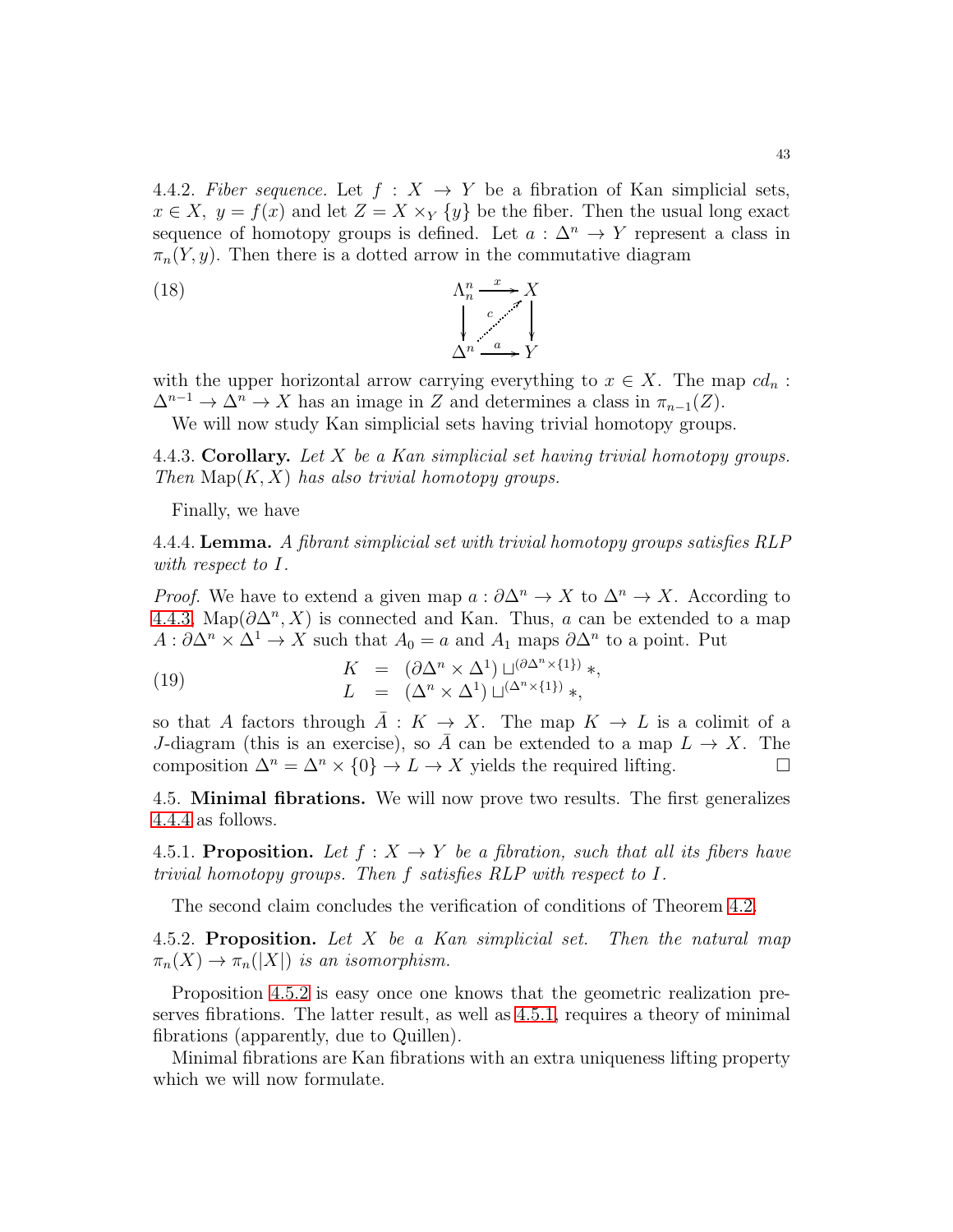4.4.2. Fiber sequence. Let  $f : X \rightarrow Y$  be a fibration of Kan simplicial sets,  $x \in X$ ,  $y = f(x)$  and let  $Z = X \times_Y \{y\}$  be the fiber. Then the usual long exact sequence of homotopy groups is defined. Let  $a : \Delta^n \to Y$  represent a class in  $\pi_n(Y, y)$ . Then there is a dotted arrow in the commutative diagram

(18) 
$$
\begin{array}{ccc}\n\Lambda_n^n \xrightarrow{x} X \\
\downarrow_{n} & \downarrow_{n} \\
\Delta^n \xrightarrow{a} Y\n\end{array}
$$

with the upper horizontal arrow carrying everything to  $x \in X$ . The map  $cd_n$ :  $\Delta^{n-1} \to \Delta^n \to X$  has an image in Z and determines a class in  $\pi_{n-1}(Z)$ .

We will now study Kan simplicial sets having trivial homotopy groups.

<span id="page-42-1"></span>4.4.3. Corollary. Let  $X$  be a Kan simplicial set having trivial homotopy groups. Then  $\text{Map}(K, X)$  has also trivial homotopy groups.

Finally, we have

<span id="page-42-2"></span>4.4.4. **Lemma.** A fibrant simplicial set with trivial homotopy groups satisfies RLP with respect to I.

*Proof.* We have to extend a given map  $a: \partial \Delta^n \to X$  to  $\Delta^n \to X$ . According to [4.4.3,](#page-42-1) Map $(\partial \Delta^n, X)$  is connected and Kan. Thus, a can be extended to a map  $A: \partial \Delta^n \times \Delta^1 \to X$  such that  $A_0 = a$  and  $A_1$  maps  $\partial \Delta^n$  to a point. Put

(19) 
$$
K = (\partial \Delta^n \times \Delta^1) \sqcup^{(\partial \Delta^n \times \{1\})} *,
$$

$$
L = (\Delta^n \times \Delta^1) \sqcup^{(\Delta^n \times \{1\})} *,
$$

so that A factors through  $\overline{A}: K \to X$ . The map  $K \to L$  is a colimit of a J-diagram (this is an exercise), so  $\overline{A}$  can be extended to a map  $L \to X$ . The composition  $\Delta^n = \Delta^n \times \{0\} \to L \to X$  yields the required lifting.

4.5. Minimal fibrations. We will now prove two results. The first generalizes [4.4.4](#page-42-2) as follows.

<span id="page-42-3"></span>4.5.1. Proposition. Let  $f: X \to Y$  be a fibration, such that all its fibers have trivial homotopy groups. Then f satisfies RLP with respect to I.

The second claim concludes the verification of conditions of Theorem [4.2.](#page-39-0)

<span id="page-42-0"></span>4.5.2. Proposition. Let  $X$  be a Kan simplicial set. Then the natural map  $\pi_n(X) \to \pi_n(|X|)$  is an isomorphism.

Proposition [4.5.2](#page-42-0) is easy once one knows that the geometric realization preserves fibrations. The latter result, as well as [4.5.1,](#page-42-3) requires a theory of minimal fibrations (apparently, due to Quillen).

Minimal fibrations are Kan fibrations with an extra uniqueness lifting property which we will now formulate.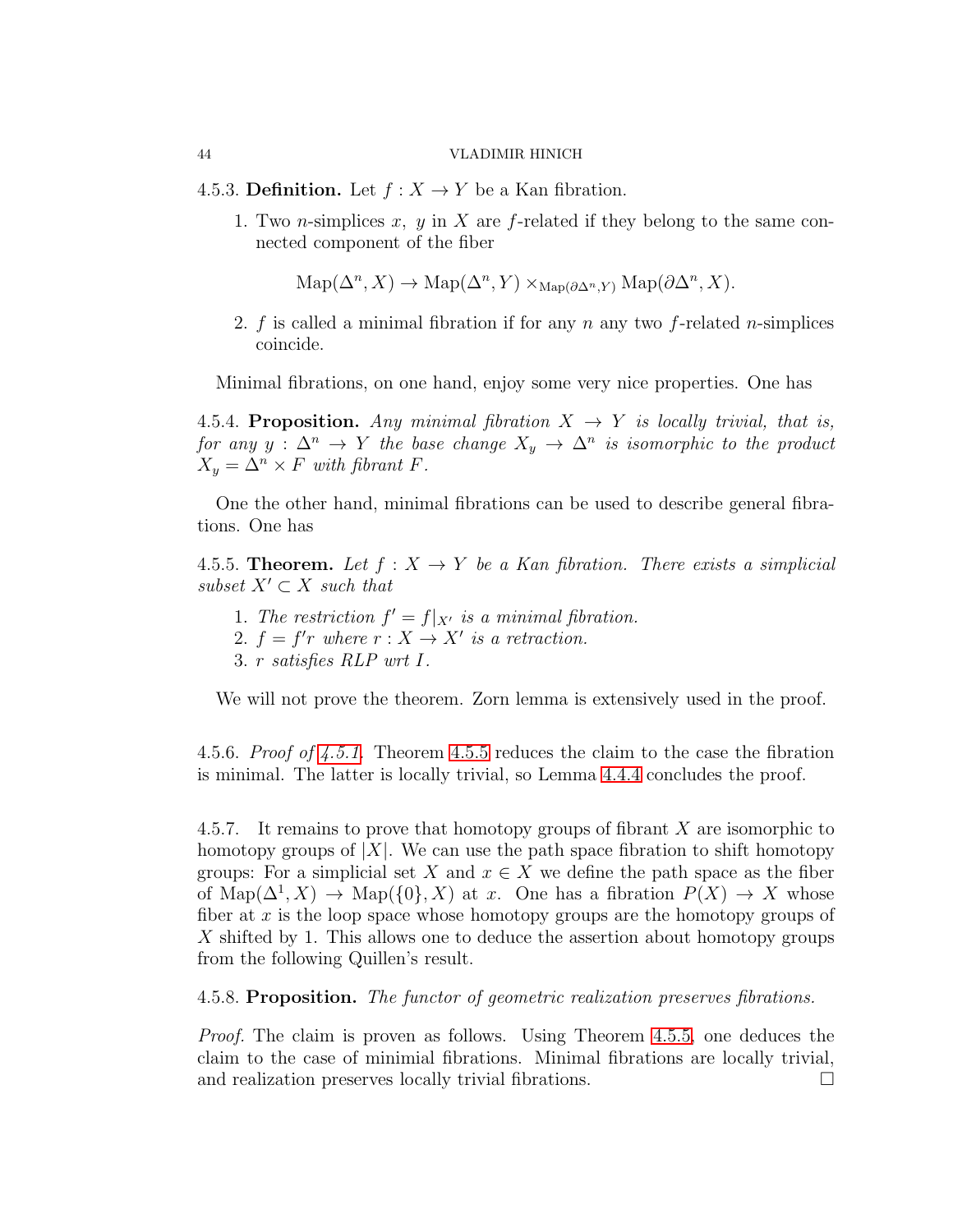4.5.3. Definition. Let  $f: X \to Y$  be a Kan fibration.

1. Two *n*-simplices x, y in X are f-related if they belong to the same connected component of the fiber

$$
\mathrm{Map}(\Delta^n, X) \to \mathrm{Map}(\Delta^n, Y) \times_{\mathrm{Map}(\partial \Delta^n, Y)} \mathrm{Map}(\partial \Delta^n, X).
$$

2. f is called a minimal fibration if for any  $n$  any two f-related *n*-simplices coincide.

Minimal fibrations, on one hand, enjoy some very nice properties. One has

4.5.4. Proposition. Any minimal fibration  $X \to Y$  is locally trivial, that is, for any  $y : \Delta^n \to Y$  the base change  $X_y \to \Delta^n$  is isomorphic to the product  $X_y = \Delta^n \times F$  with fibrant F.

One the other hand, minimal fibrations can be used to describe general fibrations. One has

<span id="page-43-0"></span>4.5.5. Theorem. Let  $f: X \to Y$  be a Kan fibration. There exists a simplicial subset  $X' \subset X$  such that

1. The restriction  $f' = f|_{X'}$  is a minimal fibration.

2.  $f = f'r$  where  $r : X \to X'$  is a retraction.

3. r satisfies RLP wrt I.

We will not prove the theorem. Zorn lemma is extensively used in the proof.

4.5.6. Proof of [4.5.1.](#page-42-3) Theorem [4.5.5](#page-43-0) reduces the claim to the case the fibration is minimal. The latter is locally trivial, so Lemma [4.4.4](#page-42-2) concludes the proof.

4.5.7. It remains to prove that homotopy groups of fibrant  $X$  are isomorphic to homotopy groups of  $|X|$ . We can use the path space fibration to shift homotopy groups: For a simplicial set X and  $x \in X$  we define the path space as the fiber of  $\text{Map}(\Delta^1, X) \to \text{Map}(\{0\}, X)$  at x. One has a fibration  $P(X) \to X$  whose fiber at  $x$  is the loop space whose homotopy groups are the homotopy groups of X shifted by 1. This allows one to deduce the assertion about homotopy groups from the following Quillen's result.

4.5.8. Proposition. The functor of geometric realization preserves fibrations.

Proof. The claim is proven as follows. Using Theorem [4.5.5,](#page-43-0) one deduces the claim to the case of minimial fibrations. Minimal fibrations are locally trivial, and realization preserves locally trivial fibrations.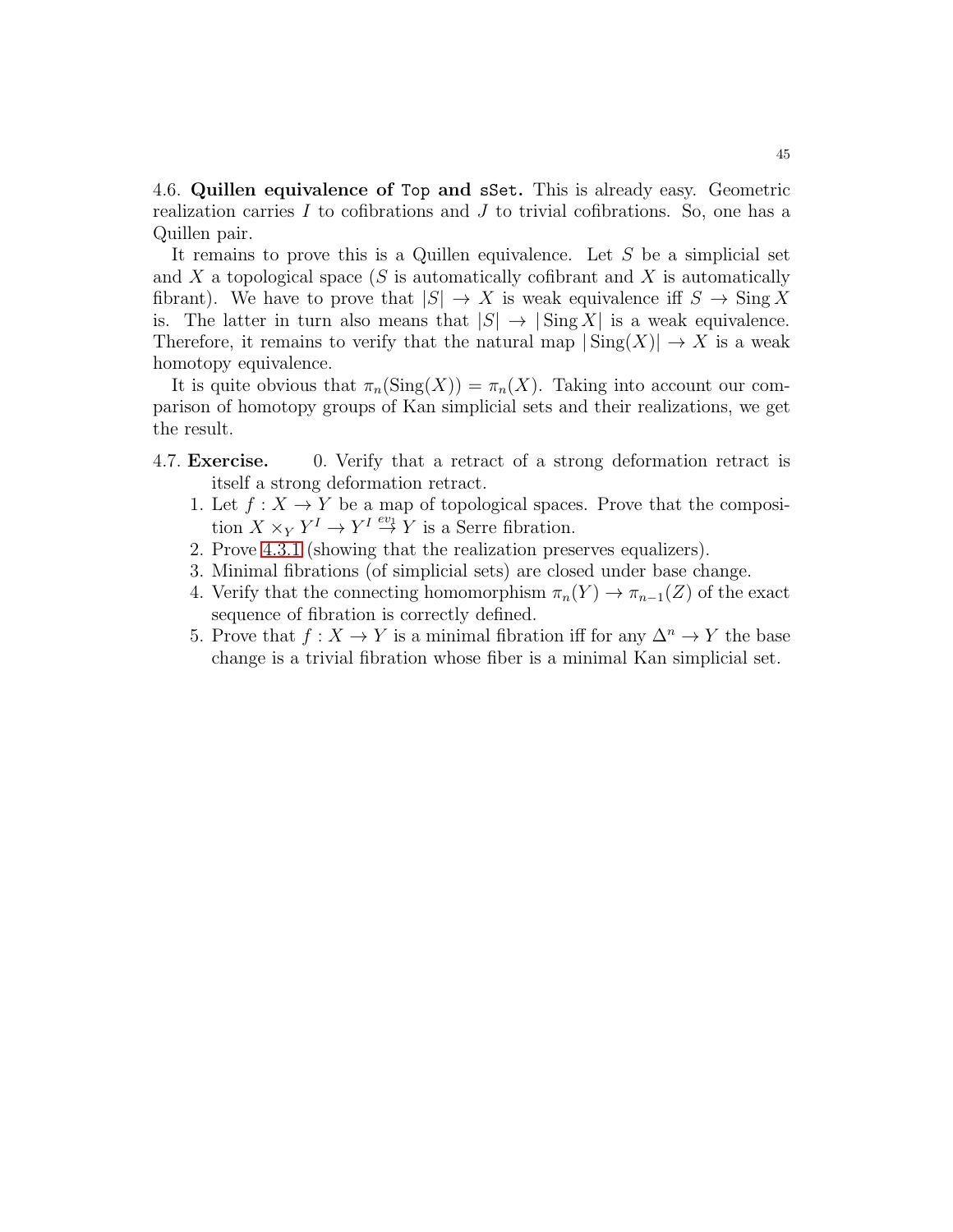4.6. Quillen equivalence of Top and sSet. This is already easy. Geometric realization carries  $I$  to cofibrations and  $J$  to trivial cofibrations. So, one has a Quillen pair.

It remains to prove this is a Quillen equivalence. Let  $S$  be a simplicial set and X a topological space  $(S$  is automatically cofibrant and X is automatically fibrant). We have to prove that  $|S| \to X$  is weak equivalence iff  $S \to \text{Sing } X$ is. The latter in turn also means that  $|S| \to |\text{Sing } X|$  is a weak equivalence. Therefore, it remains to verify that the natural map  $|\text{Sing}(X)| \to X$  is a weak homotopy equivalence.

It is quite obvious that  $\pi_n(\text{Sing}(X)) = \pi_n(X)$ . Taking into account our comparison of homotopy groups of Kan simplicial sets and their realizations, we get the result.

- 4.7. Exercise. 0. Verify that a retract of a strong deformation retract is itself a strong deformation retract.
	- 1. Let  $f: X \to Y$  be a map of topological spaces. Prove that the composition  $X \times_Y Y^I \to Y^I \stackrel{ev_1}{\to} Y$  is a Serre fibration.
	- 2. Prove [4.3.1](#page-40-0) (showing that the realization preserves equalizers).
	- 3. Minimal fibrations (of simplicial sets) are closed under base change.
	- 4. Verify that the connecting homomorphism  $\pi_n(Y) \to \pi_{n-1}(Z)$  of the exact sequence of fibration is correctly defined.
	- 5. Prove that  $f: X \to Y$  is a minimal fibration iff for any  $\Delta^n \to Y$  the base change is a trivial fibration whose fiber is a minimal Kan simplicial set.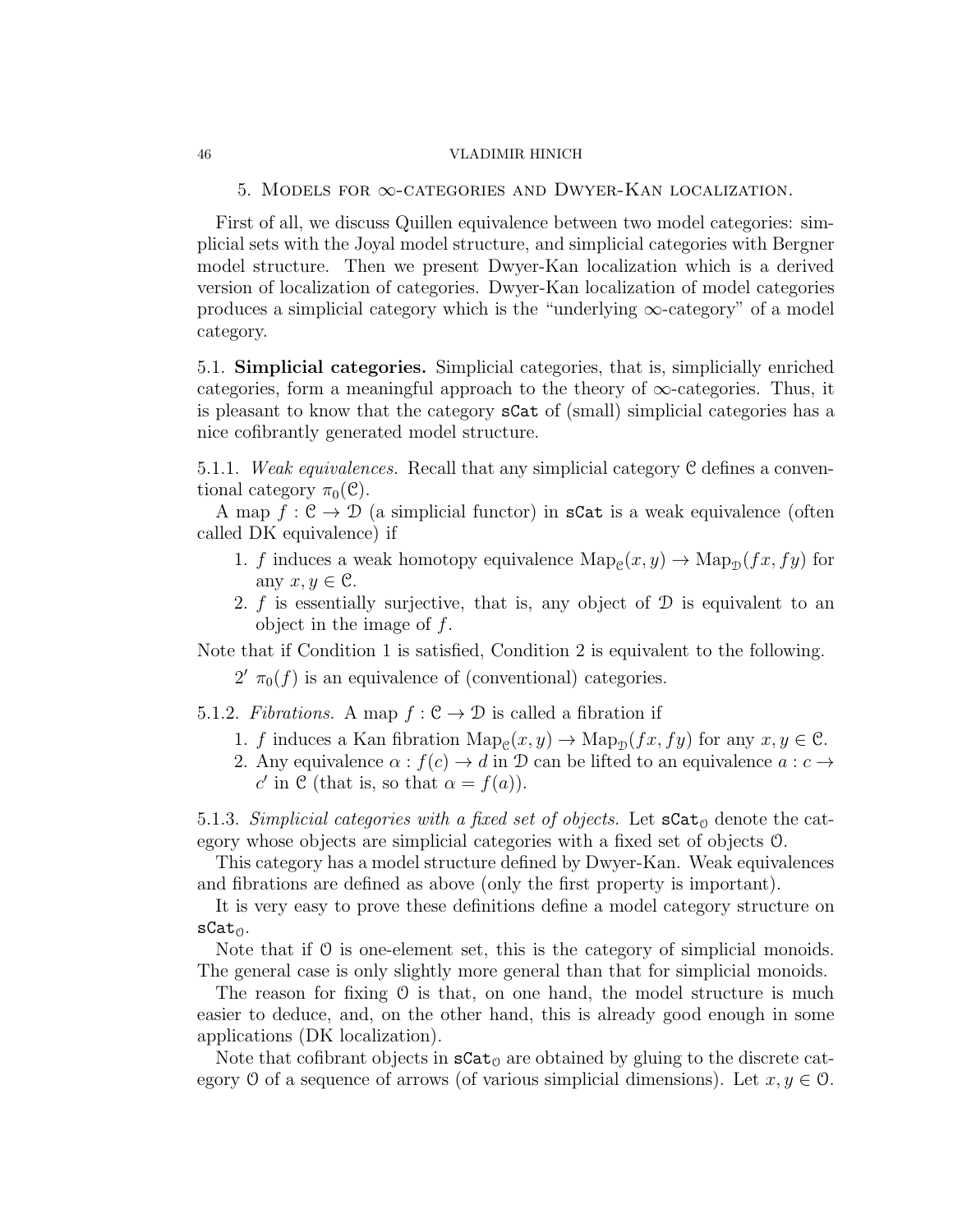5. Models for ∞-categories and Dwyer-Kan localization.

First of all, we discuss Quillen equivalence between two model categories: simplicial sets with the Joyal model structure, and simplicial categories with Bergner model structure. Then we present Dwyer-Kan localization which is a derived version of localization of categories. Dwyer-Kan localization of model categories produces a simplicial category which is the "underlying  $\infty$ -category" of a model category.

5.1. Simplicial categories. Simplicial categories, that is, simplicially enriched categories, form a meaningful approach to the theory of  $\infty$ -categories. Thus, it is pleasant to know that the category sCat of (small) simplicial categories has a nice cofibrantly generated model structure.

5.1.1. Weak equivalences. Recall that any simplicial category C defines a conventional category  $\pi_0(\mathcal{C})$ .

A map  $f: \mathcal{C} \to \mathcal{D}$  (a simplicial functor) in sCat is a weak equivalence (often called DK equivalence) if

- 1. f induces a weak homotopy equivalence  $\text{Map}_{\mathcal{C}}(x, y) \to \text{Map}_{\mathcal{D}}(fx, fy)$  for any  $x, y \in \mathcal{C}$ .
- 2. f is essentially surjective, that is, any object of  $\mathcal D$  is equivalent to an object in the image of f.

Note that if Condition 1 is satisfied, Condition 2 is equivalent to the following.

 $2'$   $\pi_0(f)$  is an equivalence of (conventional) categories.

5.1.2. Fibrations. A map  $f : \mathcal{C} \to \mathcal{D}$  is called a fibration if

- 1. f induces a Kan fibration  $\text{Map}_{\mathcal{C}}(x, y) \to \text{Map}_{\mathcal{D}}(fx, fy)$  for any  $x, y \in \mathcal{C}$ .
- 2. Any equivalence  $\alpha : f(c) \to d$  in  $\mathcal D$  can be lifted to an equivalence  $a : c \to d$ c' in C (that is, so that  $\alpha = f(a)$ ).

5.1.3. Simplicial categories with a fixed set of objects. Let  $\texttt{sCat}_{\Theta}$  denote the category whose objects are simplicial categories with a fixed set of objects O.

This category has a model structure defined by Dwyer-Kan. Weak equivalences and fibrations are defined as above (only the first property is important).

It is very easy to prove these definitions define a model category structure on  $sCat_0$ .

Note that if  $\mathcal O$  is one-element set, this is the category of simplicial monoids. The general case is only slightly more general than that for simplicial monoids.

The reason for fixing  $\theta$  is that, on one hand, the model structure is much easier to deduce, and, on the other hand, this is already good enough in some applications (DK localization).

Note that cofibrant objects in  $\texttt{sCat}_0$  are obtained by gluing to the discrete category O of a sequence of arrows (of various simplicial dimensions). Let  $x, y \in \mathcal{O}$ .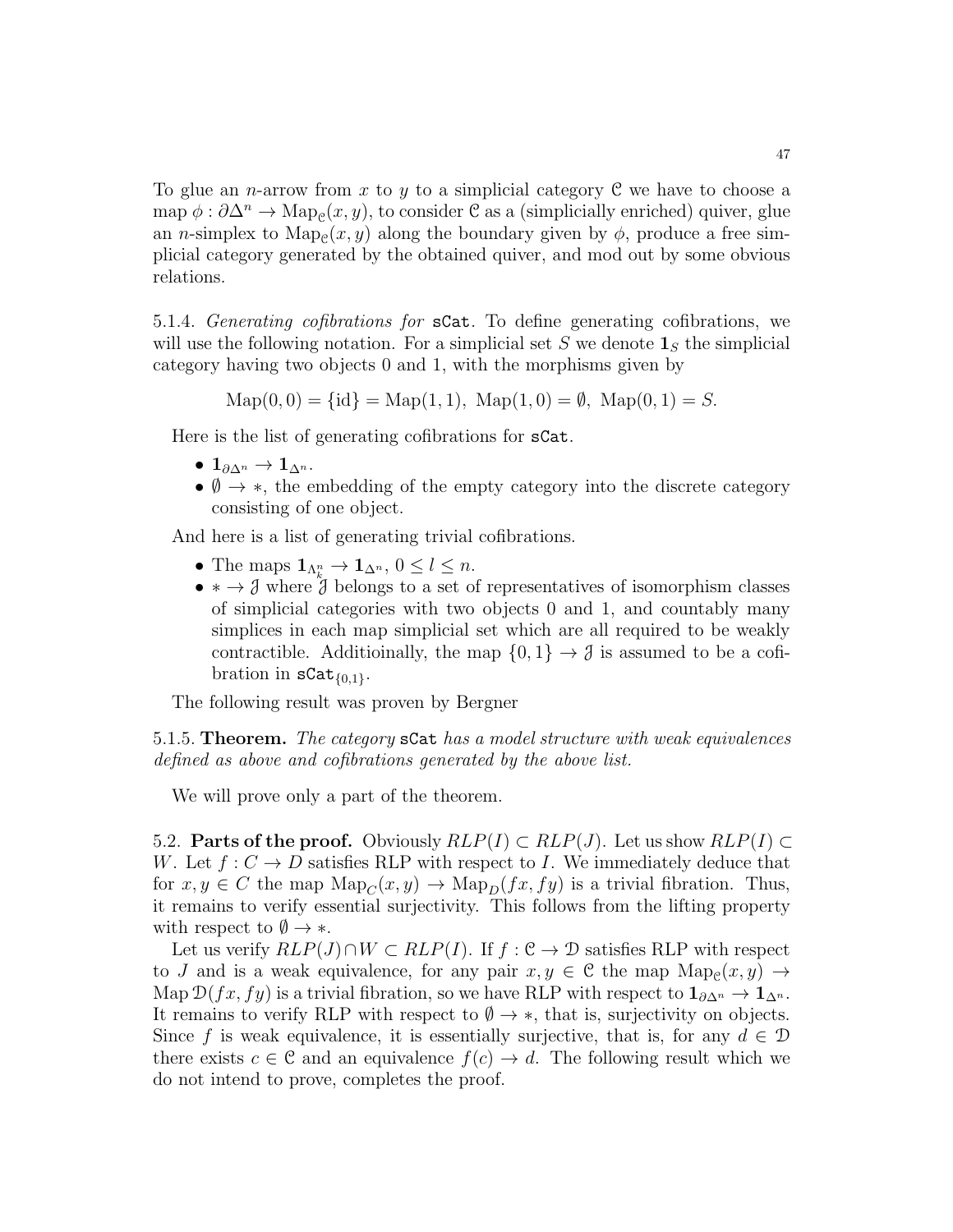To glue an *n*-arrow from x to y to a simplicial category  $C$  we have to choose a map  $\phi: \partial \Delta^n \to \text{Map}_{\mathcal{C}}(x, y)$ , to consider  $\mathcal{C}$  as a (simplicially enriched) quiver, glue an *n*-simplex to  $\text{Map}_{\mathcal{C}}(x, y)$  along the boundary given by  $\phi$ , produce a free simplicial category generated by the obtained quiver, and mod out by some obvious relations.

<span id="page-46-0"></span>5.1.4. Generating cofibrations for sCat. To define generating cofibrations, we will use the following notation. For a simplicial set S we denote  $\mathbf{1}_S$  the simplicial category having two objects 0 and 1, with the morphisms given by

 $\text{Map}(0, 0) = \{id\} = \text{Map}(1, 1), \text{Map}(1, 0) = \emptyset, \text{Map}(0, 1) = S.$ 

Here is the list of generating cofibrations for sCat.

- $1_{\partial\Delta^n}\to 1_{\Delta^n}$ .
- $\emptyset \rightarrow *$ , the embedding of the empty category into the discrete category consisting of one object.

And here is a list of generating trivial cofibrations.

- The maps  $\mathbf{1}_{\Lambda_k^n} \to \mathbf{1}_{\Delta^n}$ ,  $0 \leq l \leq n$ .
- $\rightarrow \mathcal{J}$  where  $\mathcal{J}$  belongs to a set of representatives of isomorphism classes of simplicial categories with two objects 0 and 1, and countably many simplices in each map simplicial set which are all required to be weakly contractible. Additioinally, the map  $\{0,1\} \rightarrow \emptyset$  is assumed to be a cofibration in  $\texttt{scat}_{\{0,1\}}$ .

The following result was proven by Bergner

5.1.5. Theorem. The category sCat has a model structure with weak equivalences defined as above and cofibrations generated by the above list.

We will prove only a part of the theorem.

5.2. **Parts of the proof.** Obviously  $RLP(I) \subset RLP(J)$ . Let us show  $RLP(I) \subset$ W. Let  $f: C \to D$  satisfies RLP with respect to I. We immediately deduce that for  $x, y \in C$  the map  $\text{Map}_{C}(x, y) \to \text{Map}_{D}(fx, fy)$  is a trivial fibration. Thus, it remains to verify essential surjectivity. This follows from the lifting property with respect to  $\emptyset \rightarrow *$ .

Let us verify  $RLP(J) \cap W \subset RLP(I)$ . If  $f : \mathcal{C} \to \mathcal{D}$  satisfies RLP with respect to J and is a weak equivalence, for any pair  $x, y \in \mathcal{C}$  the map  $\text{Map}_{\mathcal{C}}(x, y) \to$ Map  $\mathcal{D}(fx, fy)$  is a trivial fibration, so we have RLP with respect to  $\mathbf{1}_{\partial \Delta^n} \to \mathbf{1}_{\Delta^n}$ . It remains to verify RLP with respect to  $\emptyset \rightarrow *$ , that is, surjectivity on objects. Since f is weak equivalence, it is essentially surjective, that is, for any  $d \in \mathcal{D}$ there exists  $c \in \mathcal{C}$  and an equivalence  $f(c) \to d$ . The following result which we do not intend to prove, completes the proof.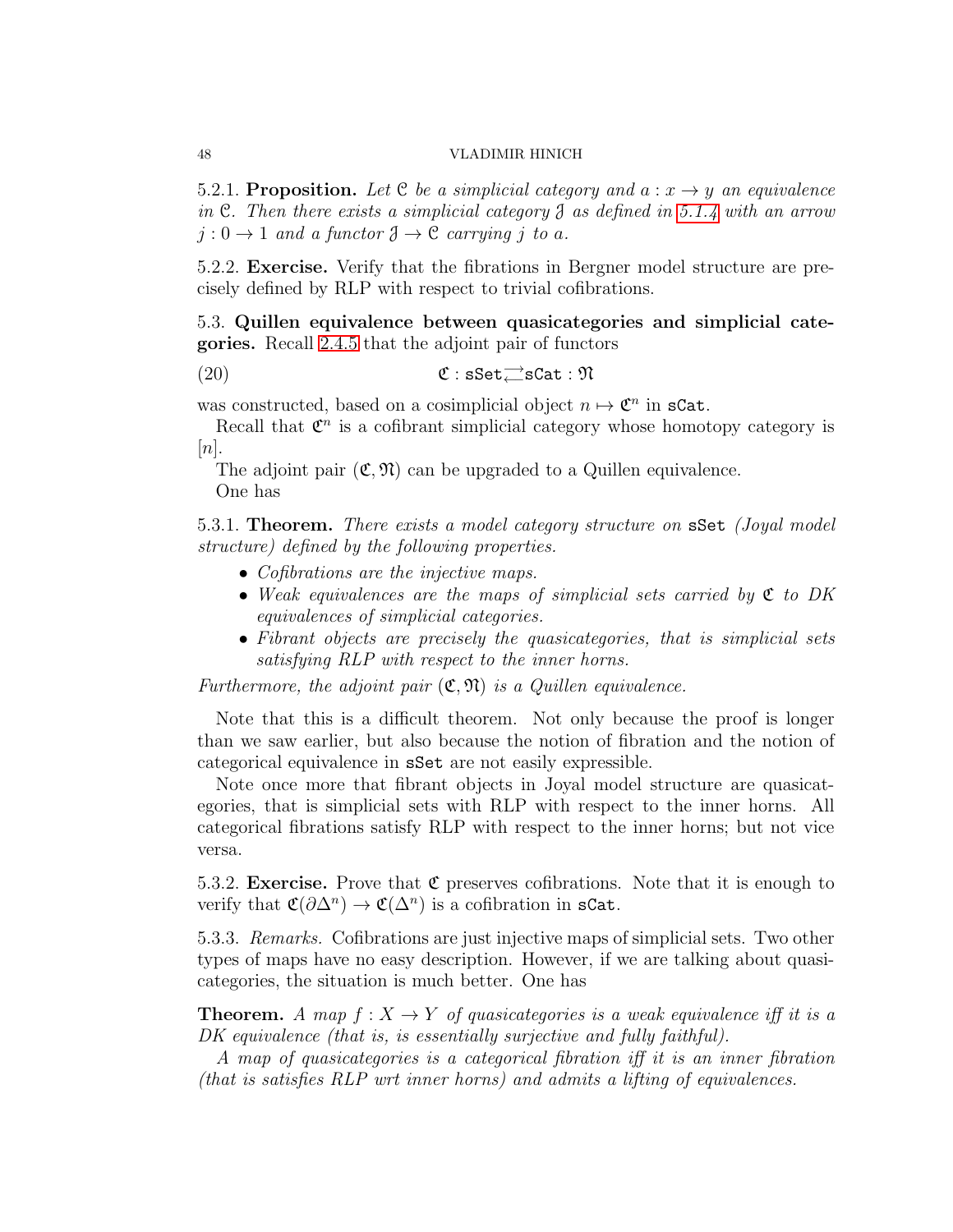5.2.1. Proposition. Let C be a simplicial category and  $a: x \rightarrow y$  an equivalence in C. Then there exists a simplicial category  $\mathcal J$  as defined in [5.1.4](#page-46-0) with an arrow  $j: 0 \to 1$  and a functor  $\mathfrak{J} \to \mathfrak{C}$  carrying i to a.

5.2.2. Exercise. Verify that the fibrations in Bergner model structure are precisely defined by RLP with respect to trivial cofibrations.

5.3. Quillen equivalence between quasicategories and simplicial categories. Recall [2.4.5](#page-21-0) that the adjoint pair of functors

(20)  $\mathfrak{C}$  : sSet $\rightleftarrows$ sCat :  $\mathfrak{N}$ 

was constructed, based on a cosimplicial object  $n \mapsto \mathfrak{C}^n$  in sCat.

Recall that  $\mathfrak{C}^n$  is a cofibrant simplicial category whose homotopy category is  $[n]$ .

The adjoint pair  $(\mathfrak{C}, \mathfrak{N})$  can be upgraded to a Quillen equivalence. One has

<span id="page-47-0"></span>5.3.1. Theorem. There exists a model category structure on sSet (Joyal model) structure) defined by the following properties.

- Cofibrations are the injective maps.
- Weak equivalences are the maps of simplicial sets carried by  $\mathfrak{C}$  to DK equivalences of simplicial categories.
- Fibrant objects are precisely the quasicategories, that is simplicial sets satisfying RLP with respect to the inner horns.

Furthermore, the adjoint pair  $(\mathfrak{C}, \mathfrak{N})$  is a Quillen equivalence.

Note that this is a difficult theorem. Not only because the proof is longer than we saw earlier, but also because the notion of fibration and the notion of categorical equivalence in sSet are not easily expressible.

Note once more that fibrant objects in Joyal model structure are quasicategories, that is simplicial sets with RLP with respect to the inner horns. All categorical fibrations satisfy RLP with respect to the inner horns; but not vice versa.

5.3.2. **Exercise.** Prove that  $\mathfrak C$  preserves cofibrations. Note that it is enough to verify that  $\mathfrak{C}(\partial \Delta^n) \to \mathfrak{C}(\Delta^n)$  is a cofibration in sCat.

5.3.3. Remarks. Cofibrations are just injective maps of simplicial sets. Two other types of maps have no easy description. However, if we are talking about quasicategories, the situation is much better. One has

**Theorem.** A map  $f: X \to Y$  of quasicategories is a weak equivalence iff it is a DK equivalence (that is, is essentially surjective and fully faithful).

A map of quasicategories is a categorical fibration iff it is an inner fibration (that is satisfies RLP wrt inner horns) and admits a lifting of equivalences.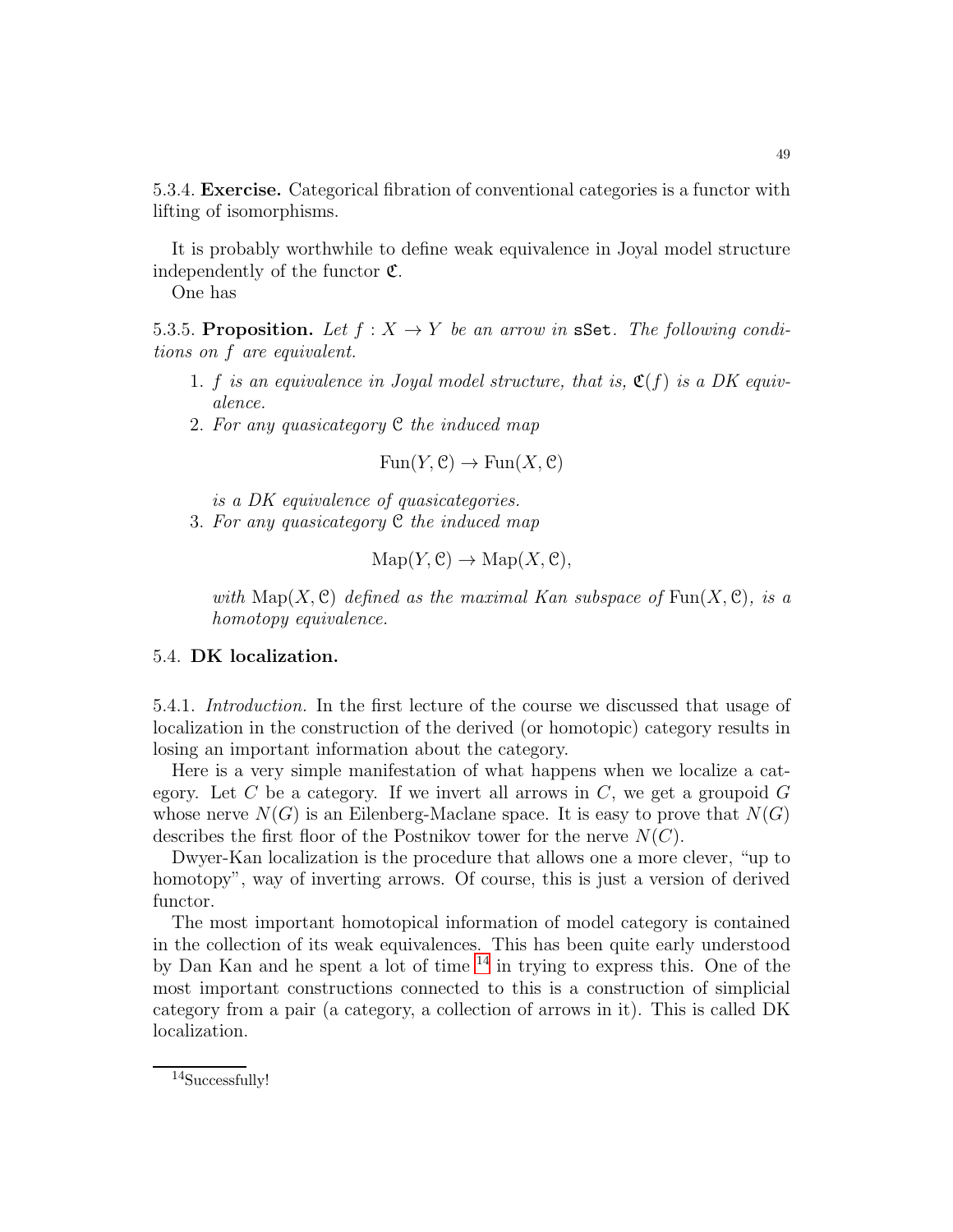5.3.4. Exercise. Categorical fibration of conventional categories is a functor with lifting of isomorphisms.

It is probably worthwhile to define weak equivalence in Joyal model structure independently of the functor  $\mathfrak{C}$ .

One has

5.3.5. Proposition. Let  $f: X \to Y$  be an arrow in sSet. The following conditions on f are equivalent.

- 1. f is an equivalence in Joyal model structure, that is,  $\mathfrak{C}(f)$  is a DK equivalence.
- 2. For any quasicategory C the induced map

 $Fun(Y, \mathcal{C}) \to Fun(X, \mathcal{C})$ 

is a DK equivalence of quasicategories.

3. For any quasicategory  $\mathfrak C$  the induced map

$$
\mathrm{Map}(Y, \mathcal{C}) \to \mathrm{Map}(X, \mathcal{C}),
$$

with  $\text{Map}(X, \mathcal{C})$  defined as the maximal Kan subspace of  $\text{Fun}(X, \mathcal{C})$ , is a homotopy equivalence.

## 5.4. DK localization.

5.4.1. Introduction. In the first lecture of the course we discussed that usage of localization in the construction of the derived (or homotopic) category results in losing an important information about the category.

Here is a very simple manifestation of what happens when we localize a category. Let C be a category. If we invert all arrows in  $C$ , we get a groupoid  $G$ whose nerve  $N(G)$  is an Eilenberg-Maclane space. It is easy to prove that  $N(G)$ describes the first floor of the Postnikov tower for the nerve  $N(C)$ .

Dwyer-Kan localization is the procedure that allows one a more clever, "up to homotopy", way of inverting arrows. Of course, this is just a version of derived functor.

The most important homotopical information of model category is contained in the collection of its weak equivalences. This has been quite early understood by Dan Kan and he spent a lot of time  $14$  in trying to express this. One of the most important constructions connected to this is a construction of simplicial category from a pair (a category, a collection of arrows in it). This is called DK localization.

<span id="page-48-0"></span> $\rm ^{14}Succesfully!$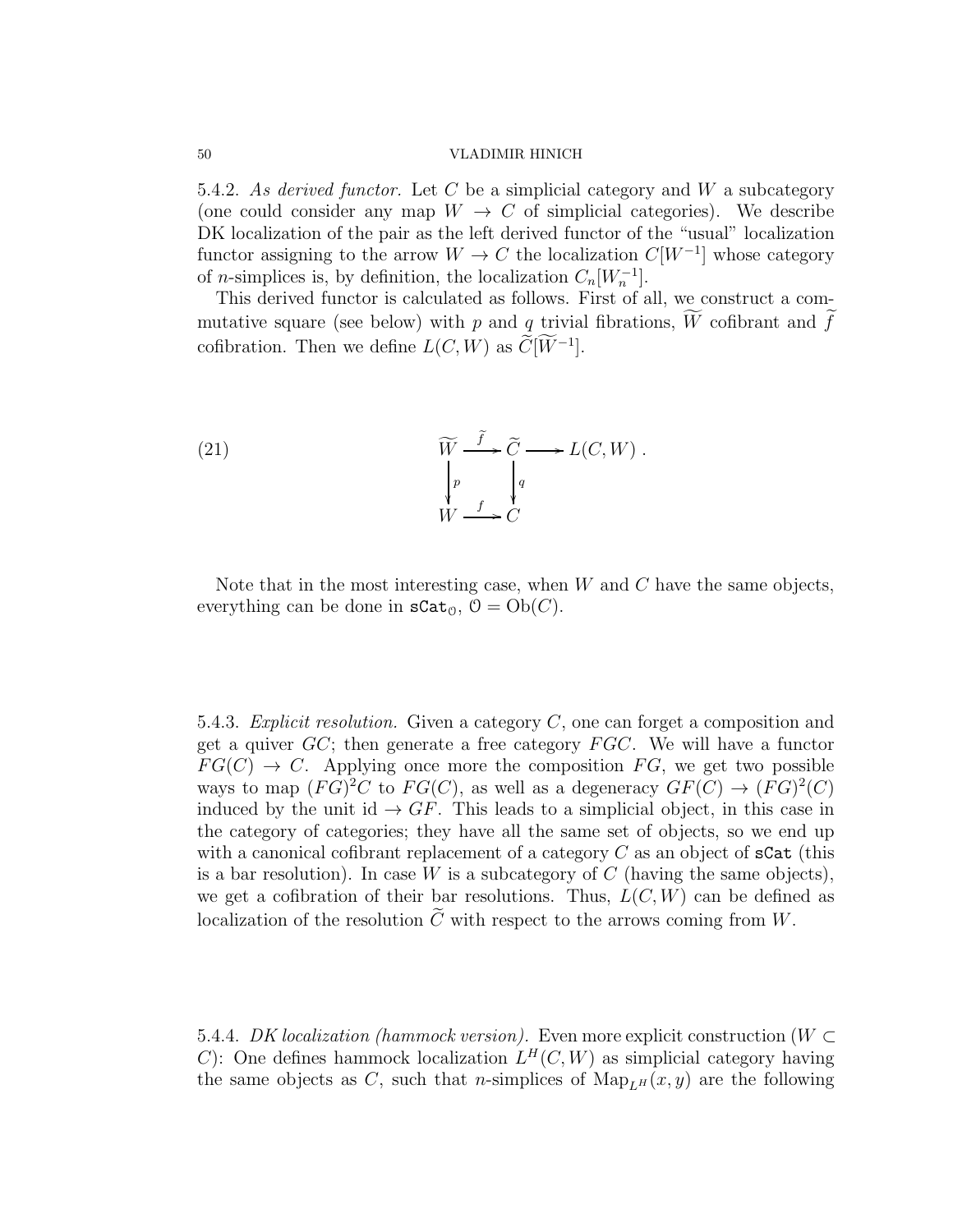5.4.2. As derived functor. Let C be a simplicial category and W a subcategory (one could consider any map  $W \to C$  of simplicial categories). We describe DK localization of the pair as the left derived functor of the "usual" localization functor assigning to the arrow  $W \to C$  the localization  $C[W^{-1}]$  whose category of *n*-simplices is, by definition, the localization  $C_n[W_n^{-1}]$ .

This derived functor is calculated as follows. First of all, we construct a commutative square (see below) with p and q trivial fibrations, W cofibrant and f cofibration. Then we define  $L(C, W)$  as  $\widetilde{C}[W^{-1}]$ .

(21) 
$$
\widetilde{W} \xrightarrow{f} \widetilde{C} \longrightarrow L(C, W) .
$$

$$
\downarrow_p \qquad \qquad \downarrow_q
$$

$$
W \xrightarrow{f} C
$$

Note that in the most interesting case, when  $W$  and  $C$  have the same objects, everything can be done in  $\texttt{sCat}_{\mathcal{O}}, \mathcal{O} = \text{Ob}(C)$ .

5.4.3. Explicit resolution. Given a category  $C$ , one can forget a composition and get a quiver  $GC$ ; then generate a free category  $FGC$ . We will have a functor  $FG(C) \rightarrow C$ . Applying once more the composition FG, we get two possible ways to map  $(FG)^2C$  to  $FG(C)$ , as well as a degeneracy  $GF(C) \rightarrow (FG)^2(C)$ induced by the unit id  $\rightarrow$  GF. This leads to a simplicial object, in this case in the category of categories; they have all the same set of objects, so we end up with a canonical cofibrant replacement of a category  $C$  as an object of  $sCat$  (this is a bar resolution). In case W is a subcategory of C (having the same objects), we get a cofibration of their bar resolutions. Thus,  $L(C, W)$  can be defined as localization of the resolution  $\tilde{C}$  with respect to the arrows coming from W.

5.4.4. DK localization (hammock version). Even more explicit construction ( $W \subset$ C): One defines hammock localization  $L^H(C, W)$  as simplicial category having the same objects as C, such that *n*-simplices of  $\text{Map}_{L^H}(x, y)$  are the following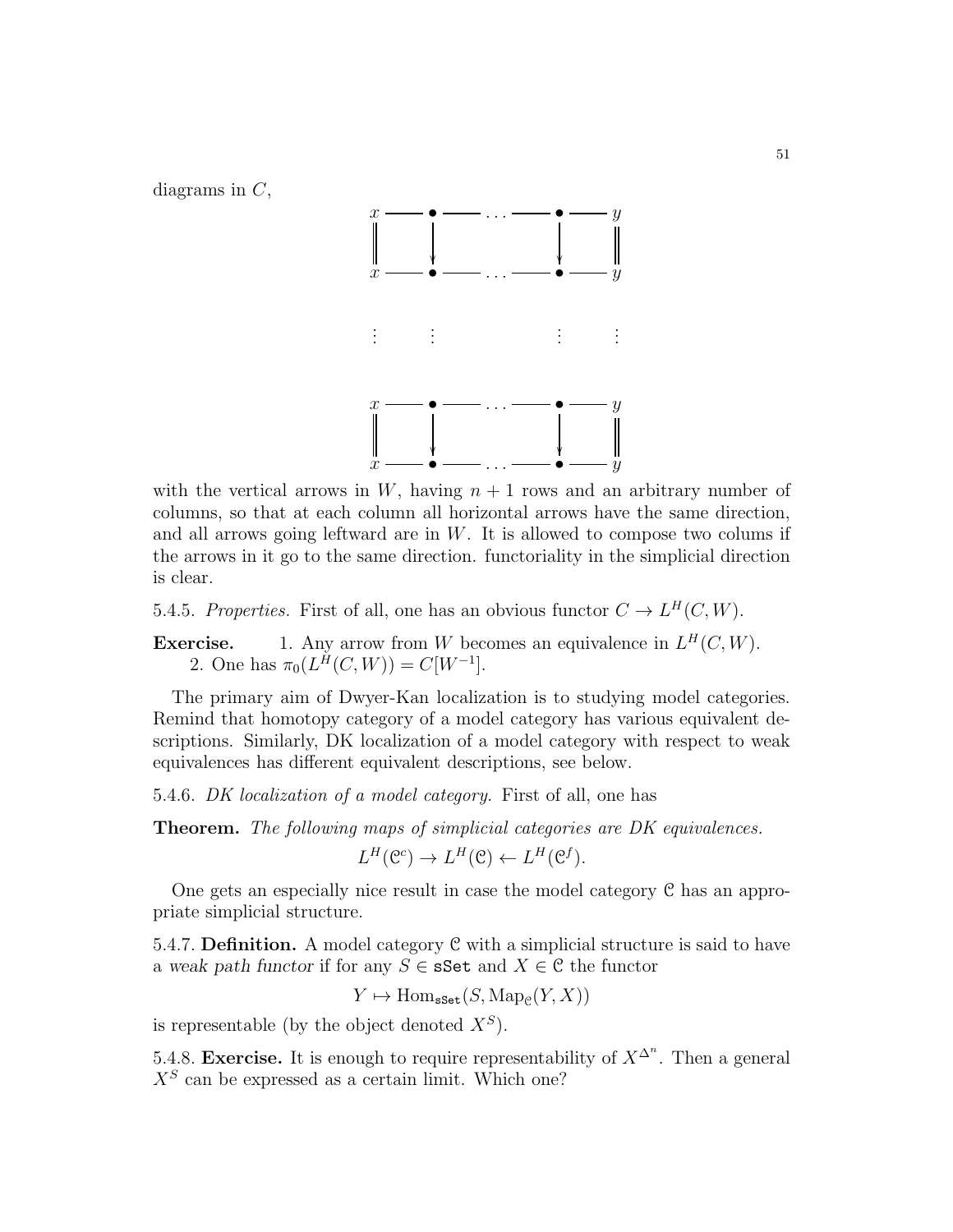diagrams in  $C$ ,



with the vertical arrows in W, having  $n + 1$  rows and an arbitrary number of columns, so that at each column all horizontal arrows have the same direction, and all arrows going leftward are in  $W$ . It is allowed to compose two colums if the arrows in it go to the same direction. functoriality in the simplicial direction is clear.

5.4.5. Properties. First of all, one has an obvious functor  $C \to L^H(C, W)$ .

**Exercise.** 1. Any arrow from W becomes an equivalence in  $L^H(C, W)$ . 2. One has  $\pi_0(L^H(C, W)) = C[W^{-1}].$ 

The primary aim of Dwyer-Kan localization is to studying model categories. Remind that homotopy category of a model category has various equivalent descriptions. Similarly, DK localization of a model category with respect to weak equivalences has different equivalent descriptions, see below.

5.4.6. DK localization of a model category. First of all, one has

Theorem. The following maps of simplicial categories are DK equivalences.

$$
L^H(\mathcal{C}^c) \to L^H(\mathcal{C}) \leftarrow L^H(\mathcal{C}^f).
$$

One gets an especially nice result in case the model category C has an appropriate simplicial structure.

5.4.7. Definition. A model category C with a simplicial structure is said to have a weak path functor if for any  $S \in \mathbf{sSet}$  and  $X \in \mathcal{C}$  the functor

 $Y \mapsto \text{Hom}_{\texttt{sset}}(S, \text{Map}_{\mathcal{C}}(Y, X))$ 

is representable (by the object denoted  $X^S$ ).

5.4.8. Exercise. It is enough to require representability of  $X^{\Delta^n}$ . Then a general  $X<sup>S</sup>$  can be expressed as a certain limit. Which one?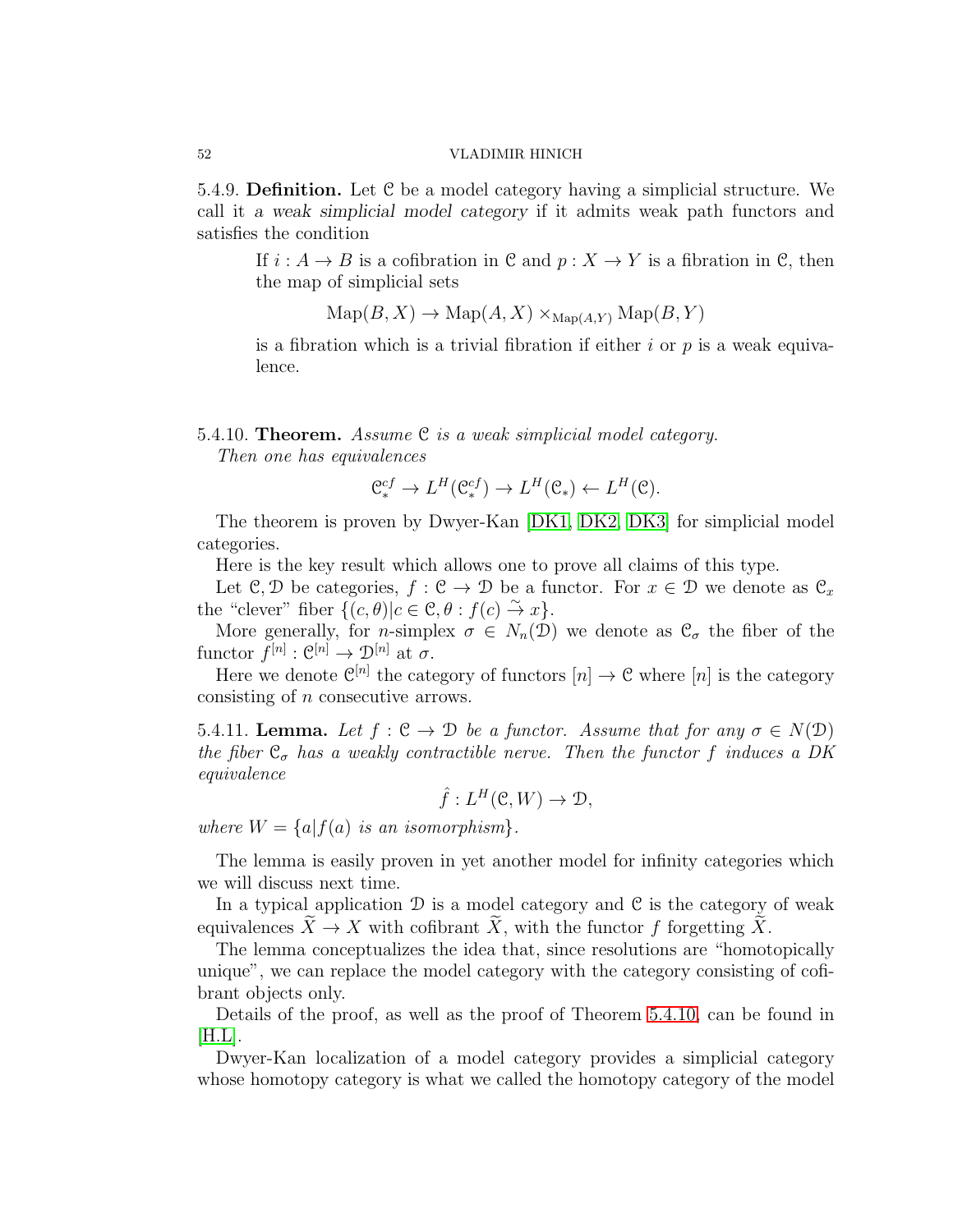5.4.9. Definition. Let C be a model category having a simplicial structure. We call it *a weak simplicial model category* if it admits weak path functors and satisfies the condition

If  $i : A \to B$  is a cofibration in C and  $p : X \to Y$  is a fibration in C, then the map of simplicial sets

$$
Map(B, X) \to Map(A, X) \times_{Map(A, Y)} Map(B, Y)
$$

is a fibration which is a trivial fibration if either  $i$  or  $p$  is a weak equivalence.

<span id="page-51-0"></span>5.4.10. **Theorem.** Assume  $C$  is a weak simplicial model category. Then one has equivalences

$$
\mathfrak{C}_{*}^{cf} \to L^{H}(\mathfrak{C}_{*}^{cf}) \to L^{H}(\mathfrak{C}_{*}) \leftarrow L^{H}(\mathfrak{C}).
$$

The theorem is proven by Dwyer-Kan [\[DK1,](#page-123-1) [DK2,](#page-123-2) [DK3\]](#page-123-3) for simplicial model categories.

Here is the key result which allows one to prove all claims of this type.

Let C, D be categories,  $f : \mathcal{C} \to \mathcal{D}$  be a functor. For  $x \in \mathcal{D}$  we denote as  $\mathcal{C}_x$ the "clever" fiber  $\{ (c, \theta) | c \in \mathcal{C}, \theta : f(c) \stackrel{\sim}{\to} x \}.$ 

More generally, for *n*-simplex  $\sigma \in N_n(\mathcal{D})$  we denote as  $\mathcal{C}_{\sigma}$  the fiber of the functor  $f^{[n]}: \mathfrak{C}^{[n]} \to \mathfrak{D}^{[n]}$  at  $\sigma$ .

Here we denote  $\mathfrak{C}^{[n]}$  the category of functors  $[n] \to \mathfrak{C}$  where  $[n]$  is the category consisting of n consecutive arrows.

5.4.11. Lemma. Let  $f : \mathcal{C} \to \mathcal{D}$  be a functor. Assume that for any  $\sigma \in N(\mathcal{D})$ the fiber  $\mathfrak{C}_{\sigma}$  has a weakly contractible nerve. Then the functor f induces a DK equivalence

$$
\hat{f}: L^H(\mathcal{C}, W) \to \mathcal{D},
$$

where  $W = \{a|f(a)$  is an isomorphism.

The lemma is easily proven in yet another model for infinity categories which we will discuss next time.

In a typical application  $\mathcal D$  is a model category and  $\mathcal C$  is the category of weak equivalences  $\widetilde{X} \to X$  with cofibrant  $\widetilde{X}$ , with the functor f forgetting  $\widetilde{X}$ .

The lemma conceptualizes the idea that, since resolutions are "homotopically unique", we can replace the model category with the category consisting of cofibrant objects only.

Details of the proof, as well as the proof of Theorem [5.4.10,](#page-51-0) can be found in  $[H.L]$ .

Dwyer-Kan localization of a model category provides a simplicial category whose homotopy category is what we called the homotopy category of the model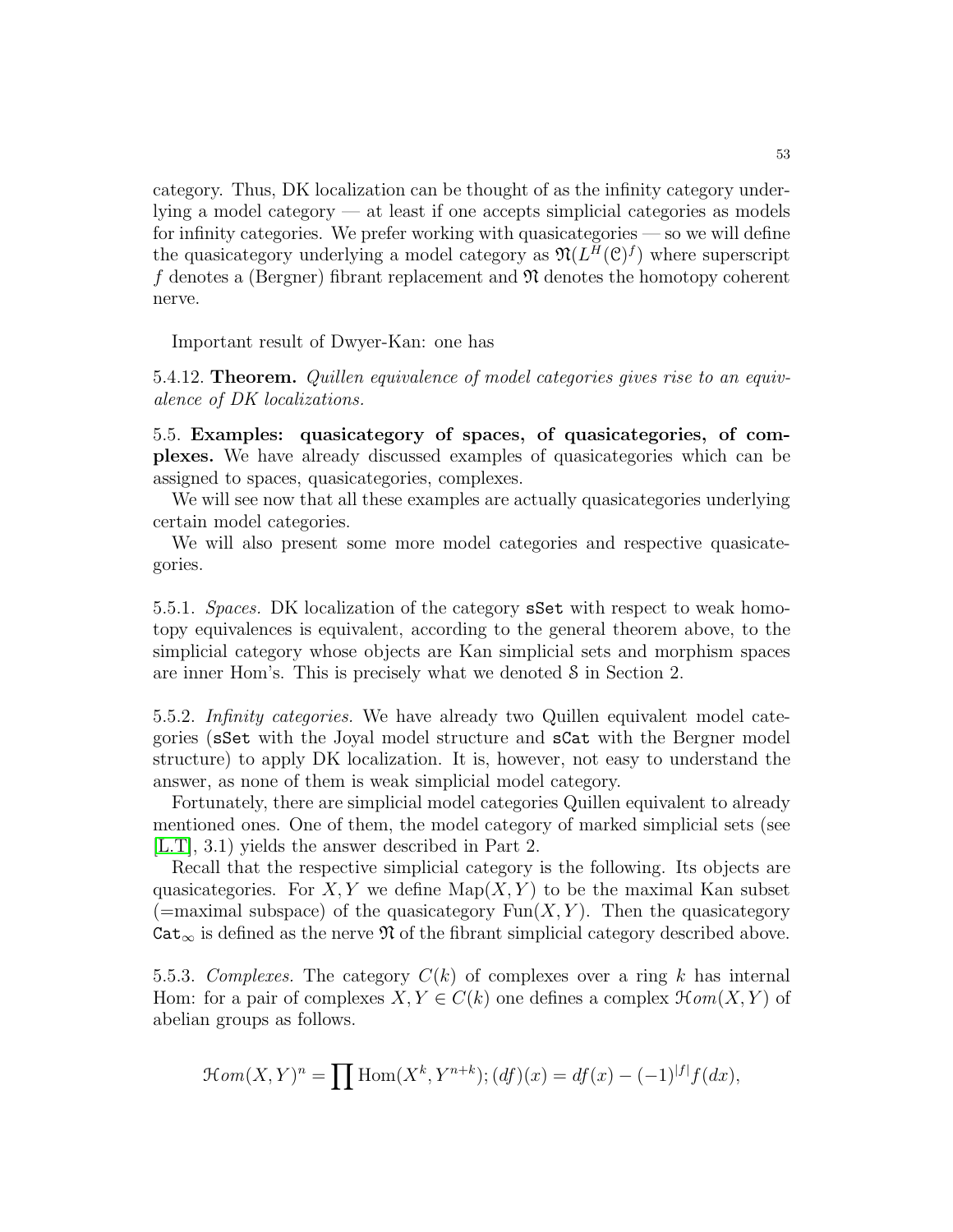category. Thus, DK localization can be thought of as the infinity category underlying a model category — at least if one accepts simplicial categories as models for infinity categories. We prefer working with quasicategories — so we will define the quasicategory underlying a model category as  $\mathfrak{N}(L^H(\mathcal{C})^f)$  where superscript f denotes a (Bergner) fibrant replacement and  $\mathfrak N$  denotes the homotopy coherent nerve.

Important result of Dwyer-Kan: one has

5.4.12. Theorem. Quillen equivalence of model categories gives rise to an equivalence of DK localizations.

5.5. Examples: quasicategory of spaces, of quasicategories, of complexes. We have already discussed examples of quasicategories which can be assigned to spaces, quasicategories, complexes.

We will see now that all these examples are actually quasicategories underlying certain model categories.

We will also present some more model categories and respective quasicategories.

5.5.1. Spaces. DK localization of the category sSet with respect to weak homotopy equivalences is equivalent, according to the general theorem above, to the simplicial category whose objects are Kan simplicial sets and morphism spaces are inner Hom's. This is precisely what we denoted S in Section 2.

5.5.2. Infinity categories. We have already two Quillen equivalent model categories (sSet with the Joyal model structure and sCat with the Bergner model structure) to apply DK localization. It is, however, not easy to understand the answer, as none of them is weak simplicial model category.

Fortunately, there are simplicial model categories Quillen equivalent to already mentioned ones. One of them, the model category of marked simplicial sets (see [\[L.T\]](#page-123-5), 3.1) yields the answer described in Part 2.

Recall that the respective simplicial category is the following. Its objects are quasicategories. For X, Y we define  $\text{Map}(X, Y)$  to be the maximal Kan subset (=maximal subspace) of the quasicategory  $\text{Fun}(X, Y)$ . Then the quasicategory  $Cat_{\infty}$  is defined as the nerve  $\mathfrak N$  of the fibrant simplicial category described above.

5.5.3. Complexes. The category  $C(k)$  of complexes over a ring k has internal Hom: for a pair of complexes  $X, Y \in C(k)$  one defines a complex  $\mathcal{H}$ *om*(*X,Y*) of abelian groups as follows.

$$
\mathcal{H}om(X,Y)^n = \prod \text{Hom}(X^k, Y^{n+k}); (df)(x) = df(x) - (-1)^{|f|} f(dx),
$$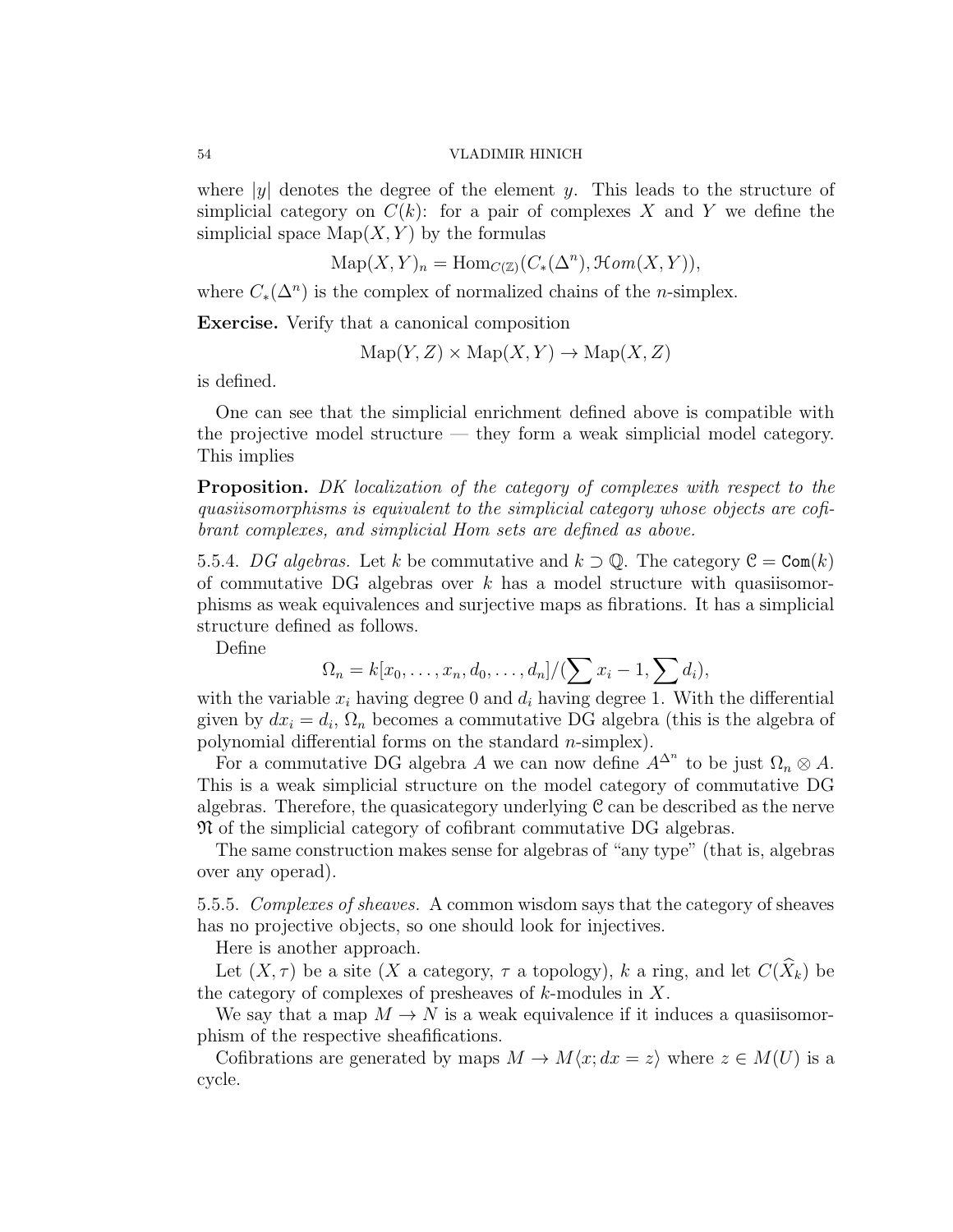where  $|y|$  denotes the degree of the element y. This leads to the structure of simplicial category on  $C(k)$ : for a pair of complexes X and Y we define the simplicial space  $\text{Map}(X, Y)$  by the formulas

$$
Map(X, Y)_n = Hom_{C(\mathbb{Z})}(C_*(\Delta^n), \mathcal{H}om(X, Y)),
$$

where  $C_*(\Delta^n)$  is the complex of normalized chains of the *n*-simplex.

Exercise. Verify that a canonical composition

 $\text{Map}(Y, Z) \times \text{Map}(X, Y) \rightarrow \text{Map}(X, Z)$ 

is defined.

One can see that the simplicial enrichment defined above is compatible with the projective model structure — they form a weak simplicial model category. This implies

Proposition. DK localization of the category of complexes with respect to the quasiisomorphisms is equivalent to the simplicial category whose objects are cofibrant complexes, and simplicial Hom sets are defined as above.

5.5.4. DG algebras. Let k be commutative and  $k \supset \mathbb{Q}$ . The category  $\mathcal{C} = \text{Com}(k)$ of commutative DG algebras over k has a model structure with quasiisomorphisms as weak equivalences and surjective maps as fibrations. It has a simplicial structure defined as follows.

Define

$$
\Omega_n = k[x_0, \ldots, x_n, d_0, \ldots, d_n]/(\sum x_i - 1, \sum d_i),
$$

with the variable  $x_i$  having degree 0 and  $d_i$  having degree 1. With the differential given by  $dx_i = d_i$ ,  $\Omega_n$  becomes a commutative DG algebra (this is the algebra of polynomial differential forms on the standard  $n$ -simplex).

For a commutative DG algebra A we can now define  $A^{\Delta^n}$  to be just  $\Omega_n \otimes A$ . This is a weak simplicial structure on the model category of commutative DG algebras. Therefore, the quasicategory underlying C can be described as the nerve N of the simplicial category of cofibrant commutative DG algebras.

The same construction makes sense for algebras of "any type" (that is, algebras over any operad).

5.5.5. Complexes of sheaves. A common wisdom says that the category of sheaves has no projective objects, so one should look for injectives.

Here is another approach.

Let  $(X, \tau)$  be a site  $(X$  a category,  $\tau$  a topology), k a ring, and let  $C(\widehat{X}_k)$  be the category of complexes of presheaves of  $k$ -modules in  $X$ .

We say that a map  $M \to N$  is a weak equivalence if it induces a quasiisomorphism of the respective sheafifications.

Cofibrations are generated by maps  $M \to M\langle x; dx = z \rangle$  where  $z \in M(U)$  is a cycle.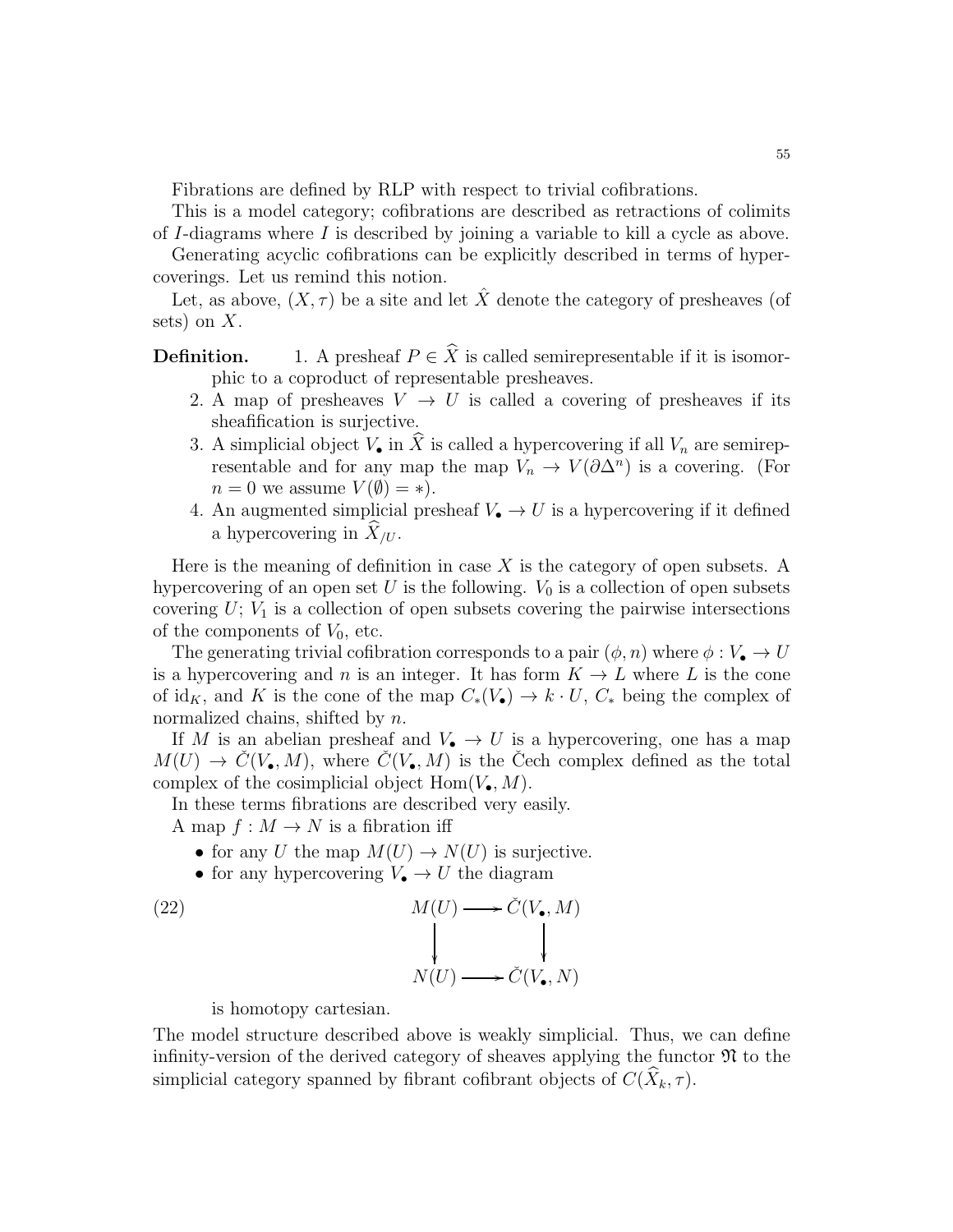Fibrations are defined by RLP with respect to trivial cofibrations.

This is a model category; cofibrations are described as retractions of colimits of I-diagrams where I is described by joining a variable to kill a cycle as above.

Generating acyclic cofibrations can be explicitly described in terms of hypercoverings. Let us remind this notion.

Let, as above,  $(X, \tau)$  be a site and let  $\hat{X}$  denote the category of presheaves (of sets) on  $X$ .

**Definition.** 1. A presheaf  $P \in \hat{X}$  is called semirepresentable if it is isomorphic to a coproduct of representable presheaves.

- 2. A map of presheaves  $V \rightarrow U$  is called a covering of presheaves if its sheafification is surjective.
- 3. A simplicial object  $V_{\bullet}$  in  $\hat{X}$  is called a hypercovering if all  $V_n$  are semirepresentable and for any map the map  $V_n \to V(\partial \Delta^n)$  is a covering. (For  $n = 0$  we assume  $V(\emptyset) = *$ ).
- 4. An augmented simplicial presheaf  $V_{\bullet} \to U$  is a hypercovering if it defined a hypercovering in  $\widehat{X}_{/U}$ .

Here is the meaning of definition in case  $X$  is the category of open subsets. A hypercovering of an open set U is the following.  $V_0$  is a collection of open subsets covering  $U$ ;  $V_1$  is a collection of open subsets covering the pairwise intersections of the components of  $V_0$ , etc.

The generating trivial cofibration corresponds to a pair  $(\phi, n)$  where  $\phi: V_{\bullet} \to U$ is a hypercovering and n is an integer. It has form  $K \to L$  where L is the cone of id<sub>K</sub>, and K is the cone of the map  $C_*(V_{\bullet}) \to k \cdot U$ ,  $C_*$  being the complex of normalized chains, shifted by n.

If M is an abelian presheaf and  $V_{\bullet} \to U$  is a hypercovering, one has a map  $M(U) \to \check{C}(V_{\bullet}, M)$ , where  $\check{C}(V_{\bullet}, M)$  is the Cech complex defined as the total complex of the cosimplicial object  $\text{Hom}(V_{\bullet}, M)$ .

In these terms fibrations are described very easily.

A map  $f: M \to N$  is a fibration iff

- for any U the map  $M(U) \to N(U)$  is surjective.
- for any hypercovering  $V_{\bullet} \to U$  the diagram

(22) 
$$
M(U) \longrightarrow \check{C}(V_{\bullet}, M)
$$

$$
\downarrow \qquad \qquad \downarrow
$$

$$
N(U) \longrightarrow \check{C}(V_{\bullet}, N)
$$

is homotopy cartesian.

The model structure described above is weakly simplicial. Thus, we can define infinity-version of the derived category of sheaves applying the functor  $\mathfrak{N}$  to the simplicial category spanned by fibrant cofibrant objects of  $C(X_k, \tau)$ .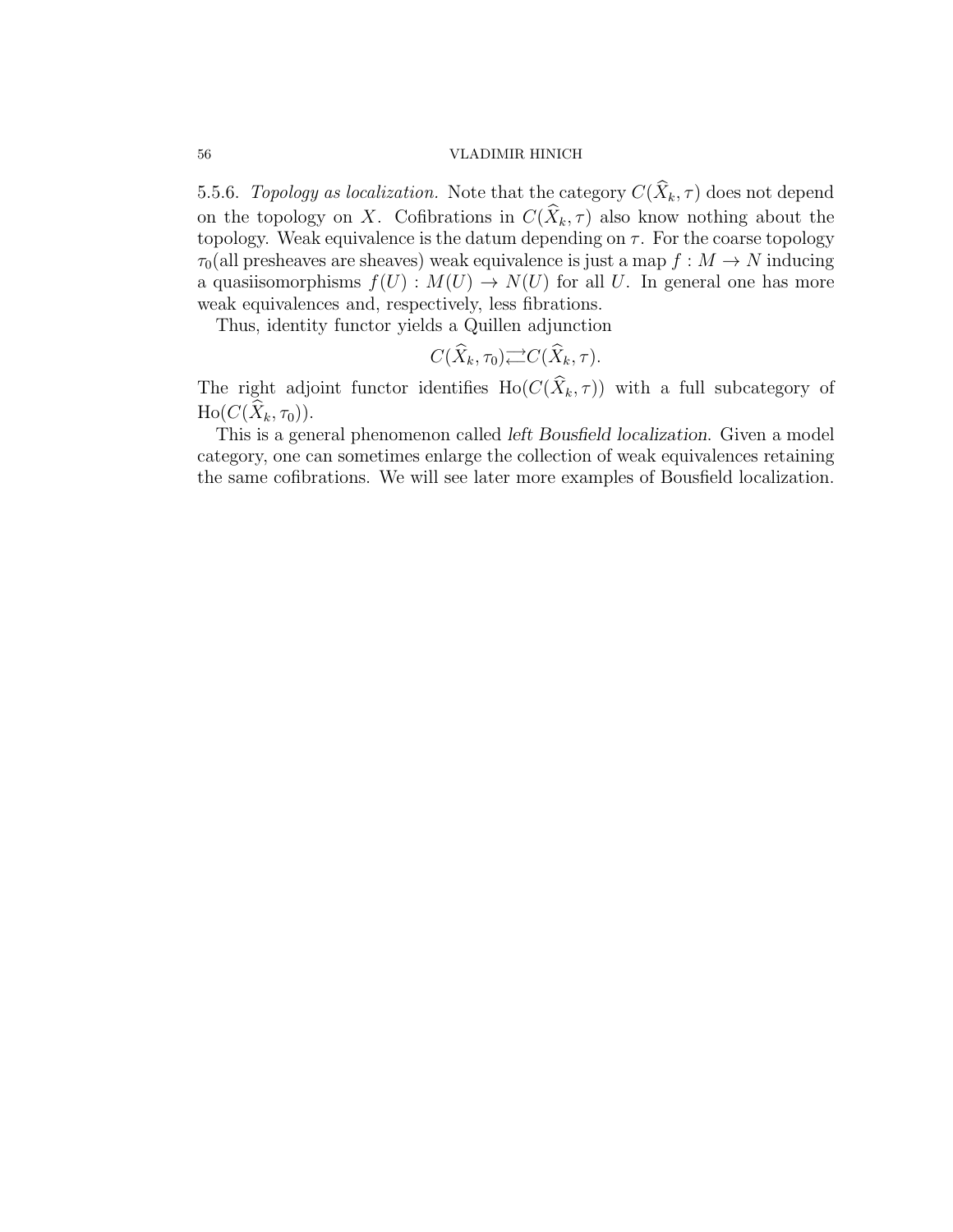5.5.6. Topology as localization. Note that the category  $C(\widehat{X}_k, \tau)$  does not depend on the topology on X. Cofibrations in  $C(\widehat{X}_k, \tau)$  also know nothing about the topology. Weak equivalence is the datum depending on  $\tau$ . For the coarse topology  $\tau_0$ (all presheaves are sheaves) weak equivalence is just a map  $f : M \to N$  inducing a quasiisomorphisms  $f(U) : M(U) \to N(U)$  for all U. In general one has more weak equivalences and, respectively, less fibrations.

Thus, identity functor yields a Quillen adjunction

$$
C(\widehat{X}_k, \tau_0) \rightleftarrows C(\widehat{X}_k, \tau).
$$

The right adjoint functor identifies Ho( $C(\widehat{X}_k, \tau)$ ) with a full subcategory of  $\text{Ho}(C(X_k, \tau_0)).$ 

This is a general phenomenon called *left Bousfield localization*. Given a model category, one can sometimes enlarge the collection of weak equivalences retaining the same cofibrations. We will see later more examples of Bousfield localization.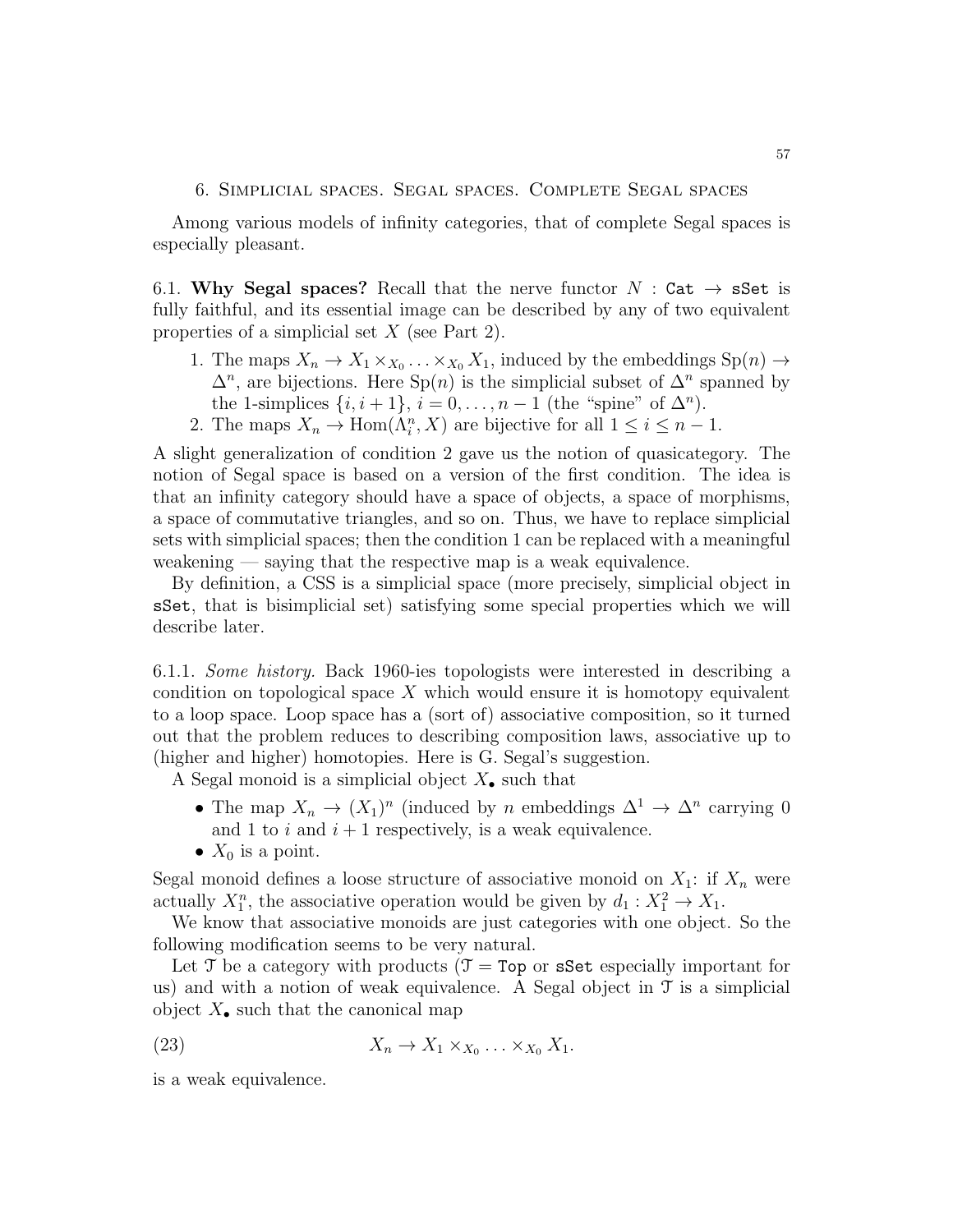### 6. Simplicial spaces. Segal spaces. Complete Segal spaces

Among various models of infinity categories, that of complete Segal spaces is especially pleasant.

6.1. Why Segal spaces? Recall that the nerve functor  $N : \mathsf{Cat} \to \mathsf{sSet}$  is fully faithful, and its essential image can be described by any of two equivalent properties of a simplicial set X (see Part 2).

- 1. The maps  $X_n \to X_1 \times_{X_0} \ldots \times_{X_0} X_1$ , induced by the embeddings  $\text{Sp}(n) \to$  $\Delta^n$ , are bijections. Here Sp(n) is the simplicial subset of  $\Delta^n$  spanned by the 1-simplices  $\{i, i+1\}$ ,  $i = 0, \ldots, n-1$  (the "spine" of  $\Delta^n$ ).
- 2. The maps  $X_n \to \text{Hom}(\Lambda_i^n, X)$  are bijective for all  $1 \leq i \leq n-1$ .

A slight generalization of condition 2 gave us the notion of quasicategory. The notion of Segal space is based on a version of the first condition. The idea is that an infinity category should have a space of objects, a space of morphisms, a space of commutative triangles, and so on. Thus, we have to replace simplicial sets with simplicial spaces; then the condition 1 can be replaced with a meaningful weakening — saying that the respective map is a weak equivalence.

By definition, a CSS is a simplicial space (more precisely, simplicial object in sSet, that is bisimplicial set) satisfying some special properties which we will describe later.

6.1.1. Some history. Back 1960-ies topologists were interested in describing a condition on topological space X which would ensure it is homotopy equivalent to a loop space. Loop space has a (sort of) associative composition, so it turned out that the problem reduces to describing composition laws, associative up to (higher and higher) homotopies. Here is G. Segal's suggestion.

A Segal monoid is a simplicial object  $X_{\bullet}$  such that

- The map  $X_n \to (X_1)^n$  (induced by n embeddings  $\Delta^1 \to \Delta^n$  carrying 0 and 1 to i and  $i + 1$  respectively, is a weak equivalence.
- $X_0$  is a point.

Segal monoid defines a loose structure of associative monoid on  $X_1$ : if  $X_n$  were actually  $X_1^n$ , the associative operation would be given by  $d_1: X_1^2 \to X_1$ .

We know that associative monoids are just categories with one object. So the following modification seems to be very natural.

Let T be a category with products ( $\mathcal{T} = \mathsf{Top}$  or sSet especially important for us) and with a notion of weak equivalence. A Segal object in  $\mathcal T$  is a simplicial object  $X_{\bullet}$  such that the canonical map

(23) 
$$
X_n \to X_1 \times_{X_0} \ldots \times_{X_0} X_1.
$$

is a weak equivalence.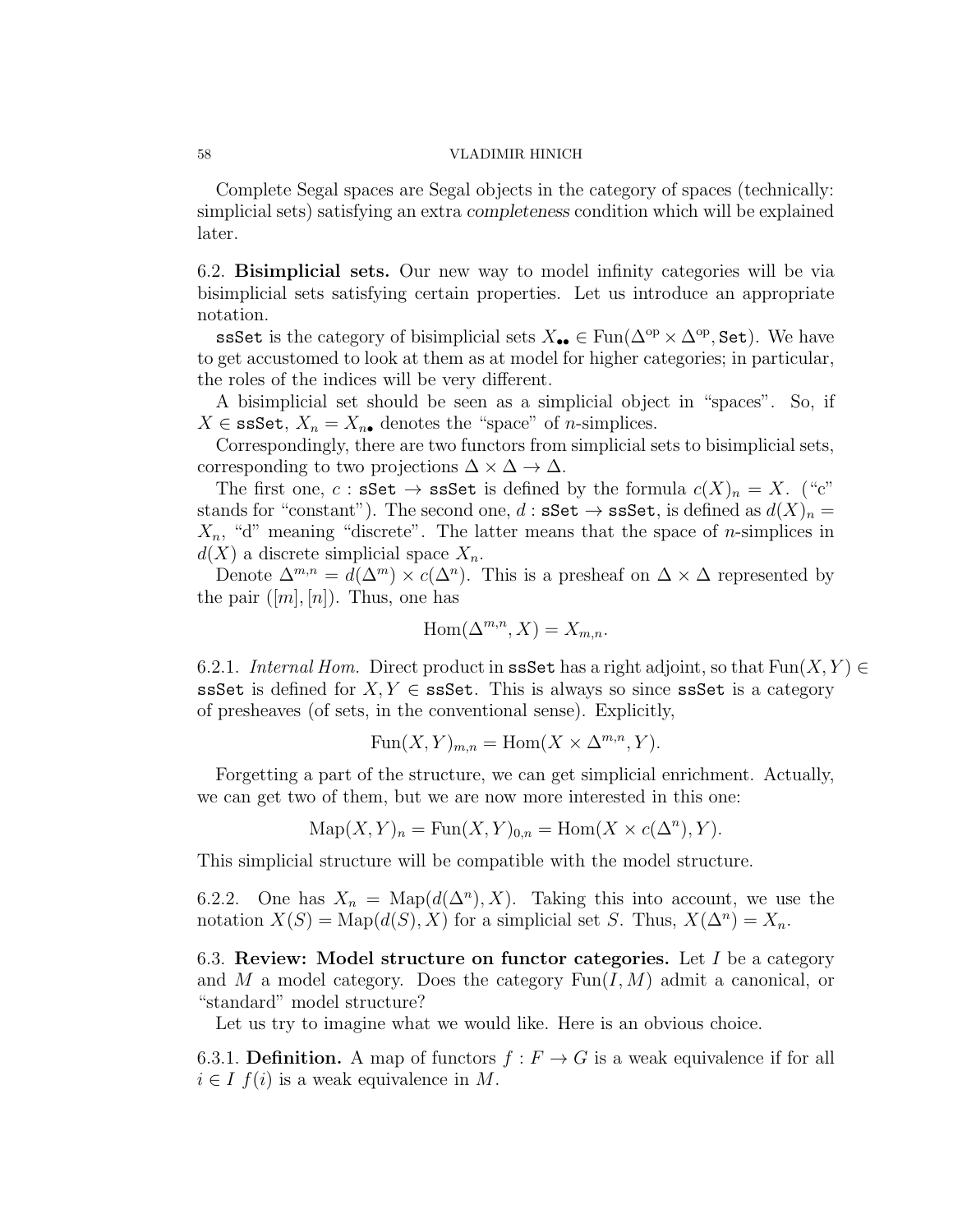Complete Segal spaces are Segal objects in the category of spaces (technically: simplicial sets) satisfying an extra *completeness* condition which will be explained later.

6.2. Bisimplicial sets. Our new way to model infinity categories will be via bisimplicial sets satisfying certain properties. Let us introduce an appropriate notation.

ssSet is the category of bisimplicial sets  $X_{\bullet\bullet} \in \text{Fun}(\Delta^{\text{op}} \times \Delta^{\text{op}}, \text{Set})$ . We have to get accustomed to look at them as at model for higher categories; in particular, the roles of the indices will be very different.

A bisimplicial set should be seen as a simplicial object in "spaces". So, if  $X \in \texttt{ssSet}, X_n = X_{n\bullet}$  denotes the "space" of *n*-simplices.

Correspondingly, there are two functors from simplicial sets to bisimplicial sets, corresponding to two projections  $\Delta \times \Delta \rightarrow \Delta$ .

The first one, c : sSet  $\rightarrow$  ssSet is defined by the formula  $c(X)_n = X$ . ("c" stands for "constant"). The second one,  $d : \mathbf{sSet} \to \mathbf{s} \mathbf{sSet}$ , is defined as  $d(X)_n =$  $X_n$ , "d" meaning "discrete". The latter means that the space of *n*-simplices in  $d(X)$  a discrete simplicial space  $X_n$ .

Denote  $\Delta^{m,n} = d(\Delta^m) \times c(\Delta^n)$ . This is a presheaf on  $\Delta \times \Delta$  represented by the pair  $([m], [n])$ . Thus, one has

$$
Hom(\Delta^{m,n}, X) = X_{m,n}.
$$

6.2.1. Internal Hom. Direct product in ssSet has a right adjoint, so that  $Fun(X, Y) \in$ ssSet is defined for  $X, Y \in$  ssSet. This is always so since ssSet is a category of presheaves (of sets, in the conventional sense). Explicitly,

$$
Fun(X,Y)_{m,n} = Hom(X \times \Delta^{m,n}, Y).
$$

Forgetting a part of the structure, we can get simplicial enrichment. Actually, we can get two of them, but we are now more interested in this one:

$$
\operatorname{Map}(X, Y)_n = \operatorname{Fun}(X, Y)_{0,n} = \operatorname{Hom}(X \times c(\Delta^n), Y).
$$

This simplicial structure will be compatible with the model structure.

6.2.2. One has  $X_n = \text{Map}(d(\Delta^n), X)$ . Taking this into account, we use the notation  $X(S) = \text{Map}(d(S), X)$  for a simplicial set S. Thus,  $X(\Delta^n) = X_n$ .

6.3. Review: Model structure on functor categories. Let  $I$  be a category and M a model category. Does the category  $Fun(I, M)$  admit a canonical, or "standard" model structure?

Let us try to imagine what we would like. Here is an obvious choice.

6.3.1. Definition. A map of functors  $f : F \to G$  is a weak equivalence if for all  $i \in I$   $f(i)$  is a weak equivalence in M.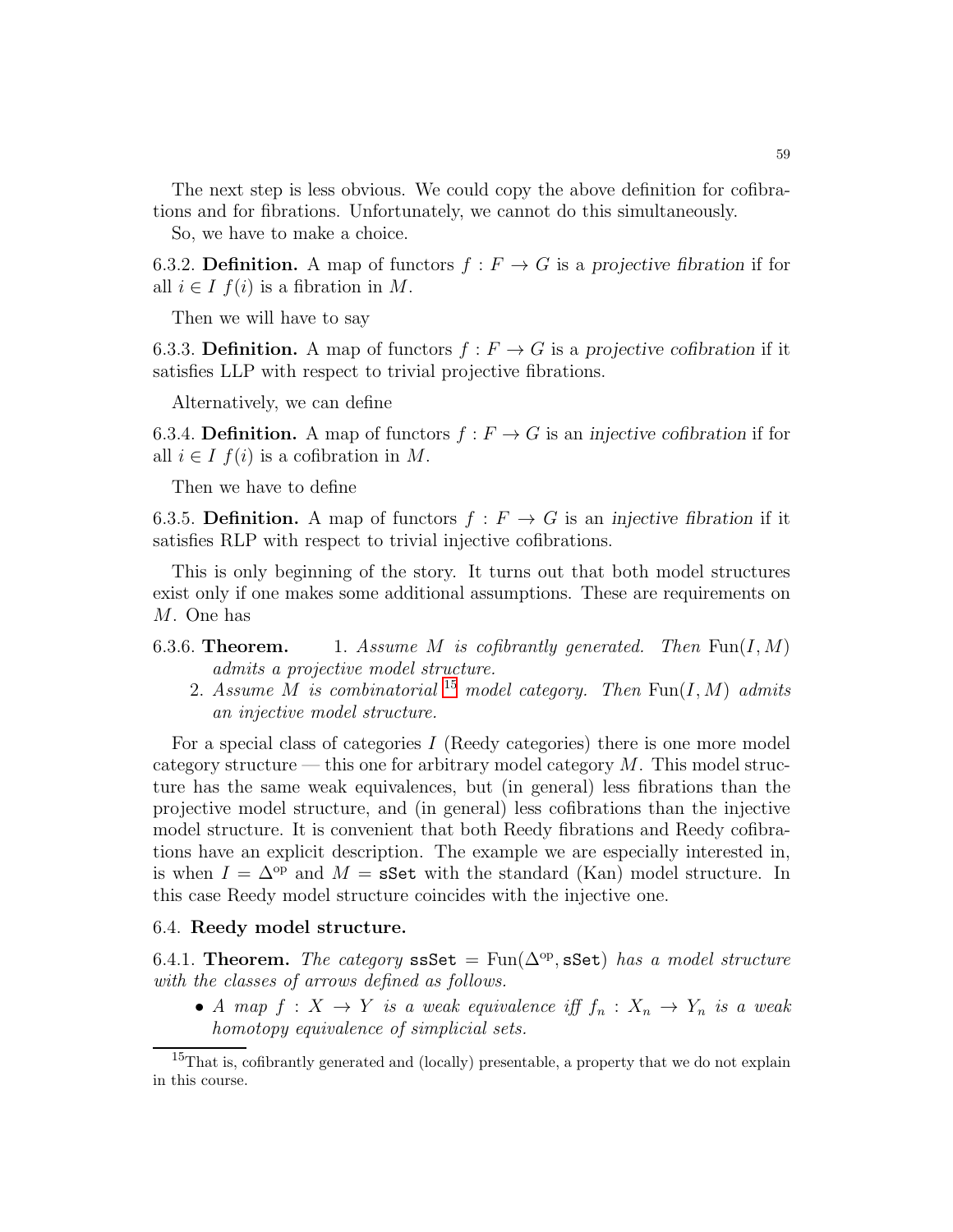The next step is less obvious. We could copy the above definition for cofibrations and for fibrations. Unfortunately, we cannot do this simultaneously.

So, we have to make a choice.

6.3.2. **Definition.** A map of functors  $f : F \to G$  is a projective fibration if for all  $i \in I$   $f(i)$  is a fibration in M.

Then we will have to say

6.3.3. **Definition.** A map of functors  $f : F \to G$  is a projective cofibration if it satisfies LLP with respect to trivial projective fibrations.

Alternatively, we can define

6.3.4. **Definition.** A map of functors  $f : F \to G$  is an *injective cofibration* if for all  $i \in I$   $f(i)$  is a cofibration in M.

Then we have to define

6.3.5. **Definition.** A map of functors  $f : F \to G$  is an *injective fibration* if it satisfies RLP with respect to trivial injective cofibrations.

This is only beginning of the story. It turns out that both model structures exist only if one makes some additional assumptions. These are requirements on M. One has

- 6.3.6. Theorem. 1. Assume M is cofibrantly generated. Then  $\text{Fun}(I, M)$ admits a projective model structure.
	- 2. Assume M is combinatorial <sup>[15](#page-58-0)</sup> model category. Then  $\text{Fun}(I, M)$  admits an injective model structure.

For a special class of categories  $I$  (Reedy categories) there is one more model category structure — this one for arbitrary model category  $M$ . This model structure has the same weak equivalences, but (in general) less fibrations than the projective model structure, and (in general) less cofibrations than the injective model structure. It is convenient that both Reedy fibrations and Reedy cofibrations have an explicit description. The example we are especially interested in, is when  $I = \Delta^{op}$  and  $M = s$ Set with the standard (Kan) model structure. In this case Reedy model structure coincides with the injective one.

### 6.4. Reedy model structure.

6.4.1. Theorem. The category ssSet =  $Fun(\Delta^{\rm op},\operatorname{\sf sSet})$  has a model structure with the classes of arrows defined as follows.

• A map  $f: X \to Y$  is a weak equivalence iff  $f_n: X_n \to Y_n$  is a weak homotopy equivalence of simplicial sets.

<span id="page-58-0"></span><sup>&</sup>lt;sup>15</sup>That is, cofibrantly generated and (locally) presentable, a property that we do not explain in this course.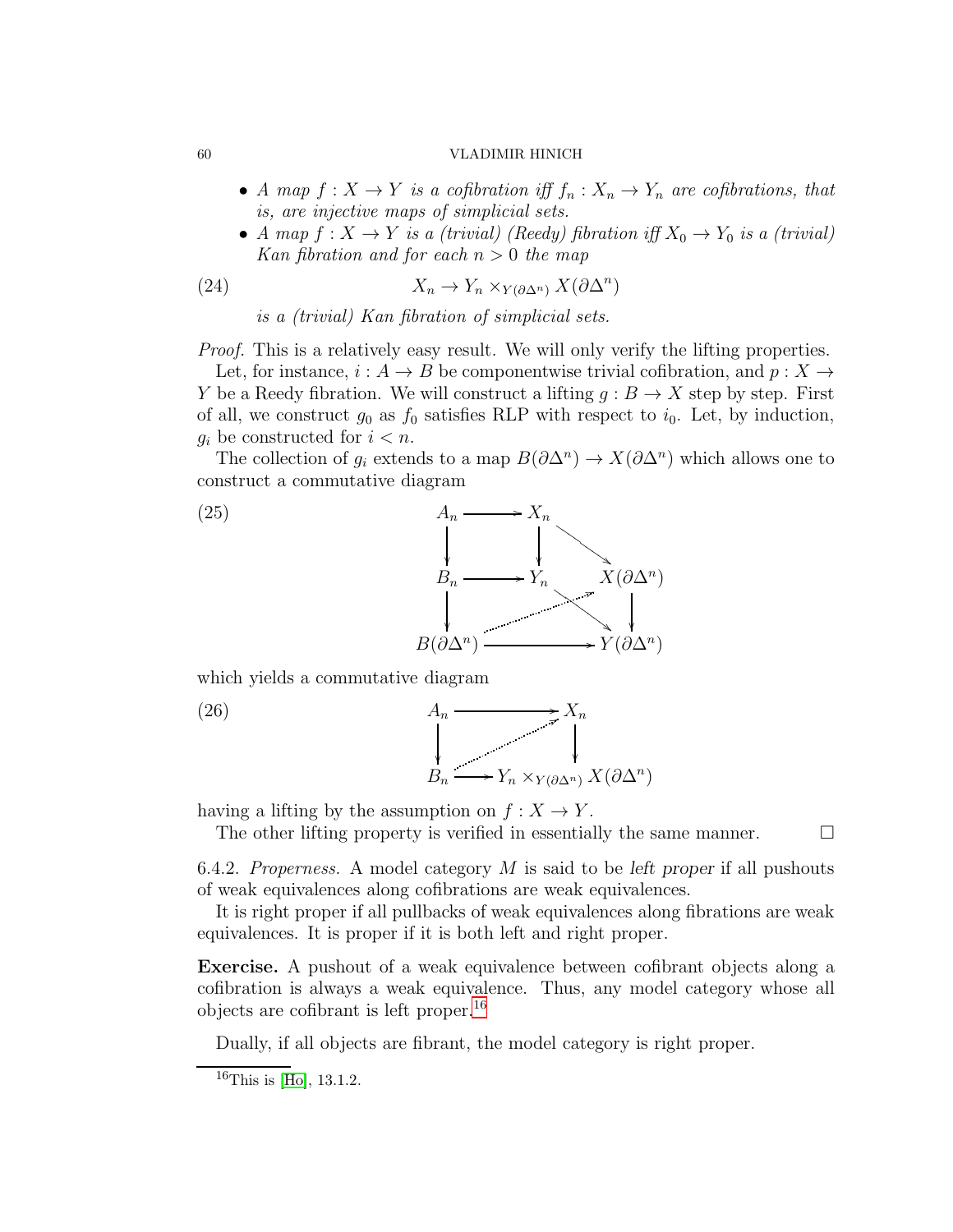- A map  $f: X \to Y$  is a cofibration iff  $f_n: X_n \to Y_n$  are cofibrations, that is, are injective maps of simplicial sets.
- A map  $f: X \to Y$  is a (trivial) (Reedy) fibration iff  $X_0 \to Y_0$  is a (trivial) Kan fibration and for each  $n > 0$  the map

(24) 
$$
X_n \to Y_n \times_{Y(\partial \Delta^n)} X(\partial \Delta^n)
$$

is a (trivial) Kan fibration of simplicial sets.

Proof. This is a relatively easy result. We will only verify the lifting properties.

Let, for instance,  $i : A \to B$  be componentwise trivial cofibration, and  $p : X \to$ Y be a Reedy fibration. We will construct a lifting  $q : B \to X$  step by step. First of all, we construct  $g_0$  as  $f_0$  satisfies RLP with respect to  $i_0$ . Let, by induction,  $g_i$  be constructed for  $i < n$ .

The collection of  $g_i$  extends to a map  $B(\partial \Delta^n) \to X(\partial \Delta^n)$  which allows one to construct a commutative diagram



which yields a commutative diagram

$$
A_n \xrightarrow{\qquad \qquad } X_n
$$
  

$$
B_n \xrightarrow{\qquad \qquad } Y_n \times_{Y(\partial \Delta^n)} X(\partial \Delta^n)
$$

having a lifting by the assumption on  $f: X \to Y$ .

The other lifting property is verified in essentially the same manner.  $\Box$ 

<span id="page-59-1"></span>6.4.2. Properness. A model category M is said to be *left proper* if all pushouts of weak equivalences along cofibrations are weak equivalences.

It is right proper if all pullbacks of weak equivalences along fibrations are weak equivalences. It is proper if it is both left and right proper.

Exercise. A pushout of a weak equivalence between cofibrant objects along a cofibration is always a weak equivalence. Thus, any model category whose all objects are cofibrant is left proper.[16](#page-59-0)

Dually, if all objects are fibrant, the model category is right proper.

 $(26)$ 

<span id="page-59-0"></span> $16$ This is [\[Ho\]](#page-123-0), 13.1.2.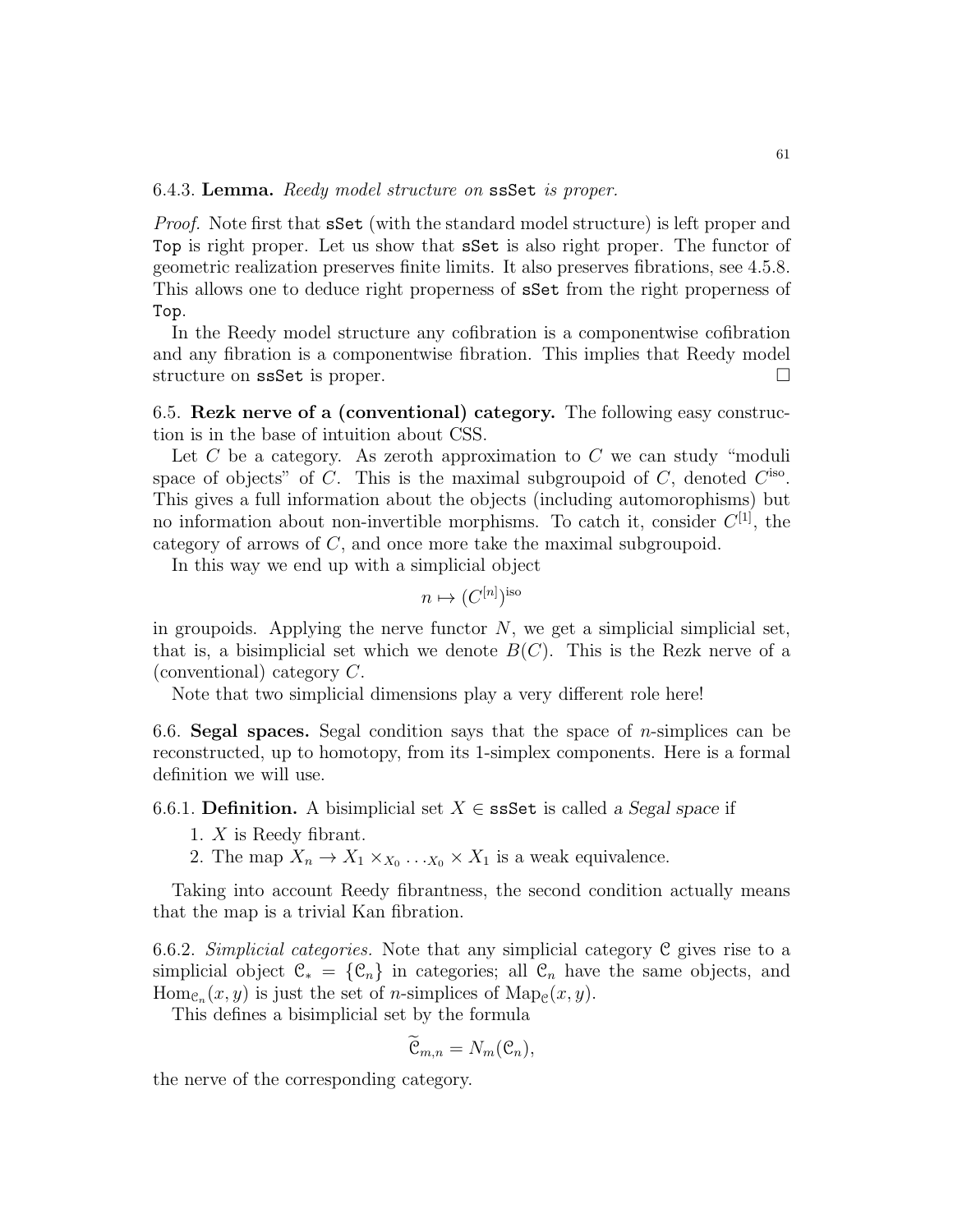6.4.3. Lemma. Reedy model structure on ssSet is proper.

Proof. Note first that sSet (with the standard model structure) is left proper and Top is right proper. Let us show that sSet is also right proper. The functor of geometric realization preserves finite limits. It also preserves fibrations, see 4.5.8. This allows one to deduce right properness of sSet from the right properness of Top.

In the Reedy model structure any cofibration is a componentwise cofibration and any fibration is a componentwise fibration. This implies that Reedy model structure on ssSet is proper.

6.5. Rezk nerve of a (conventional) category. The following easy construction is in the base of intuition about CSS.

Let  $C$  be a category. As zeroth approximation to  $C$  we can study "moduli space of objects" of  $C$ . This is the maximal subgroupoid of  $C$ , denoted  $C^{\text{iso}}$ . This gives a full information about the objects (including automorophisms) but no information about non-invertible morphisms. To catch it, consider  $C^{[1]}$ , the category of arrows of C, and once more take the maximal subgroupoid.

In this way we end up with a simplicial object

$$
n \mapsto (C^{[n]})^{\text{iso}}
$$

in groupoids. Applying the nerve functor  $N$ , we get a simplicial simplicial set, that is, a bisimplicial set which we denote  $B(C)$ . This is the Rezk nerve of a (conventional) category C.

Note that two simplicial dimensions play a very different role here!

6.6. Segal spaces. Segal condition says that the space of *n*-simplices can be reconstructed, up to homotopy, from its 1-simplex components. Here is a formal definition we will use.

6.6.1. **Definition.** A bisimplicial set  $X \in \text{ssSet}$  is called a Segal space if

- 1. X is Reedy fibrant.
- 2. The map  $X_n \to X_1 \times_{X_0} \ldots_{X_0} \times X_1$  is a weak equivalence.

Taking into account Reedy fibrantness, the second condition actually means that the map is a trivial Kan fibration.

<span id="page-60-0"></span>6.6.2. Simplicial categories. Note that any simplicial category  $\mathfrak C$  gives rise to a simplicial object  $\mathcal{C}_* = \{ \mathcal{C}_n \}$  in categories; all  $\mathcal{C}_n$  have the same objects, and  $\text{Hom}_{\mathcal{C}_n}(x, y)$  is just the set of *n*-simplices of  $\text{Map}_{\mathcal{C}}(x, y)$ .

This defines a bisimplicial set by the formula

$$
\widetilde{\mathfrak{C}}_{m,n}=N_m(\mathfrak{C}_n),
$$

the nerve of the corresponding category.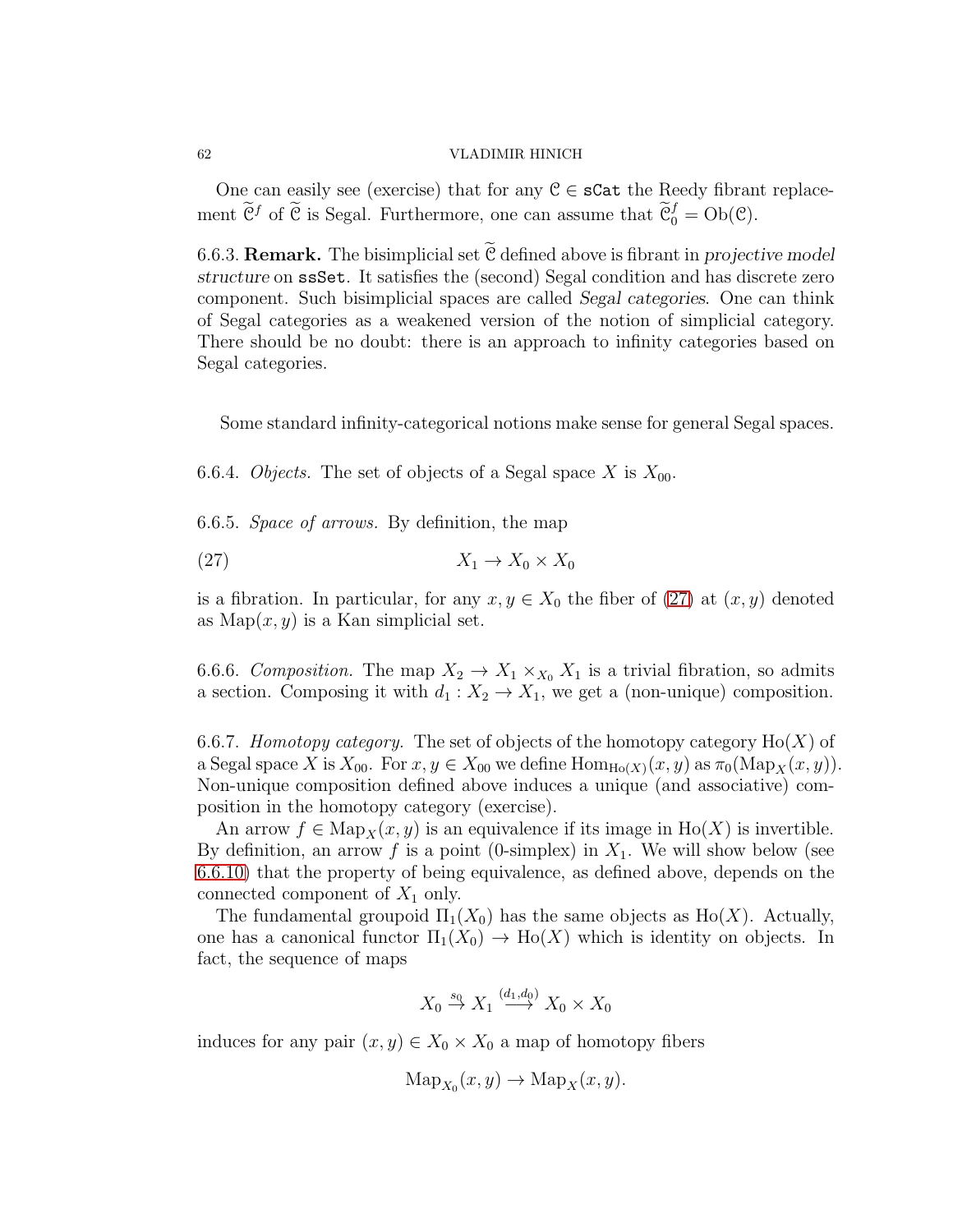One can easily see (exercise) that for any  $C \in \mathbf{c}$  at the Reedy fibrant replacement  $\tilde{\mathcal{C}}^f$  of  $\tilde{\mathcal{C}}$  is Segal. Furthermore, one can assume that  $\tilde{\mathcal{C}}_0^f = Ob(\mathcal{C})$ .

6.6.3. **Remark.** The bisimplicial set  $\widetilde{C}$  defined above is fibrant in *projective model structure* on ssSet. It satisfies the (second) Segal condition and has discrete zero component. Such bisimplicial spaces are called *Segal categories*. One can think of Segal categories as a weakened version of the notion of simplicial category. There should be no doubt: there is an approach to infinity categories based on Segal categories.

Some standard infinity-categorical notions make sense for general Segal spaces.

6.6.4. Objects. The set of objects of a Segal space X is  $X_{00}$ .

6.6.5. Space of arrows. By definition, the map

<span id="page-61-0"></span>
$$
(27) \t\t X_1 \to X_0 \times X_0
$$

is a fibration. In particular, for any  $x, y \in X_0$  the fiber of [\(27\)](#page-61-0) at  $(x, y)$  denoted as  $Map(x, y)$  is a Kan simplicial set.

6.6.6. Composition. The map  $X_2 \to X_1 \times_{X_0} X_1$  is a trivial fibration, so admits a section. Composing it with  $d_1 : X_2 \to X_1$ , we get a (non-unique) composition.

<span id="page-61-1"></span>6.6.7. Homotopy category. The set of objects of the homotopy category  $Ho(X)$  of a Segal space X is  $X_{00}$ . For  $x, y \in X_{00}$  we define  $\text{Hom}_{\text{Ho}(X)}(x, y)$  as  $\pi_0(\text{Map}_X(x, y))$ . Non-unique composition defined above induces a unique (and associative) composition in the homotopy category (exercise).

An arrow  $f \in \text{Map}_X(x, y)$  is an equivalence if its image in  $\text{Ho}(X)$  is invertible. By definition, an arrow f is a point (0-simplex) in  $X_1$ . We will show below (see [6.6.10\)](#page-62-0) that the property of being equivalence, as defined above, depends on the connected component of  $X_1$  only.

The fundamental groupoid  $\Pi_1(X_0)$  has the same objects as  $\text{Ho}(X)$ . Actually, one has a canonical functor  $\Pi_1(X_0) \to Ho(X)$  which is identity on objects. In fact, the sequence of maps

$$
X_0 \stackrel{s_0}{\to} X_1 \stackrel{(d_1,d_0)}{\longrightarrow} X_0 \times X_0
$$

induces for any pair  $(x, y) \in X_0 \times X_0$  a map of homotopy fibers

$$
Map_{X_0}(x, y) \to Map_X(x, y).
$$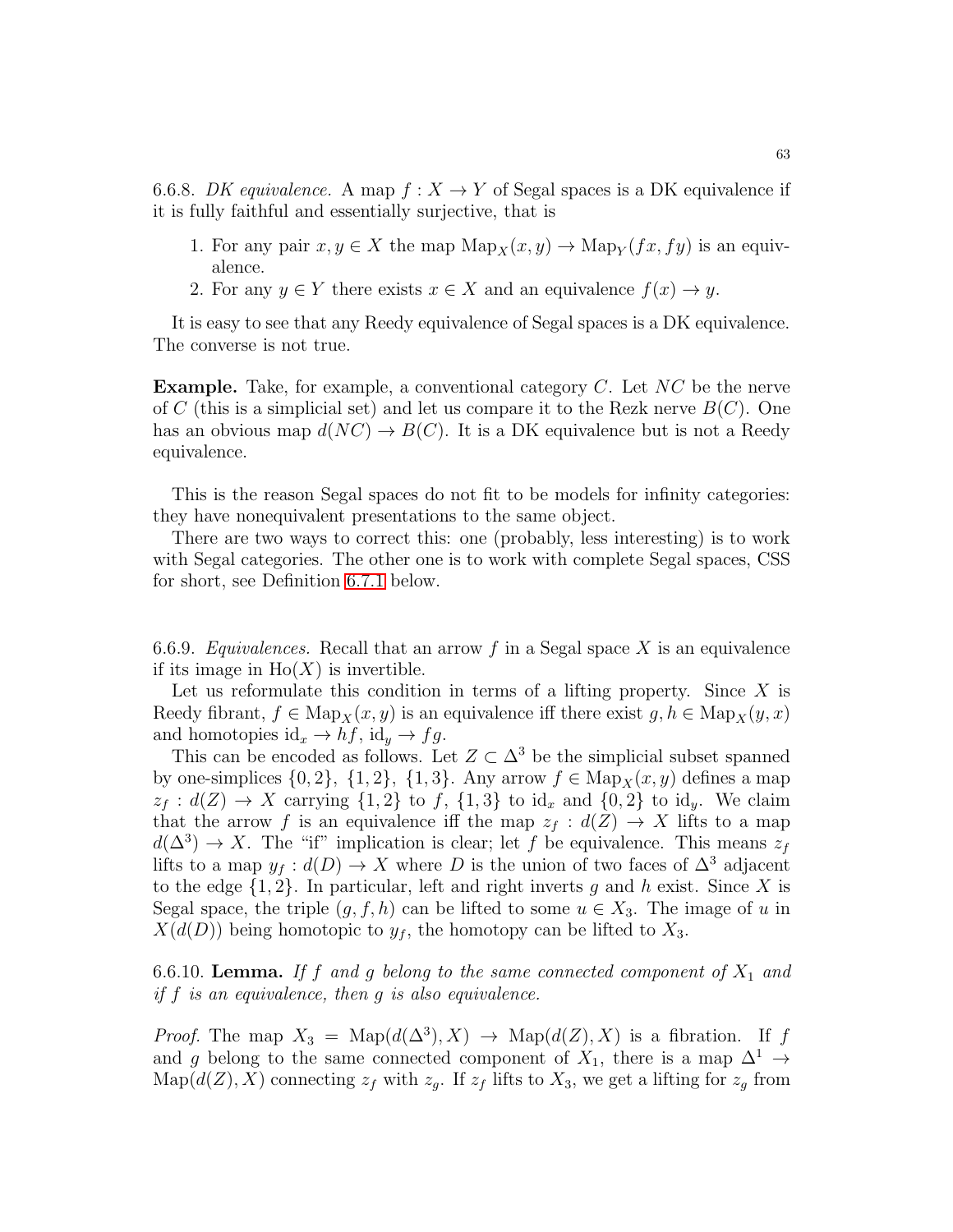6.6.8. DK equivalence. A map  $f: X \to Y$  of Segal spaces is a DK equivalence if it is fully faithful and essentially surjective, that is

- 1. For any pair  $x, y \in X$  the map  $\text{Map}_X(x, y) \to \text{Map}_Y(fx, fy)$  is an equivalence.
- 2. For any  $y \in Y$  there exists  $x \in X$  and an equivalence  $f(x) \to y$ .

It is easy to see that any Reedy equivalence of Segal spaces is a DK equivalence. The converse is not true.

**Example.** Take, for example, a conventional category  $C$ . Let  $NC$  be the nerve of C (this is a simplicial set) and let us compare it to the Rezk nerve  $B(C)$ . One has an obvious map  $d(NC) \to B(C)$ . It is a DK equivalence but is not a Reedy equivalence.

This is the reason Segal spaces do not fit to be models for infinity categories: they have nonequivalent presentations to the same object.

There are two ways to correct this: one (probably, less interesting) is to work with Segal categories. The other one is to work with complete Segal spaces, CSS for short, see Definition [6.7.1](#page-63-0) below.

6.6.9. Equivalences. Recall that an arrow f in a Segal space X is an equivalence if its image in  $Ho(X)$  is invertible.

Let us reformulate this condition in terms of a lifting property. Since  $X$  is Reedy fibrant,  $f \in \text{Map}_X(x, y)$  is an equivalence iff there exist  $g, h \in \text{Map}_X(y, x)$ and homotopies  $\mathrm{id}_x \to h f$ ,  $\mathrm{id}_y \to f g$ .

This can be encoded as follows. Let  $Z \subset \Delta^3$  be the simplicial subset spanned by one-simplices  $\{0, 2\}, \{1, 2\}, \{1, 3\}.$  Any arrow  $f \in \text{Map}_X(x, y)$  defines a map  $z_f : d(Z) \to X$  carrying  $\{1,2\}$  to f,  $\{1,3\}$  to id<sub>x</sub> and  $\{0,2\}$  to id<sub>y</sub>. We claim that the arrow f is an equivalence iff the map  $z_f : d(Z) \to X$  lifts to a map  $d(\Delta^3) \to X$ . The "if" implication is clear; let f be equivalence. This means  $z_f$ lifts to a map  $y_f : d(D) \to X$  where D is the union of two faces of  $\Delta^3$  adjacent to the edge  $\{1, 2\}$ . In particular, left and right inverts g and h exist. Since X is Segal space, the triple  $(g, f, h)$  can be lifted to some  $u \in X_3$ . The image of u in  $X(d(D))$  being homotopic to  $y<sub>f</sub>$ , the homotopy can be lifted to  $X<sub>3</sub>$ .

<span id="page-62-0"></span>6.6.10. **Lemma.** If f and g belong to the same connected component of  $X_1$  and if  $f$  is an equivalence, then  $g$  is also equivalence.

*Proof.* The map  $X_3 = \text{Map}(d(\Delta^3), X) \rightarrow \text{Map}(d(Z), X)$  is a fibration. If f and g belong to the same connected component of  $X_1$ , there is a map  $\Delta^1 \rightarrow$  $\text{Map}(d(Z), X)$  connecting  $z_f$  with  $z_g$ . If  $z_f$  lifts to  $X_3$ , we get a lifting for  $z_g$  from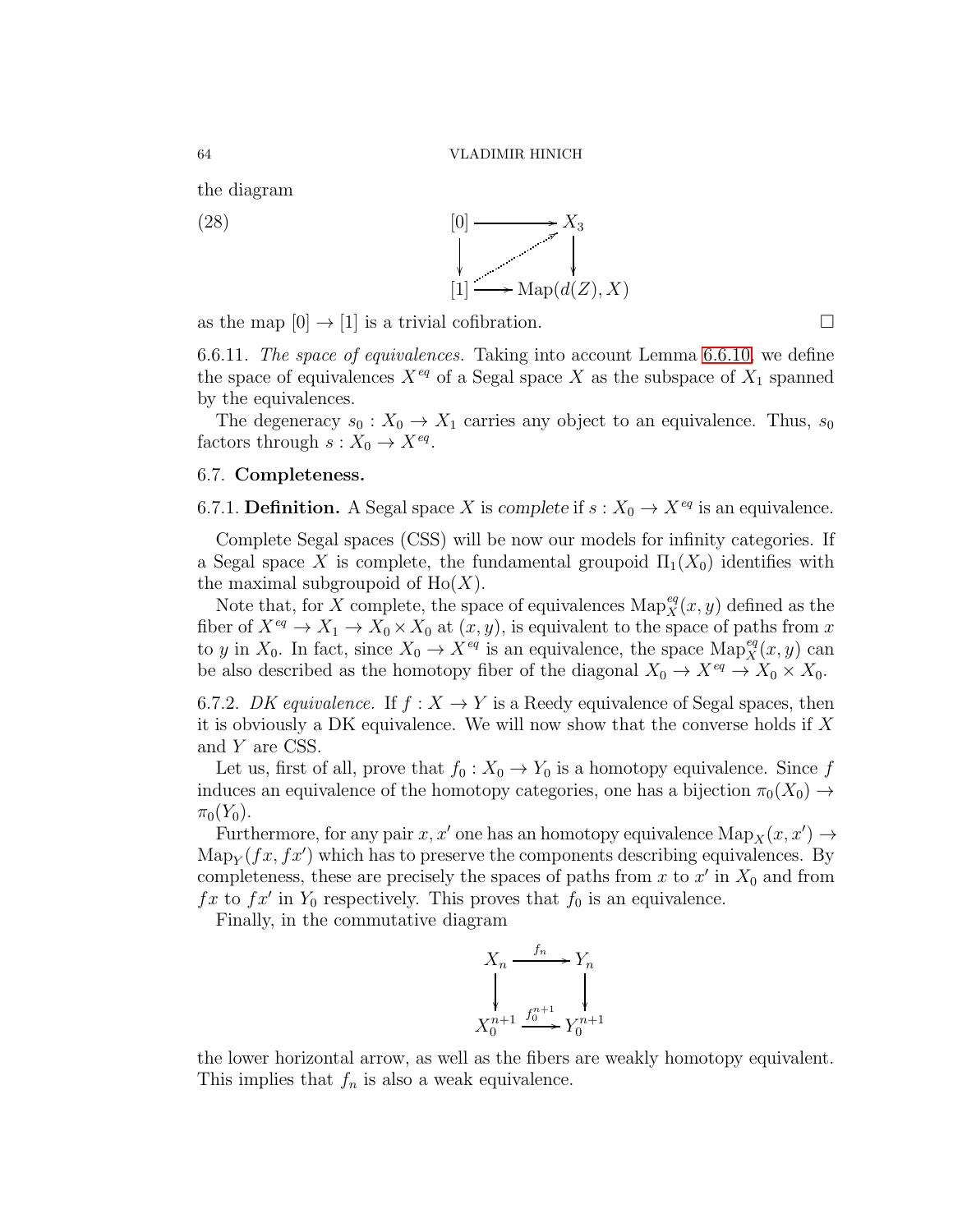the diagram

 $(28)$ 

ľ  $X_3$ ľ [1] 8  $Map(d(Z), X)$ 

as the map  $[0] \rightarrow [1]$  is a trivial cofibration.

6.6.11. The space of equivalences. Taking into account Lemma [6.6.10,](#page-62-0) we define the space of equivalences  $X^{eq}$  of a Segal space X as the subspace of  $X_1$  spanned by the equivalences.

The degeneracy  $s_0: X_0 \to X_1$  carries any object to an equivalence. Thus,  $s_0$ factors through  $s: X_0 \to X^{eq}$ .

## 6.7. Completeness.

<span id="page-63-0"></span>6.7.1. **Definition.** A Segal space X is *complete* if  $s : X_0 \to X^{eq}$  is an equivalence.

Complete Segal spaces (CSS) will be now our models for infinity categories. If a Segal space X is complete, the fundamental groupoid  $\Pi_1(X_0)$  identifies with the maximal subgroupoid of  $Ho(X)$ .

Note that, for X complete, the space of equivalences  $\text{Map}_X^{eq}(x, y)$  defined as the fiber of  $X^{eq} \to X_1 \to X_0 \times X_0$  at  $(x, y)$ , is equivalent to the space of paths from x to y in  $X_0$ . In fact, since  $X_0 \to X^{eq}$  is an equivalence, the space  $\text{Map}_X^{eq}(x, y)$  can be also described as the homotopy fiber of the diagonal  $X_0 \to X^{eq} \to X_0 \times X_0$ .

6.7.2. DK equivalence. If  $f: X \to Y$  is a Reedy equivalence of Segal spaces, then it is obviously a DK equivalence. We will now show that the converse holds if  $X$ and Y are CSS.

Let us, first of all, prove that  $f_0 : X_0 \to Y_0$  is a homotopy equivalence. Since f induces an equivalence of the homotopy categories, one has a bijection  $\pi_0(X_0) \rightarrow$  $\pi_0(Y_0)$ .

Furthermore, for any pair  $x, x'$  one has an homotopy equivalence  $\text{Map}_X(x, x') \to$  $\operatorname{Map}_Y(fx, fx')$  which has to preserve the components describing equivalences. By completeness, these are precisely the spaces of paths from  $x$  to  $x'$  in  $X_0$  and from  $fx$  to  $fx'$  in  $Y_0$  respectively. This proves that  $f_0$  is an equivalence.

Finally, in the commutative diagram



the lower horizontal arrow, as well as the fibers are weakly homotopy equivalent. This implies that  $f_n$  is also a weak equivalence.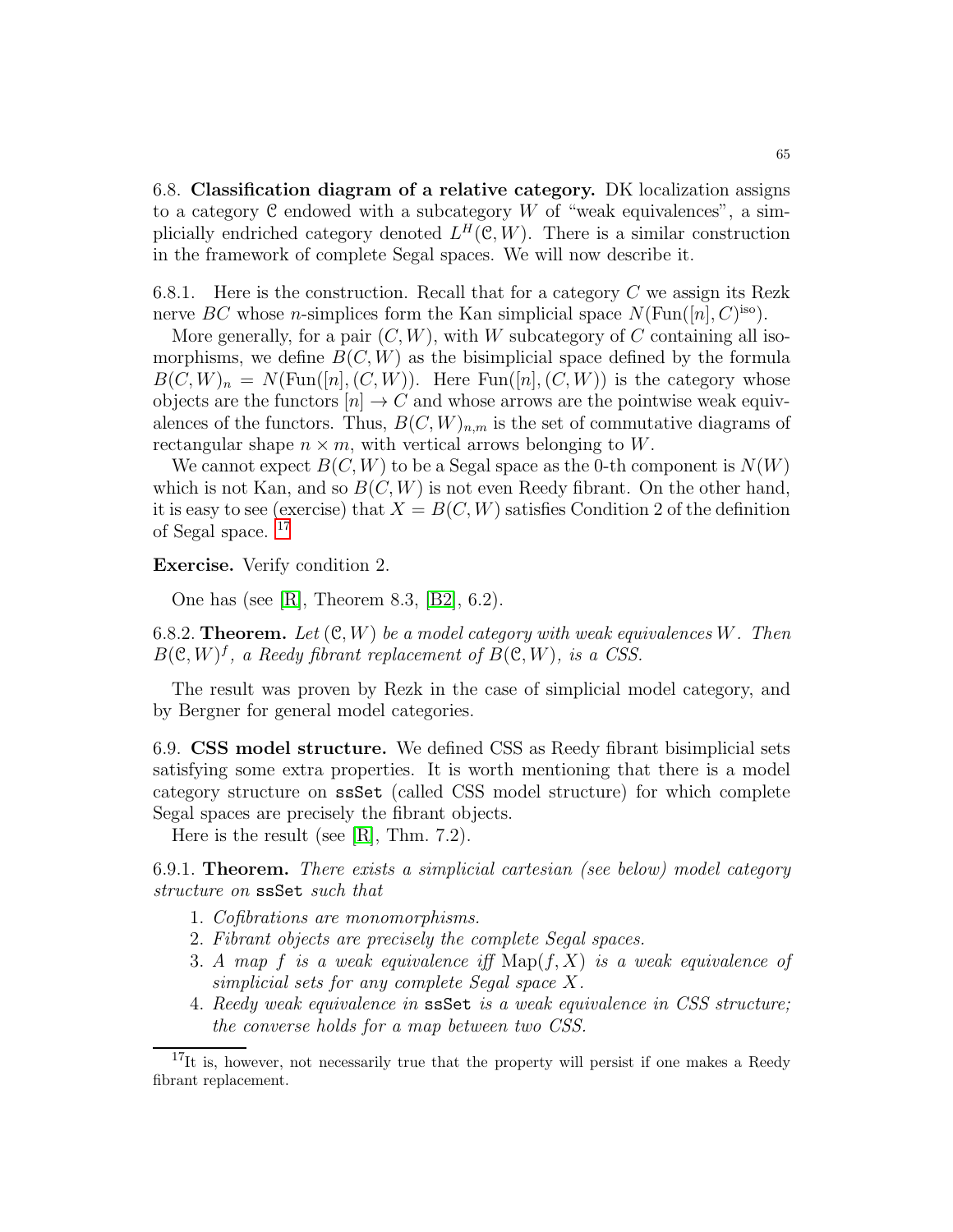6.8. Classification diagram of a relative category. DK localization assigns to a category  $C$  endowed with a subcategory  $W$  of "weak equivalences", a simplicially endriched category denoted  $L^H(\mathcal{C}, W)$ . There is a similar construction in the framework of complete Segal spaces. We will now describe it.

<span id="page-64-1"></span>6.8.1. Here is the construction. Recall that for a category  $C$  we assign its Rezk nerve BC whose *n*-simplices form the Kan simplicial space  $N(\text{Fun}([n], C)^{\text{iso}})$ .

More generally, for a pair  $(C, W)$ , with W subcategory of C containing all isomorphisms, we define  $B(C, W)$  as the bisimplicial space defined by the formula  $B(C, W)_n = N(\text{Fun}([n], (C, W)).$  Here  $\text{Fun}([n], (C, W))$  is the category whose objects are the functors  $[n] \to C$  and whose arrows are the pointwise weak equivalences of the functors. Thus,  $B(C, W)_{n,m}$  is the set of commutative diagrams of rectangular shape  $n \times m$ , with vertical arrows belonging to W.

We cannot expect  $B(C, W)$  to be a Segal space as the 0-th component is  $N(W)$ which is not Kan, and so  $B(C, W)$  is not even Reedy fibrant. On the other hand, it is easy to see (exercise) that  $X = B(C, W)$  satisfies Condition 2 of the definition of Segal space. [17](#page-64-0)

Exercise. Verify condition 2.

One has (see [\[R\]](#page-123-6), Theorem 8.3, [\[B2\]](#page-123-7), 6.2).

6.8.2. **Theorem.** Let  $(\mathcal{C}, W)$  be a model category with weak equivalences W. Then  $B(\mathcal{C}, W)^f$ , a Reedy fibrant replacement of  $B(\mathcal{C}, W)$ , is a CSS.

The result was proven by Rezk in the case of simplicial model category, and by Bergner for general model categories.

6.9. CSS model structure. We defined CSS as Reedy fibrant bisimplicial sets satisfying some extra properties. It is worth mentioning that there is a model category structure on ssSet (called CSS model structure) for which complete Segal spaces are precisely the fibrant objects.

Here is the result (see [\[R\]](#page-123-6), Thm. 7.2).

6.9.1. **Theorem.** There exists a simplicial cartesian (see below) model category structure on ssSet such that

- 1. Cofibrations are monomorphisms.
- 2. Fibrant objects are precisely the complete Segal spaces.
- 3. A map f is a weak equivalence if  $\mathrm{Map}(f, X)$  is a weak equivalence of simplicial sets for any complete Segal space X.
- 4. Reedy weak equivalence in ssSet is a weak equivalence in CSS structure; the converse holds for a map between two CSS.

<span id="page-64-0"></span><sup>&</sup>lt;sup>17</sup>It is, however, not necessarily true that the property will persist if one makes a Reedy fibrant replacement.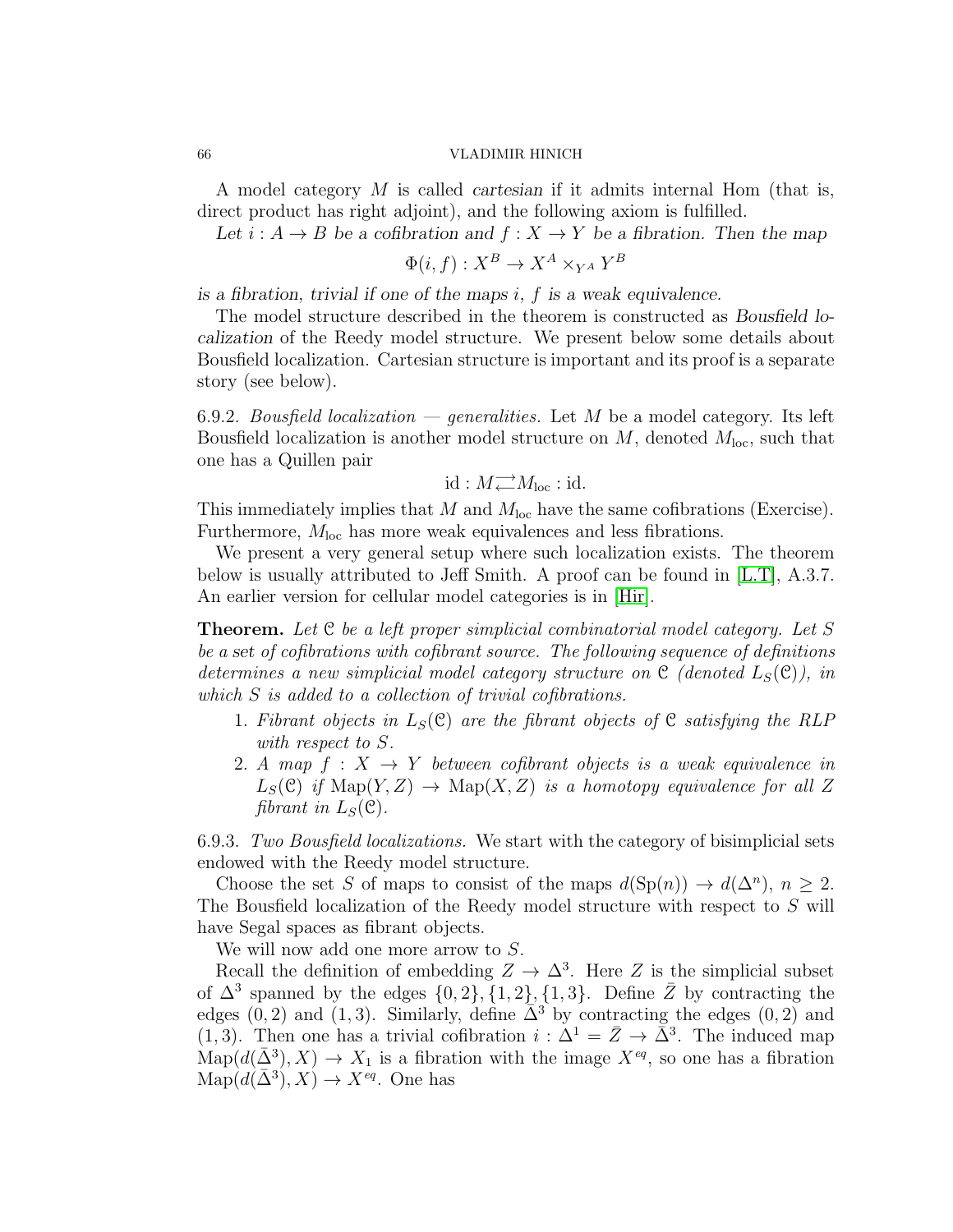A model category M is called *cartesian* if it admits internal Hom (that is, direct product has right adjoint), and the following axiom is fulfilled.

Let  $i : A \rightarrow B$  be a cofibration and  $f : X \rightarrow Y$  be a fibration. Then the map

$$
\Phi(i, f) : X^B \to X^A \times_{Y^A} Y^B
$$

*is a fibration, trivial if one of the maps* i*,* f *is a weak equivalence.*

The model structure described in the theorem is constructed as *Bousfield localization* of the Reedy model structure. We present below some details about Bousfield localization. Cartesian structure is important and its proof is a separate story (see below).

6.9.2. Bousfield localization — generalities. Let M be a model category. Its left Bousfield localization is another model structure on  $M$ , denoted  $M_{\text{loc}}$ , such that one has a Quillen pair

$$
\mathrm{id}: M_{\longleftarrow}^{\longrightarrow} M_{\mathrm{loc}}: \mathrm{id}.
$$

This immediately implies that M and  $M_{\text{loc}}$  have the same cofibrations (Exercise). Furthermore,  $M_{\text{loc}}$  has more weak equivalences and less fibrations.

We present a very general setup where such localization exists. The theorem below is usually attributed to Jeff Smith. A proof can be found in [\[L.T\]](#page-123-5), A.3.7. An earlier version for cellular model categories is in [\[Hir\]](#page-123-8).

Theorem. Let C be a left proper simplicial combinatorial model category. Let S be a *set* of cofibrations with cofibrant source. The following sequence of definitions determines a new simplicial model category structure on  $\mathfrak{C}$  (denoted  $L_S(\mathfrak{C})$ ), in which S is added to a collection of trivial cofibrations.

- 1. Fibrant objects in  $L_S(\mathcal{C})$  are the fibrant objects of  $\mathcal{C}$  satisfying the RLP with respect to S.
- 2. A map  $f: X \to Y$  between cofibrant objects is a weak equivalence in  $L_S(\mathcal{C})$  if  $\text{Map}(Y, Z) \to \text{Map}(X, Z)$  is a homotopy equivalence for all Z fibrant in  $L_S(\mathcal{C})$ .

6.9.3. Two Bousfield localizations. We start with the category of bisimplicial sets endowed with the Reedy model structure.

Choose the set S of maps to consist of the maps  $d(Sp(n)) \to d(\Delta^n)$ ,  $n \geq 2$ . The Bousfield localization of the Reedy model structure with respect to S will have Segal spaces as fibrant objects.

We will now add one more arrow to S.

Recall the definition of embedding  $Z \to \Delta^3$ . Here Z is the simplicial subset of  $\Delta^3$  spanned by the edges  $\{0, 2\}$ ,  $\{1, 2\}$ ,  $\{1, 3\}$ . Define  $\overline{Z}$  by contracting the edges (0, 2) and (1, 3). Similarly, define  $\overline{\Delta}^3$  by contracting the edges (0, 2) and (1,3). Then one has a trivial cofibration  $i : \Delta^1 = \bar{Z} \rightarrow \bar{\Delta}^3$ . The induced map  $\text{Map}(d(\bar{\Delta}^3), X) \to X_1$  is a fibration with the image  $X^{eq}$ , so one has a fibration  $\text{Map}(d(\bar{\Delta}^3), X) \to X^{eq}$ . One has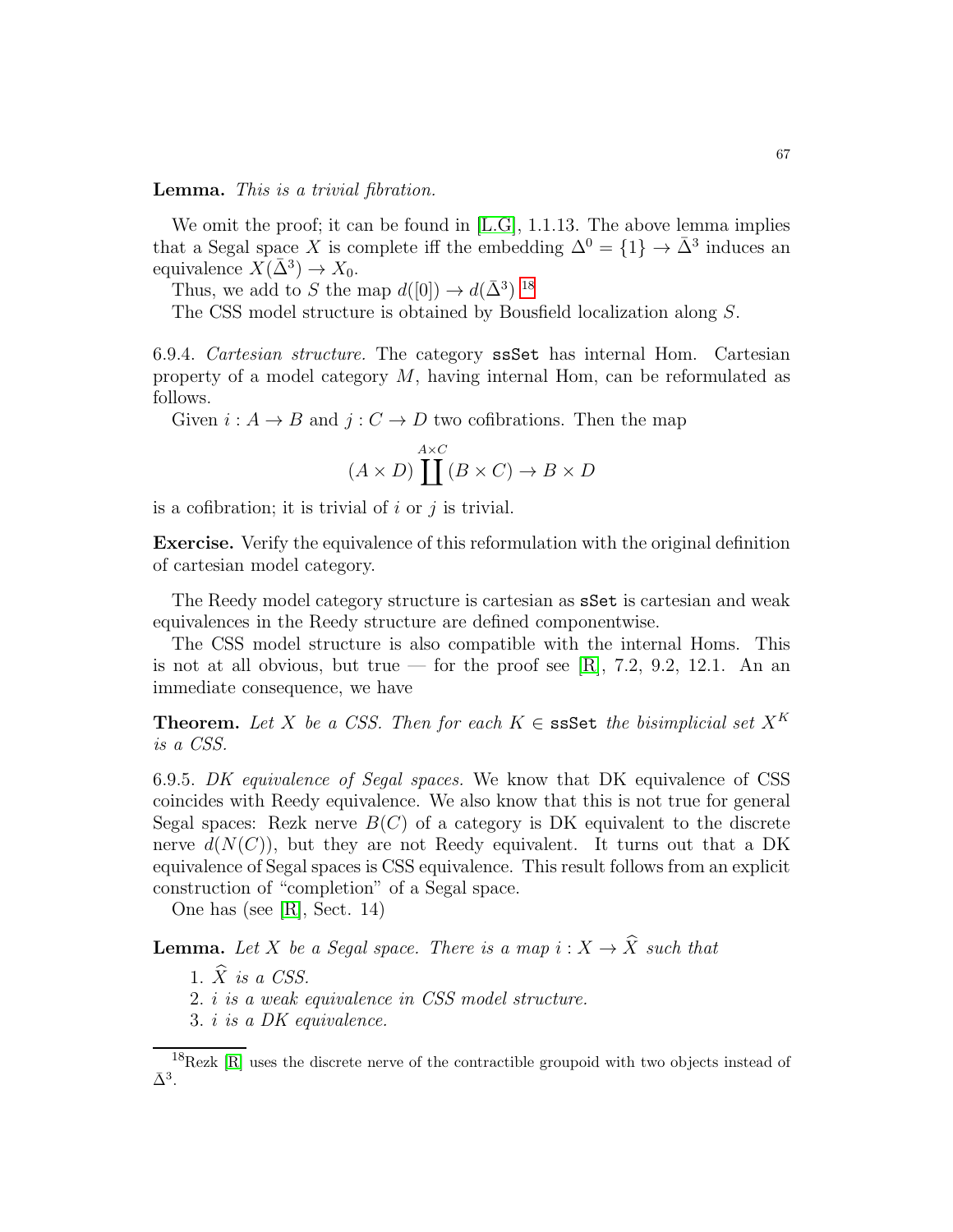Lemma. This is a trivial fibration.

We omit the proof; it can be found in [\[L.G\]](#page-123-9), 1.1.13. The above lemma implies that a Segal space X is complete iff the embedding  $\Delta^{0} = \{1\} \rightarrow \bar{\Delta}^{3}$  induces an equivalence  $X(\bar{\Delta}^3) \to X_0$ .

Thus, we add to S the map  $d([0]) \to d(\bar{\Delta}^3)^{18}$  $d([0]) \to d(\bar{\Delta}^3)^{18}$  $d([0]) \to d(\bar{\Delta}^3)^{18}$ 

The CSS model structure is obtained by Bousfield localization along S.

6.9.4. Cartesian structure. The category ssSet has internal Hom. Cartesian property of a model category  $M$ , having internal Hom, can be reformulated as follows.

Given  $i: A \to B$  and  $j: C \to D$  two cofibrations. Then the map

$$
(A \times D) \coprod^{A \times C} (B \times C) \to B \times D
$$

is a cofibration; it is trivial of  $i$  or  $j$  is trivial.

Exercise. Verify the equivalence of this reformulation with the original definition of cartesian model category.

The Reedy model category structure is cartesian as sSet is cartesian and weak equivalences in the Reedy structure are defined componentwise.

The CSS model structure is also compatible with the internal Homs. This is not at all obvious, but true — for the proof see [\[R\]](#page-123-6), 7.2, 9.2, 12.1. An an immediate consequence, we have

**Theorem.** Let X be a CSS. Then for each  $K \in \text{ssSet}$  the bisimplicial set  $X^K$ is a CSS.

6.9.5. DK equivalence of Segal spaces. We know that DK equivalence of CSS coincides with Reedy equivalence. We also know that this is not true for general Segal spaces: Rezk nerve  $B(C)$  of a category is DK equivalent to the discrete nerve  $d(N(C))$ , but they are not Reedy equivalent. It turns out that a DK equivalence of Segal spaces is CSS equivalence. This result follows from an explicit construction of "completion" of a Segal space.

One has (see [\[R\]](#page-123-6), Sect. 14)

**Lemma.** Let X be a Segal space. There is a map  $i: X \to \hat{X}$  such that

- 1.  $\overrightarrow{X}$  is a CSS.
- 2. i is a weak equivalence in CSS model structure.
- 3. i is a DK equivalence.

<span id="page-66-0"></span> $^{18}$ Rezk [\[R\]](#page-123-6) uses the discrete nerve of the contractible groupoid with two objects instead of  $\bar{\Delta}^3$ .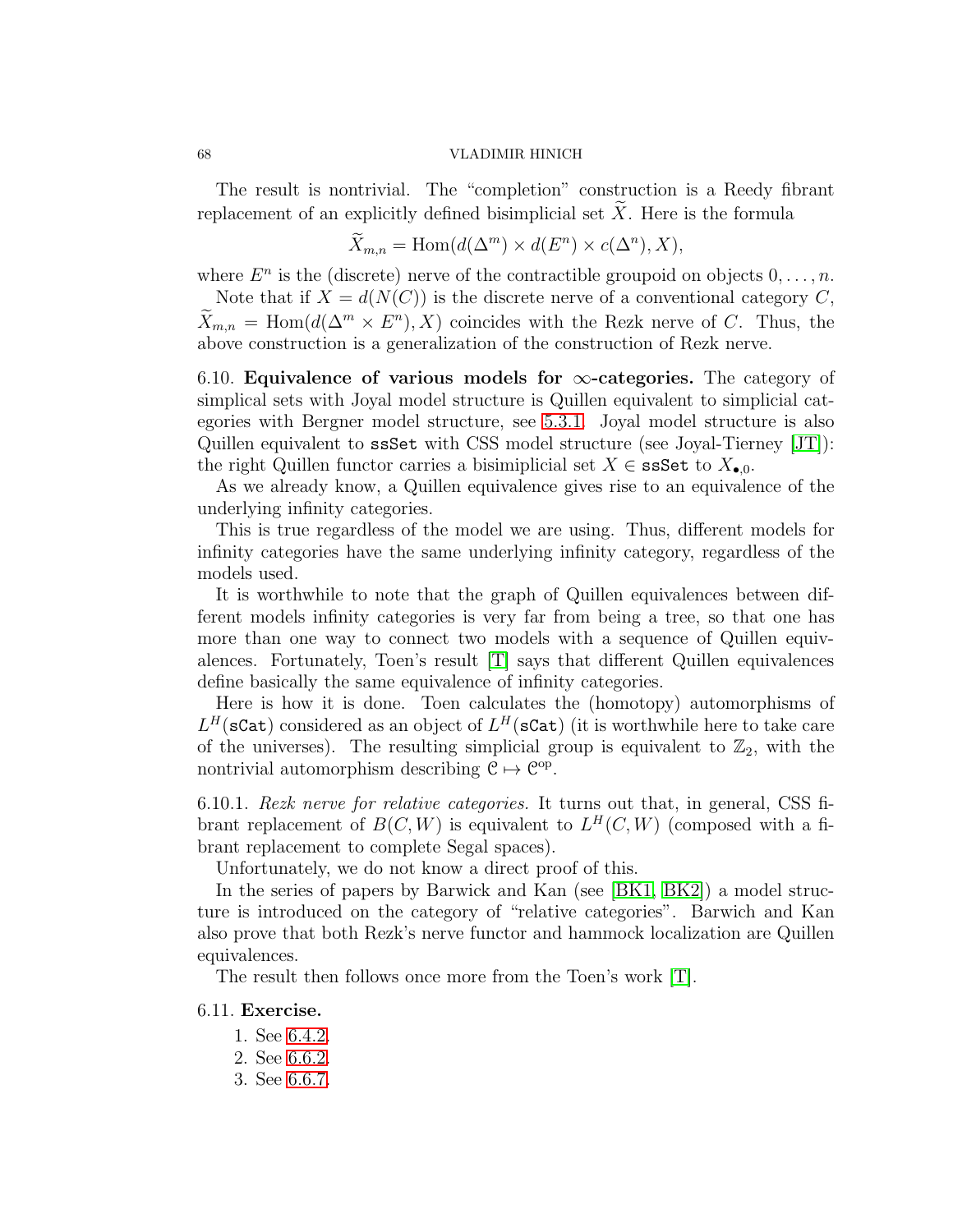The result is nontrivial. The "completion" construction is a Reedy fibrant replacement of an explicitly defined bisimplicial set  $\tilde{X}$ . Here is the formula

$$
\widetilde{X}_{m,n} = \text{Hom}(d(\Delta^m) \times d(E^n) \times c(\Delta^n), X),
$$

where  $E^n$  is the (discrete) nerve of the contractible groupoid on objects  $0, \ldots, n$ .

Note that if  $X = d(N(C))$  is the discrete nerve of a conventional category C,  $\overline{X}_{m,n} = \text{Hom}(d(\Delta^m \times E^n), X)$  coincides with the Rezk nerve of C. Thus, the above construction is a generalization of the construction of Rezk nerve.

6.10. Equivalence of various models for  $\infty$ -categories. The category of simplical sets with Joyal model structure is Quillen equivalent to simplicial categories with Bergner model structure, see [5.3.1.](#page-47-0) Joyal model structure is also Quillen equivalent to ssSet with CSS model structure (see Joyal-Tierney [\[JT\]](#page-123-10)): the right Quillen functor carries a bisimiplicial set  $X \in \texttt{ssSet}$  to  $X_{\bullet,0}$ .

As we already know, a Quillen equivalence gives rise to an equivalence of the underlying infinity categories.

This is true regardless of the model we are using. Thus, different models for infinity categories have the same underlying infinity category, regardless of the models used.

It is worthwhile to note that the graph of Quillen equivalences between different models infinity categories is very far from being a tree, so that one has more than one way to connect two models with a sequence of Quillen equivalences. Fortunately, Toen's result [\[T\]](#page-124-0) says that different Quillen equivalences define basically the same equivalence of infinity categories.

Here is how it is done. Toen calculates the (homotopy) automorphisms of  $L^H(\texttt{scat})$  considered as an object of  $L^H(\texttt{scat})$  (it is worthwhile here to take care of the universes). The resulting simplicial group is equivalent to  $\mathbb{Z}_2$ , with the nontrivial automorphism describing  $C \mapsto C^{op}$ .

6.10.1. Rezk nerve for relative categories. It turns out that, in general, CSS fibrant replacement of  $B(C, W)$  is equivalent to  $L^H(C, W)$  (composed with a fibrant replacement to complete Segal spaces).

Unfortunately, we do not know a direct proof of this.

In the series of papers by Barwick and Kan (see [\[BK1,](#page-123-11) [BK2\]](#page-123-12)) a model structure is introduced on the category of "relative categories". Barwich and Kan also prove that both Rezk's nerve functor and hammock localization are Quillen equivalences.

The result then follows once more from the Toen's work [\[T\]](#page-124-0).

### 6.11. Exercise.

- 1. See [6.4.2.](#page-59-1)
- 2. See [6.6.2.](#page-60-0)
- 3. See [6.6.7.](#page-61-1)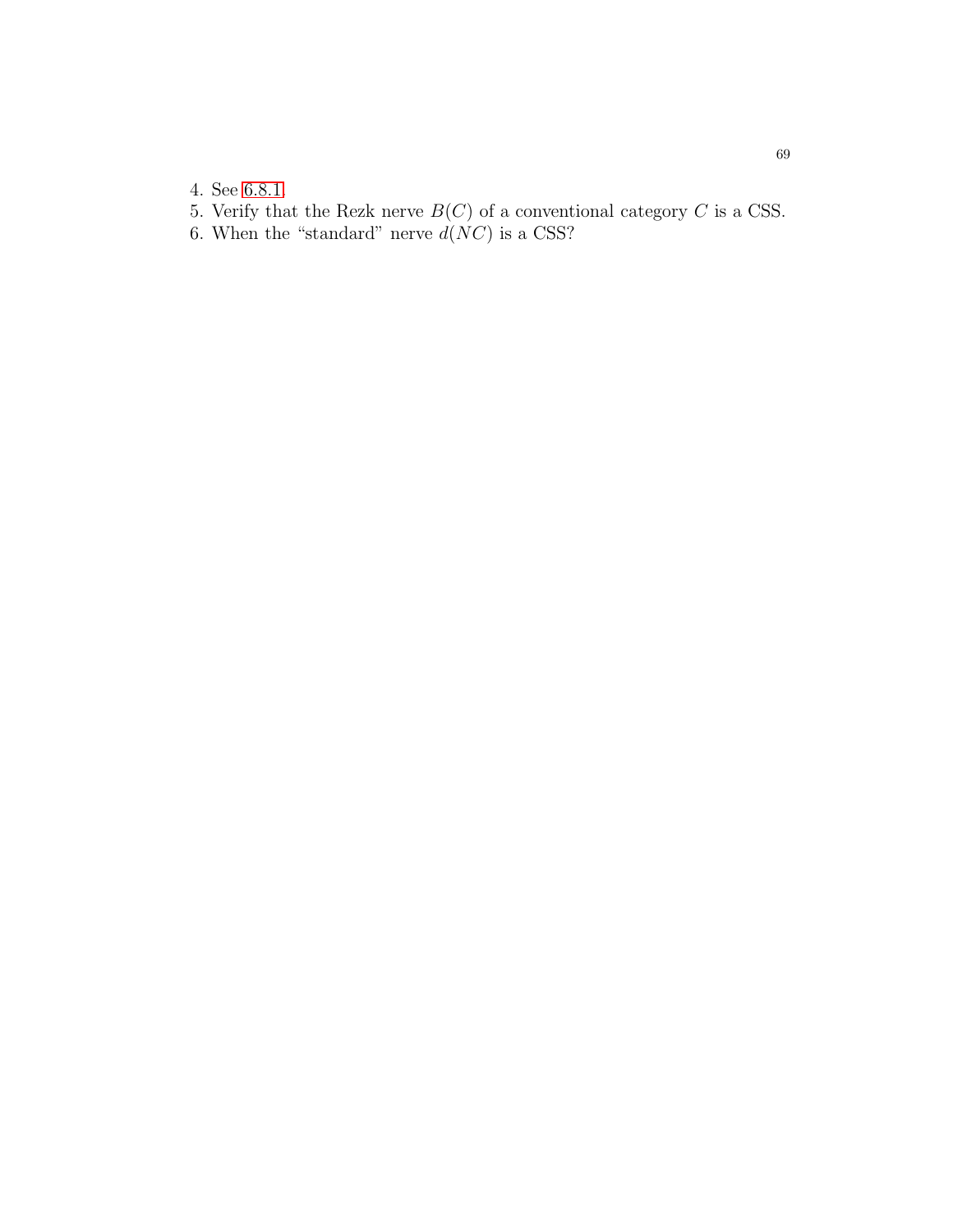- 4. See [6.8.1.](#page-64-1)
- 5. Verify that the Rezk nerve  $B(C)$  of a conventional category C is a CSS.
- 6. When the "standard" nerve  $d(NC)$  is a CSS?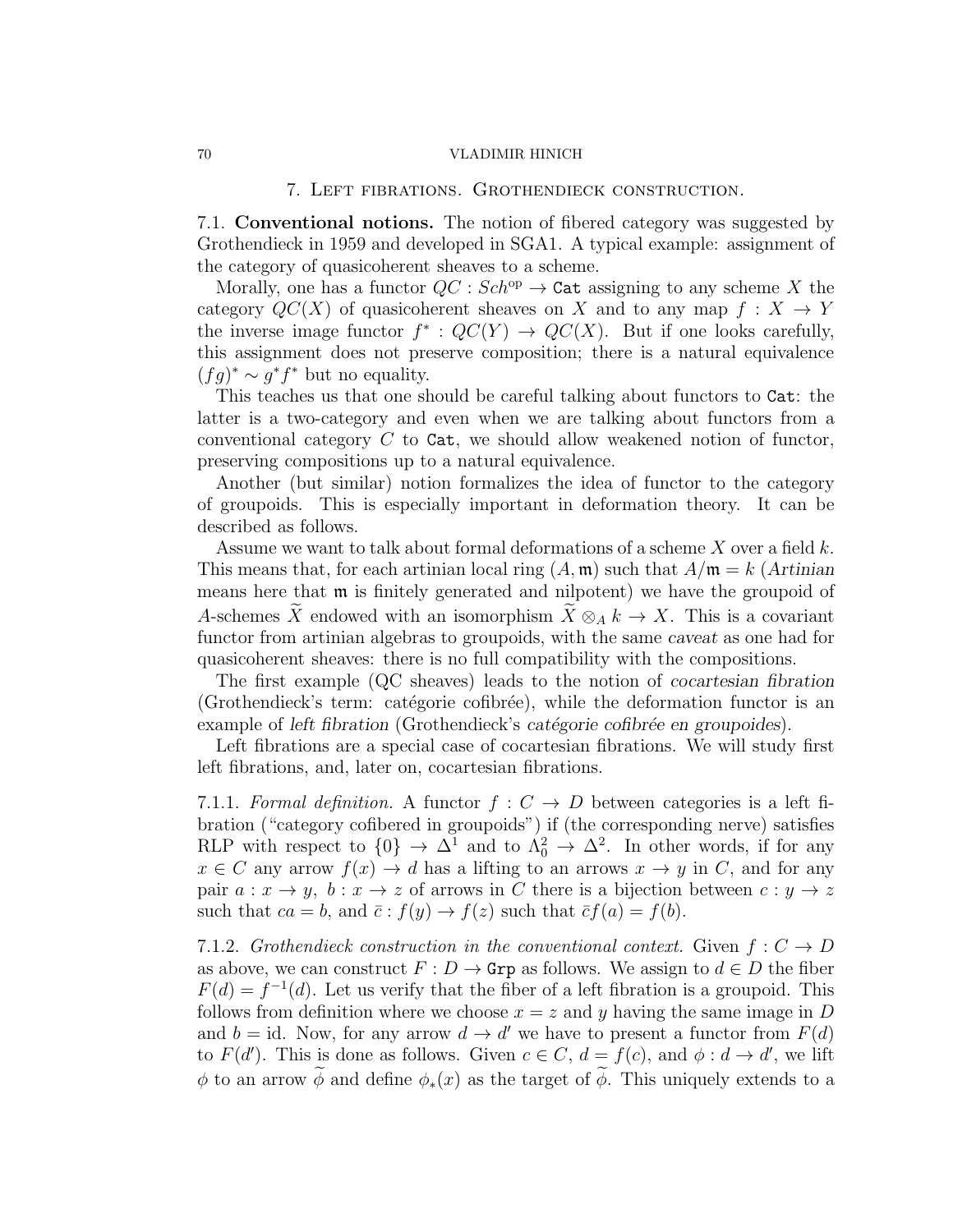### 7. Left fibrations. Grothendieck construction.

7.1. Conventional notions. The notion of fibered category was suggested by Grothendieck in 1959 and developed in SGA1. A typical example: assignment of the category of quasicoherent sheaves to a scheme.

Morally, one has a functor  $QC : Sch^{op} \to \text{Cat}$  assigning to any scheme X the category  $QC(X)$  of quasicoherent sheaves on X and to any map  $f: X \to Y$ the inverse image functor  $f^*: QC(Y) \to QC(X)$ . But if one looks carefully, this assignment does not preserve composition; there is a natural equivalence  $(fg)^* \sim g^*f^*$  but no equality.

This teaches us that one should be careful talking about functors to Cat: the latter is a two-category and even when we are talking about functors from a conventional category  $C$  to Cat, we should allow weakened notion of functor, preserving compositions up to a natural equivalence.

Another (but similar) notion formalizes the idea of functor to the category of groupoids. This is especially important in deformation theory. It can be described as follows.

Assume we want to talk about formal deformations of a scheme  $X$  over a field  $k$ . This means that, for each artinian local ring  $(A, \mathfrak{m})$  such that  $A/\mathfrak{m} = k$  (*Artinian* means here that m is finitely generated and nilpotent) we have the groupoid of A-schemes X endowed with an isomorphism  $\overline{X} \otimes_A k \to X$ . This is a covariant functor from artinian algebras to groupoids, with the same *caveat* as one had for quasicoherent sheaves: there is no full compatibility with the compositions.

The first example (QC sheaves) leads to the notion of *cocartesian fibration* (Grothendieck's term: catégorie cofibrée), while the deformation functor is an example of *left fibration* (Grothendieck's *catégorie cofibrée en groupoides*).

Left fibrations are a special case of cocartesian fibrations. We will study first left fibrations, and, later on, cocartesian fibrations.

7.1.1. Formal definition. A functor  $f: C \rightarrow D$  between categories is a left fibration ("category cofibered in groupoids") if (the corresponding nerve) satisfies RLP with respect to  $\{0\} \to \Delta^1$  and to  $\Lambda_0^2 \to \Delta^2$ . In other words, if for any  $x \in C$  any arrow  $f(x) \to d$  has a lifting to an arrows  $x \to y$  in C, and for any pair  $a: x \to y$ ,  $b: x \to z$  of arrows in C there is a bijection between  $c: y \to z$ such that  $ca = b$ , and  $\bar{c} : f(y) \to f(z)$  such that  $\bar{c}f(a) = f(b)$ .

7.1.2. Grothendieck construction in the conventional context. Given  $f: C \rightarrow D$ as above, we can construct  $F: D \to \text{Grp}$  as follows. We assign to  $d \in D$  the fiber  $F(d) = f^{-1}(d)$ . Let us verify that the fiber of a left fibration is a groupoid. This follows from definition where we choose  $x = z$  and y having the same image in D and  $b = id$ . Now, for any arrow  $d \to d'$  we have to present a functor from  $F(d)$ to  $F(d')$ . This is done as follows. Given  $c \in C$ ,  $d = f(c)$ , and  $\phi : d \to d'$ , we lift φ to an arrow  $\widetilde{\phi}$  and define  $\phi_*(x)$  as the target of  $\widetilde{\phi}$ . This uniquely extends to a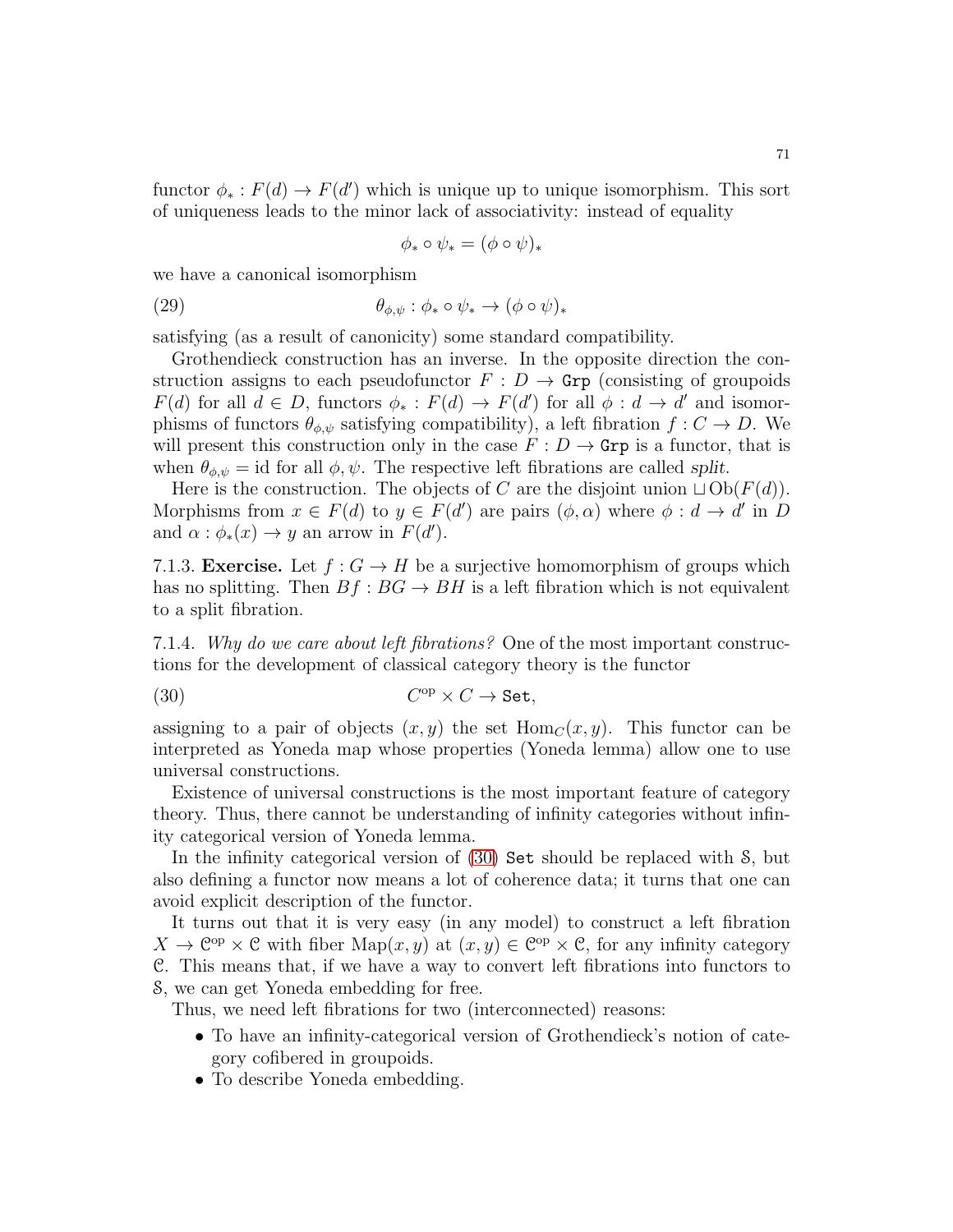functor  $\phi_* : F(d) \to F(d')$  which is unique up to unique isomorphism. This sort of uniqueness leads to the minor lack of associativity: instead of equality

$$
\phi_* \circ \psi_* = (\phi \circ \psi)_*
$$

we have a canonical isomorphism

(29) 
$$
\theta_{\phi,\psi}: \phi_* \circ \psi_* \to (\phi \circ \psi)_*
$$

satisfying (as a result of canonicity) some standard compatibility.

Grothendieck construction has an inverse. In the opposite direction the construction assigns to each pseudofunctor  $F : D \to \text{Grp}$  (consisting of groupoids  $F(d)$  for all  $d \in D$ , functors  $\phi_* : F(d) \to F(d')$  for all  $\phi : d \to d'$  and isomorphisms of functors  $\theta_{\phi,\psi}$  satisfying compatibility), a left fibration  $f: C \to D$ . We will present this construction only in the case  $F: D \to \text{Grp}$  is a functor, that is when  $\theta_{\phi,\psi} = id$  for all  $\phi, \psi$ . The respective left fibrations are called *split*.

Here is the construction. The objects of C are the disjoint union  $\Box$  Ob $(F(d))$ . Morphisms from  $x \in F(d)$  to  $y \in F(d')$  are pairs  $(\phi, \alpha)$  where  $\phi : d \to d'$  in D and  $\alpha : \phi_*(x) \to y$  an arrow in  $F(d')$ .

7.1.3. **Exercise.** Let  $f : G \to H$  be a surjective homomorphism of groups which has no splitting. Then  $Bf : BG \to BH$  is a left fibration which is not equivalent to a split fibration.

7.1.4. Why do we care about left fibrations? One of the most important constructions for the development of classical category theory is the functor

<span id="page-70-0"></span>
$$
(30) \tCop \times C \to Set,
$$

assigning to a pair of objects  $(x, y)$  the set  $Hom_C(x, y)$ . This functor can be interpreted as Yoneda map whose properties (Yoneda lemma) allow one to use universal constructions.

Existence of universal constructions is the most important feature of category theory. Thus, there cannot be understanding of infinity categories without infinity categorical version of Yoneda lemma.

In the infinity categorical version of [\(30\)](#page-70-0) Set should be replaced with S, but also defining a functor now means a lot of coherence data; it turns that one can avoid explicit description of the functor.

It turns out that it is very easy (in any model) to construct a left fibration  $X \to \mathbb{C}^{op} \times \mathbb{C}$  with fiber  $\text{Map}(x, y)$  at  $(x, y) \in \mathbb{C}^{op} \times \mathbb{C}$ , for any infinity category C. This means that, if we have a way to convert left fibrations into functors to S, we can get Yoneda embedding for free.

Thus, we need left fibrations for two (interconnected) reasons:

- To have an infinity-categorical version of Grothendieck's notion of category cofibered in groupoids.
- To describe Yoneda embedding.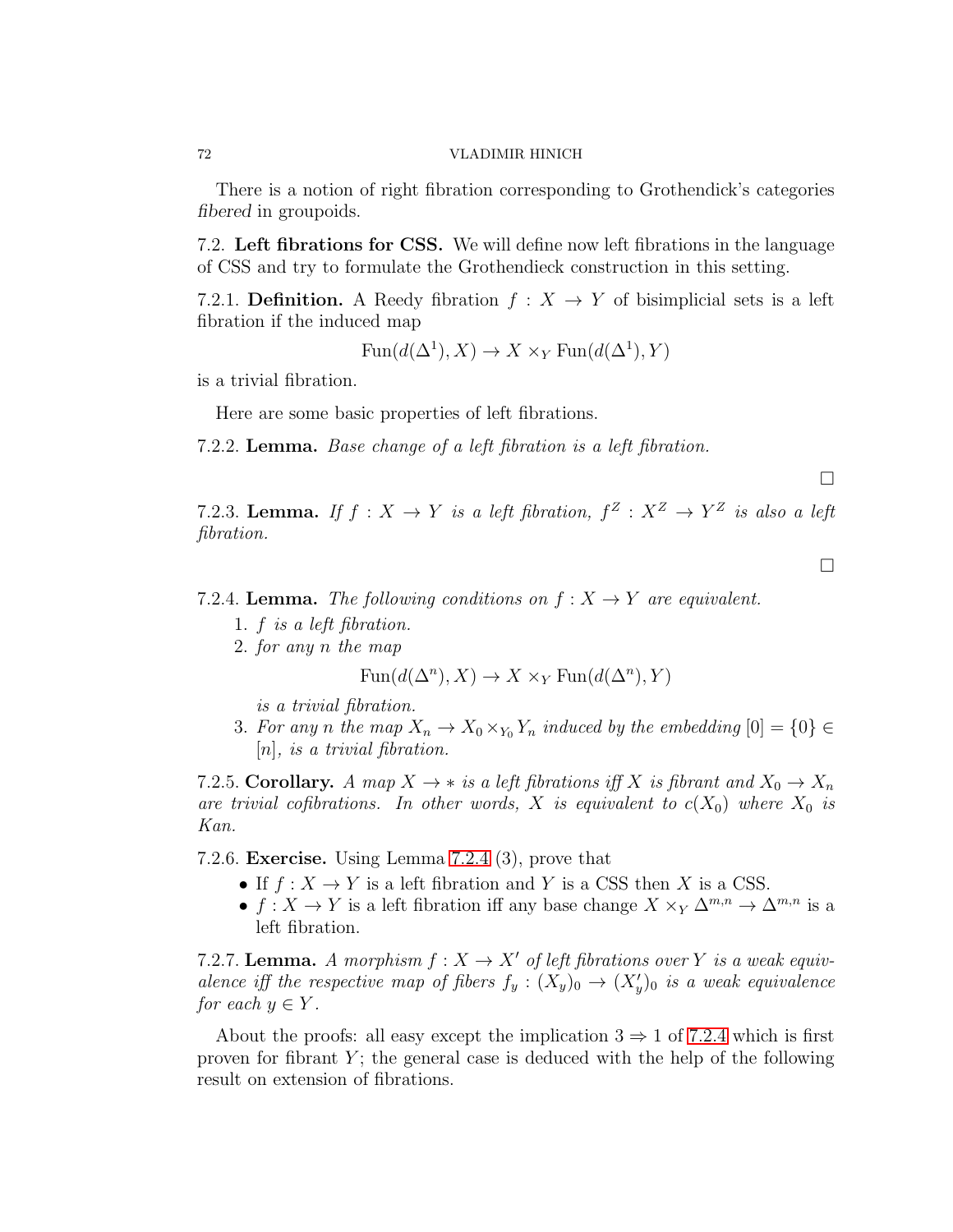There is a notion of right fibration corresponding to Grothendick's categories *fibered* in groupoids.

7.2. Left fibrations for CSS. We will define now left fibrations in the language of CSS and try to formulate the Grothendieck construction in this setting.

7.2.1. **Definition.** A Reedy fibration  $f : X \to Y$  of bisimplicial sets is a left fibration if the induced map

$$
Fun(d(\Delta^1),X) \to X \times_Y \text{Fun}(d(\Delta^1),Y)
$$

is a trivial fibration.

Here are some basic properties of left fibrations.

7.2.2. Lemma. Base change of a left fibration is a left fibration.

 $\Box$ 

 $\Box$ 

7.2.3. Lemma. If  $f: X \to Y$  is a left fibration,  $f^Z: X^Z \to Y^Z$  is also a left fibration.

<span id="page-71-0"></span>7.2.4. Lemma. The following conditions on  $f: X \rightarrow Y$  are equivalent.

- 1. f is a left fibration.
- 2. for any n the map

$$
Fun(d(\Delta^n),X) \to X \times_Y \text{Fun}(d(\Delta^n),Y)
$$

is a trivial fibration.

3. For any n the map  $X_n \to X_0 \times_{Y_0} Y_n$  induced by the embedding  $[0] = \{0\} \in$ [n], is a trivial fibration.

7.2.5. Corollary. A map  $X \to *$  is a left fibrations iff X is fibrant and  $X_0 \to X_n$ are trivial cofibrations. In other words, X is equivalent to  $c(X_0)$  where  $X_0$  is Kan.

7.2.6. Exercise. Using Lemma [7.2.4](#page-71-0) (3), prove that

- If  $f: X \to Y$  is a left fibration and Y is a CSS then X is a CSS.
- $f: X \to Y$  is a left fibration iff any base change  $X \times_Y \Delta^{m,n} \to \Delta^{m,n}$  is a left fibration.

7.2.7. Lemma. A morphism  $f: X \to X'$  of left fibrations over Y is a weak equivalence iff the respective map of fibers  $f_y: (X_y)_0 \to (X'_y)_0$  is a weak equivalence for each  $y \in Y$ .

About the proofs: all easy except the implication  $3 \Rightarrow 1$  of [7.2.4](#page-71-0) which is first proven for fibrant  $Y$ ; the general case is deduced with the help of the following result on extension of fibrations.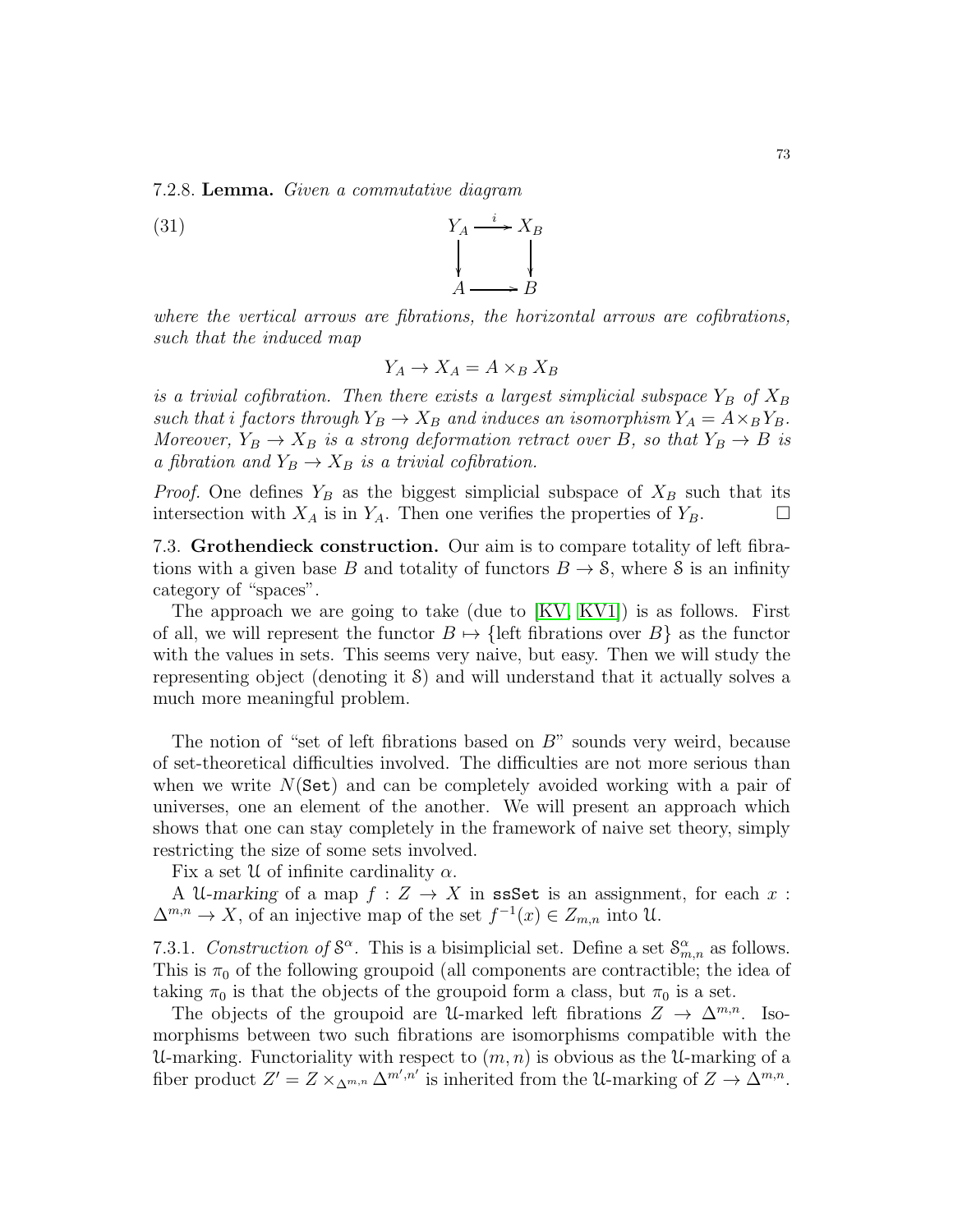<span id="page-72-0"></span>7.2.8. Lemma. Given a commutative diagram

such that the induced map

'  $\overline{\phantom{a}}$  $A \longrightarrow B$ where the vertical arrows are fibrations, the horizontal arrows are cofibrations,

$$
Y_A \to X_A = A \times_B X_B
$$

is a trivial cofibration. Then there exists a largest simplicial subspace  $Y_B$  of  $X_B$ such that i factors through  $Y_B \to X_B$  and induces an isomorphism  $Y_A = A \times_B Y_B$ . Moreover,  $Y_B \to X_B$  is a strong deformation retract over B, so that  $Y_B \to B$  is a fibration and  $Y_B \to X_B$  is a trivial cofibration.

*Proof.* One defines  $Y_B$  as the biggest simplicial subspace of  $X_B$  such that its intersection with  $X_A$  is in  $Y_A$ . Then one verifies the properties of  $Y_B$ .

7.3. Grothendieck construction. Our aim is to compare totality of left fibrations with a given base B and totality of functors  $B \to S$ , where S is an infinity category of "spaces".

The approach we are going to take (due to [\[KV,](#page-123-0) [KV1\]](#page-123-1)) is as follows. First of all, we will represent the functor  $B \mapsto \{\text{left fibrations over } B\}$  as the functor with the values in sets. This seems very naive, but easy. Then we will study the representing object (denoting it S) and will understand that it actually solves a much more meaningful problem.

The notion of "set of left fibrations based on  $B$ " sounds very weird, because of set-theoretical difficulties involved. The difficulties are not more serious than when we write  $N(\text{Set})$  and can be completely avoided working with a pair of universes, one an element of the another. We will present an approach which shows that one can stay completely in the framework of naive set theory, simply restricting the size of some sets involved.

Fix a set  $\mathcal U$  of infinite cardinality  $\alpha$ .

A U-marking of a map  $f: Z \to X$  in ssSet is an assignment, for each x:  $\Delta^{m,n} \to X$ , of an injective map of the set  $f^{-1}(x) \in Z_{m,n}$  into U.

<span id="page-72-1"></span>7.3.1. Construction of  $S^{\alpha}$ . This is a bisimplicial set. Define a set  $S^{\alpha}_{m,n}$  as follows. This is  $\pi_0$  of the following groupoid (all components are contractible; the idea of taking  $\pi_0$  is that the objects of the groupoid form a class, but  $\pi_0$  is a set.

The objects of the groupoid are U-marked left fibrations  $Z \to \Delta^{m,n}$ . Isomorphisms between two such fibrations are isomorphisms compatible with the U-marking. Functoriality with respect to  $(m, n)$  is obvious as the U-marking of a fiber product  $Z' = Z \times_{\Delta^{m,n}} \Delta^{m',n'}$  is inherited from the U-marking of  $Z \to \Delta^{m,n}$ .

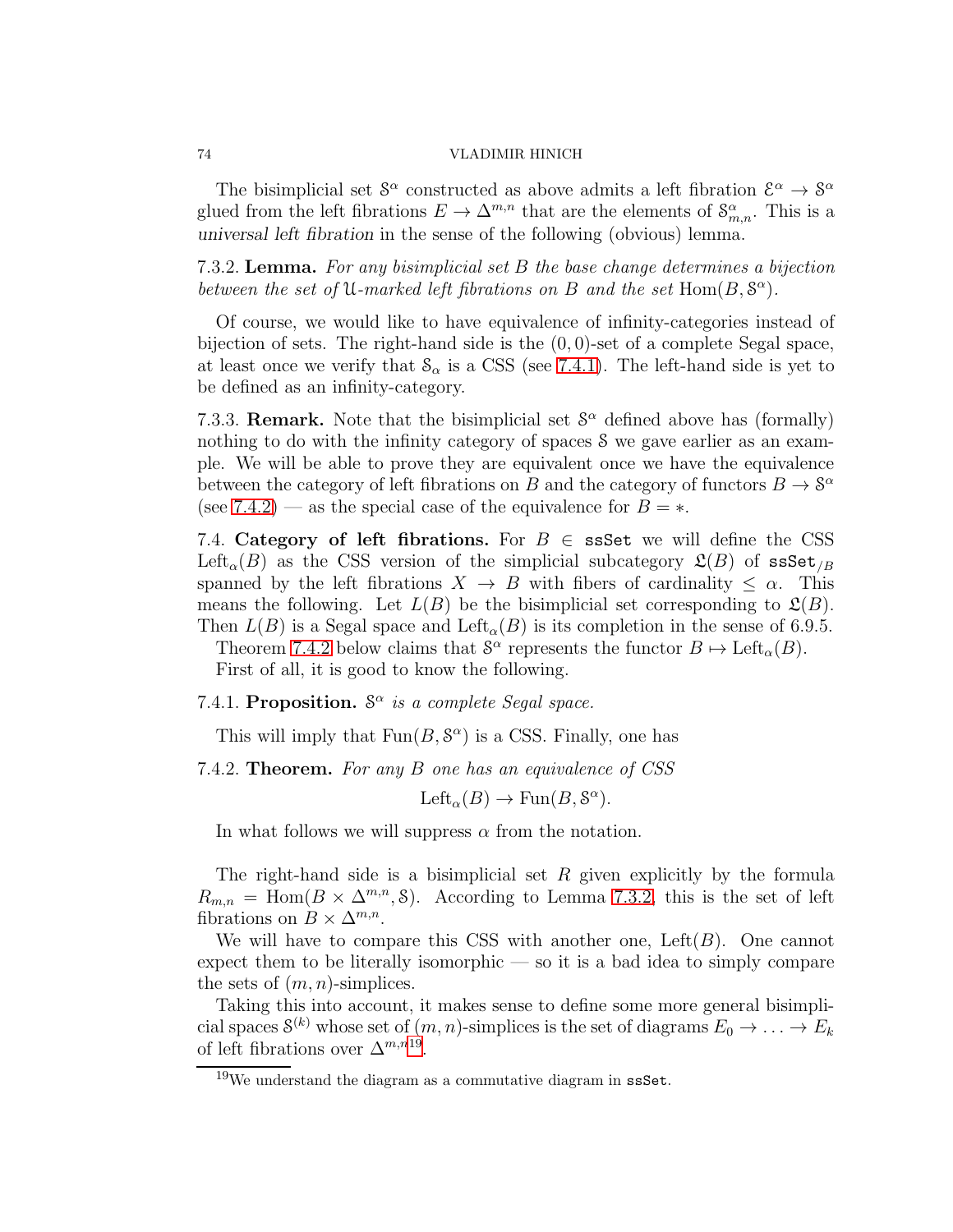The bisimplicial set  $S^{\alpha}$  constructed as above admits a left fibration  $\mathcal{E}^{\alpha} \to S^{\alpha}$ glued from the left fibrations  $E \to \Delta^{m,n}$  that are the elements of  $\mathcal{S}_{m,n}^{\alpha}$ . This is a *universal left fibration* in the sense of the following (obvious) lemma.

<span id="page-73-2"></span>7.3.2. Lemma. For any bisimplicial set B the base change determines a bijection between the set of U-marked left fibrations on B and the set  $Hom(B, S^{\alpha})$ .

Of course, we would like to have equivalence of infinity-categories instead of bijection of sets. The right-hand side is the  $(0, 0)$ -set of a complete Segal space, at least once we verify that  $\mathcal{S}_{\alpha}$  is a CSS (see [7.4.1\)](#page-73-0). The left-hand side is yet to be defined as an infinity-category.

7.3.3. **Remark.** Note that the bisimplicial set  $S^{\alpha}$  defined above has (formally) nothing to do with the infinity category of spaces S we gave earlier as an example. We will be able to prove they are equivalent once we have the equivalence between the category of left fibrations on B and the category of functors  $B \to \mathcal{S}^{\alpha}$ (see [7.4.2\)](#page-73-1) — as the special case of the equivalence for  $B = *$ .

7.4. Category of left fibrations. For  $B \in \text{ssSet}$  we will define the CSS Left<sub>α</sub>(B) as the CSS version of the simplicial subcategory  $\mathfrak{L}(B)$  of ssSet<sub>/B</sub> spanned by the left fibrations  $X \to B$  with fibers of cardinality  $\leq \alpha$ . This means the following. Let  $L(B)$  be the bisimplicial set corresponding to  $\mathfrak{L}(B)$ . Then  $L(B)$  is a Segal space and  $\mathrm{Left}_{\alpha}(B)$  is its completion in the sense of 6.9.5.

Theorem [7.4.2](#page-73-1) below claims that  $S^{\alpha}$  represents the functor  $B \mapsto \text{Left}_{\alpha}(B)$ . First of all, it is good to know the following.

# <span id="page-73-0"></span>7.4.1. Proposition.  $S^{\alpha}$  is a complete Segal space.

This will imply that  $Fun(B, S^{\alpha})$  is a CSS. Finally, one has

<span id="page-73-1"></span>7.4.2. **Theorem.** For any B one has an equivalence of CSS

Left<sub> $\alpha$ </sub> $(B) \to \text{Fun}(B, \mathcal{S}^{\alpha})$ .

In what follows we will suppress  $\alpha$  from the notation.

The right-hand side is a bisimplicial set  $R$  given explicitly by the formula  $R_{m,n} = \text{Hom}(B \times \Delta^{m,n}, \mathcal{S}).$  According to Lemma [7.3.2,](#page-73-2) this is the set of left fibrations on  $B \times \Delta^{m,n}$ .

We will have to compare this CSS with another one, Left $(B)$ . One cannot expect them to be literally isomorphic — so it is a bad idea to simply compare the sets of  $(m, n)$ -simplices.

Taking this into account, it makes sense to define some more general bisimplicial spaces  $S^{(k)}$  whose set of  $(m, n)$ -simplices is the set of diagrams  $E_0 \to \ldots \to E_k$ of left fibrations over  $\Delta^{m,n}$ <sup>[19](#page-73-3)</sup>.

<span id="page-73-3"></span> $19$ We understand the diagram as a commutative diagram in ssSet.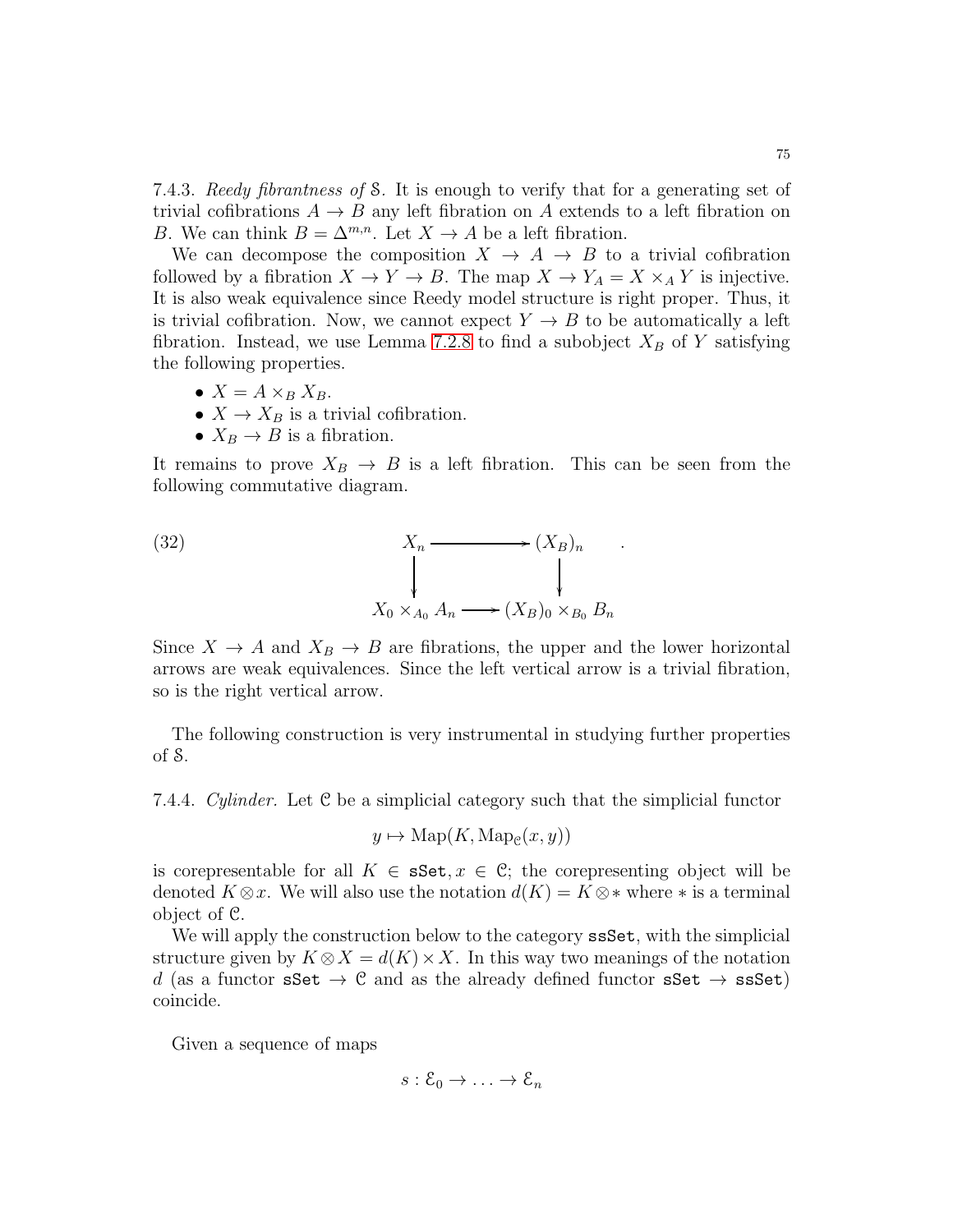7.4.3. Reedy fibrantness of S. It is enough to verify that for a generating set of trivial cofibrations  $A \rightarrow B$  any left fibration on A extends to a left fibration on B. We can think  $B = \Delta^{m,n}$ . Let  $X \to A$  be a left fibration.

We can decompose the composition  $X \to A \to B$  to a trivial cofibration followed by a fibration  $X \to Y \to B$ . The map  $X \to Y_A = X \times_A Y$  is injective. It is also weak equivalence since Reedy model structure is right proper. Thus, it is trivial cofibration. Now, we cannot expect  $Y \to B$  to be automatically a left fibration. Instead, we use Lemma [7.2.8](#page-72-0) to find a subobject  $X_B$  of Y satisfying the following properties.

- $X = A \times_B X_B$ .
- $X \to X_B$  is a trivial cofibration.
- $X_B \to B$  is a fibration.

It remains to prove  $X_B \to B$  is a left fibration. This can be seen from the following commutative diagram.

(32) 
$$
X_n \longrightarrow (X_B)_n
$$

$$
\downarrow \qquad \qquad \downarrow
$$

$$
X_0 \times_{A_0} A_n \longrightarrow (X_B)_0 \times_{B_0} B_n
$$

Since  $X \to A$  and  $X_B \to B$  are fibrations, the upper and the lower horizontal arrows are weak equivalences. Since the left vertical arrow is a trivial fibration, so is the right vertical arrow.

The following construction is very instrumental in studying further properties of S.

7.4.4. Cylinder. Let  $\mathcal C$  be a simplicial category such that the simplicial functor

$$
y \mapsto \mathrm{Map}(K, \mathrm{Map}_{\mathcal{C}}(x, y))
$$

is corepresentable for all  $K \in \mathbf{sSet}, x \in \mathbb{C}$ ; the corepresenting object will be denoted  $K \otimes x$ . We will also use the notation  $d(K) = K \otimes *$  where  $*$  is a terminal object of C.

We will apply the construction below to the category ssset, with the simplicial structure given by  $K \otimes X = d(K) \times X$ . In this way two meanings of the notation d (as a functor sSet  $\rightarrow$  C and as the already defined functor sSet  $\rightarrow$  ssSet) coincide.

Given a sequence of maps

$$
s:\mathcal{E}_0\to\ldots\to\mathcal{E}_n
$$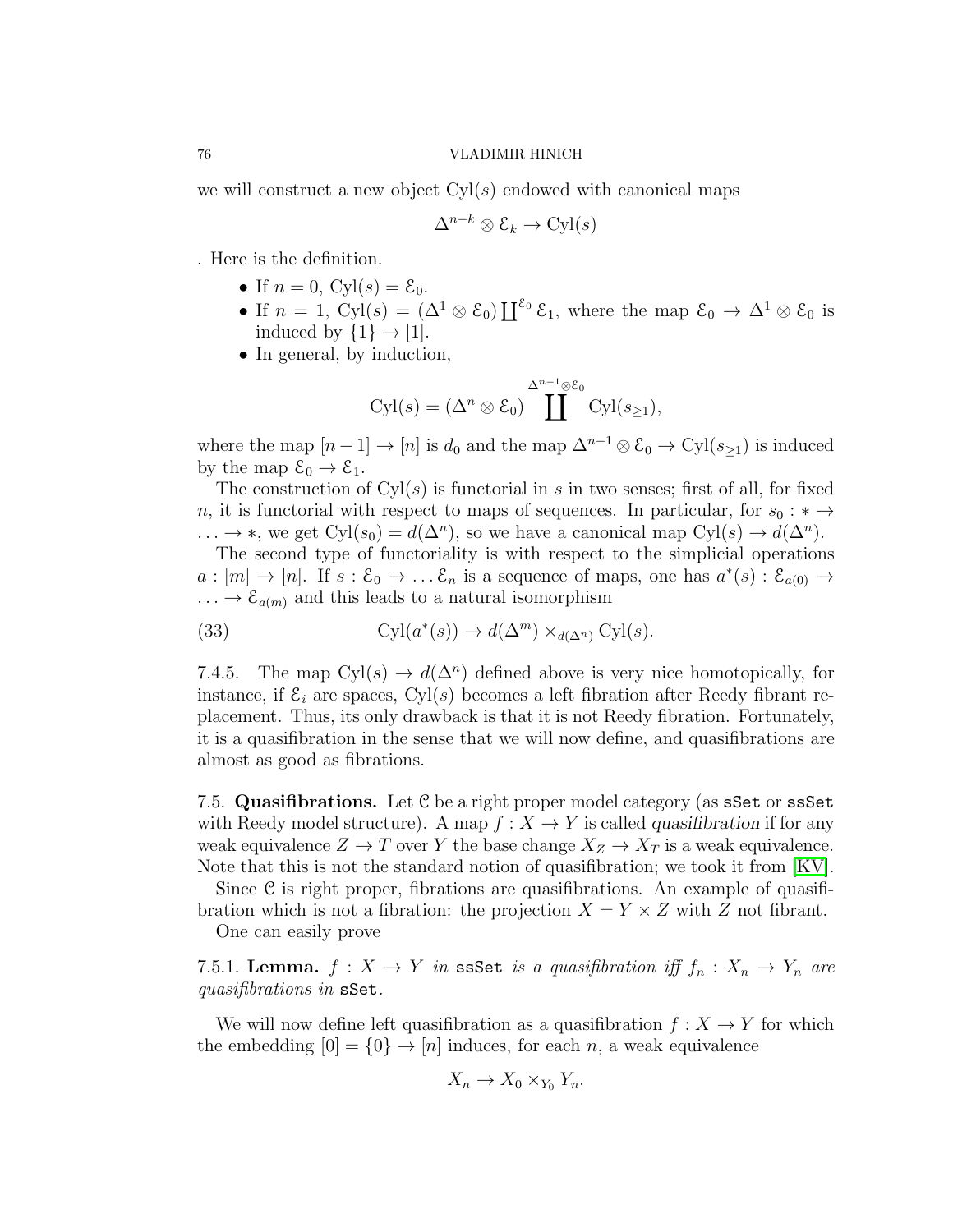we will construct a new object  $Cyl(s)$  endowed with canonical maps

$$
\Delta^{n-k} \otimes \mathcal{E}_k \to \text{Cyl}(s)
$$

. Here is the definition.

- If  $n = 0$ , Cyl(s) =  $\mathcal{E}_0$ .
- If  $n = 1$ , Cyl(s) =  $(\Delta^1 \otimes \mathcal{E}_0) \coprod^{\mathcal{E}_0} \mathcal{E}_1$ , where the map  $\mathcal{E}_0 \to \Delta^1 \otimes \mathcal{E}_0$  is induced by  $\{1\} \rightarrow [1]$ .
- In general, by induction,

$$
Cyl(s) = (\Delta^n \otimes \mathcal{E}_0) \prod^{\Delta^{n-1} \otimes \mathcal{E}_0} Cyl(s_{\geq 1}),
$$

where the map  $[n-1] \to [n]$  is  $d_0$  and the map  $\Delta^{n-1} \otimes \mathcal{E}_0 \to \mathrm{Cyl}(s_{\geq 1})$  is induced by the map  $\mathcal{E}_0 \to \mathcal{E}_1$ .

The construction of  $Cyl(s)$  is functorial in s in two senses; first of all, for fixed n, it is functorial with respect to maps of sequences. In particular, for  $s_0 : * \to$  $\ldots \to \ast$ , we get Cyl(s<sub>0</sub>) =  $d(\Delta^n)$ , so we have a canonical map Cyl(s)  $\to d(\Delta^n)$ .

The second type of functoriality is with respect to the simplicial operations  $a:[m]\to[n]$ . If  $s:\mathcal{E}_0\to\ldots\mathcal{E}_n$  is a sequence of maps, one has  $a^*(s):\mathcal{E}_{a(0)}\to$  $\ldots \rightarrow \mathcal{E}_{a(m)}$  and this leads to a natural isomorphism

(33) 
$$
\text{Cyl}(a^*(s)) \to d(\Delta^m) \times_{d(\Delta^n)} \text{Cyl}(s).
$$

7.4.5. The map  $Cyl(s) \to d(\Delta^n)$  defined above is very nice homotopically, for instance, if  $\mathcal{E}_i$  are spaces, Cyl(s) becomes a left fibration after Reedy fibrant replacement. Thus, its only drawback is that it is not Reedy fibration. Fortunately, it is a quasifibration in the sense that we will now define, and quasifibrations are almost as good as fibrations.

7.5. Quasifibrations. Let C be a right proper model category (as sSet or ssSet with Reedy model structure). A map  $f: X \to Y$  is called *quasifibration* if for any weak equivalence  $Z \to T$  over Y the base change  $X_Z \to X_T$  is a weak equivalence. Note that this is not the standard notion of quasifibration; we took it from [\[KV\]](#page-123-0).

Since C is right proper, fibrations are quasifibrations. An example of quasifibration which is not a fibration: the projection  $X = Y \times Z$  with Z not fibrant.

One can easily prove

7.5.1. Lemma.  $f: X \to Y$  in ssSet is a quasifibration iff  $f_n: X_n \to Y_n$  are quasifibrations in sSet.

We will now define left quasifibration as a quasifibration  $f: X \to Y$  for which the embedding  $[0] = \{0\} \rightarrow [n]$  induces, for each n, a weak equivalence

$$
X_n \to X_0 \times_{Y_0} Y_n.
$$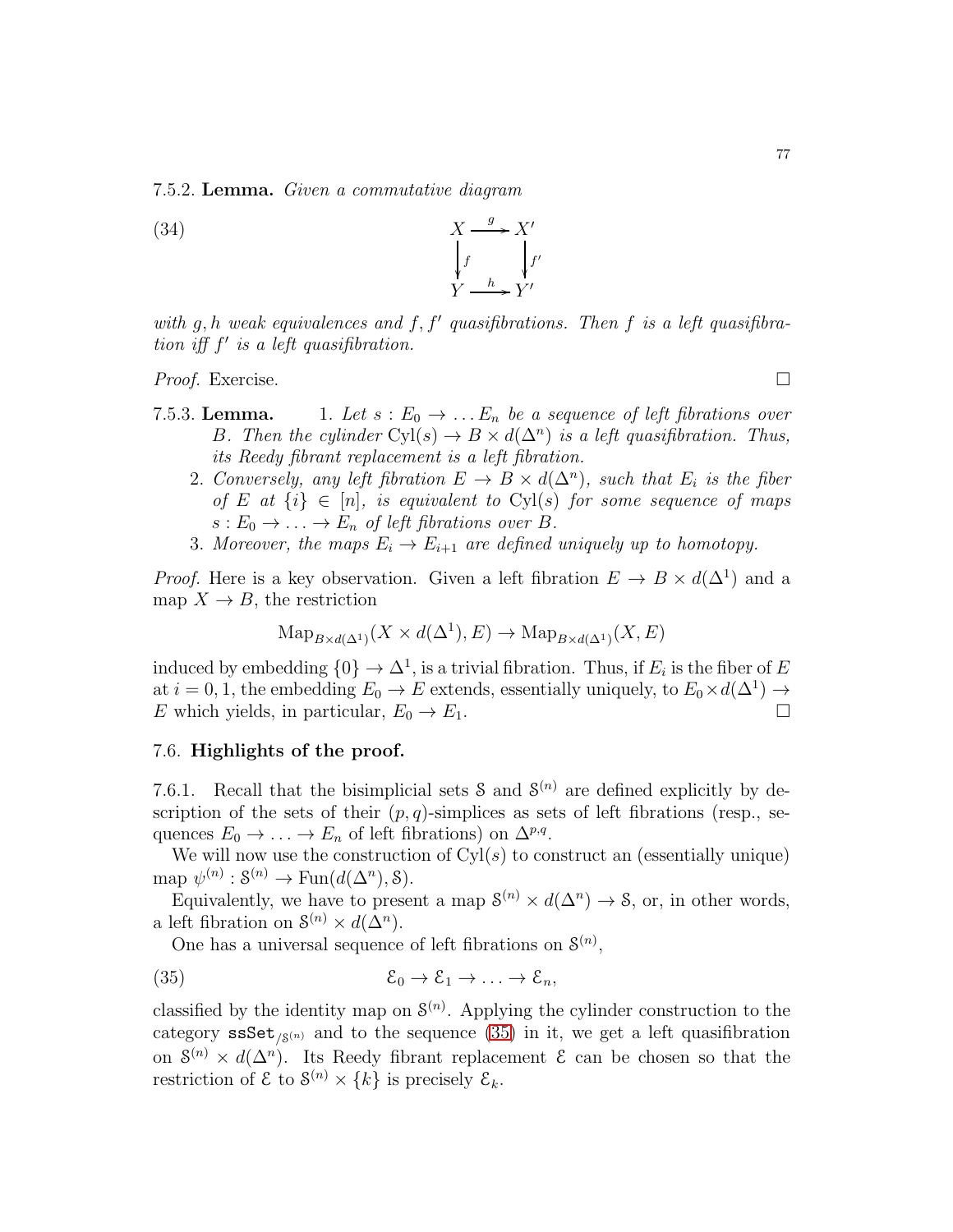7.5.2. Lemma. Given a commutative diagram

 $(X<sup>34</sup>)$  $\rightarrow$ . f ľ  $X'$ f ′ '.  $Y \xrightarrow{h} Y'$ 

with  $g, h$  weak equivalences and  $f, f'$  quasifibrations. Then  $f$  is a left quasifibration iff  $f'$  is a left quasifibration.

Proof. Exercise. □

- 7.5.3. Lemma. 1. Let  $s : E_0 \to \dots E_n$  be a sequence of left fibrations over B. Then the cylinder  $Cyl(s) \to B \times d(\Delta^n)$  is a left quasifibration. Thus, its Reedy fibrant replacement is a left fibration.
	- 2. Conversely, any left fibration  $E \to B \times d(\Delta^n)$ , such that  $E_i$  is the fiber of E at  $\{i\} \in [n]$ , is equivalent to Cyl(s) for some sequence of maps  $s: E_0 \to \ldots \to E_n$  of left fibrations over B.
	- 3. Moreover, the maps  $E_i \to E_{i+1}$  are defined uniquely up to homotopy.

*Proof.* Here is a key observation. Given a left fibration  $E \to B \times d(\Delta^1)$  and a map  $X \to B$ , the restriction

$$
\mathrm{Map}_{B \times d(\Delta^1)}(X \times d(\Delta^1), E) \to \mathrm{Map}_{B \times d(\Delta^1)}(X, E)
$$

induced by embedding  $\{0\} \to \Delta^1$ , is a trivial fibration. Thus, if  $E_i$  is the fiber of  $E$ at  $i = 0, 1$ , the embedding  $E_0 \to E$  extends, essentially uniquely, to  $E_0 \times d(\Delta^1) \to$ E which yields, in particular,  $E_0 \to E_1$ .

# 7.6. Highlights of the proof.

7.6.1. Recall that the bisimplicial sets  $S$  and  $S^{(n)}$  are defined explicitly by description of the sets of their  $(p, q)$ -simplices as sets of left fibrations (resp., sequences  $E_0 \to \ldots \to E_n$  of left fibrations) on  $\Delta^{p,q}$ .

We will now use the construction of  $Cyl(s)$  to construct an (essentially unique) map  $\psi^{(n)} : \mathcal{S}^{(n)} \to \text{Fun}(d(\Delta^n), \mathcal{S}).$ 

Equivalently, we have to present a map  $S^{(n)} \times d(\Delta^n) \to S$ , or, in other words, a left fibration on  $S^{(n)} \times d(\Delta^n)$ .

<span id="page-76-0"></span>One has a universal sequence of left fibrations on  $\mathcal{S}^{(n)}$ ,

(35) 
$$
\mathcal{E}_0 \to \mathcal{E}_1 \to \ldots \to \mathcal{E}_n,
$$

classified by the identity map on  $\mathcal{S}^{(n)}$ . Applying the cylinder construction to the category  $\texttt{ssSet}_{\beta^{(n)}}$  and to the sequence [\(35\)](#page-76-0) in it, we get a left quasifibration on  $S^{(n)} \times d(\Delta^n)$ . Its Reedy fibrant replacement  $\mathcal E$  can be chosen so that the restriction of  $\mathcal{E}$  to  $\mathcal{S}^{(n)} \times \{k\}$  is precisely  $\mathcal{E}_k$ .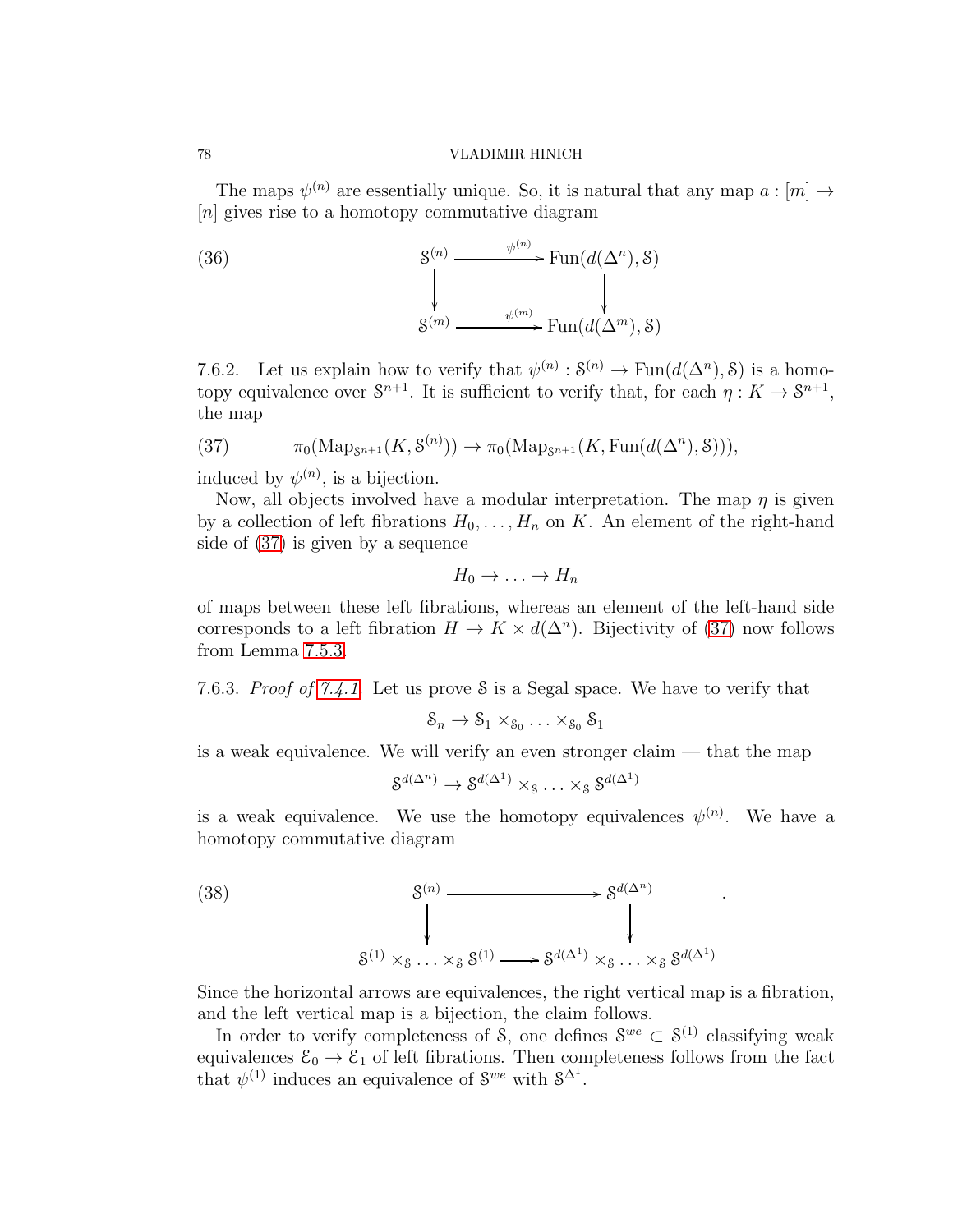The maps  $\psi^{(n)}$  are essentially unique. So, it is natural that any map  $a: [m] \rightarrow$ [n] gives rise to a homotopy commutative diagram

(36) 
$$
\begin{array}{ccc}\n & \text{S}^{(n)} & \xrightarrow{\psi^{(n)}} \text{Fun}(d(\Delta^n), \mathcal{S}) \\
 & \downarrow & \downarrow & \downarrow \\
 & \text{S}^{(m)} & \xrightarrow{\psi^{(m)}} \text{Fun}(d(\Delta^m), \mathcal{S})\n\end{array}
$$

7.6.2. Let us explain how to verify that  $\psi^{(n)} : \mathcal{S}^{(n)} \to \text{Fun}(d(\Delta^n), \mathcal{S})$  is a homotopy equivalence over  $S^{n+1}$ . It is sufficient to verify that, for each  $\eta: K \to S^{n+1}$ , the map

<span id="page-77-0"></span>(37) 
$$
\pi_0(\operatorname{Map}_{\mathcal{S}^{n+1}}(K,\mathcal{S}^{(n)})) \to \pi_0(\operatorname{Map}_{\mathcal{S}^{n+1}}(K,\operatorname{Fun}(d(\Delta^n),\mathcal{S}))),
$$

induced by  $\psi^{(n)}$ , is a bijection.

Now, all objects involved have a modular interpretation. The map  $\eta$  is given by a collection of left fibrations  $H_0, \ldots, H_n$  on K. An element of the right-hand side of [\(37\)](#page-77-0) is given by a sequence

$$
H_0 \to \ldots \to H_n
$$

of maps between these left fibrations, whereas an element of the left-hand side corresponds to a left fibration  $H \to K \times d(\Delta^n)$ . Bijectivity of [\(37\)](#page-77-0) now follows from Lemma 7.5.3.

7.6.3. Proof of [7.4.1.](#page-73-0) Let us prove S is a Segal space. We have to verify that

$$
\mathcal{S}_n \to \mathcal{S}_1 \times_{\mathcal{S}_0} \ldots \times_{\mathcal{S}_0} \mathcal{S}_1
$$

is a weak equivalence. We will verify an even stronger claim — that the map

$$
\mathcal{S}^{d(\Delta^n)} \to \mathcal{S}^{d(\Delta^1)} \times_{\mathcal{S}} \ldots \times_{\mathcal{S}} \mathcal{S}^{d(\Delta^1)}
$$

is a weak equivalence. We use the homotopy equivalences  $\psi^{(n)}$ . We have a homotopy commutative diagram

.

(38)  
\n
$$
\begin{array}{ccc}\n & \mathcal{S}^{(n)} & \longrightarrow & \mathcal{S}^{d(\Delta^n)} \\
 & \downarrow & & \downarrow \\
 & \mathcal{S}^{(1)} \times_{\mathcal{S}} \dots \times_{\mathcal{S}} \mathcal{S}^{(1)} & \longrightarrow & \mathcal{S}^{d(\Delta^1)} \times_{\mathcal{S}} \dots \times_{\mathcal{S}} \mathcal{S}^{d(\Delta^1)}\n\end{array}
$$

Since the horizontal arrows are equivalences, the right vertical map is a fibration, and the left vertical map is a bijection, the claim follows.

In order to verify completeness of S, one defines  $S^{we} \subset S^{(1)}$  classifying weak equivalences  $\mathcal{E}_0 \to \mathcal{E}_1$  of left fibrations. Then completeness follows from the fact that  $\psi^{(1)}$  induces an equivalence of  $S^{we}$  with  $S^{\Delta^1}$ .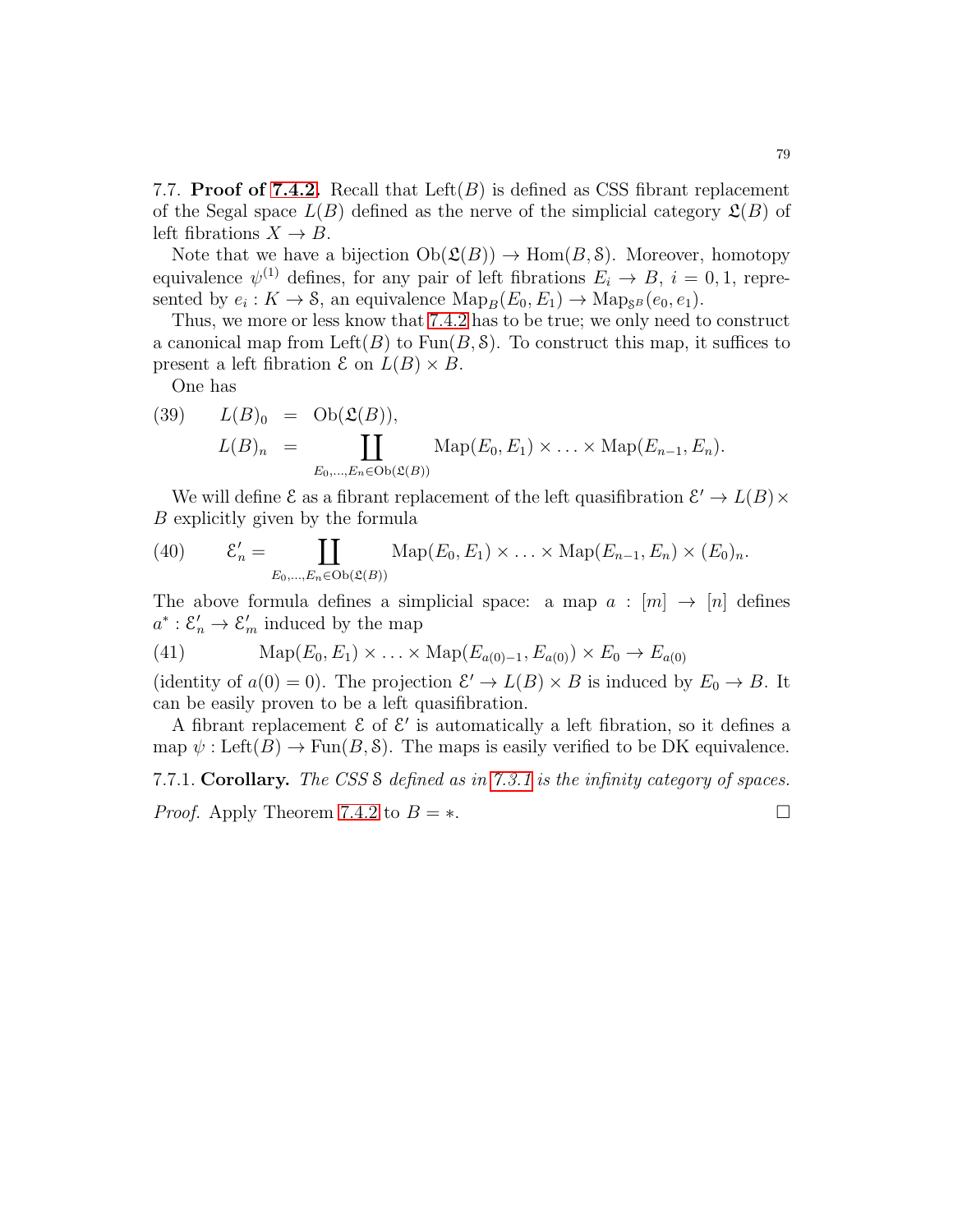7.7. **Proof of [7.4.2.](#page-73-1)** Recall that Left $(B)$  is defined as CSS fibrant replacement of the Segal space  $L(B)$  defined as the nerve of the simplicial category  $\mathfrak{L}(B)$  of left fibrations  $X \to B$ .

Note that we have a bijection  $Ob(\mathfrak{L}(B)) \to Hom(B, \mathfrak{S})$ . Moreover, homotopy equivalence  $\psi^{(1)}$  defines, for any pair of left fibrations  $E_i \to B$ ,  $i = 0, 1$ , represented by  $e_i: K \to \mathcal{S}$ , an equivalence  $\text{Map}_B(E_0, E_1) \to \text{Map}_{\mathcal{S}^B}(e_0, e_1)$ .

Thus, we more or less know that [7.4.2](#page-73-1) has to be true; we only need to construct a canonical map from Left(B) to  $Fun(B, \mathcal{S})$ . To construct this map, it suffices to present a left fibration  $\mathcal E$  on  $L(B) \times B$ .

One has

(39) 
$$
L(B)_0 = \text{Ob}(\mathfrak{L}(B)),
$$

$$
L(B)_n = \coprod_{E_0, \dots, E_n \in \text{Ob}(\mathfrak{L}(B))} \text{Map}(E_0, E_1) \times \dots \times \text{Map}(E_{n-1}, E_n).
$$

We will define  $\mathcal E$  as a fibrant replacement of the left quasifibration  $\mathcal E' \to L(B) \times$ B explicitly given by the formula

(40) 
$$
\mathcal{E}'_n = \coprod_{E_0,\ldots,E_n \in Ob(\mathfrak{L}(B))} \mathrm{Map}(E_0,E_1) \times \ldots \times \mathrm{Map}(E_{n-1},E_n) \times (E_0)_n.
$$

The above formula defines a simplicial space: a map  $a : [m] \rightarrow [n]$  defines  $a^* : \mathcal{E}'_n \to \mathcal{E}'_m$  induced by the map

(41) 
$$
\text{Map}(E_0, E_1) \times ... \times \text{Map}(E_{a(0)-1}, E_{a(0)}) \times E_0 \to E_{a(0)}
$$

(identity of  $a(0) = 0$ ). The projection  $\mathcal{E}' \to L(B) \times B$  is induced by  $E_0 \to B$ . It can be easily proven to be a left quasifibration.

A fibrant replacement  $\mathcal E$  of  $\mathcal E'$  is automatically a left fibration, so it defines a map  $\psi: \text{Left}(B) \to \text{Fun}(B, \mathcal{S})$ . The maps is easily verified to be DK equivalence.

# 7.7.1. Corollary. The CSS S defined as in [7.3.1](#page-72-1) is the infinity category of spaces. *Proof.* Apply Theorem [7.4.2](#page-73-1) to  $B = *$ .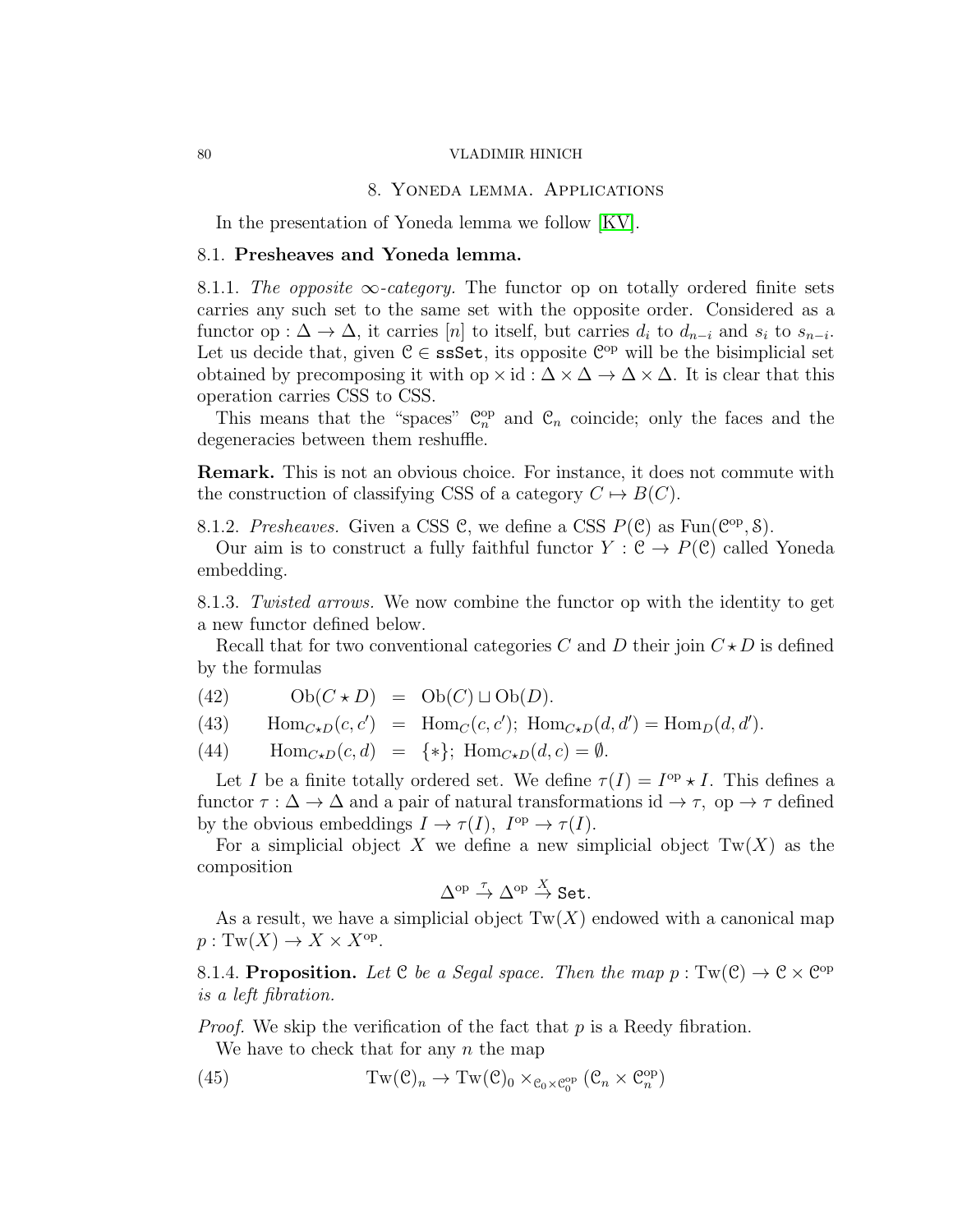## 8. Yoneda lemma. Applications

<span id="page-79-1"></span>In the presentation of Yoneda lemma we follow [\[KV\]](#page-123-0).

# 8.1. Presheaves and Yoneda lemma.

8.1.1. The opposite  $\infty$ -category. The functor op on totally ordered finite sets carries any such set to the same set with the opposite order. Considered as a functor op :  $\Delta \to \Delta$ , it carries [n] to itself, but carries  $d_i$  to  $d_{n-i}$  and  $s_i$  to  $s_{n-i}$ . Let us decide that, given  $C \in \text{ssSet}$ , its opposite  $C^{\text{op}}$  will be the bisimplicial set obtained by precomposing it with op  $\times$  id :  $\Delta \times \Delta \rightarrow \Delta \times \Delta$ . It is clear that this operation carries CSS to CSS.

This means that the "spaces"  $\mathbb{C}_n^{\text{op}}$  and  $\mathbb{C}_n$  coincide; only the faces and the degeneracies between them reshuffle.

Remark. This is not an obvious choice. For instance, it does not commute with the construction of classifying CSS of a category  $C \mapsto B(C)$ .

8.1.2. Presheaves. Given a CSS C, we define a CSS  $P(\mathcal{C})$  as  $\text{Fun}(\mathcal{C}^{op}, \mathcal{S})$ .

Our aim is to construct a fully faithful functor  $Y : \mathcal{C} \to P(\mathcal{C})$  called Yoneda embedding.

8.1.3. Twisted arrows. We now combine the functor op with the identity to get a new functor defined below.

Recall that for two conventional categories C and D their join  $C \star D$  is defined by the formulas

- (42)  $Ob(C \star D) = Ob(C) \sqcup Ob(D).$
- (43)  $\text{Hom}_{C \star D}(c, c') = \text{Hom}_{C}(c, c'); \text{Hom}_{C \star D}(d, d') = \text{Hom}_{D}(d, d').$
- (44)  $\text{Hom}_{C \star D}(c, d) = \{*\}; \text{Hom}_{C \star D}(d, c) = \emptyset.$

Let I be a finite totally ordered set. We define  $\tau(I) = I^{\text{op}} \star I$ . This defines a functor  $\tau : \Delta \to \Delta$  and a pair of natural transformations id  $\to \tau$ , op  $\to \tau$  defined by the obvious embeddings  $I \to \tau(I)$ ,  $I^{\text{op}} \to \tau(I)$ .

For a simplicial object X we define a new simplicial object  $Tw(X)$  as the composition

$$
\Delta^{\mathrm{op}} \stackrel{\tau}{\rightarrow} \Delta^{\mathrm{op}} \stackrel{X}{\rightarrow} \mathbf{Set}.
$$

As a result, we have a simplicial object  $Tw(X)$  endowed with a canonical map  $p: \mathrm{Tw}(X) \to X \times X^{\mathrm{op}}.$ 

8.1.4. Proposition. Let C be a Segal space. Then the map  $p: Tw(\mathcal{C}) \to \mathcal{C} \times \mathcal{C}^{op}$ is a left fibration.

*Proof.* We skip the verification of the fact that  $p$  is a Reedy fibration. We have to check that for any  $n$  the map

<span id="page-79-0"></span>(45) 
$$
Tw(\mathcal{C})_n \to Tw(\mathcal{C})_0 \times_{\mathcal{C}_0 \times \mathcal{C}_0^{\mathrm{op}}} (\mathcal{C}_n \times \mathcal{C}_n^{\mathrm{op}})
$$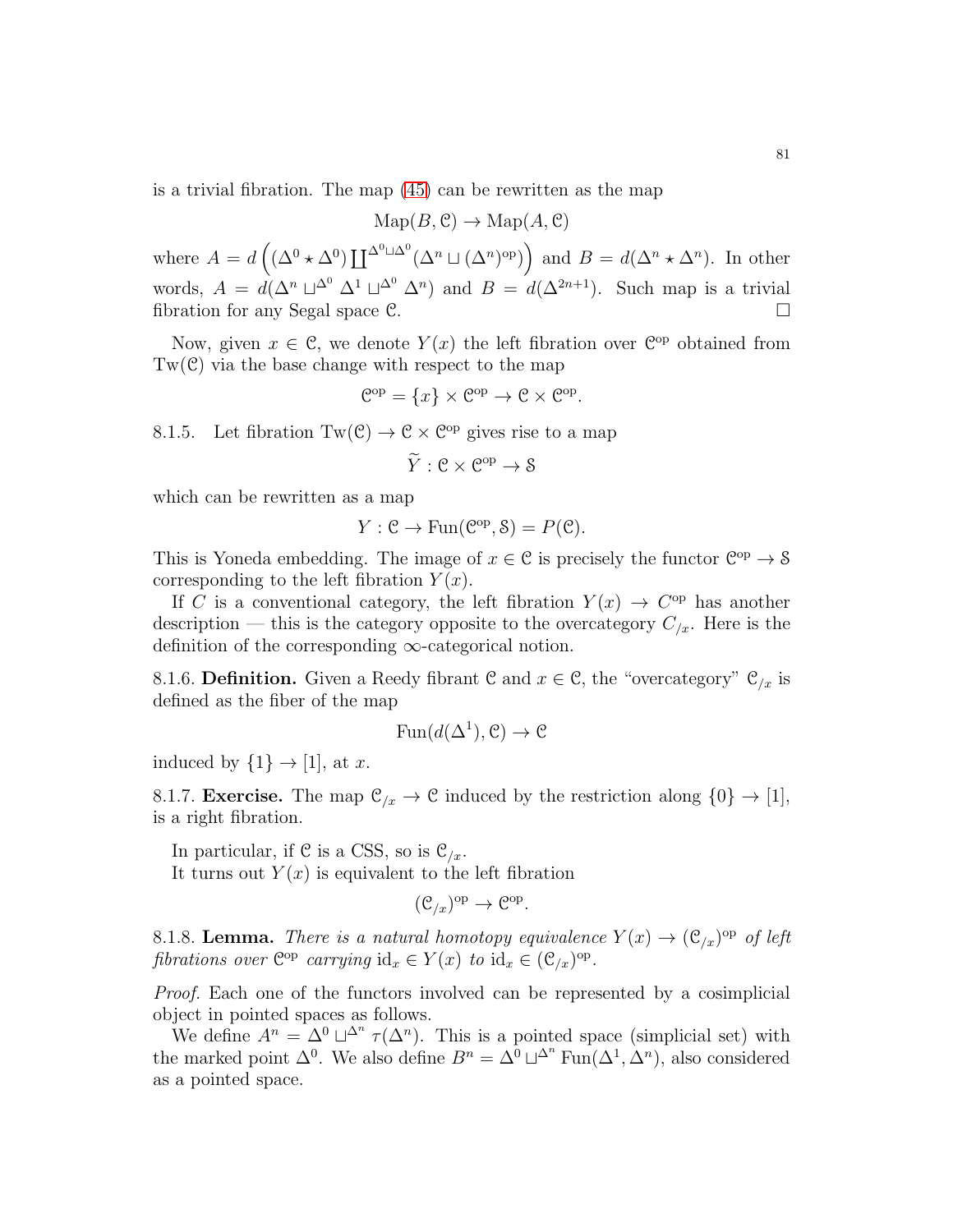is a trivial fibration. The map [\(45\)](#page-79-0) can be rewritten as the map

$$
\operatorname{Map}(B, \mathcal{C}) \to \operatorname{Map}(A, \mathcal{C})
$$

where  $A = d\left((\Delta^0 \star \Delta^0) \coprod^{\Delta^0 \sqcup \Delta^0} (\Delta^n \sqcup (\Delta^n)^{\rm op})\right)$  and  $B = d(\Delta^n \star \Delta^n)$ . In other words,  $A = d(\Delta^n \sqcup^{\Delta^0} \Delta^1 \sqcup^{\Delta^0} \Delta^n)$  and  $B = d(\Delta^{2n+1})$ . Such map is a trivial fibration for any Segal space  $\mathcal{C}$ .

Now, given  $x \in \mathcal{C}$ , we denote  $Y(x)$  the left fibration over  $\mathcal{C}^{op}$  obtained from  $Tw(\mathcal{C})$  via the base change with respect to the map

$$
\mathcal{C}^{\mathrm{op}} = \{x\} \times \mathcal{C}^{\mathrm{op}} \to \mathcal{C} \times \mathcal{C}^{\mathrm{op}}.
$$

8.1.5. Let fibration  $Tw(\mathcal{C}) \to \mathcal{C} \times \mathcal{C}^{op}$  gives rise to a map

$$
\widetilde{Y}: \mathcal{C} \times \mathcal{C}^{\mathrm{op}} \to \mathcal{S}
$$

which can be rewritten as a map

$$
Y: \mathcal{C} \to \text{Fun}(\mathcal{C}^{op}, \mathcal{S}) = P(\mathcal{C}).
$$

This is Yoneda embedding. The image of  $x \in \mathcal{C}$  is precisely the functor  $\mathcal{C}^{op} \to \mathcal{S}$ corresponding to the left fibration  $Y(x)$ .

If C is a conventional category, the left fibration  $Y(x) \to C^{op}$  has another description — this is the category opposite to the overcategory  $C_{x}$ . Here is the definition of the corresponding  $\infty$ -categorical notion.

8.1.6. Definition. Given a Reedy fibrant C and  $x \in \mathcal{C}$ , the "overcategory"  $\mathcal{C}_{x}$  is defined as the fiber of the map

$$
Fun(d(\Delta^1), \mathcal{C}) \to \mathcal{C}
$$

induced by  $\{1\} \rightarrow [1]$ , at x.

<span id="page-80-1"></span>8.1.7. **Exercise.** The map  $\mathcal{C}_{\ell x} \to \mathcal{C}$  induced by the restriction along  $\{0\} \to [1]$ , is a right fibration.

In particular, if C is a CSS, so is  $\mathcal{C}_{\ell x}$ .

It turns out  $Y(x)$  is equivalent to the left fibration

$$
(\mathcal{C}_{/x})^{\mathrm{op}} \to \mathcal{C}^{\mathrm{op}}.
$$

<span id="page-80-0"></span>8.1.8. Lemma. There is a natural homotopy equivalence  $Y(x) \to (\mathcal{C}_{/x})^{\rm op}$  of left fibrations over  $\mathbb{C}^{\text{op}}$  carrying  $\mathrm{id}_x \in Y(x)$  to  $\mathrm{id}_x \in (\mathcal{C}_{/x})^{\text{op}}$ .

Proof. Each one of the functors involved can be represented by a cosimplicial object in pointed spaces as follows.

We define  $A^n = \Delta^0 \sqcup^{\Delta^n} \tau(\Delta^n)$ . This is a pointed space (simplicial set) with the marked point  $\Delta^0$ . We also define  $B^n = \Delta^0 \sqcup^{\Delta^n} \text{Fun}(\Delta^1, \Delta^n)$ , also considered as a pointed space.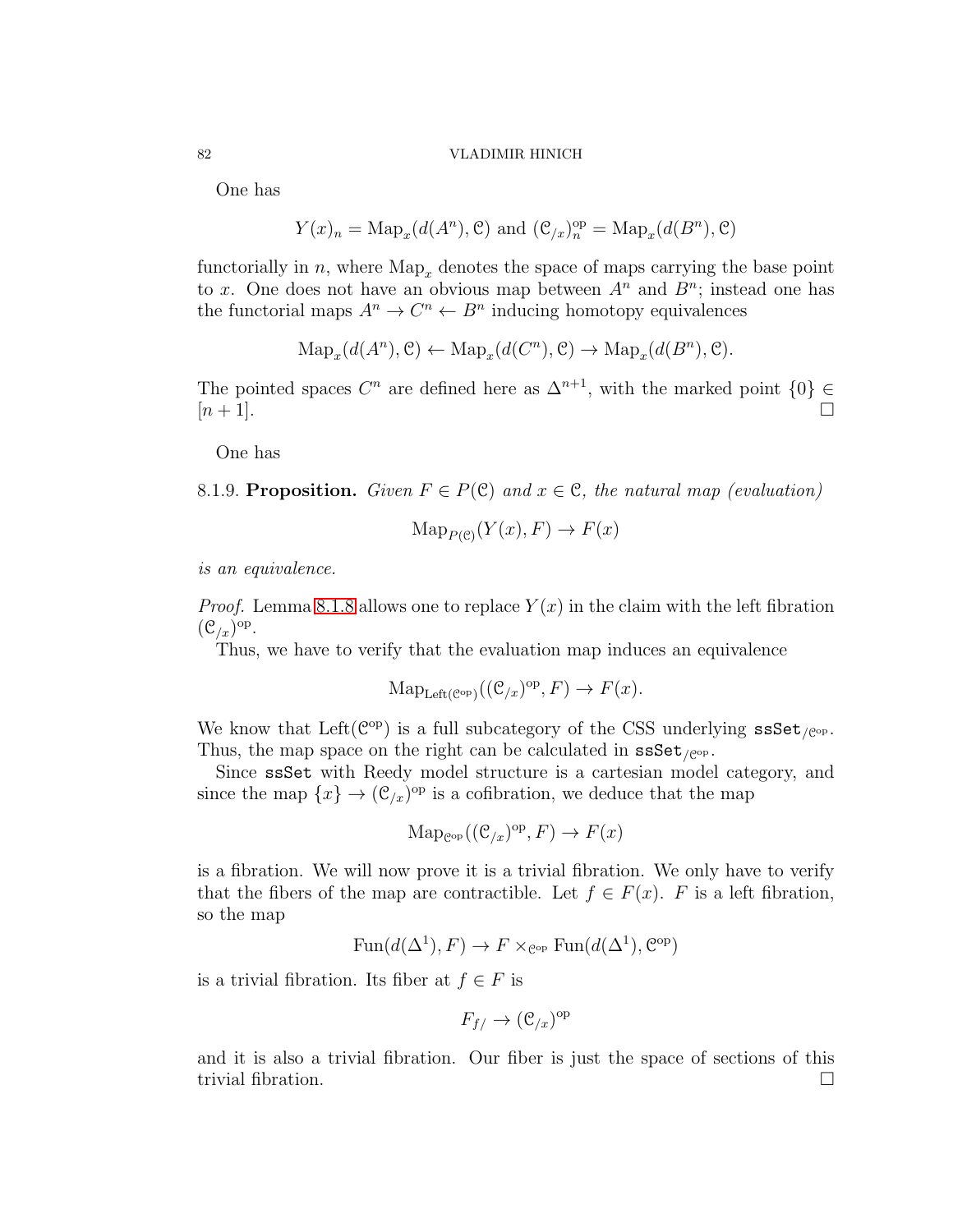One has

$$
Y(x)_n = \text{Map}_x(d(A^n), \mathcal{C})
$$
 and  $(\mathcal{C}_{/x})_n^{\text{op}} = \text{Map}_x(d(B^n), \mathcal{C})$ 

functorially in n, where  $\text{Map}_x$  denotes the space of maps carrying the base point to x. One does not have an obvious map between  $A<sup>n</sup>$  and  $B<sup>n</sup>$ ; instead one has the functorial maps  $A^n \to C^n \leftarrow B^n$  inducing homotopy equivalences

$$
\mathrm{Map}_x(d(A^n), \mathcal{C}) \leftarrow \mathrm{Map}_x(d(C^n), \mathcal{C}) \rightarrow \mathrm{Map}_x(d(B^n), \mathcal{C}).
$$

The pointed spaces  $C^n$  are defined here as  $\Delta^{n+1}$ , with the marked point  $\{0\} \in$  $[n+1]$ .

One has

8.1.9. Proposition. Given  $F \in P(\mathcal{C})$  and  $x \in \mathcal{C}$ , the natural map (evaluation)

$$
\mathrm{Map}_{P(\mathcal{C})}(Y(x), F) \to F(x)
$$

is an equivalence.

*Proof.* Lemma [8.1.8](#page-80-0) allows one to replace  $Y(x)$  in the claim with the left fibration  $(\mathcal{C}_{/x})^{\mathrm{op}}.$ 

Thus, we have to verify that the evaluation map induces an equivalence

$$
\mathrm{Map}_{\mathrm{Left}(\mathcal{C}^{\mathrm{op}})}((\mathcal{C}_{/x})^{\mathrm{op}}, F) \to F(x).
$$

We know that Left( $\mathcal{C}^{\mathrm{op}}$ ) is a full subcategory of the CSS underlying  $\texttt{ssSet}_{/\mathcal{C}^{\mathrm{op}}}$ . Thus, the map space on the right can be calculated in  $\texttt{ssSet}_{\ell^{\text{op}}}.$ 

Since ssSet with Reedy model structure is a cartesian model category, and since the map  $\{x\} \to (\mathcal{C}_{/x})^{\text{op}}$  is a cofibration, we deduce that the map

$$
\mathrm{Map}_{\mathcal{C}^{\mathrm{op}}}((\mathcal{C}_{/x})^{\mathrm{op}}, F) \to F(x)
$$

is a fibration. We will now prove it is a trivial fibration. We only have to verify that the fibers of the map are contractible. Let  $f \in F(x)$ . F is a left fibration, so the map

$$
Fun(d(\Delta^1), F) \to F \times_{\mathcal{C}^{op}} \text{Fun}(d(\Delta^1), \mathcal{C}^{op})
$$

is a trivial fibration. Its fiber at  $f \in F$  is

$$
F_{f/} \to (\mathcal{C}_{/x})^{\text{op}}
$$

and it is also a trivial fibration. Our fiber is just the space of sections of this trivial fibration.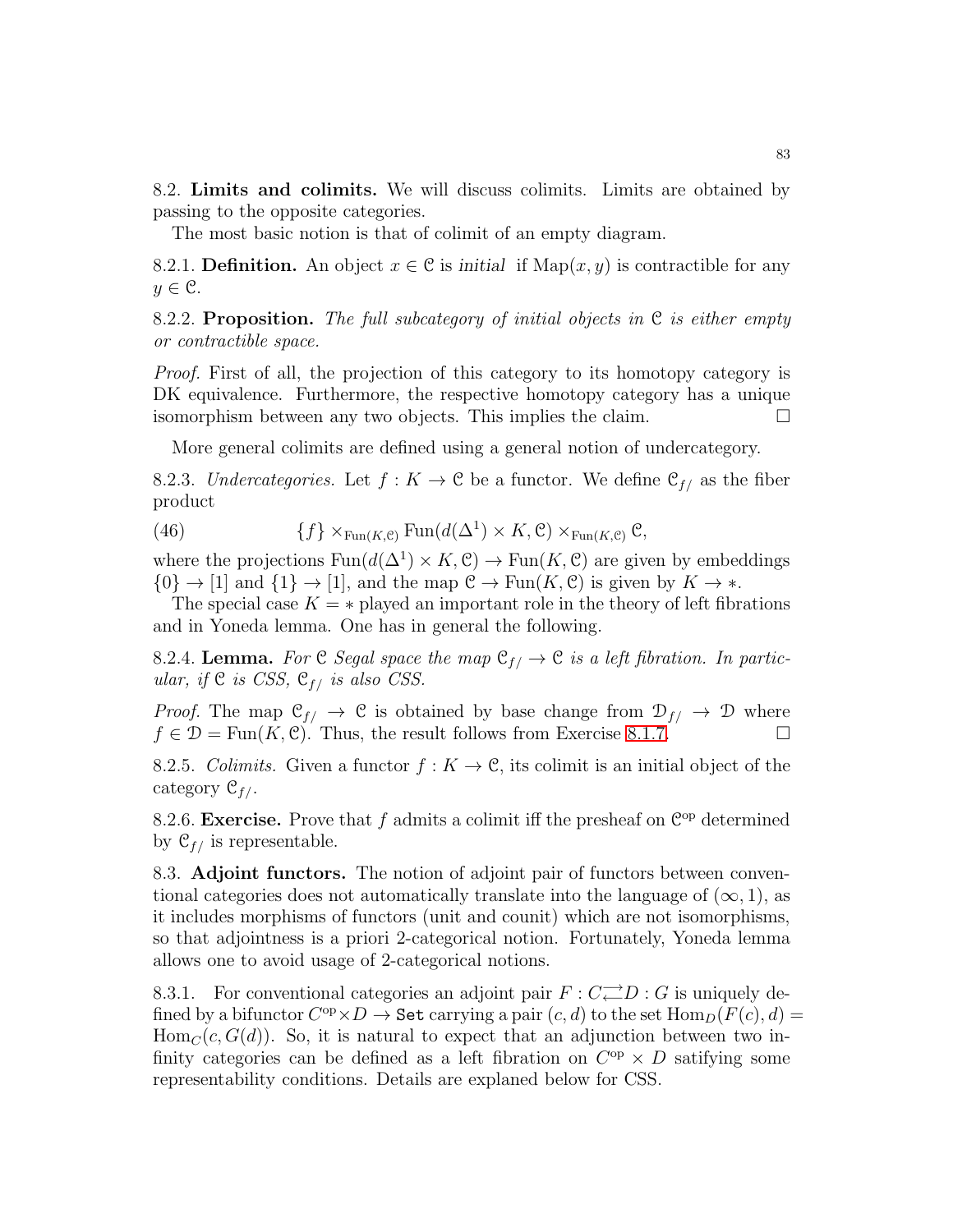8.2. Limits and colimits. We will discuss colimits. Limits are obtained by passing to the opposite categories.

The most basic notion is that of colimit of an empty diagram.

8.2.1. **Definition.** An object  $x \in \mathcal{C}$  is *initial* if  $\text{Map}(x, y)$  is contractible for any  $y \in \mathcal{C}$ .

8.2.2. Proposition. The full subcategory of initial objects in  $\mathcal C$  is either empty or contractible space.

Proof. First of all, the projection of this category to its homotopy category is DK equivalence. Furthermore, the respective homotopy category has a unique isomorphism between any two objects. This implies the claim.

More general colimits are defined using a general notion of undercategory.

8.2.3. Undercategories. Let  $f: K \to \mathcal{C}$  be a functor. We define  $\mathcal{C}_{f}$  as the fiber product

(46)  $\{f\} \times_{\text{Fun}(K, \mathcal{C})} \text{Fun}(d(\Delta^1) \times K, \mathcal{C}) \times_{\text{Fun}(K, \mathcal{C})} \mathcal{C},$ 

where the projections  $\text{Fun}(d(\Delta^1) \times K, \mathcal{C}) \to \text{Fun}(K, \mathcal{C})$  are given by embeddings  $\{0\} \rightarrow [1]$  and  $\{1\} \rightarrow [1]$ , and the map  $\mathcal{C} \rightarrow \text{Fun}(K, \mathcal{C})$  is given by  $K \rightarrow *$ .

The special case  $K = *$  played an important role in the theory of left fibrations and in Yoneda lemma. One has in general the following.

8.2.4. Lemma. For C Segal space the map  $\mathcal{C}_{f} \to \mathcal{C}$  is a left fibration. In particular, if  $C$  is CSS,  $C_{f}$  is also CSS.

*Proof.* The map  $C_{f/} \rightarrow C$  is obtained by base change from  $\mathcal{D}_{f/} \rightarrow \mathcal{D}$  where  $f \in \mathcal{D} = \text{Fun}(K, \mathcal{C})$ . Thus, the result follows from Exercise [8.1.7.](#page-80-1)

8.2.5. Colimits. Given a functor  $f: K \to \mathcal{C}$ , its colimit is an initial object of the category  $\mathfrak{C}_{f}/$ .

<span id="page-82-0"></span>8.2.6. Exercise. Prove that  $f$  admits a colimit iff the presheaf on  $\mathbb{C}^{op}$  determined by  $\mathcal{C}_{f}$  is representable.

8.3. Adjoint functors. The notion of adjoint pair of functors between conventional categories does not automatically translate into the language of  $(\infty, 1)$ , as it includes morphisms of functors (unit and counit) which are not isomorphisms, so that adjointness is a priori 2-categorical notion. Fortunately, Yoneda lemma allows one to avoid usage of 2-categorical notions.

8.3.1. For conventional categories an adjoint pair  $F: C \rightleftarrows D: G$  is uniquely defined by a bifunctor  $C^{op} \times D \to$  Set carrying a pair  $(c, d)$  to the set  $\text{Hom}_D(F(c), d) =$  $\text{Hom}_{\mathcal{C}}(c, G(d))$ . So, it is natural to expect that an adjunction between two infinity categories can be defined as a left fibration on  $C^{op} \times D$  satifying some representability conditions. Details are explaned below for CSS.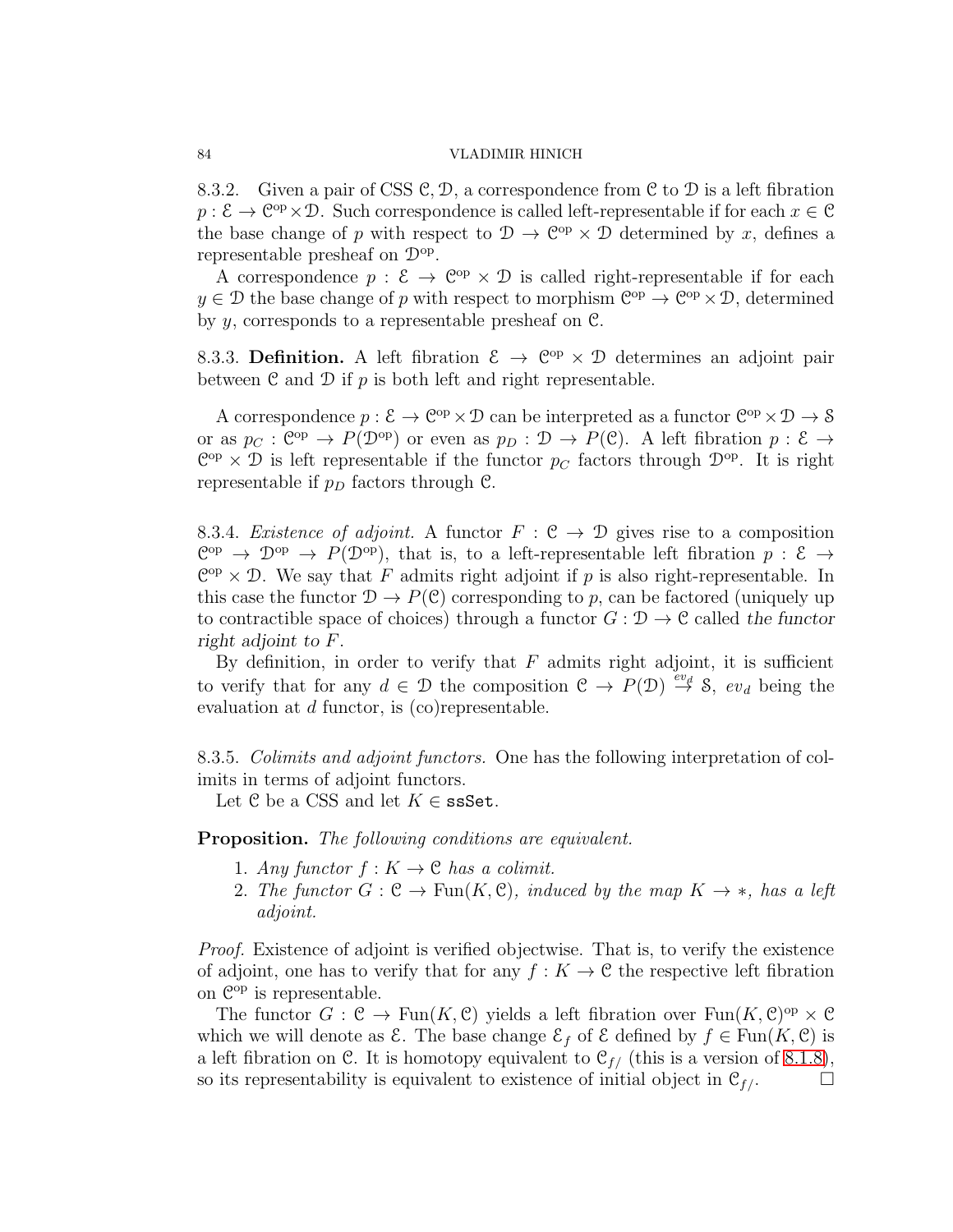8.3.2. Given a pair of CSS  $C, D$ , a correspondence from C to D is a left fibration  $p: \mathcal{E} \to \mathbb{C}^{\text{op}} \times \mathcal{D}$ . Such correspondence is called left-representable if for each  $x \in \mathcal{C}$ the base change of p with respect to  $\mathcal{D} \to \mathcal{C}^{op} \times \mathcal{D}$  determined by x, defines a representable presheaf on  $\mathcal{D}^{\text{op}}$ .

A correspondence  $p: \mathcal{E} \to \mathcal{C}^{op} \times \mathcal{D}$  is called right-representable if for each  $y \in \mathcal{D}$  the base change of p with respect to morphism  $\mathbb{C}^{op} \to \mathbb{C}^{op} \times \mathcal{D}$ , determined by y, corresponds to a representable presheaf on C.

8.3.3. Definition. A left fibration  $\mathcal{E} \to \mathcal{C}^{op} \times \mathcal{D}$  determines an adjoint pair between  $\mathfrak C$  and  $\mathfrak D$  if  $p$  is both left and right representable.

A correspondence  $p: \mathcal{E} \to \mathbb{C}^{op} \times \mathcal{D}$  can be interpreted as a functor  $\mathbb{C}^{op} \times \mathcal{D} \to \mathcal{S}$ or as  $p_{\mathcal{C}}: \mathbb{C}^{op} \to P(\mathcal{D}^{op})$  or even as  $p_D: \mathcal{D} \to P(\mathcal{C})$ . A left fibration  $p: \mathcal{E} \to$  $\mathbb{C}^{op} \times \mathcal{D}$  is left representable if the functor  $p_C$  factors through  $\mathcal{D}^{op}$ . It is right representable if  $p_D$  factors through C.

8.3.4. Existence of adjoint. A functor  $F : \mathcal{C} \to \mathcal{D}$  gives rise to a composition  $\mathbb{C}^{op} \to \mathcal{D}^{op} \to P(\mathcal{D}^{op})$ , that is, to a left-representable left fibration  $p: \mathcal{E} \to$  $\mathbb{C}^{op} \times \mathcal{D}$ . We say that F admits right adjoint if p is also right-representable. In this case the functor  $\mathcal{D} \to P(\mathcal{C})$  corresponding to p, can be factored (uniquely up to contractible space of choices) through a functor  $G: \mathcal{D} \to \mathcal{C}$  called the functor *right adjoint to* F.

By definition, in order to verify that  $F$  admits right adjoint, it is sufficient to verify that for any  $d \in \mathcal{D}$  the composition  $\mathcal{C} \to P(\mathcal{D}) \stackrel{ev_d}{\to} \mathcal{S}$ ,  $ev_d$  being the evaluation at d functor, is (co)representable.

8.3.5. Colimits and adjoint functors. One has the following interpretation of colimits in terms of adjoint functors.

Let C be a CSS and let  $K \in \texttt{ssSet}.$ 

Proposition. The following conditions are equivalent.

- 1. Any functor  $f: K \to \mathcal{C}$  has a colimit.
- 2. The functor  $G: \mathcal{C} \to \text{Fun}(K, \mathcal{C})$ , induced by the map  $K \to \ast$ , has a left adjoint.

Proof. Existence of adjoint is verified objectwise. That is, to verify the existence of adjoint, one has to verify that for any  $f : K \to \mathcal{C}$  the respective left fibration on  $\mathbb{C}^{op}$  is representable.

The functor  $G : \mathcal{C} \to \text{Fun}(K, \mathcal{C})$  yields a left fibration over  $\text{Fun}(K, \mathcal{C})^{\text{op}} \times \mathcal{C}$ which we will denote as  $\mathcal{E}$ . The base change  $\mathcal{E}_f$  of  $\mathcal{E}$  defined by  $f \in \text{Fun}(K, \mathcal{C})$  is a left fibration on C. It is homotopy equivalent to  $\mathcal{C}_{f/}$  (this is a version of [8.1.8\)](#page-80-0), so its representability is equivalent to existence of initial object in  $\mathcal{C}_{f}$ .

<span id="page-83-0"></span>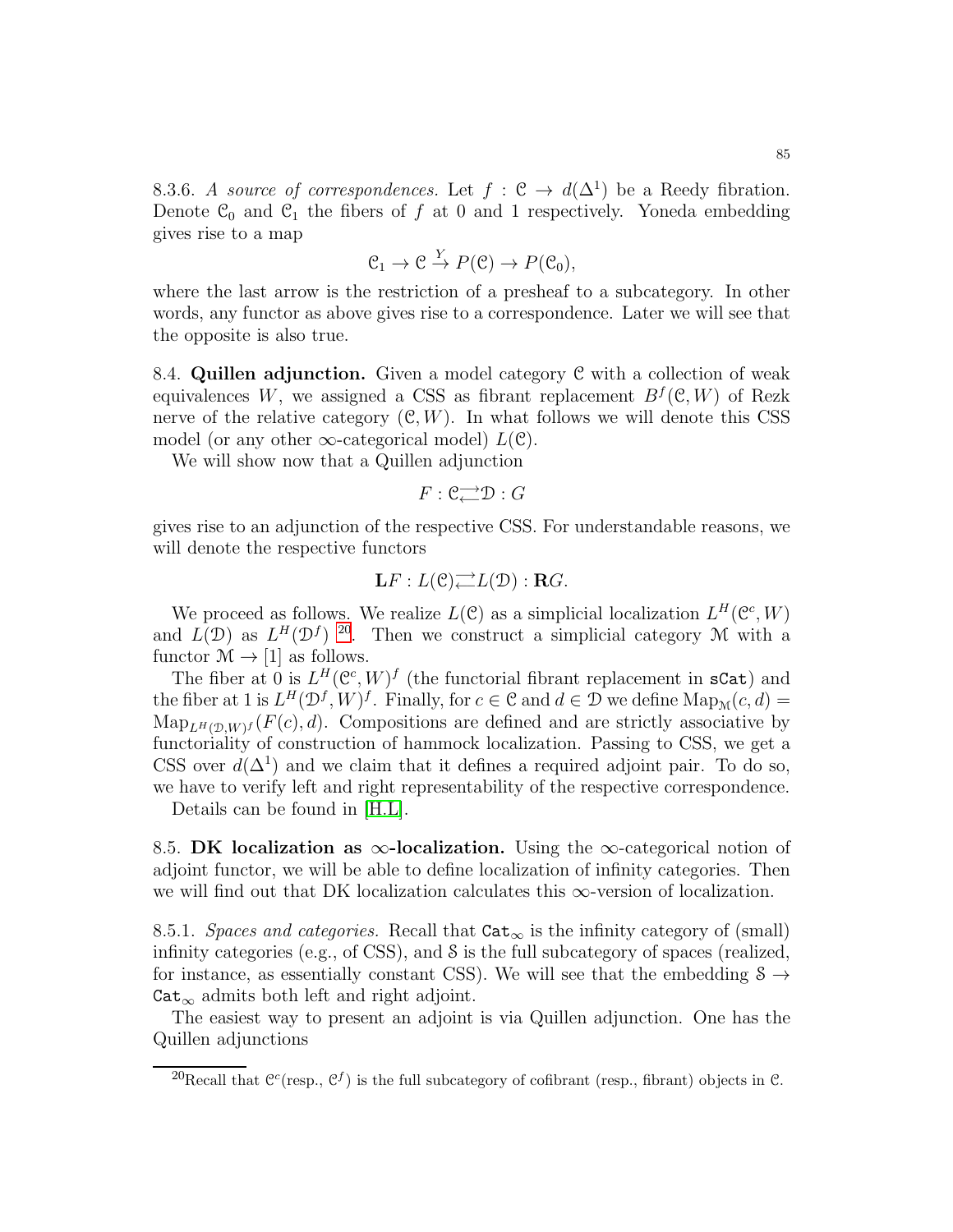$$
\mathfrak{C}_1 \to \mathfrak{C} \stackrel{Y}{\to} P(\mathfrak{C}) \to P(\mathfrak{C}_0),
$$

where the last arrow is the restriction of a presheaf to a subcategory. In other words, any functor as above gives rise to a correspondence. Later we will see that the opposite is also true.

8.4. Quillen adjunction. Given a model category  $\mathcal C$  with a collection of weak equivalences W, we assigned a CSS as fibrant replacement  $B<sup>f</sup>(\mathfrak{C}, W)$  of Rezk nerve of the relative category  $(C, W)$ . In what follows we will denote this CSS model (or any other  $\infty$ -categorical model)  $L(\mathcal{C})$ .

We will show now that a Quillen adjunction

$$
F:\mathcal{C}{\longrightarrow\!\!\!\!\rightarrow} \mathcal{D}:G
$$

gives rise to an adjunction of the respective CSS. For understandable reasons, we will denote the respective functors

$$
\mathbf{L} F:L(\mathcal{C})\overline{\longrightarrow} L(\mathcal{D}): \mathbf{R} G.
$$

We proceed as follows. We realize  $L(\mathcal{C})$  as a simplicial localization  $L^H(\mathcal{C}^c, W)$ and  $L(\mathcal{D})$  as  $L^H(\mathcal{D}^f)$  <sup>[20](#page-84-0)</sup>. Then we construct a simplicial category M with a functor  $\mathcal{M} \rightarrow [1]$  as follows.

The fiber at 0 is  $L^H(\mathcal{C}^c, W)^f$  (the functorial fibrant replacement in sCat) and the fiber at 1 is  $L^H(\mathcal{D}^f, W)^f$ . Finally, for  $c \in \mathcal{C}$  and  $d \in \mathcal{D}$  we define  $\text{Map}_{\mathcal{M}}(c, d)$  =  $\text{Map}_{L^H(\mathcal{D},W)^f}(F(c),d)$ . Compositions are defined and are strictly associative by functoriality of construction of hammock localization. Passing to CSS, we get a CSS over  $d(\Delta^1)$  and we claim that it defines a required adjoint pair. To do so, we have to verify left and right representability of the respective correspondence.

Details can be found in [\[H.L\]](#page-123-2).

8.5. DK localization as  $\infty$ -localization. Using the  $\infty$ -categorical notion of adjoint functor, we will be able to define localization of infinity categories. Then we will find out that DK localization calculates this  $\infty$ -version of localization.

8.5.1. Spaces and categories. Recall that  $\texttt{Cat}_{\infty}$  is the infinity category of (small) infinity categories (e.g., of CSS), and  $\delta$  is the full subcategory of spaces (realized, for instance, as essentially constant CSS). We will see that the embedding  $S \rightarrow$  $\text{Cat}_{\infty}$  admits both left and right adjoint.

The easiest way to present an adjoint is via Quillen adjunction. One has the Quillen adjunctions

<span id="page-84-0"></span><sup>&</sup>lt;sup>20</sup>Recall that  $\mathcal{C}^c$ (resp.,  $\mathcal{C}^f$ ) is the full subcategory of cofibrant (resp., fibrant) objects in  $\mathcal{C}$ .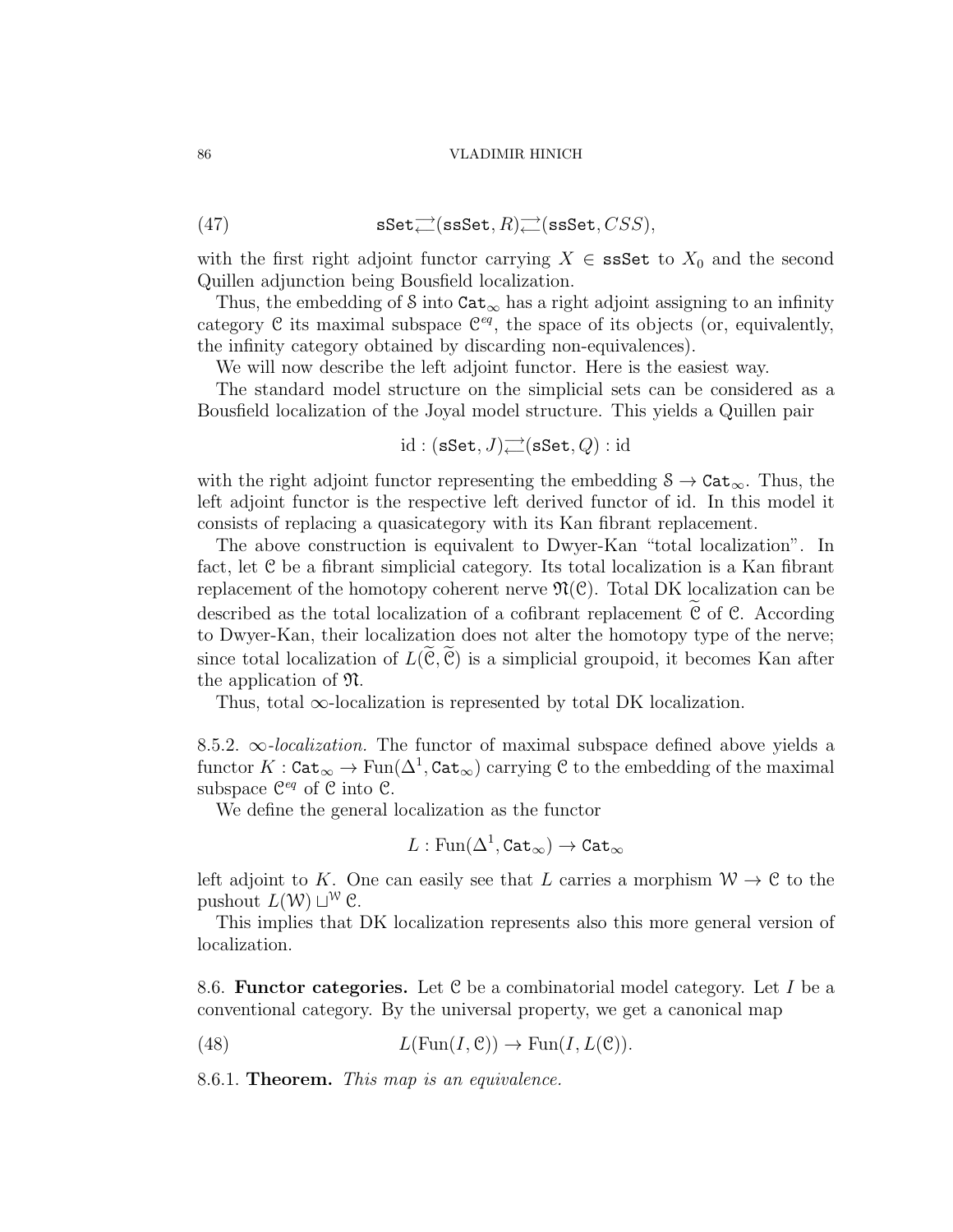(47) 
$$
\mathbf{sSet} \underset{\longleftarrow}{\longrightarrow} (\mathbf{s}\mathbf{sSet}, R) \underset{\longleftarrow}{\longrightarrow} (\mathbf{s}\mathbf{sSet}, CSS),
$$

with the first right adjoint functor carrying  $X \in \text{ssSet}$  to  $X_0$  and the second Quillen adjunction being Bousfield localization.

Thus, the embedding of S into  $\texttt{Cat}_{\infty}$  has a right adjoint assigning to an infinity category  $\mathcal C$  its maximal subspace  $\mathcal C^{eq}$ , the space of its objects (or, equivalently, the infinity category obtained by discarding non-equivalences).

We will now describe the left adjoint functor. Here is the easiest way.

The standard model structure on the simplicial sets can be considered as a Bousfield localization of the Joyal model structure. This yields a Quillen pair

$$
\mathrm{id}: (\mathbf{sSet}, J) \rightleftarrows (\mathbf{sSet}, Q) : \mathrm{id}
$$

with the right adjoint functor representing the embedding  $S \to \text{Cat}_{\infty}$ . Thus, the left adjoint functor is the respective left derived functor of id. In this model it consists of replacing a quasicategory with its Kan fibrant replacement.

The above construction is equivalent to Dwyer-Kan "total localization". In fact, let C be a fibrant simplicial category. Its total localization is a Kan fibrant replacement of the homotopy coherent nerve  $\mathfrak{N}(\mathfrak{C})$ . Total DK localization can be described as the total localization of a cofibrant replacement  $C$  of  $C$ . According to Dwyer-Kan, their localization does not alter the homotopy type of the nerve; since total localization of  $L(\mathcal{C}, \mathcal{C})$  is a simplicial groupoid, it becomes Kan after the application of N.

Thus, total  $\infty$ -localization is represented by total DK localization.

8.5.2.  $\infty$ -localization. The functor of maximal subspace defined above yields a functor  $K: \mathtt{Cat}_\infty \to \text{Fun}(\Delta^1, \mathtt{Cat}_\infty)$  carrying  $\mathfrak C$  to the embedding of the maximal subspace  $\mathfrak{C}^{eq}$  of  $\mathfrak C$  into  $\mathfrak C$ .

We define the general localization as the functor

$$
L:\operatorname{Fun}(\Delta^1,\operatorname{\mathtt{Cat}}_\infty)\rightarrow\operatorname{\mathtt{Cat}}_\infty
$$

left adjoint to K. One can easily see that L carries a morphism  $W \to \mathcal{C}$  to the pushout  $L(\mathcal{W}) \sqcup^{\mathcal{W}} \mathcal{C}$ .

This implies that DK localization represents also this more general version of localization.

8.6. **Functor categories.** Let  $C$  be a combinatorial model category. Let I be a conventional category. By the universal property, we get a canonical map

(48) 
$$
L(\text{Fun}(I,\mathcal{C})) \to \text{Fun}(I,L(\mathcal{C})).
$$

8.6.1. Theorem. This map is an equivalence.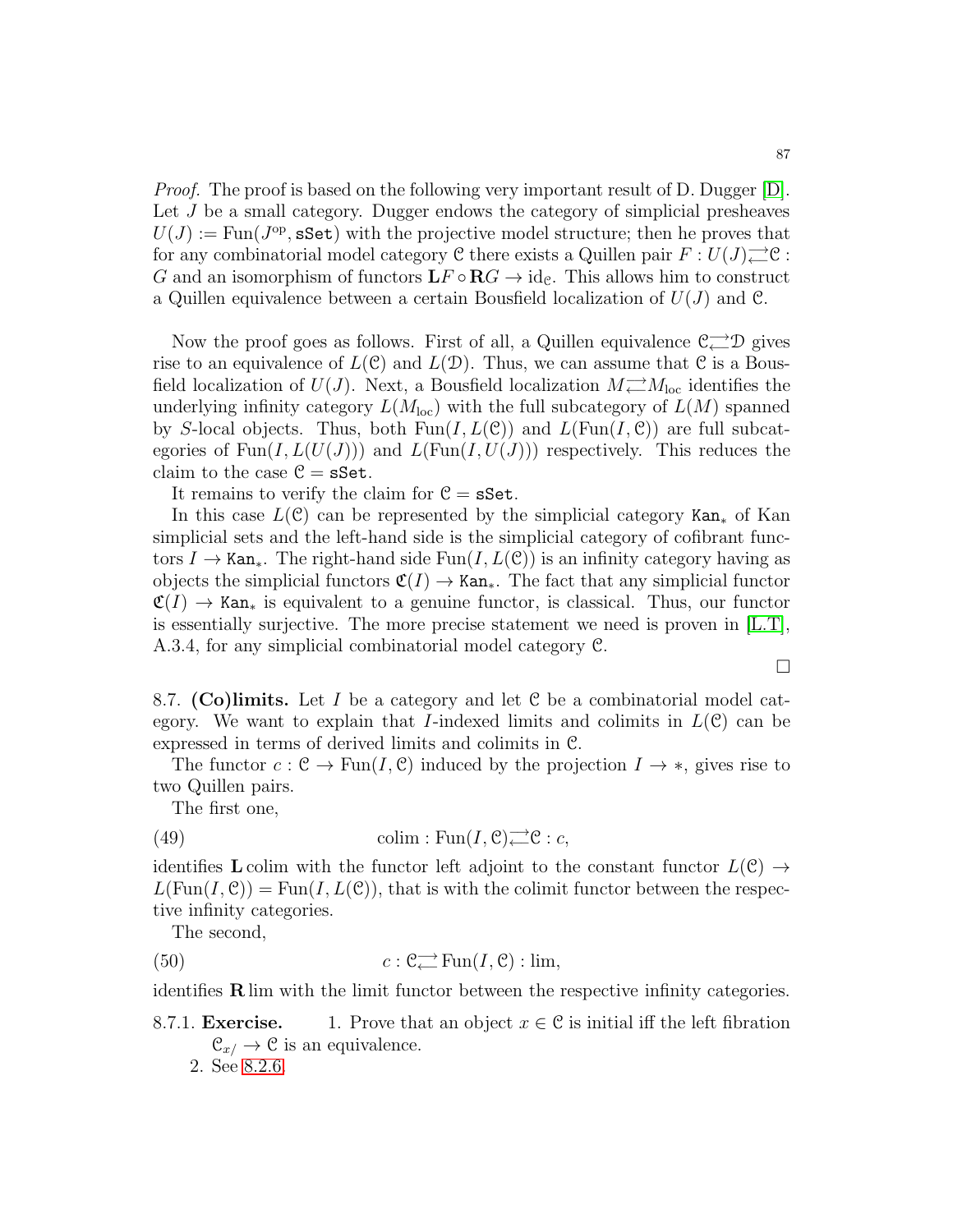Proof. The proof is based on the following very important result of D. Dugger [\[D\]](#page-123-3). Let J be a small category. Dugger endows the category of simplicial presheaves  $U(J) := \text{Fun}(J^{\text{op}}, \text{sSet})$  with the projective model structure; then he proves that for any combinatorial model category  $\mathfrak C$  there exists a Quillen pair  $F:U(J)$ <sup> $\longrightarrow$ </sup> $\mathfrak C$ : G and an isomorphism of functors  $LF \circ \mathbf{R}G \rightarrow \text{id}_{\mathcal{C}}$ . This allows him to construct a Quillen equivalence between a certain Bousfield localization of  $U(J)$  and  $\mathcal{C}$ .

Now the proof goes as follows. First of all, a Quillen equivalence  $\mathcal{C}^{\longrightarrow}_{\longleftarrow} \mathcal{D}$  gives rise to an equivalence of  $L(\mathcal{C})$  and  $L(\mathcal{D})$ . Thus, we can assume that  $\mathcal{C}$  is a Bousfield localization of  $U(J)$ . Next, a Bousfield localization  $M \rightarrow M_{\text{loc}}$  identifies the underlying infinity category  $L(M_{\text{loc}})$  with the full subcategory of  $L(M)$  spanned by S-local objects. Thus, both  $Fun(I, L(\mathcal{C}))$  and  $L(Fun(I, \mathcal{C}))$  are full subcategories of  $\text{Fun}(I, L(U(J)))$  and  $L(\text{Fun}(I, U(J)))$  respectively. This reduces the claim to the case  $C = sSet$ .

It remains to verify the claim for  $\mathcal{C} = sSet$ .

In this case  $L(\mathcal{C})$  can be represented by the simplicial category Kan<sub>∗</sub> of Kan simplicial sets and the left-hand side is the simplicial category of cofibrant functors  $I \to \text{Kan}_*$ . The right-hand side Fun $(I, L(\mathcal{C}))$  is an infinity category having as objects the simplicial functors  $\mathfrak{C}(I) \to \text{Kan}_*$ . The fact that any simplicial functor  $\mathfrak{C}(I) \to$  Kan<sub>\*</sub> is equivalent to a genuine functor, is classical. Thus, our functor is essentially surjective. The more precise statement we need is proven in  $[L.T]$ , A.3.4, for any simplicial combinatorial model category C.

8.7. (Co)limits. Let I be a category and let C be a combinatorial model category. We want to explain that I-indexed limits and colimits in  $L(\mathcal{C})$  can be expressed in terms of derived limits and colimits in C.

The functor  $c : \mathcal{C} \to \text{Fun}(I, \mathcal{C})$  induced by the projection  $I \to *$ , gives rise to two Quillen pairs.

The first one,

(49) 
$$
\text{colim} : \text{Fun}(I, \mathcal{C}) \longrightarrow \mathcal{C} : c,
$$

identifies L colim with the functor left adjoint to the constant functor  $L(\mathcal{C}) \rightarrow$  $L(\text{Fun}(I,\mathcal{C})) = \text{Fun}(I,L(\mathcal{C}))$ , that is with the colimit functor between the respective infinity categories.

The second,

(50) 
$$
c: \mathcal{C} \longrightarrow_{\leftarrow} \text{Fun}(I, \mathcal{C}): \lim,
$$

identifies  $\bf R$  lim with the limit functor between the respective infinity categories.

8.7.1. **Exercise.** 1. Prove that an object  $x \in \mathcal{C}$  is initial iff the left fibration  $\mathcal{C}_{x/} \rightarrow \mathcal{C}$  is an equivalence.

 $\Box$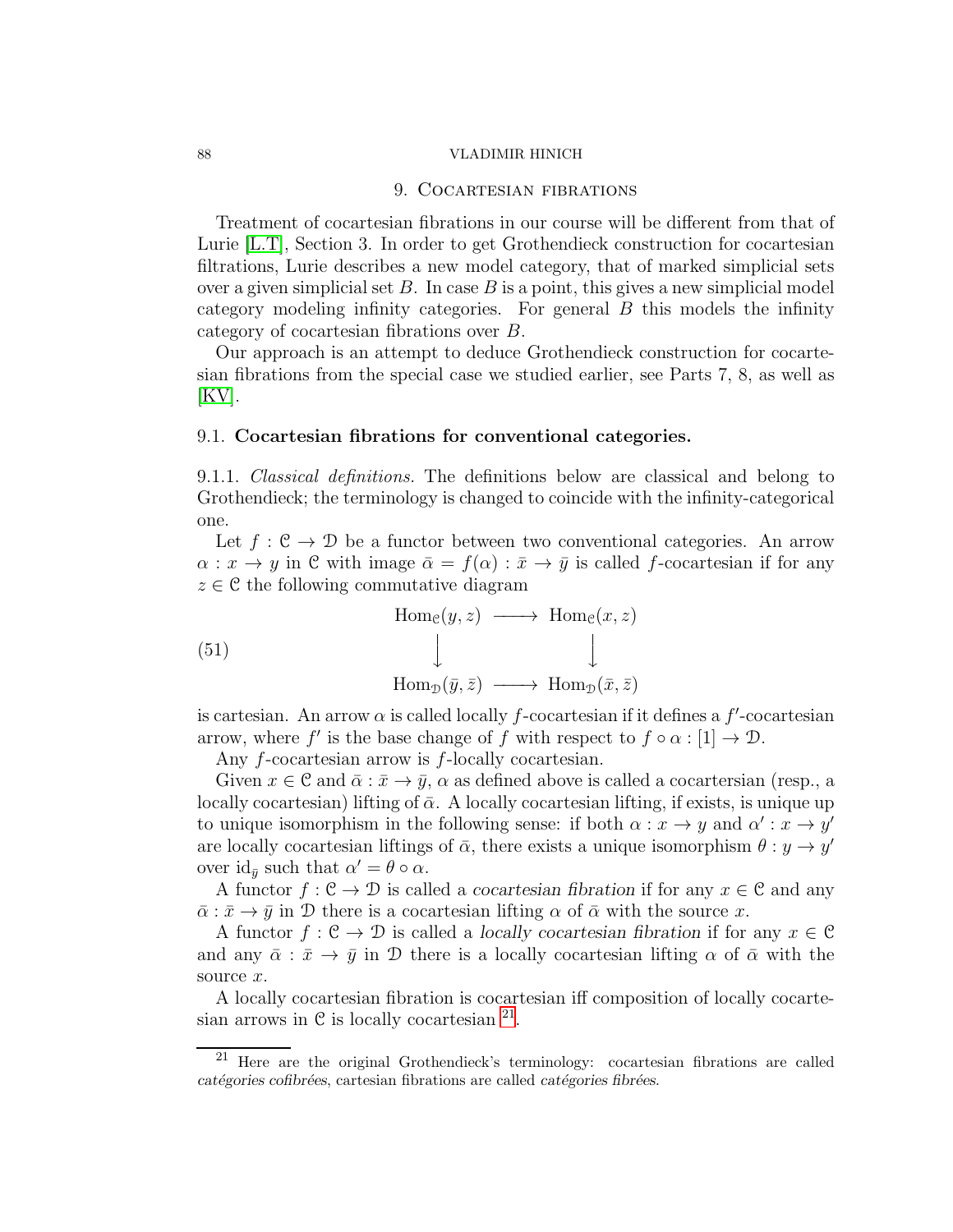# 9. COCARTESIAN FIBRATIONS

Treatment of cocartesian fibrations in our course will be different from that of Lurie [\[L.T\]](#page-123-4), Section 3. In order to get Grothendieck construction for cocartesian filtrations, Lurie describes a new model category, that of marked simplicial sets over a given simplicial set  $B$ . In case  $B$  is a point, this gives a new simplicial model category modeling infinity categories. For general B this models the infinity category of cocartesian fibrations over B.

Our approach is an attempt to deduce Grothendieck construction for cocartesian fibrations from the special case we studied earlier, see Parts 7, 8, as well as  $|KV|$ .

### 9.1. Cocartesian fibrations for conventional categories.

9.1.1. Classical definitions. The definitions below are classical and belong to Grothendieck; the terminology is changed to coincide with the infinity-categorical one.

Let  $f : \mathcal{C} \to \mathcal{D}$  be a functor between two conventional categories. An arrow  $\alpha: x \to y$  in C with image  $\bar{\alpha} = f(\alpha): \bar{x} \to \bar{y}$  is called f-cocartesian if for any  $z \in \mathcal{C}$  the following commutative diagram

(51)  
\n
$$
\begin{array}{ccc}\n&\text{Hom}_{\mathcal{C}}(y, z) & \longrightarrow & \text{Hom}_{\mathcal{C}}(x, z) \\
& \downarrow & & \downarrow \\
& \text{Hom}_{\mathcal{D}}(\bar{y}, \bar{z}) & \longrightarrow & \text{Hom}_{\mathcal{D}}(\bar{x}, \bar{z})\n\end{array}
$$

is cartesian. An arrow  $\alpha$  is called locally f-cocartesian if it defines a f'-cocartesian arrow, where f' is the base change of f with respect to  $f \circ \alpha : [1] \to \mathcal{D}$ .

Any f-cocartesian arrow is f-locally cocartesian.

Given  $x \in \mathcal{C}$  and  $\bar{\alpha} : \bar{x} \to \bar{y}$ ,  $\alpha$  as defined above is called a cocartersian (resp., a locally cocartesian) lifting of  $\bar{\alpha}$ . A locally cocartesian lifting, if exists, is unique up to unique isomorphism in the following sense: if both  $\alpha : x \to y$  and  $\alpha' : x \to y'$ are locally cocartesian liftings of  $\bar{\alpha}$ , there exists a unique isomorphism  $\theta : y \to y'$ over  $\mathrm{id}_{\bar{y}}$  such that  $\alpha' = \theta \circ \alpha$ .

A functor  $f: \mathcal{C} \to \mathcal{D}$  is called a *cocartesian fibration* if for any  $x \in \mathcal{C}$  and any  $\bar{\alpha}$ :  $\bar{x} \rightarrow \bar{y}$  in D there is a cocartesian lifting  $\alpha$  of  $\bar{\alpha}$  with the source x.

A functor  $f: \mathcal{C} \to \mathcal{D}$  is called a *locally cocartesian fibration* if for any  $x \in \mathcal{C}$ and any  $\bar{\alpha}$  :  $\bar{x} \to \bar{y}$  in D there is a locally cocartesian lifting  $\alpha$  of  $\bar{\alpha}$  with the source x.

A locally cocartesian fibration is cocartesian iff composition of locally cocartesian arrows in  $\mathcal C$  is locally cocartesian  $^{21}$  $^{21}$  $^{21}$ .

<span id="page-87-0"></span><sup>21</sup> Here are the original Grothendieck's terminology: cocartesian fibrations are called catégories cofibrées, cartesian fibrations are called catégories fibrées.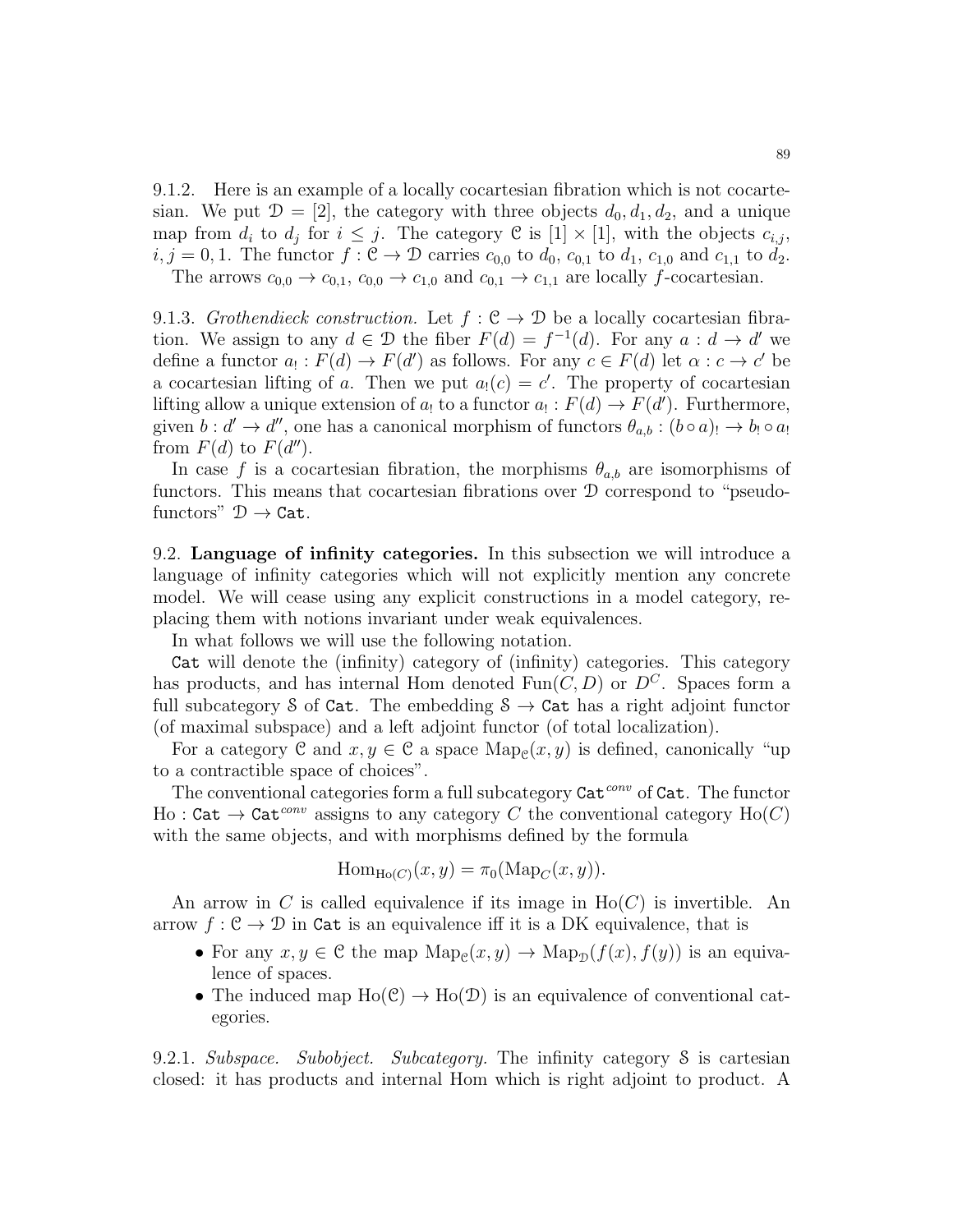<span id="page-88-0"></span>9.1.2. Here is an example of a locally cocartesian fibration which is not cocartesian. We put  $\mathcal{D} = [2]$ , the category with three objects  $d_0, d_1, d_2$ , and a unique map from  $d_i$  to  $d_j$  for  $i \leq j$ . The category  $\mathcal{C}$  is  $[1] \times [1]$ , with the objects  $c_{i,j}$ ,  $i, j = 0, 1$ . The functor  $f : \mathfrak{C} \to \mathfrak{D}$  carries  $c_{0,0}$  to  $d_0, c_{0,1}$  to  $d_1, c_{1,0}$  and  $c_{1,1}$  to  $d_2$ . The arrows  $c_{0,0} \rightarrow c_{0,1}$ ,  $c_{0,0} \rightarrow c_{1,0}$  and  $c_{0,1} \rightarrow c_{1,1}$  are locally f-cocartesian.

9.1.3. Grothendieck construction. Let  $f : \mathcal{C} \to \mathcal{D}$  be a locally cocartesian fibration. We assign to any  $d \in \mathcal{D}$  the fiber  $F(d) = f^{-1}(d)$ . For any  $a : d \to d'$  we define a functor  $a_! : F(d) \to F(d')$  as follows. For any  $c \in F(d)$  let  $\alpha : c \to c'$  be a cocartesian lifting of a. Then we put  $a_!(c) = c'$ . The property of cocartesian lifting allow a unique extension of  $a_1$  to a functor  $a_1 : F(d) \to F(d')$ . Furthermore, given  $b: d' \to d''$ , one has a canonical morphism of functors  $\theta_{a,b} : (b \circ a) \to b_! \circ a_!$ from  $F(d)$  to  $F(d'')$ .

In case f is a cocartesian fibration, the morphisms  $\theta_{a,b}$  are isomorphisms of functors. This means that cocartesian fibrations over D correspond to "pseudofunctors"  $\mathcal{D} \to \texttt{Cat}.$ 

9.2. Language of infinity categories. In this subsection we will introduce a language of infinity categories which will not explicitly mention any concrete model. We will cease using any explicit constructions in a model category, replacing them with notions invariant under weak equivalences.

In what follows we will use the following notation.

Cat will denote the (infinity) category of (infinity) categories. This category has products, and has internal Hom denoted Fun $(C, D)$  or  $D^C$ . Spaces form a full subcategory S of Cat. The embedding  $S \rightarrow$  Cat has a right adjoint functor (of maximal subspace) and a left adjoint functor (of total localization).

For a category  $\mathfrak C$  and  $x, y \in \mathfrak C$  a space  $\mathrm{Map}_{\mathfrak C}(x, y)$  is defined, canonically "up to a contractible space of choices".

The conventional categories form a full subcategory  $\text{Cat}^{conv}$  of  $\text{Cat}$ . The functor Ho : Cat  $\rightarrow$  Cat<sup>conv</sup> assigns to any category C the conventional category H<sub>0</sub>(C) with the same objects, and with morphisms defined by the formula

$$
\mathrm{Hom}_{\mathrm{Ho}(C)}(x,y) = \pi_0(\mathrm{Map}_C(x,y)).
$$

An arrow in C is called equivalence if its image in  $Ho(C)$  is invertible. An arrow  $f: \mathcal{C} \to \mathcal{D}$  in Cat is an equivalence iff it is a DK equivalence, that is

- For any  $x, y \in \mathcal{C}$  the map  $\text{Map}_{\mathcal{C}}(x, y) \to \text{Map}_{\mathcal{D}}(f(x), f(y))$  is an equivalence of spaces.
- The induced map  $Ho(\mathcal{C}) \to Ho(\mathcal{D})$  is an equivalence of conventional categories.

9.2.1. Subspace. Subobject. Subcategory. The infinity category S is cartesian closed: it has products and internal Hom which is right adjoint to product. A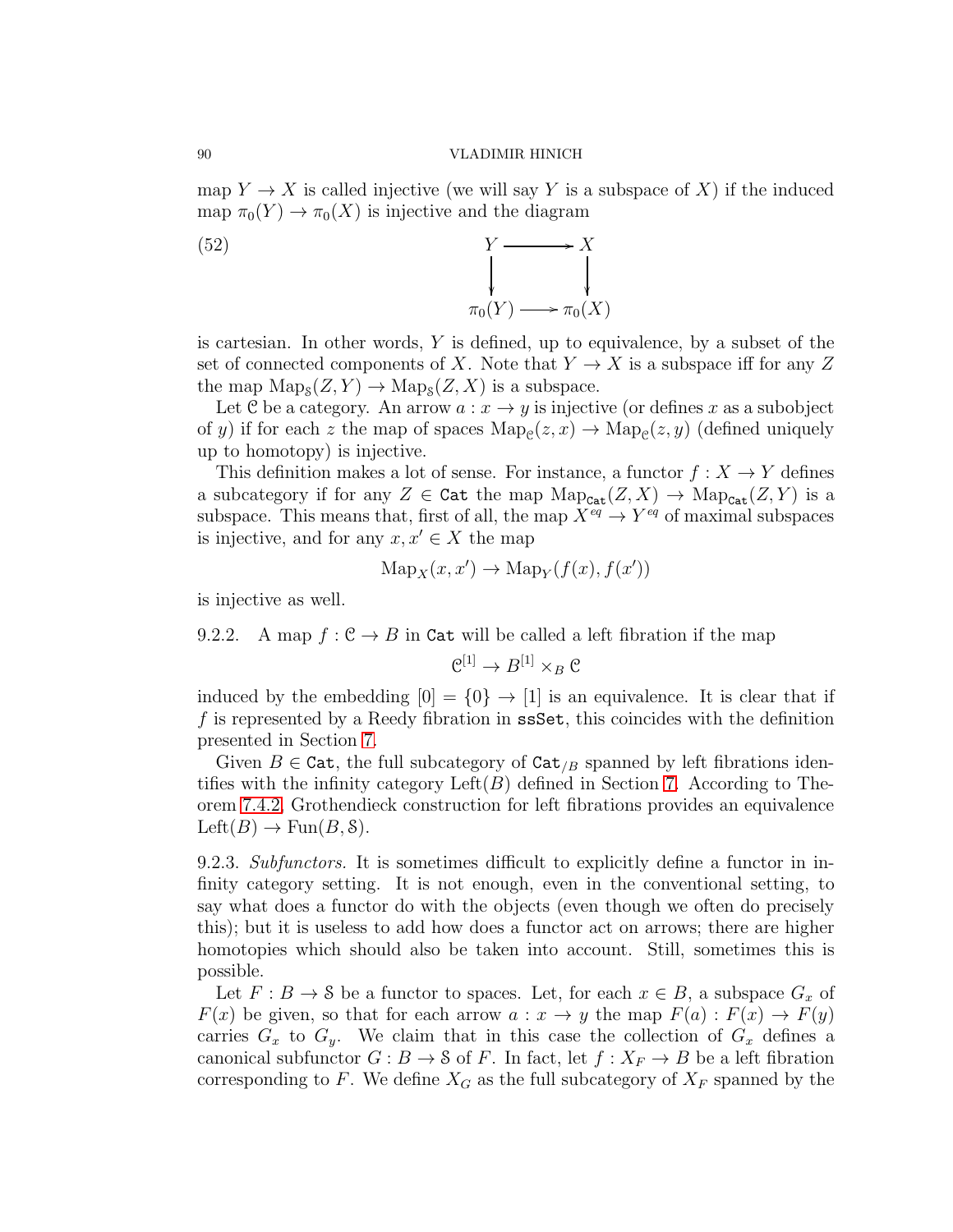map  $Y \to X$  is called injective (we will say Y is a subspace of X) if the induced map  $\pi_0(Y) \to \pi_0(X)$  is injective and the diagram

(52)  $Y \longrightarrow X$ ĺ ľ  $\pi_0(Y) \longrightarrow \pi_0(X)$ 

is cartesian. In other words,  $Y$  is defined, up to equivalence, by a subset of the set of connected components of X. Note that  $Y \to X$  is a subspace iff for any Z the map  $\text{Map}_S(Z, Y) \to \text{Map}_S(Z, X)$  is a subspace.

Let C be a category. An arrow  $a: x \to y$  is injective (or defines x as a subobject of y) if for each z the map of spaces  $\text{Map}_{\mathcal{C}}(z, x) \to \text{Map}_{\mathcal{C}}(z, y)$  (defined uniquely up to homotopy) is injective.

This definition makes a lot of sense. For instance, a functor  $f: X \to Y$  defines a subcategory if for any  $Z \in \text{Cat}$  the map  $\text{Map}_{\text{Cat}}(Z, X) \to \text{Map}_{\text{Cat}}(Z, Y)$  is a subspace. This means that, first of all, the map  $X^{eq} \to Y^{eq}$  of maximal subspaces is injective, and for any  $x, x' \in X$  the map

$$
Map_X(x, x') \to Map_Y(f(x), f(x'))
$$

is injective as well.

9.2.2. A map  $f : \mathcal{C} \to B$  in Cat will be called a left fibration if the map

$$
\mathfrak{C}^{[1]} \to B^{[1]} \times_B \mathfrak{C}
$$

induced by the embedding  $[0] = \{0\} \rightarrow [1]$  is an equivalence. It is clear that if f is represented by a Reedy fibration in ssSet, this coincides with the definition presented in Section [7.](#page-69-0)

Given  $B \in \text{Cat}$ , the full subcategory of  $\text{Cat}_{/B}$  spanned by left fibrations identifies with the infinity category  $Left(B)$  defined in Section [7.](#page-69-0) According to Theorem [7.4.2,](#page-73-1) Grothendieck construction for left fibrations provides an equivalence  $\text{Left}(B) \rightarrow \text{Fun}(B, \mathcal{S}).$ 

9.2.3. Subfunctors. It is sometimes difficult to explicitly define a functor in infinity category setting. It is not enough, even in the conventional setting, to say what does a functor do with the objects (even though we often do precisely this); but it is useless to add how does a functor act on arrows; there are higher homotopies which should also be taken into account. Still, sometimes this is possible.

Let  $F : B \to \mathcal{S}$  be a functor to spaces. Let, for each  $x \in B$ , a subspace  $G_x$  of  $F(x)$  be given, so that for each arrow  $a: x \to y$  the map  $F(a): F(x) \to F(y)$ carries  $G_x$  to  $G_y$ . We claim that in this case the collection of  $G_x$  defines a canonical subfunctor  $G : B \to S$  of F. In fact, let  $f : X_F \to B$  be a left fibration corresponding to F. We define  $X_G$  as the full subcategory of  $X_F$  spanned by the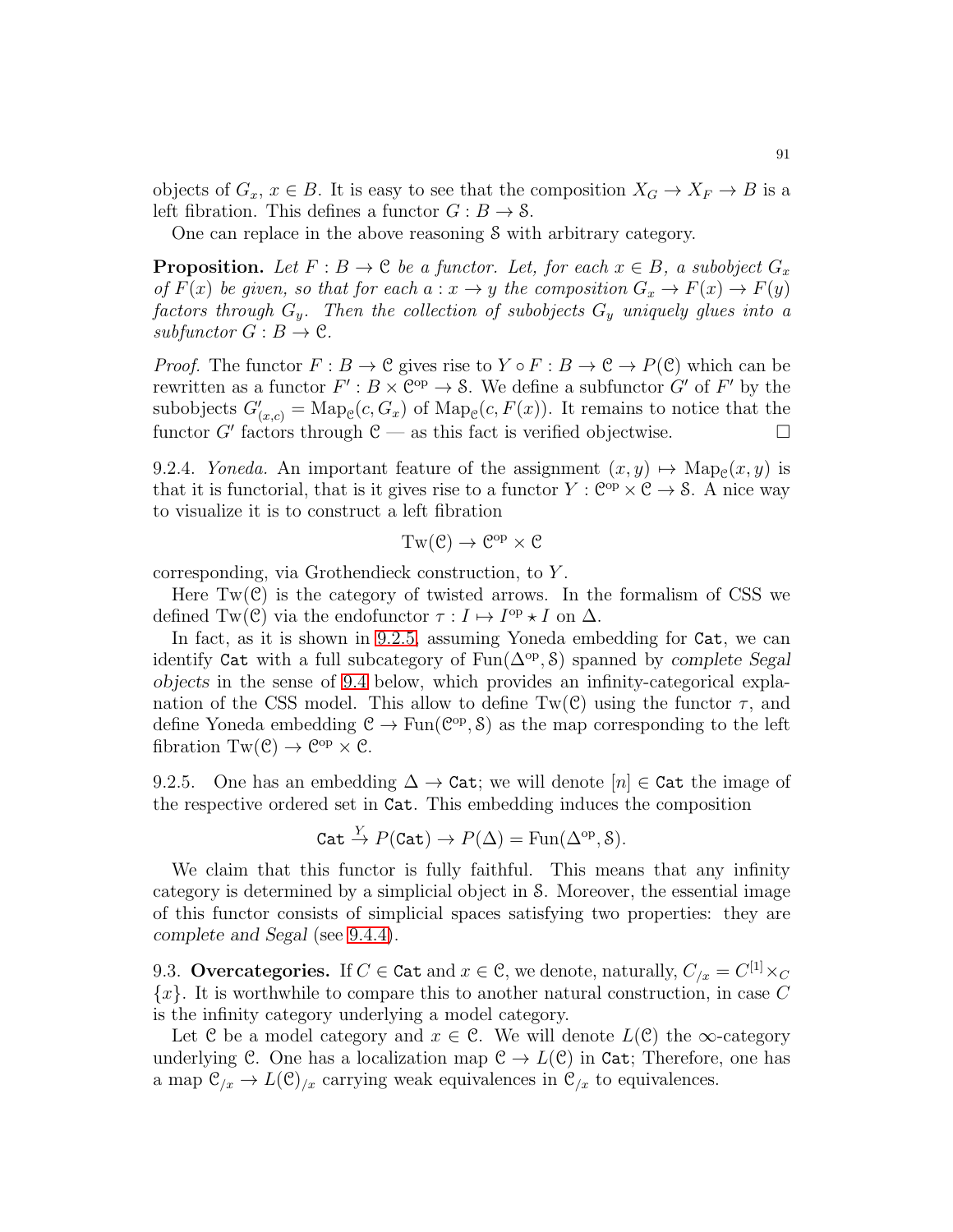objects of  $G_x, x \in B$ . It is easy to see that the composition  $X_G \to X_F \to B$  is a left fibration. This defines a functor  $G : B \to S$ .

One can replace in the above reasoning S with arbitrary category.

**Proposition.** Let  $F : B \to \mathcal{C}$  be a functor. Let, for each  $x \in B$ , a subobject  $G_x$ of  $F(x)$  be given, so that for each  $a: x \to y$  the composition  $G_x \to F(x) \to F(y)$ factors through  $G_y$ . Then the collection of subobjects  $G_y$  uniquely glues into a  $subfunctor G : B \to \mathcal{C}.$ 

*Proof.* The functor  $F : B \to \mathcal{C}$  gives rise to  $Y \circ F : B \to \mathcal{C} \to P(\mathcal{C})$  which can be rewritten as a functor  $F': B \times \mathbb{C}^{op} \to \mathcal{S}$ . We define a subfunctor G' of F' by the subobjects  $G'_{(x,c)} = \text{Map}_{\mathcal{C}}(c, G_x)$  of  $\text{Map}_{\mathcal{C}}(c, F(x))$ . It remains to notice that the functor G' factors through  $\mathfrak{C}$  — as this fact is verified objectwise.

9.2.4. Yoneda. An important feature of the assignment  $(x, y) \mapsto \text{Map}_{\mathcal{C}}(x, y)$  is that it is functorial, that is it gives rise to a functor  $Y : \mathbb{C}^{op} \times \mathbb{C} \to \mathcal{S}$ . A nice way to visualize it is to construct a left fibration

$$
Tw(\mathcal{C}) \to \mathcal{C}^{op} \times \mathcal{C}
$$

corresponding, via Grothendieck construction, to Y .

Here  $Tw(\mathcal{C})$  is the category of twisted arrows. In the formalism of CSS we defined Tw(C) via the endofunctor  $\tau : I \mapsto I^{\text{op}} \star I$  on  $\Delta$ .

In fact, as it is shown in [9.2.5,](#page-90-0) assuming Yoneda embedding for Cat, we can identify Cat with a full subcategory of Fun(∆op , S) spanned by *complete Segal objects* in the sense of [9.4](#page-92-0) below, which provides an infinity-categorical explanation of the CSS model. This allow to define  $Tw(\mathcal{C})$  using the functor  $\tau$ , and define Yoneda embedding  $C \to \text{Fun}(\mathcal{C}^{op}, \mathcal{S})$  as the map corresponding to the left fibration Tw( $C$ )  $\rightarrow$  C<sup>op</sup>  $\times$  C.

<span id="page-90-0"></span>9.2.5. One has an embedding  $\Delta \to \text{Cat}$ ; we will denote  $[n] \in \text{Cat}$  the image of the respective ordered set in Cat. This embedding induces the composition

$$
\mathtt{Cat} \xrightarrow{Y} P(\mathtt{Cat}) \to P(\Delta) = \mathrm{Fun}(\Delta^{\mathrm{op}}, \mathcal{S}).
$$

We claim that this functor is fully faithful. This means that any infinity category is determined by a simplicial object in S. Moreover, the essential image of this functor consists of simplicial spaces satisfying two properties: they are *complete and Segal* (see [9.4.4\)](#page-93-0).

9.3. Overcategories. If  $C \in \texttt{Cat}$  and  $x \in \mathcal{C}$ , we denote, naturally,  $C_{/x} = C^{[1]} \times_C$  ${x}$ . It is worthwhile to compare this to another natural construction, in case C is the infinity category underlying a model category.

Let C be a model category and  $x \in \mathcal{C}$ . We will denote  $L(\mathcal{C})$  the  $\infty$ -category underlying C. One has a localization map  $C \to L(C)$  in Cat; Therefore, one has a map  $\mathcal{C}_{x} \to L(\mathcal{C})_{x}$  carrying weak equivalences in  $\mathcal{C}_{x}$  to equivalences.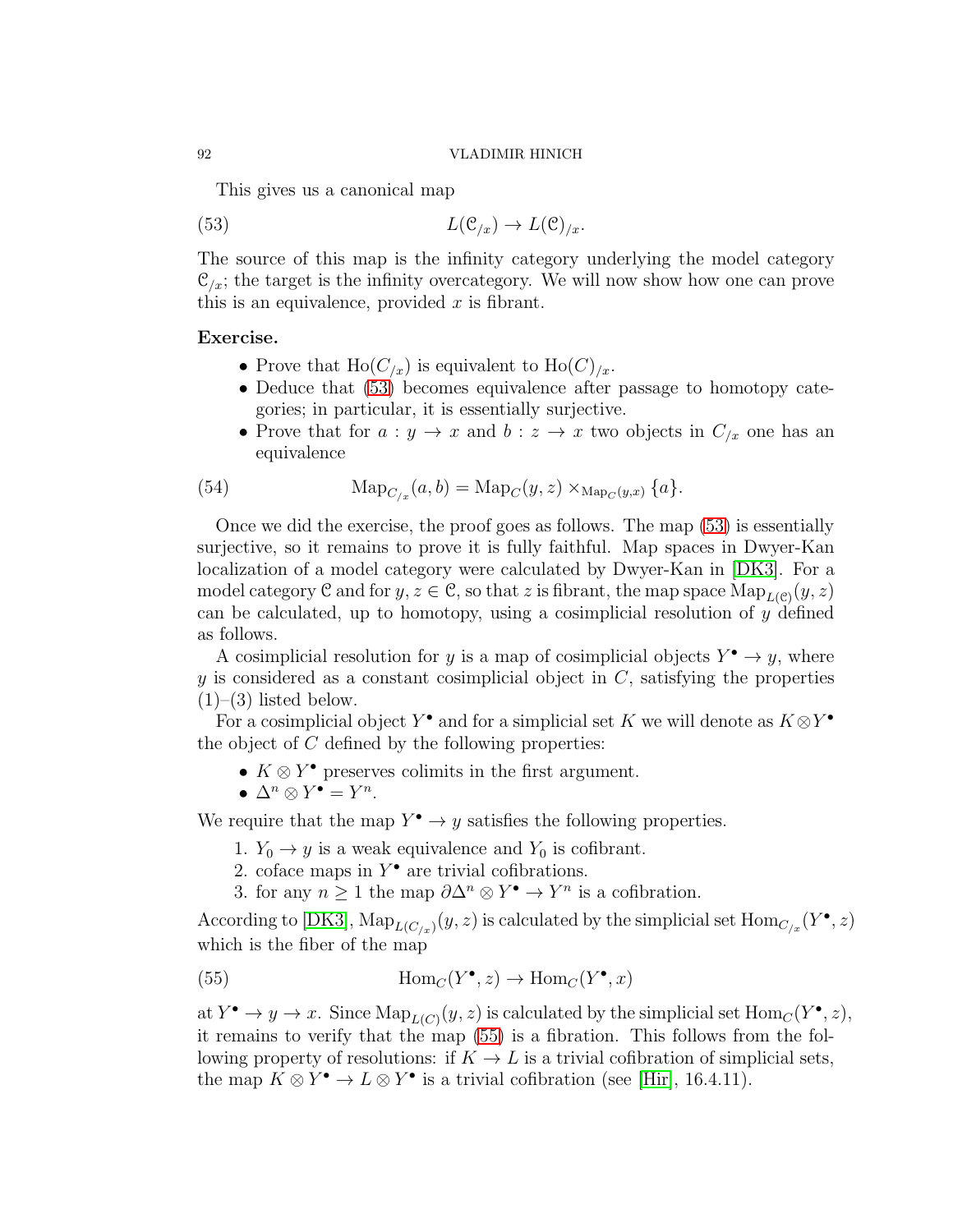<span id="page-91-0"></span>This gives us a canonical map

(53) 
$$
L(\mathcal{C}_{/x}) \to L(\mathcal{C})_{/x}.
$$

The source of this map is the infinity category underlying the model category  $\mathcal{C}_{\ell}$ ; the target is the infinity overcategory. We will now show how one can prove this is an equivalence, provided  $x$  is fibrant.

# Exercise.

- Prove that  $\text{Ho}(C_{/x})$  is equivalent to  $\text{Ho}(C)_{/x}$ .
- Deduce that [\(53\)](#page-91-0) becomes equivalence after passage to homotopy categories; in particular, it is essentially surjective.
- Prove that for  $a: y \to x$  and  $b: z \to x$  two objects in  $C_{x}$  one has an equivalence

(54) 
$$
Map_{C_{/x}}(a, b) = Map_C(y, z) \times_{Map_C(y, x)} \{a\}.
$$

Once we did the exercise, the proof goes as follows. The map [\(53\)](#page-91-0) is essentially surjective, so it remains to prove it is fully faithful. Map spaces in Dwyer-Kan localization of a model category were calculated by Dwyer-Kan in [\[DK3\]](#page-123-5). For a model category  $\mathcal C$  and for  $y, z \in \mathcal C$ , so that z is fibrant, the map space  $\mathrm{Map}_{L(\mathcal C)}(y, z)$ can be calculated, up to homotopy, using a cosimplicial resolution of y defined as follows.

A cosimplicial resolution for y is a map of cosimplicial objects  $Y^{\bullet} \to y$ , where y is considered as a constant cosimplicial object in  $C$ , satisfying the properties  $(1)$ – $(3)$  listed below.

For a cosimplicial object Y<sup>•</sup> and for a simplicial set K we will denote as  $K \otimes Y^{\bullet}$ the object of  $C$  defined by the following properties:

- $K \otimes Y^{\bullet}$  preserves colimits in the first argument.
- $\Delta^n \otimes Y^{\bullet} = Y^n$ .

We require that the map  $Y^{\bullet} \to y$  satisfies the following properties.

- 1.  $Y_0 \rightarrow y$  is a weak equivalence and  $Y_0$  is cofibrant.
- 2. coface maps in  $Y^{\bullet}$  are trivial cofibrations.
- <span id="page-91-1"></span>3. for any  $n \geq 1$  the map  $\partial \Delta^n \otimes Y^{\bullet} \to Y^n$  is a cofibration.

According to [\[DK3\]](#page-123-5),  $\text{Map}_{L(C/x)}(y, z)$  is calculated by the simplicial set  $\text{Hom}_{C/x}(Y^{\bullet}, z)$ which is the fiber of the map

(55) 
$$
\text{Hom}_C(Y^{\bullet}, z) \to \text{Hom}_C(Y^{\bullet}, x)
$$

at  $Y^{\bullet} \to y \to x$ . Since  $\text{Map}_{L(C)}(y, z)$  is calculated by the simplicial set  $\text{Hom}_C(Y^{\bullet}, z)$ , it remains to verify that the map [\(55\)](#page-91-1) is a fibration. This follows from the following property of resolutions: if  $K \to L$  is a trivial cofibration of simplicial sets, the map  $K \otimes Y^{\bullet} \to L \otimes Y^{\bullet}$  is a trivial cofibration (see [\[Hir\]](#page-123-6), 16.4.11).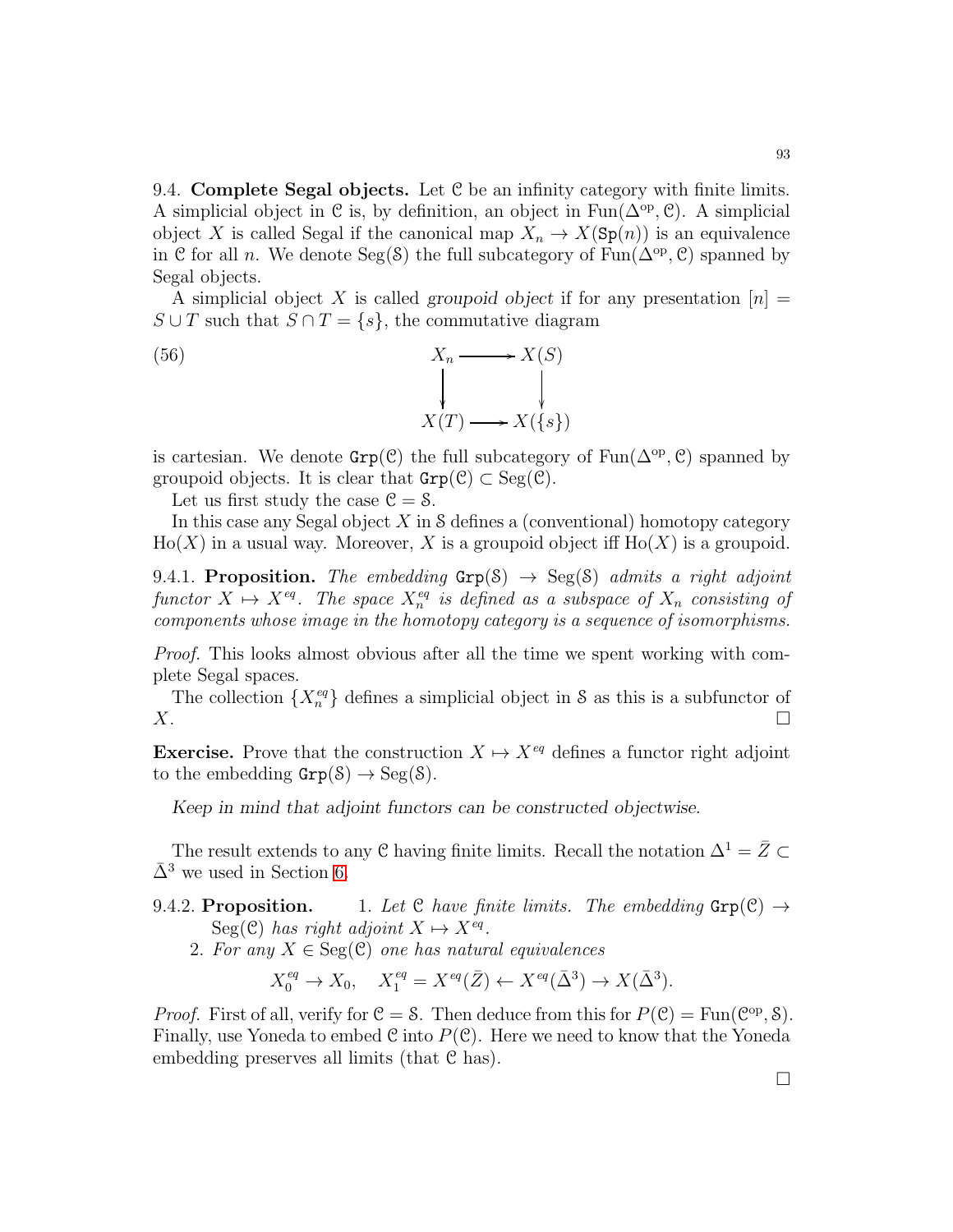<span id="page-92-0"></span>9.4. Complete Segal objects. Let C be an infinity category with finite limits. A simplicial object in  $\mathcal C$  is, by definition, an object in  $\text{Fun}(\Delta^{\text{op}}, \mathcal C)$ . A simplicial object X is called Segal if the canonical map  $X_n \to X(\text{Sp}(n))$  is an equivalence in C for all *n*. We denote Seg(S) the full subcategory of  $Fun(\Delta^{\rm op}, \mathcal{C})$  spanned by Segal objects.

A simplicial object X is called *groupoid object* if for any presentation  $[n]$  =  $S \cup T$  such that  $S \cap T = \{s\}$ , the commutative diagram

(56) 
$$
X_n \longrightarrow X(S)
$$

$$
\downarrow \qquad \qquad \downarrow
$$

$$
X(T) \longrightarrow X(\{s\})
$$

is cartesian. We denote  $\text{Grp}(\mathcal{C})$  the full subcategory of  $\text{Fun}(\Delta^{\text{op}}, \mathcal{C})$  spanned by groupoid objects. It is clear that  $\text{Grp}(\mathcal{C}) \subset \text{Seg}(\mathcal{C})$ .

Let us first study the case  $\mathcal{C} = \mathcal{S}$ .

In this case any Segal object  $X$  in S defines a (conventional) homotopy category  $Ho(X)$  in a usual way. Moreover, X is a groupoid object iff  $Ho(X)$  is a groupoid.

9.4.1. Proposition. The embedding  $Grp(S) \rightarrow Seg(S)$  admits a right adjoint functor  $X \mapsto X^{eq}$ . The space  $X_n^{eq}$  is defined as a subspace of  $X_n$  consisting of components whose image in the homotopy category is a sequence of isomorphisms.

Proof. This looks almost obvious after all the time we spent working with complete Segal spaces.

The collection  $\{X_n^{eq}\}\$  defines a simplicial object in S as this is a subfunctor of  $X.$ 

**Exercise.** Prove that the construction  $X \mapsto X^{eq}$  defines a functor right adjoint to the embedding  $\text{Grp}(S) \to \text{Seg}(S)$ .

*Keep in mind that adjoint functors can be constructed objectwise.*

The result extends to any C having finite limits. Recall the notation  $\Delta^1 = \bar{Z} \subset$  $\bar{\Delta}^3$  we used in Section [6.](#page-56-0)

# 9.4.2. Proposition. 1. Let C have finite limits. The embedding  $\text{Grp}(\mathcal{C}) \rightarrow$  $Seg(\mathcal{C})$  has right adjoint  $X \mapsto X^{eq}$ .

2. For any  $X \in \text{Seg}(\mathcal{C})$  one has natural equivalences

$$
X_0^{eq} \to X_0, \quad X_1^{eq} = X^{eq}(\bar{Z}) \leftarrow X^{eq}(\bar{\Delta}^3) \to X(\bar{\Delta}^3).
$$

*Proof.* First of all, verify for  $C = S$ . Then deduce from this for  $P(C) = \text{Fun}(C^{\text{op}}, S)$ . Finally, use Yoneda to embed  $\mathcal C$  into  $P(\mathcal C)$ . Here we need to know that the Yoneda embedding preserves all limits (that C has).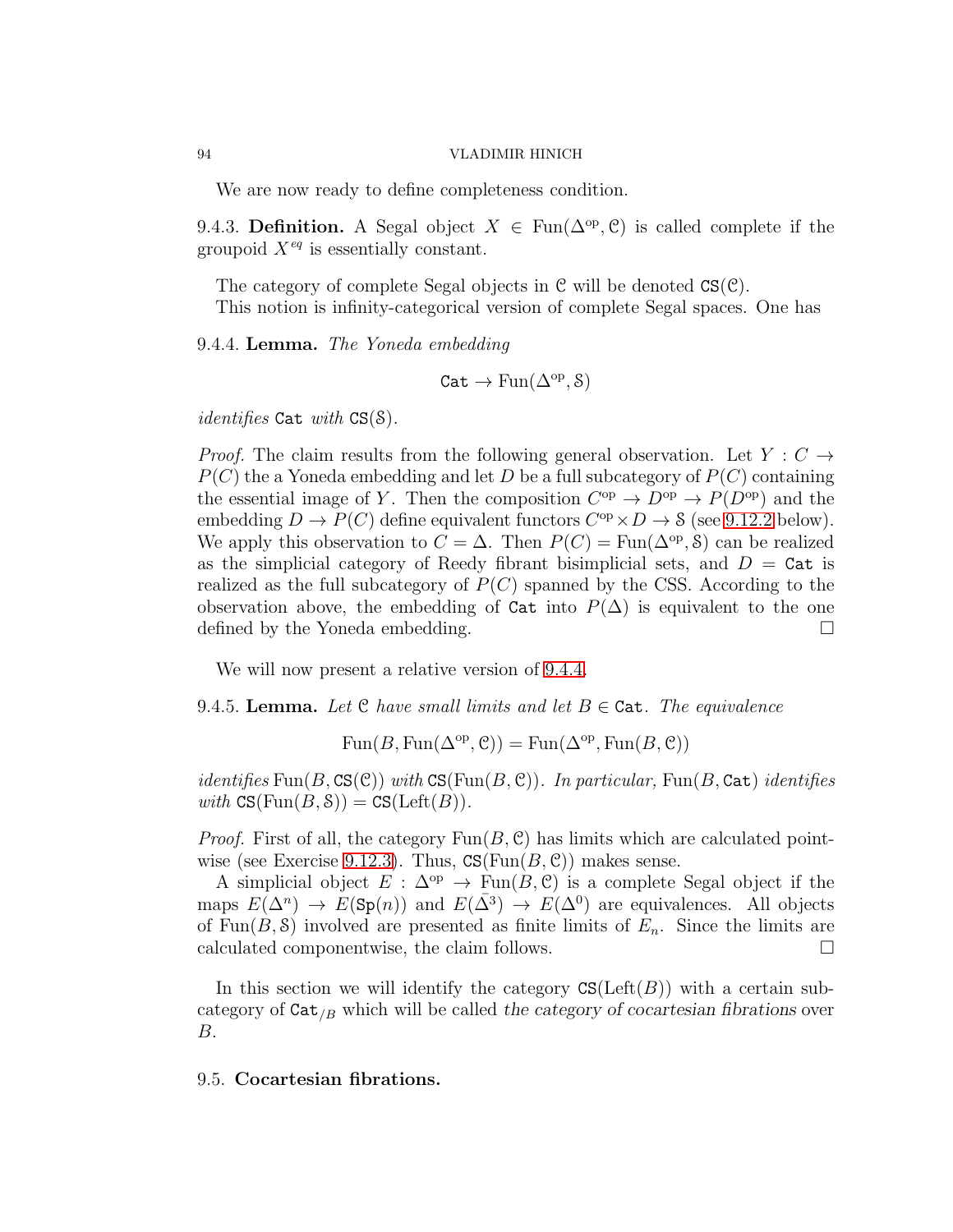We are now ready to define completeness condition.

9.4.3. Definition. A Segal object  $X \in \text{Fun}(\Delta^{\text{op}}, \mathcal{C})$  is called complete if the groupoid  $X^{eq}$  is essentially constant.

The category of complete Segal objects in C will be denoted CS(C). This notion is infinity-categorical version of complete Segal spaces. One has

<span id="page-93-0"></span>9.4.4. Lemma. The Yoneda embedding

$$
\mathtt{Cat}\rightarrow \mathrm{Fun}(\Delta^{\mathrm{op}}, \mathcal{S})
$$

*identifies* Cat with  $CS(S)$ .

*Proof.* The claim results from the following general observation. Let  $Y : C \rightarrow$  $P(C)$  the a Yoneda embedding and let D be a full subcategory of  $P(C)$  containing the essential image of Y. Then the composition  $C^{op} \to D^{op} \to P(D^{op})$  and the embedding  $D \to P(C)$  define equivalent functors  $C^{op} \times D \to S$  (see 9.12.2 below). We apply this observation to  $C = \Delta$ . Then  $P(C) = \text{Fun}(\Delta^{\text{op}}, \mathcal{S})$  can be realized as the simplicial category of Reedy fibrant bisimplicial sets, and  $D = \text{Cat}$  is realized as the full subcategory of  $P(C)$  spanned by the CSS. According to the observation above, the embedding of  $\text{Cat}$  into  $P(\Delta)$  is equivalent to the one defined by the Yoneda embedding.

We will now present a relative version of [9.4.4.](#page-93-0)

9.4.5. Lemma. Let C have small limits and let  $B \in \text{Cat}$ . The equivalence

 $\text{Fun}(B, \text{Fun}(\Delta^{\text{op}}, \mathcal{C})) = \text{Fun}(\Delta^{\text{op}}, \text{Fun}(B, \mathcal{C}))$ 

*identifies* Fun(B,  $CS(\mathcal{C})$ ) with  $CS(Fun(B, \mathcal{C}))$ . In particular, Fun(B, Cat) identifies with  $CS(Fun(B, \mathcal{S})) = CS(Left(B)).$ 

*Proof.* First of all, the category  $Fun(B, \mathcal{C})$  has limits which are calculated pointwise (see Exercise 9.12.3). Thus,  $CS(Fun(B, \mathcal{C}))$  makes sense.

A simplicial object  $E : \Delta^{\rm op} \to \text{Fun}(B, \mathcal{C})$  is a complete Segal object if the maps  $E(\Delta^n) \to E(\text{Sp}(n))$  and  $E(\bar{\Delta}^3) \to E(\Delta^0)$  are equivalences. All objects of Fun(B, S) involved are presented as finite limits of  $E_n$ . Since the limits are calculated componentwise, the claim follows.

In this section we will identify the category  $\text{CS}(\text{Left}(B))$  with a certain subcategory of  $\text{Cat}_{/B}$  which will be called the category of cocartesian fibrations over B.

# <span id="page-93-1"></span>9.5. Cocartesian fibrations.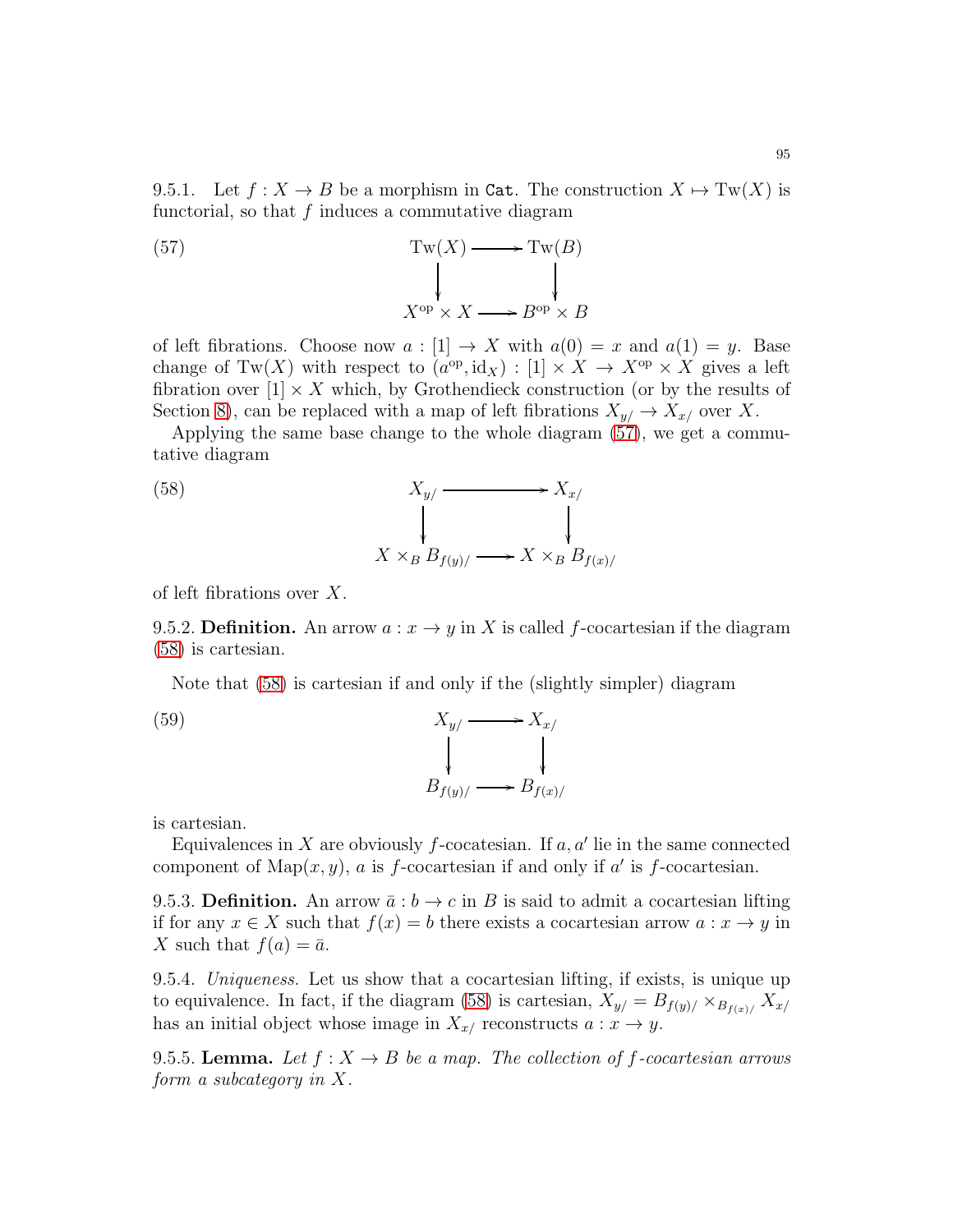<span id="page-94-0"></span>(57) 
$$
Tw(X) \longrightarrow Tw(B)
$$

$$
\downarrow \qquad \qquad \downarrow
$$

$$
X^{op} \times X \longrightarrow B^{op} \times B
$$

of left fibrations. Choose now  $a : [1] \to X$  with  $a(0) = x$  and  $a(1) = y$ . Base change of Tw(X) with respect to  $(a^{op}, id_X) : [1] \times X \to X^{op} \times X$  gives a left fibration over  $[1] \times X$  which, by Grothendieck construction (or by the results of Section [8\)](#page-79-1), can be replaced with a map of left fibrations  $X_{y/} \to X_{x/}$  over X.

Applying the same base change to the whole diagram [\(57\)](#page-94-0), we get a commutative diagram

<span id="page-94-1"></span>(58) 
$$
X_{y/} \longrightarrow X_{x/}
$$

$$
\downarrow \qquad \qquad \downarrow
$$

$$
X \times_{B} B_{f(y)/} \longrightarrow X \times_{B} B_{f(x)/}
$$

of left fibrations over X.

9.5.2. Definition. An arrow  $a: x \to y$  in X is called f-cocartesian if the diagram [\(58\)](#page-94-1) is cartesian.

Note that [\(58\)](#page-94-1) is cartesian if and only if the (slightly simpler) diagram

(59) 
$$
X_{y/} \longrightarrow X_{x/}
$$

$$
B_{f(y)/} \longrightarrow B_{f(x)/}
$$

is cartesian.

Equivalences in X are obviously f-cocatesian. If  $a, a'$  lie in the same connected component of Map $(x, y)$ , a is f-cocartesian if and only if a' is f-cocartesian.

9.5.3. Definition. An arrow  $\bar{a}: b \to c$  in B is said to admit a cocartesian lifting if for any  $x \in X$  such that  $f(x) = b$  there exists a cocartesian arrow  $a : x \to y$  in X such that  $f(a) = \overline{a}$ .

9.5.4. Uniqueness. Let us show that a cocartesian lifting, if exists, is unique up to equivalence. In fact, if the diagram [\(58\)](#page-94-1) is cartesian,  $X_{y/} = B_{f(y)/} \times_{B_{f(x)/}} X_{x/}$ has an initial object whose image in  $X_{x}$  reconstructs  $a: x \to y$ .

9.5.5. Lemma. Let  $f: X \to B$  be a map. The collection of f-cocartesian arrows form a subcategory in X.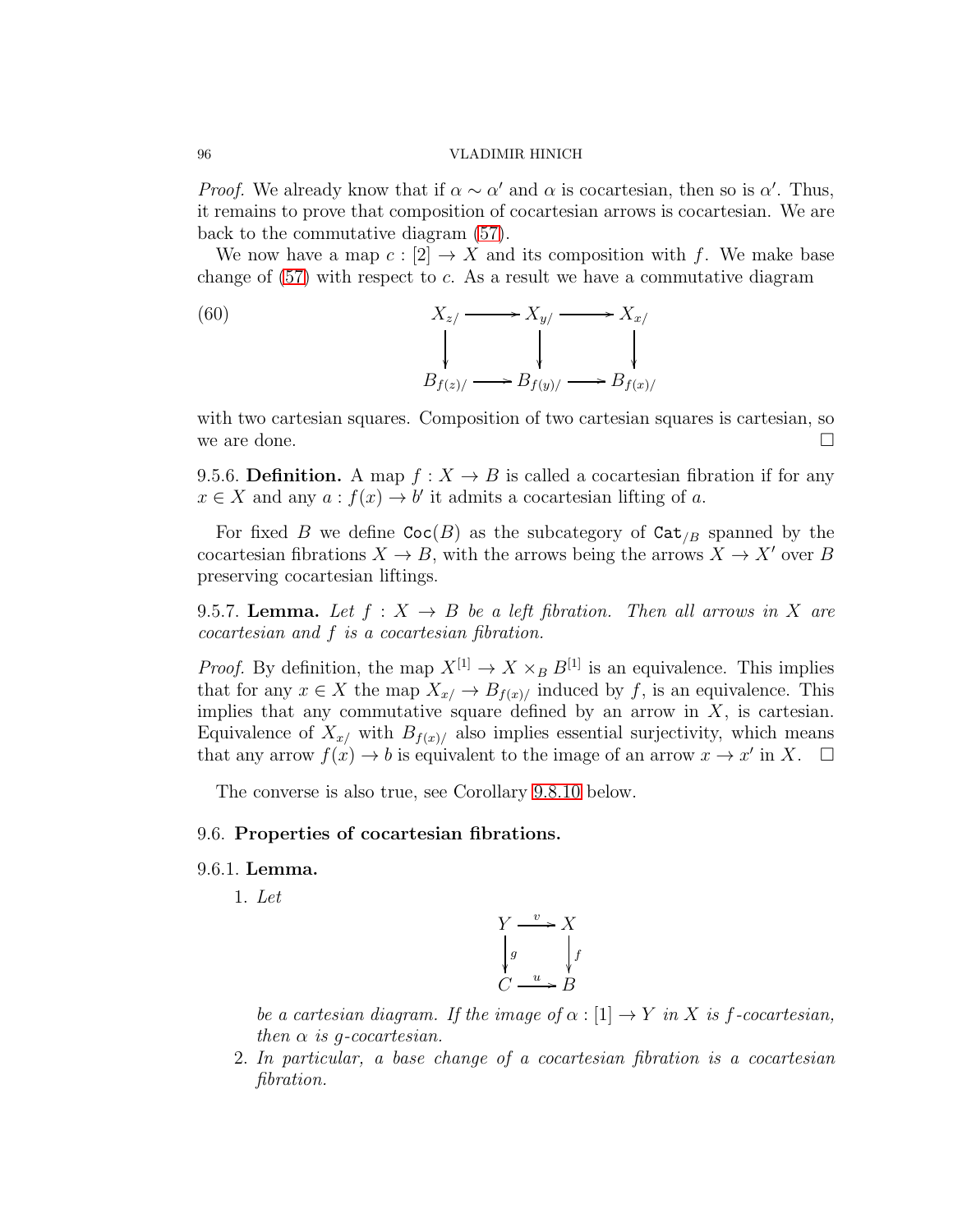*Proof.* We already know that if  $\alpha \sim \alpha'$  and  $\alpha$  is cocartesian, then so is  $\alpha'$ . Thus, it remains to prove that composition of cocartesian arrows is cocartesian. We are back to the commutative diagram [\(57\)](#page-94-0).

We now have a map  $c : [2] \to X$  and its composition with f. We make base change of  $(57)$  with respect to c. As a result we have a commutative diagram

(60)  
\n
$$
X_{z/} \longrightarrow X_{y/} \longrightarrow X_{x/}
$$
\n
$$
\downarrow \qquad \qquad \downarrow
$$
\n
$$
B_{f(z)/} \longrightarrow B_{f(y)/} \longrightarrow B_{f(x)/}
$$

with two cartesian squares. Composition of two cartesian squares is cartesian, so we are done.  $\Box$ 

9.5.6. Definition. A map  $f: X \to B$  is called a cocartesian fibration if for any  $x \in X$  and any  $a : f(x) \to b'$  it admits a cocartesian lifting of a.

For fixed B we define  $\text{Coc}(B)$  as the subcategory of  $\text{Cat}_{B}$  spanned by the cocartesian fibrations  $X \to B$ , with the arrows being the arrows  $X \to X'$  over B preserving cocartesian liftings.

9.5.7. Lemma. Let  $f: X \to B$  be a left fibration. Then all arrows in X are cocartesian and f is a cocartesian fibration.

*Proof.* By definition, the map  $X^{[1]} \to X \times_B B^{[1]}$  is an equivalence. This implies that for any  $x \in X$  the map  $X_{x/} \to B_{f(x)/}$  induced by f, is an equivalence. This implies that any commutative square defined by an arrow in  $X$ , is cartesian. Equivalence of  $X_{x}$  with  $B_{f(x)}$  also implies essential surjectivity, which means that any arrow  $f(x) \to b$  is equivalent to the image of an arrow  $x \to x'$  in X.  $\Box$ 

The converse is also true, see Corollary [9.8.10](#page-103-0) below.

### 9.6. Properties of cocartesian fibrations.

### 9.6.1. Lemma.

1. Let

$$
\begin{array}{ccc}\nY & \xrightarrow{v} & X \\
\downarrow{g} & & f \\
C & \xrightarrow{u} & B\n\end{array}
$$

be a cartesian diagram. If the image of  $\alpha : [1] \to Y$  in X is f-cocartesian, then  $\alpha$  is q-cocartesian.

2. In particular, a base change of a cocartesian fibration is a cocartesian fibration.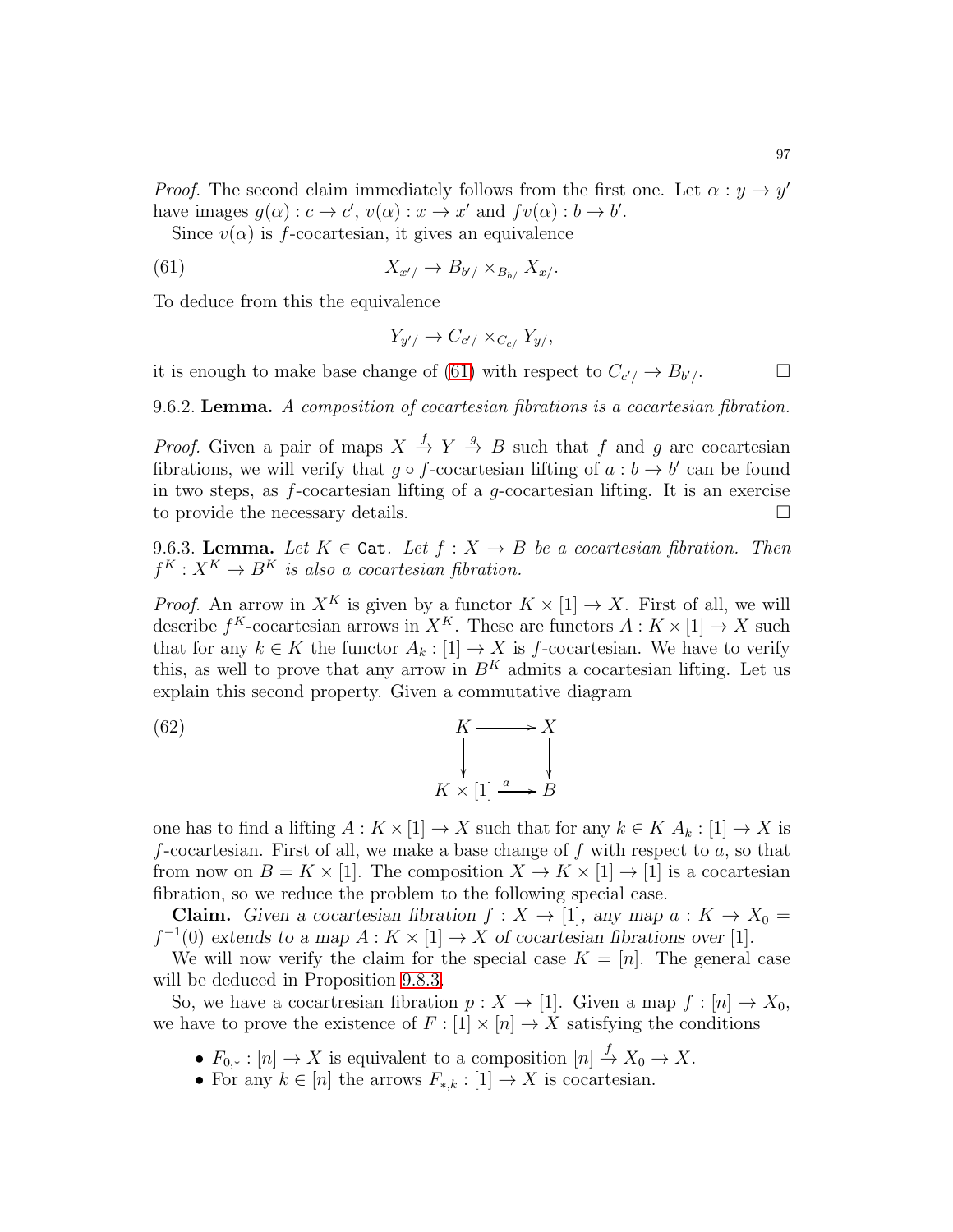*Proof.* The second claim immediately follows from the first one. Let  $\alpha : y \to y'$ have images  $g(\alpha) : c \to c', v(\alpha) : x \to x'$  and  $fv(\alpha) : b \to b'.$ 

Since  $v(\alpha)$  is f-cocartesian, it gives an equivalence

$$
(61) \t\t X_{x'}/\rightarrow B_{b'}/\times_{B_{b'}} X_{x'}.
$$

To deduce from this the equivalence

<span id="page-96-0"></span>
$$
Y_{y'}/\rightarrow C_{c'}/\times_{C_{c/}} Y_{y/},
$$

it is enough to make base change of [\(61\)](#page-96-0) with respect to  $C_{c'}/ \rightarrow B_{b'}/.$ 

9.6.2. Lemma. A composition of cocartesian fibrations is a cocartesian fibration.

*Proof.* Given a pair of maps  $X \stackrel{f}{\rightarrow} Y \stackrel{g}{\rightarrow} B$  such that f and g are cocartesian fibrations, we will verify that  $g \circ f$ -cocartesian lifting of  $a : b \to b'$  can be found in two steps, as  $f$ -cocartesian lifting of a  $q$ -cocartesian lifting. It is an exercise to provide the necessary details.

<span id="page-96-1"></span>9.6.3. Lemma. Let  $K \in \texttt{Cat}$ . Let  $f : X \to B$  be a cocartesian fibration. Then  $f^K : X^K \to B^K$  is also a cocartesian fibration.

*Proof.* An arrow in  $X^K$  is given by a functor  $K \times [1] \rightarrow X$ . First of all, we will describe  $f^K$ -cocartesian arrows in  $X^K$ . These are functors  $A: K \times [1] \to X$  such that for any  $k \in K$  the functor  $A_k : [1] \to X$  is f-cocartesian. We have to verify this, as well to prove that any arrow in  $B<sup>K</sup>$  admits a cocartesian lifting. Let us explain this second property. Given a commutative diagram

(62) 
$$
K \longrightarrow X
$$

$$
\downarrow \qquad \qquad \downarrow
$$

$$
K \times [1] \xrightarrow{a} B
$$

one has to find a lifting  $A: K \times [1] \to X$  such that for any  $k \in K A_k : [1] \to X$  is f-cocartesian. First of all, we make a base change of f with respect to  $a$ , so that from now on  $B = K \times [1]$ . The composition  $X \to K \times [1] \to [1]$  is a cocartesian fibration, so we reduce the problem to the following special case.

**Claim.** Given a cocartesian fibration  $f: X \to [1]$ , any map  $a: K \to X_0 =$  $f^{-1}(0)$  extends to a map  $A: K \times [1] \to X$  of cocartesian fibrations over [1].

We will now verify the claim for the special case  $K = [n]$ . The general case will be deduced in Proposition [9.8.3.](#page-101-0)

So, we have a cocartresian fibration  $p: X \to [1]$ . Given a map  $f: [n] \to X_0$ , we have to prove the existence of  $F : [1] \times [n] \to X$  satisfying the conditions

- $F_{0,*}: [n] \to X$  is equivalent to a composition  $[n] \stackrel{f}{\to} X_0 \to X$ .
- For any  $k \in [n]$  the arrows  $F_{*,k} : [1] \to X$  is cocartesian.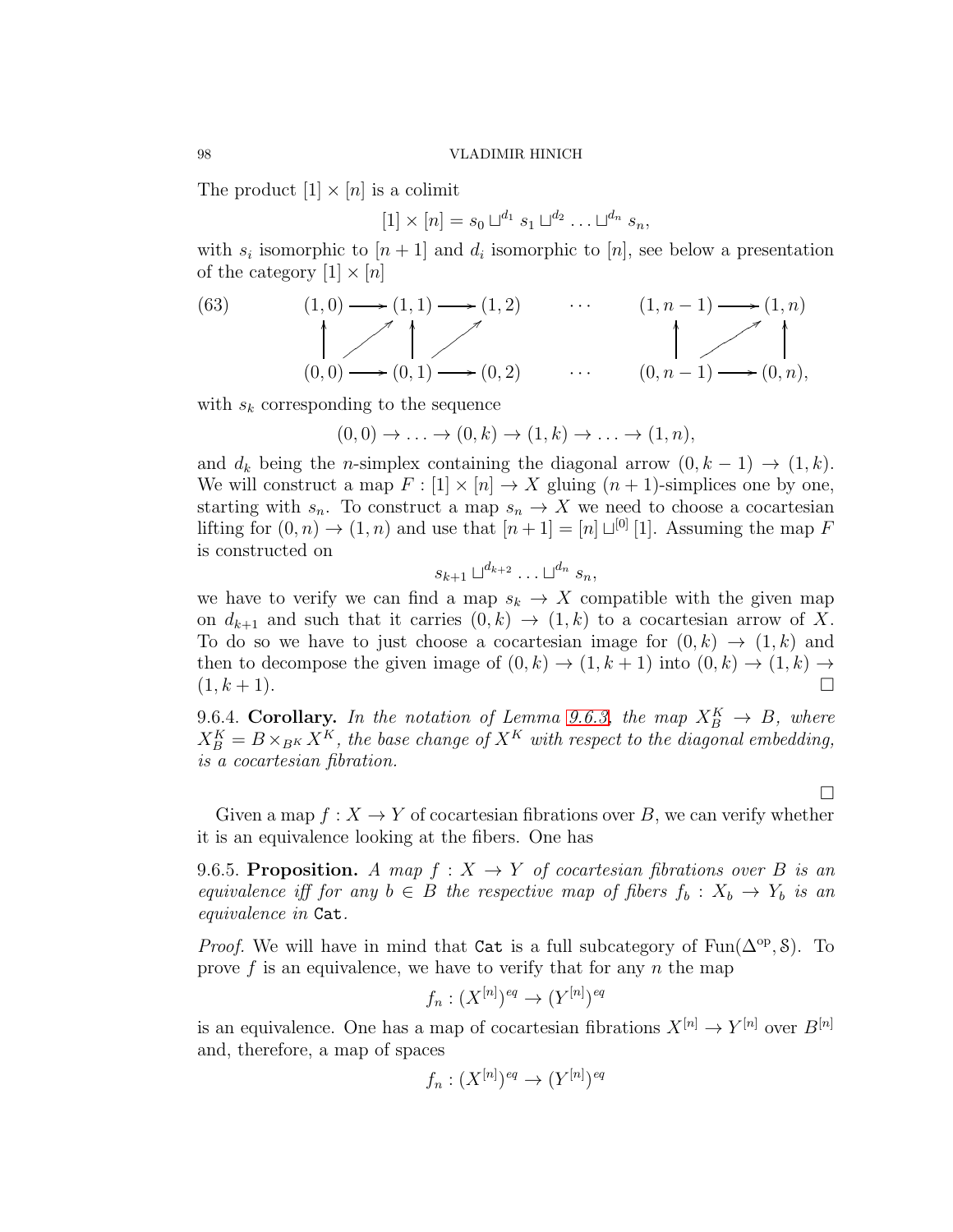The product  $[1] \times [n]$  is a colimit

$$
[1] \times [n] = s_0 \sqcup^{d_1} s_1 \sqcup^{d_2} \dots \sqcup^{d_n} s_n,
$$

with  $s_i$  isomorphic to  $[n+1]$  and  $d_i$  isomorphic to  $[n]$ , see below a presentation of the category  $[1] \times [n]$ 

(63)  
\n
$$
(1,0) \longrightarrow (1,1) \longrightarrow (1,2) \qquad \cdots \qquad (1,n-1) \longrightarrow (1,n)
$$
\n
$$
(0,0) \longrightarrow (0,1) \longrightarrow (0,2) \qquad \cdots \qquad (0,n-1) \longrightarrow (0,n),
$$

with  $s_k$  corresponding to the sequence

$$
(0,0) \rightarrow \ldots \rightarrow (0,k) \rightarrow (1,k) \rightarrow \ldots \rightarrow (1,n),
$$

and  $d_k$  being the n-simplex containing the diagonal arrow  $(0, k - 1) \rightarrow (1, k)$ . We will construct a map  $F : [1] \times [n] \rightarrow X$  gluing  $(n + 1)$ -simplices one by one, starting with  $s_n$ . To construct a map  $s_n \to X$  we need to choose a cocartesian lifting for  $(0, n) \to (1, n)$  and use that  $[n+1] = [n] \sqcup^{[0]} [1]$ . Assuming the map F is constructed on

$$
s_{k+1} \sqcup^{d_{k+2}} \ldots \sqcup^{d_n} s_n,
$$

we have to verify we can find a map  $s_k \to X$  compatible with the given map on  $d_{k+1}$  and such that it carries  $(0, k) \rightarrow (1, k)$  to a cocartesian arrow of X. To do so we have to just choose a cocartesian image for  $(0, k) \rightarrow (1, k)$  and then to decompose the given image of  $(0, k) \rightarrow (1, k+1)$  into  $(0, k) \rightarrow (1, k) \rightarrow$  $(1, k + 1)$ .

<span id="page-97-0"></span>9.6.4. Corollary. In the notation of Lemma [9.6.3,](#page-96-1) the map  $X_B^K \to B$ , where  $X_B^K = B \times_{B^K} X^K$ , the base change of  $X^K$  with respect to the diagonal embedding, is a cocartesian fibration.

 $\Box$ 

Given a map  $f: X \to Y$  of cocartesian fibrations over B, we can verify whether it is an equivalence looking at the fibers. One has

<span id="page-97-1"></span>9.6.5. Proposition. A map  $f: X \to Y$  of cocartesian fibrations over B is an equivalence iff for any  $b \in B$  the respective map of fibers  $f_b: X_b \to Y_b$  is an equivalence in Cat.

*Proof.* We will have in mind that Cat is a full subcategory of Fun( $\Delta^{op}, \delta$ ). To prove f is an equivalence, we have to verify that for any n the map

$$
f_n : (X^{[n]})^{eq} \to (Y^{[n]})^{eq}
$$

is an equivalence. One has a map of cocartesian fibrations  $X^{[n]} \to Y^{[n]}$  over  $B^{[n]}$ and, therefore, a map of spaces

$$
f_n: (X^{[n]})^{eq} \to (Y^{[n]})^{eq}
$$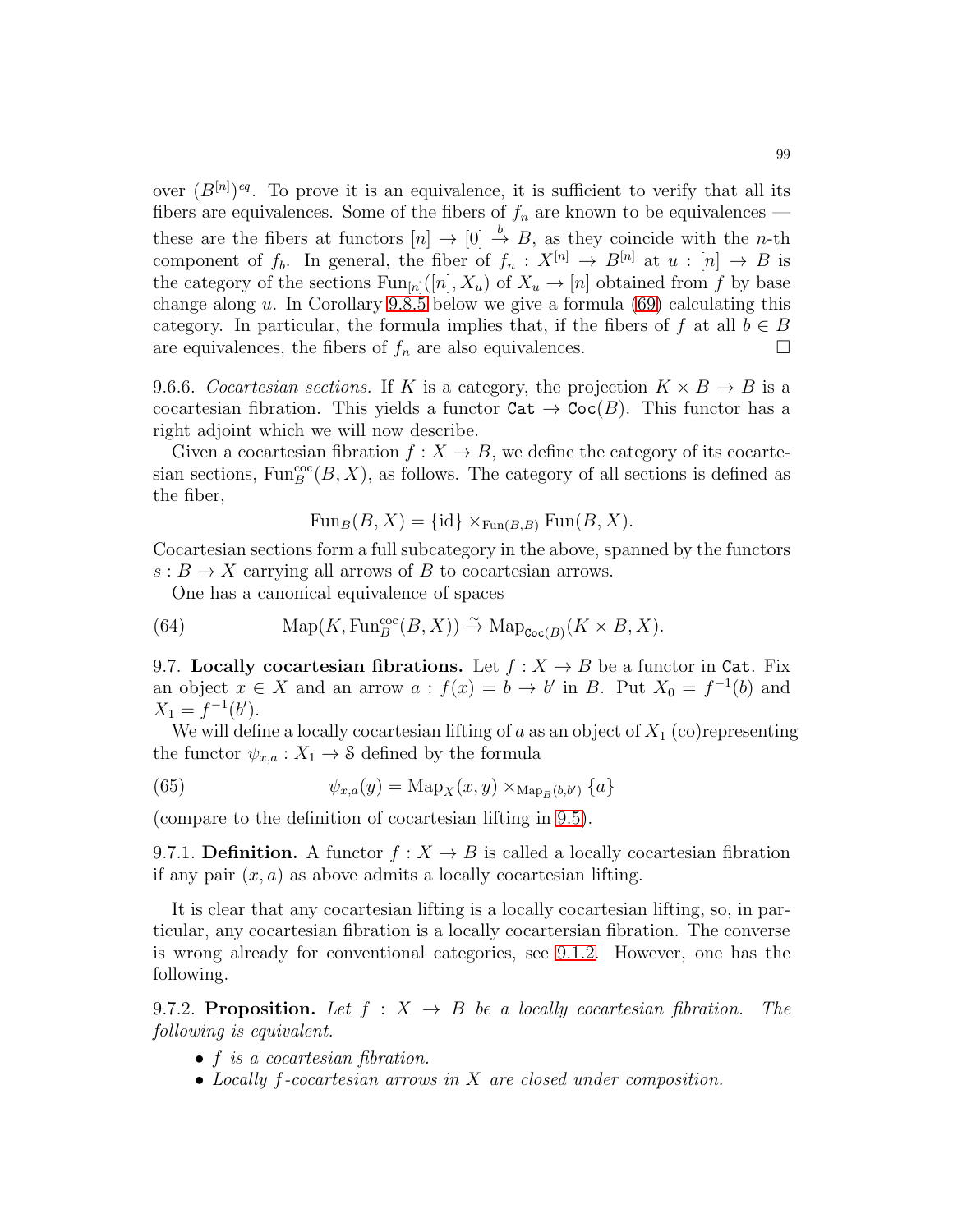over  $(B^{[n]})^{eq}$ . To prove it is an equivalence, it is sufficient to verify that all its fibers are equivalences. Some of the fibers of  $f_n$  are known to be equivalences these are the fibers at functors  $[n] \to [0] \stackrel{b}{\to} B$ , as they coincide with the *n*-th component of  $f_b$ . In general, the fiber of  $f_n : X^{[n]} \to B^{[n]}$  at  $u : [n] \to B$  is the category of the sections  $\text{Fun}_{[n]}([n], X_u)$  of  $X_u \to [n]$  obtained from f by base change along u. In Corollary [9.8.5](#page-101-1) below we give a formula  $(69)$  calculating this category. In particular, the formula implies that, if the fibers of f at all  $b \in B$ are equivalences, the fibers of  $f_n$  are also equivalences.

<span id="page-98-0"></span>9.6.6. Cocartesian sections. If K is a category, the projection  $K \times B \to B$  is a cocartesian fibration. This yields a functor  $\mathtt{Cat} \to \mathtt{Coc}(B)$ . This functor has a right adjoint which we will now describe.

Given a cocartesian fibration  $f: X \to B$ , we define the category of its cocartesian sections,  $\text{Fun}^{\text{coc}}_B(B, X)$ , as follows. The category of all sections is defined as the fiber,

$$
\text{Fun}_B(B, X) = \{id\} \times_{\text{Fun}(B, B)} \text{Fun}(B, X).
$$

Cocartesian sections form a full subcategory in the above, spanned by the functors  $s : B \to X$  carrying all arrows of B to cocartesian arrows.

One has a canonical equivalence of spaces

(64) 
$$
\text{Map}(K, \text{Fun}_{B}^{\text{coc}}(B, X)) \xrightarrow{\sim} \text{Map}_{\text{Coc}(B)}(K \times B, X).
$$

9.7. Locally cocartesian fibrations. Let  $f : X \to B$  be a functor in Cat. Fix an object  $x \in X$  and an arrow  $a : f(x) = b \to b'$  in B. Put  $X_0 = f^{-1}(b)$  and  $X_1 = f^{-1}(b').$ 

We will define a locally cocartesian lifting of  $a$  as an object of  $X_1$  (co)representing the functor  $\psi_{x,a}: X_1 \to \mathcal{S}$  defined by the formula

(65) 
$$
\psi_{x,a}(y) = \text{Map}_X(x,y) \times_{\text{Map}_B(b,b')} \{a\}
$$

(compare to the definition of cocartesian lifting in [9.5\)](#page-93-1).

9.7.1. Definition. A functor  $f: X \to B$  is called a locally cocartesian fibration if any pair  $(x, a)$  as above admits a locally cocartesian lifting.

It is clear that any cocartesian lifting is a locally cocartesian lifting, so, in particular, any cocartesian fibration is a locally cocartersian fibration. The converse is wrong already for conventional categories, see [9.1.2.](#page-88-0) However, one has the following.

9.7.2. Proposition. Let  $f : X \rightarrow B$  be a locally cocartesian fibration. The following is equivalent.

- f is a cocartesian fibration.
- Locally f-cocartesian arrows in X are closed under composition.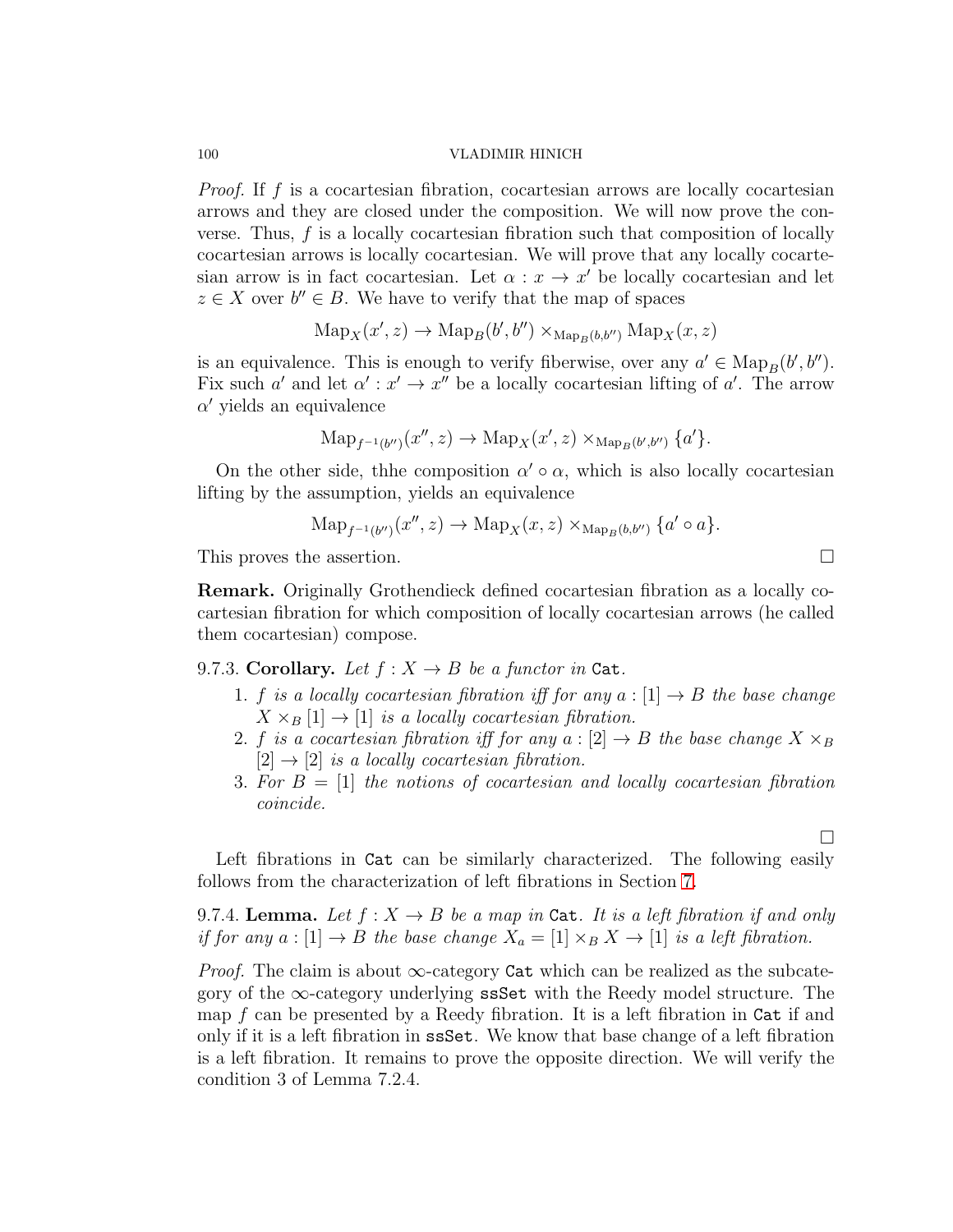*Proof.* If f is a cocartesian fibration, cocartesian arrows are locally cocartesian arrows and they are closed under the composition. We will now prove the converse. Thus,  $f$  is a locally cocartesian fibration such that composition of locally cocartesian arrows is locally cocartesian. We will prove that any locally cocartesian arrow is in fact cocartesian. Let  $\alpha : x \to x'$  be locally cocartesian and let  $z \in X$  over  $b'' \in B$ . We have to verify that the map of spaces

$$
\mathrm{Map}_X(x', z) \to \mathrm{Map}_B(b', b'') \times_{\mathrm{Map}_B(b, b'')} \mathrm{Map}_X(x, z)
$$

is an equivalence. This is enough to verify fiberwise, over any  $a' \in \text{Map}_B(b', b'')$ . Fix such a' and let  $\alpha': x' \to x''$  be a locally cocartesian lifting of a'. The arrow  $\alpha'$  yields an equivalence

$$
\mathrm{Map}_{f^{-1}(b'')}(x'', z) \to \mathrm{Map}_X(x', z) \times_{\mathrm{Map}_B(b', b'')} \{a'\}.
$$

On the other side, thhe composition  $\alpha' \circ \alpha$ , which is also locally cocartesian lifting by the assumption, yields an equivalence

$$
\mathrm{Map}_{f^{-1}(b'')}(x'', z) \to \mathrm{Map}_X(x, z) \times_{\mathrm{Map}_B(b, b'')} \{a' \circ a\}.
$$

This proves the assertion.

Remark. Originally Grothendieck defined cocartesian fibration as a locally cocartesian fibration for which composition of locally cocartesian arrows (he called them cocartesian) compose.

9.7.3. Corollary. Let  $f: X \to B$  be a functor in Cat.

- 1. f is a locally cocartesian fibration iff for any  $a : [1] \rightarrow B$  the base change  $X \times_B [1] \rightarrow [1]$  is a locally cocartesian fibration.
- 2. f is a cocartesian fibration iff for any  $a:[2] \to B$  the base change  $X \times_B B$  $[2] \rightarrow [2]$  is a locally cocartesian fibration.
- 3. For  $B = [1]$  the notions of cocartesian and locally cocartesian fibration coincide.

 $\Box$ 

Left fibrations in Cat can be similarly characterized. The following easily follows from the characterization of left fibrations in Section [7.](#page-69-0)

<span id="page-99-0"></span>9.7.4. Lemma. Let  $f: X \to B$  be a map in Cat. It is a left fibration if and only if for any  $a:[1] \to B$  the base change  $X_a = [1] \times_B X \to [1]$  is a left fibration.

*Proof.* The claim is about  $\infty$ -category Cat which can be realized as the subcategory of the  $\infty$ -category underlying ssSet with the Reedy model structure. The map  $f$  can be presented by a Reedy fibration. It is a left fibration in  $\text{Cat}$  if and only if it is a left fibration in ssSet. We know that base change of a left fibration is a left fibration. It remains to prove the opposite direction. We will verify the condition 3 of Lemma 7.2.4.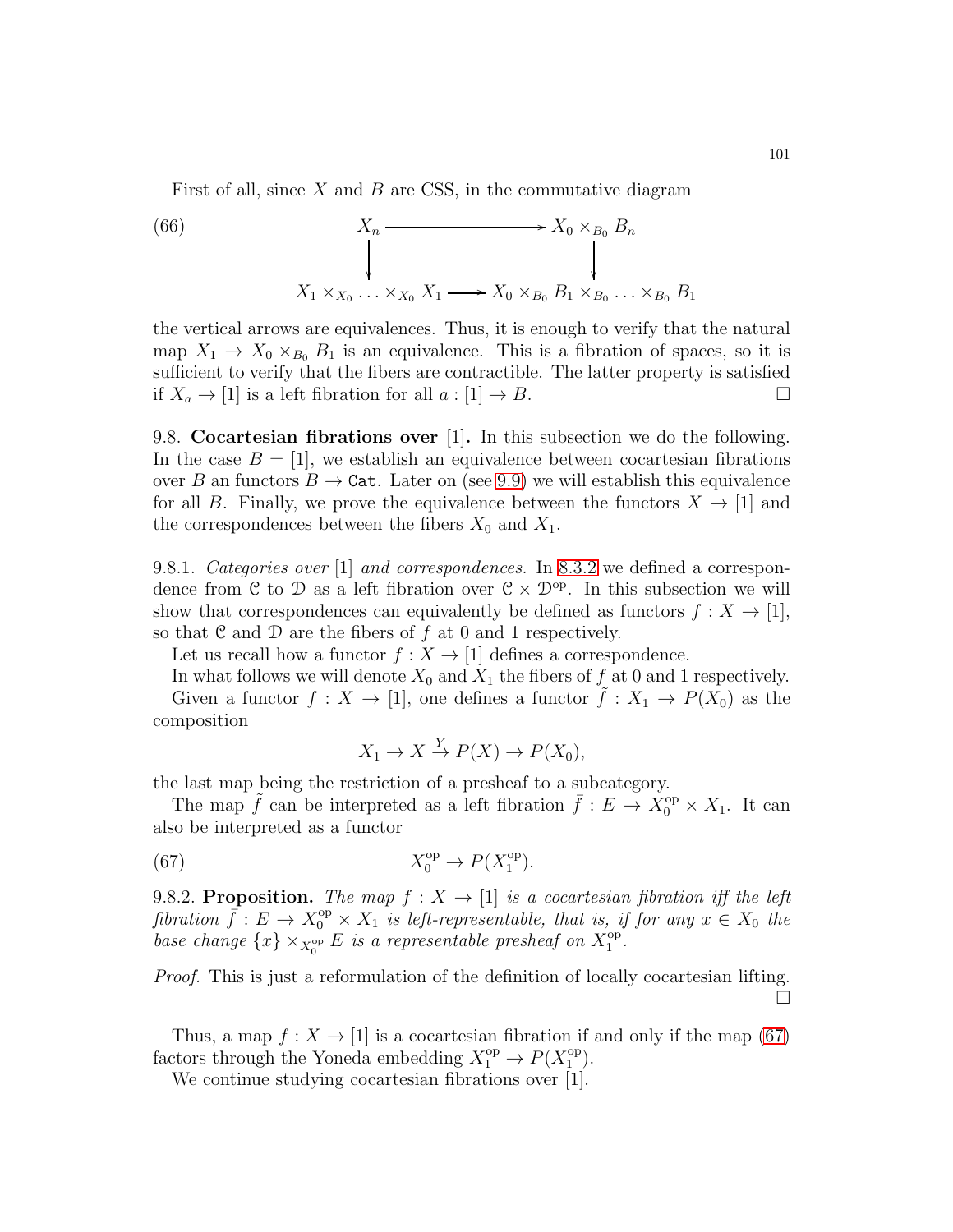First of all, since  $X$  and  $B$  are CSS, in the commutative diagram

(66) 
$$
X_n \longrightarrow X_0 \times_{B_0} B_n
$$

$$
\downarrow \qquad \qquad \downarrow
$$

$$
X_1 \times_{X_0} \ldots \times_{X_0} X_1 \longrightarrow X_0 \times_{B_0} B_1 \times_{B_0} \ldots \times_{B_0} B_1
$$

the vertical arrows are equivalences. Thus, it is enough to verify that the natural map  $X_1 \to X_0 \times_{B_0} B_1$  is an equivalence. This is a fibration of spaces, so it is sufficient to verify that the fibers are contractible. The latter property is satisfied if  $X_a \to [1]$  is a left fibration for all  $a : [1] \to B$ .

<span id="page-100-2"></span>9.8. Cocartesian fibrations over [1]. In this subsection we do the following. In the case  $B = [1]$ , we establish an equivalence between cocartesian fibrations over B an functors  $B \to \text{Cat}$ . Later on (see [9.9\)](#page-103-1) we will establish this equivalence for all B. Finally, we prove the equivalence between the functors  $X \to [1]$  and the correspondences between the fibers  $X_0$  and  $X_1$ .

9.8.1. Categories over [1] and correspondences. In [8.3.2](#page-83-0) we defined a correspondence from C to D as a left fibration over  $C \times D^{op}$ . In this subsection we will show that correspondences can equivalently be defined as functors  $f: X \to [1]$ , so that  $\mathfrak C$  and  $\mathfrak D$  are the fibers of  $f$  at 0 and 1 respectively.

Let us recall how a functor  $f : X \to [1]$  defines a correspondence.

In what follows we will denote  $X_0$  and  $X_1$  the fibers of f at 0 and 1 respectively. Given a functor  $f: X \to [1]$ , one defines a functor  $f: X_1 \to P(X_0)$  as the composition

<span id="page-100-0"></span>
$$
X_1 \to X \xrightarrow{Y} P(X) \to P(X_0),
$$

the last map being the restriction of a presheaf to a subcategory.

The map  $\tilde{f}$  can be interpreted as a left fibration  $\bar{f}: E \to X_0^{\text{op}} \times X_1$ . It can also be interpreted as a functor

(67) 
$$
X_0^{\text{op}} \to P(X_1^{\text{op}}).
$$

<span id="page-100-1"></span>9.8.2. Proposition. The map  $f: X \rightarrow [1]$  is a cocartesian fibration iff the left fibration  $\bar{f}: E \to X_0^{\text{op}} \times X_1$  is left-representable, that is, if for any  $x \in X_0$  the base change  $\{x\} \times_{X_0^{\text{op}}} E$  is a representable presheaf on  $X_1^{\text{op}}$  $\overset{\text{op}}{1}$ .

Proof. This is just a reformulation of the definition of locally cocartesian lifting.  $\Box$ 

Thus, a map  $f: X \to [1]$  is a cocartesian fibration if and only if the map [\(67\)](#page-100-0) factors through the Yoneda embedding  $X_1^{\text{op}} \to P(X_1^{\text{op}})$  $\binom{op}{1}$ .

We continue studying cocartesian fibrations over [1].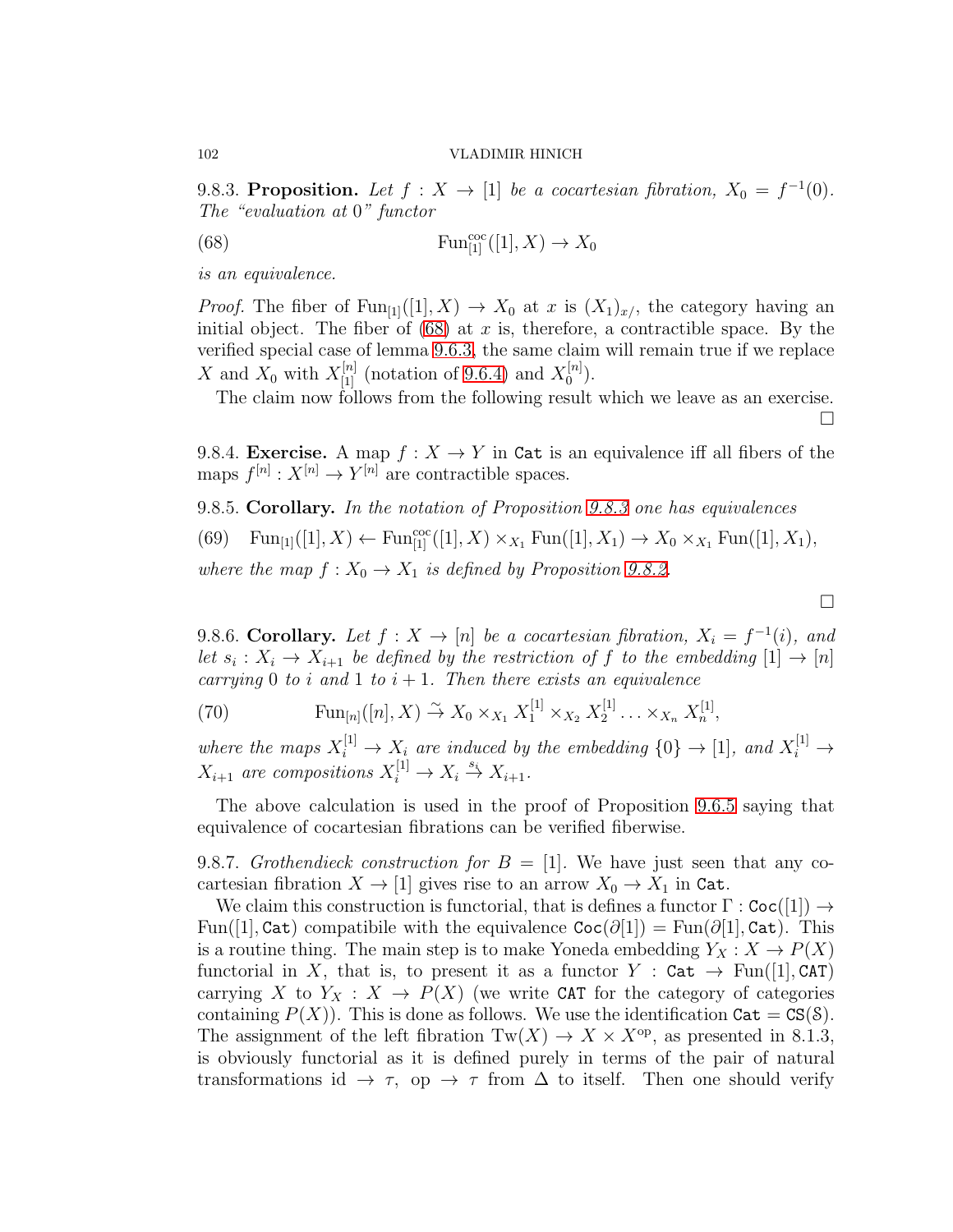<span id="page-101-0"></span>9.8.3. Proposition. Let  $f: X \to [1]$  be a cocartesian fibration,  $X_0 = f^{-1}(0)$ . The "evaluation at 0" functor

<span id="page-101-3"></span>(68) 
$$
\text{Fun}_{[1]}^{\text{coc}}([1], X) \to X_0
$$

is an equivalence.

*Proof.* The fiber of  $Fun_{[1]}([1], X) \to X_0$  at x is  $(X_1)_{x}$ , the category having an initial object. The fiber of  $(68)$  at x is, therefore, a contractible space. By the verified special case of lemma [9.6.3,](#page-96-1) the same claim will remain true if we replace X and  $X_0$  with  $X_{[1]}^{[n]}$  (notation of [9.6.4\)](#page-97-0) and  $X_0^{[n]}$  $\binom{[n]}{0}$ .

The claim now follows from the following result which we leave as an exercise.

 $\Box$ 

 $\Box$ 

9.8.4. Exercise. A map  $f: X \to Y$  in Cat is an equivalence iff all fibers of the maps  $f^{[n]}: X^{[n]} \to Y^{[n]}$  are contractible spaces.

<span id="page-101-2"></span><span id="page-101-1"></span>9.8.5. Corollary. In the notation of Proposition [9.8.3](#page-101-0) one has equivalences (69)  $\text{Fun}_{[1]}([1], X) \leftarrow \text{Fun}_{[1]}^{\text{coc}}([1], X) \times_{X_1} \text{Fun}([1], X_1) \to X_0 \times_{X_1} \text{Fun}([1], X_1),$ where the map  $f: X_0 \to X_1$  is defined by Proposition [9.8.2.](#page-100-1)

9.8.6. Corollary. Let  $f: X \to [n]$  be a cocartesian fibration,  $X_i = f^{-1}(i)$ , and let  $s_i: X_i \to X_{i+1}$  be defined by the restriction of f to the embedding  $[1] \to [n]$ carrying 0 to i and 1 to  $i + 1$ . Then there exists an equivalence

(70) 
$$
\operatorname{Fun}_{[n]}([n], X) \stackrel{\sim}{\to} X_0 \times_{X_1} X_1^{[1]} \times_{X_2} X_2^{[1]} \dots \times_{X_n} X_n^{[1]},
$$

where the maps  $X_i^{[1]} \to X_i$  are induced by the embedding  $\{0\} \to [1]$ , and  $X_i^{[1]} \to$  $X_{i+1}$  are compositions  $X_i^{[1]} \to X_i \stackrel{s_i}{\to} X_{i+1}$ .

The above calculation is used in the proof of Proposition [9.6.5](#page-97-1) saying that equivalence of cocartesian fibrations can be verified fiberwise.

9.8.7. Grothendieck construction for  $B = [1]$ . We have just seen that any cocartesian fibration  $X \to [1]$  gives rise to an arrow  $X_0 \to X_1$  in Cat.

We claim this construction is functorial, that is defines a functor  $\Gamma : \text{Coc}([1]) \rightarrow$ Fun([1], Cat) compatibile with the equivalence  $\text{Coc}(\partial[1]) = \text{Fun}(\partial[1], \text{Cat})$ . This is a routine thing. The main step is to make Yoneda embedding  $Y_X : X \to P(X)$ functorial in X, that is, to present it as a functor  $Y : \mathsf{Cat} \to \mathrm{Fun}([1], \mathsf{CAT})$ carrying X to  $Y_X : X \to P(X)$  (we write CAT for the category of categories containing  $P(X)$ ). This is done as follows. We use the identification  $\text{Cat} = \text{CS}(8)$ . The assignment of the left fibration  $Tw(X) \to X \times X^{\text{op}}$ , as presented in 8.1.3, is obviously functorial as it is defined purely in terms of the pair of natural transformations id  $\rightarrow \tau$ , op  $\rightarrow \tau$  from  $\Delta$  to itself. Then one should verify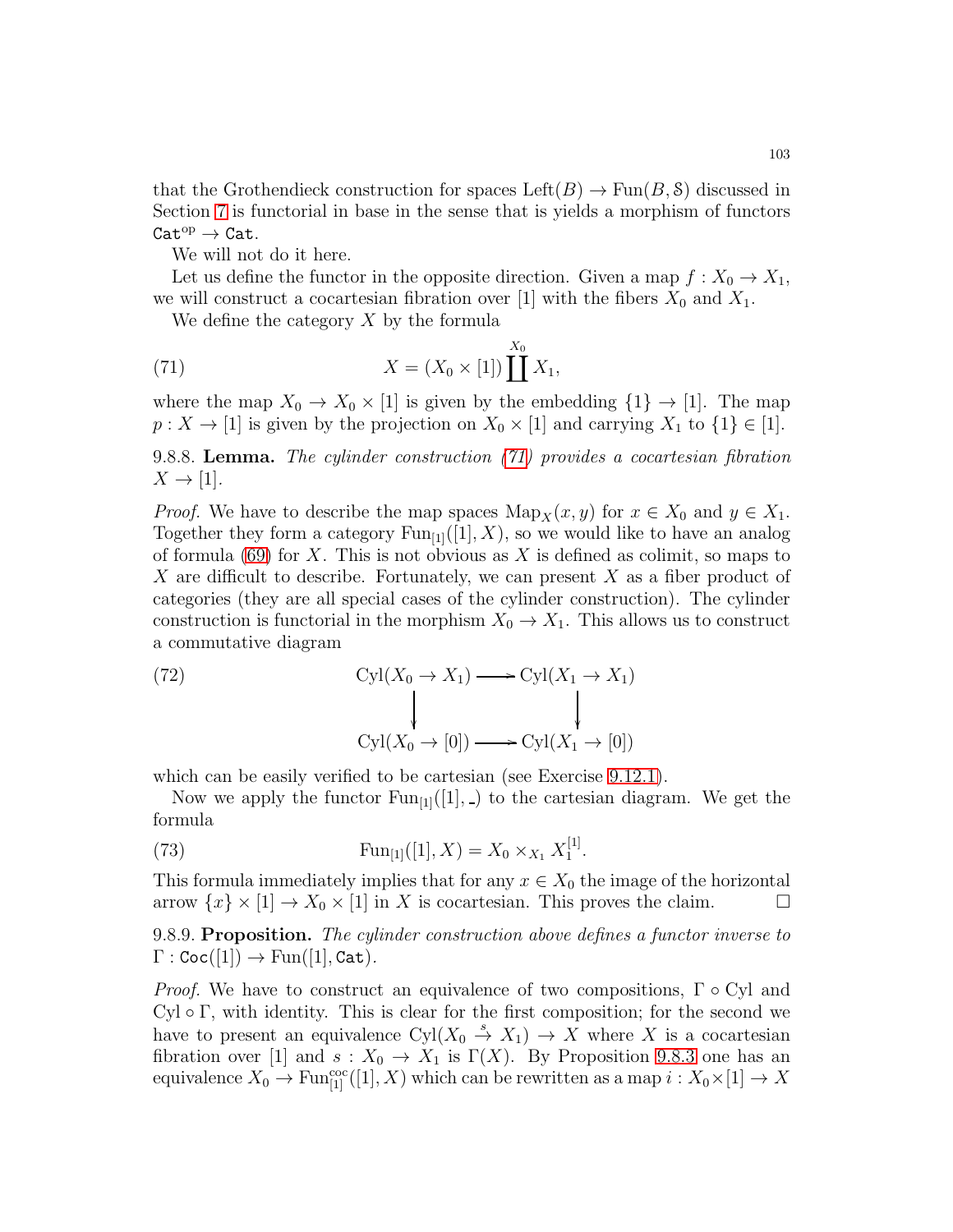that the Grothendieck construction for spaces  $\text{Left}(B) \to \text{Fun}(B, \mathcal{S})$  discussed in Section [7](#page-69-0) is functorial in base in the sense that is yields a morphism of functors  $\mathtt{Cat}^\mathrm{op}\to\mathtt{Cat}.$ 

We will not do it here.

Let us define the functor in the opposite direction. Given a map  $f: X_0 \to X_1$ , we will construct a cocartesian fibration over [1] with the fibers  $X_0$  and  $X_1$ .

<span id="page-102-0"></span>We define the category  $X$  by the formula

(71) 
$$
X = (X_0 \times [1]) \coprod^{X_0} X_1,
$$

where the map  $X_0 \to X_0 \times [1]$  is given by the embedding  $\{1\} \to [1]$ . The map  $p: X \to [1]$  is given by the projection on  $X_0 \times [1]$  and carrying  $X_1$  to  $\{1\} \in [1]$ .

9.8.8. Lemma. The cylinder construction [\(71\)](#page-102-0) provides a cocartesian fibration  $X \to [1].$ 

*Proof.* We have to describe the map spaces  $\text{Map}_X(x, y)$  for  $x \in X_0$  and  $y \in X_1$ . Together they form a category  $Fun_{11}([1], X)$ , so we would like to have an analog of formula  $(69)$  for X. This is not obvious as X is defined as colimit, so maps to X are difficult to describe. Fortunately, we can present X as a fiber product of categories (they are all special cases of the cylinder construction). The cylinder construction is functorial in the morphism  $X_0 \to X_1$ . This allows us to construct a commutative diagram

<span id="page-102-1"></span>(72) 
$$
\operatorname{Cyl}(X_0 \to X_1) \longrightarrow \operatorname{Cyl}(X_1 \to X_1)
$$

$$
\downarrow \qquad \qquad \downarrow
$$

$$
\operatorname{Cyl}(X_0 \to [0]) \longrightarrow \operatorname{Cyl}(X_1 \to [0])
$$

which can be easily verified to be cartesian (see Exercise [9.12.1\)](#page-106-0).

Now we apply the functor  $Fun_{[1]}([1],]$  to the cartesian diagram. We get the formula

(73) 
$$
\operatorname{Fun}_{[1]}([1], X) = X_0 \times_{X_1} X_1^{[1]}.
$$

This formula immediately implies that for any  $x \in X_0$  the image of the horizontal arrow  $\{x\} \times [1] \to X_0 \times [1]$  in X is cocartesian. This proves the claim.  $\square$ 

9.8.9. Proposition. The cylinder construction above defines a functor inverse to  $\Gamma : \text{Coc}([1]) \to \text{Fun}([1], \text{Cat}).$ 

*Proof.* We have to construct an equivalence of two compositions,  $\Gamma \circ Cyl$  and Cyl  $\circ$  Γ, with identity. This is clear for the first composition; for the second we have to present an equivalence  $Cyl(X_0 \stackrel{s}{\to} X_1) \to X$  where X is a cocartesian fibration over [1] and  $s: X_0 \to X_1$  is  $\Gamma(X)$ . By Proposition [9.8.3](#page-101-0) one has an equivalence  $X_0 \to \text{Fun}^{\text{coc}}_{[1]}([1], X)$  which can be rewritten as a map  $i: X_0 \times [1] \to X$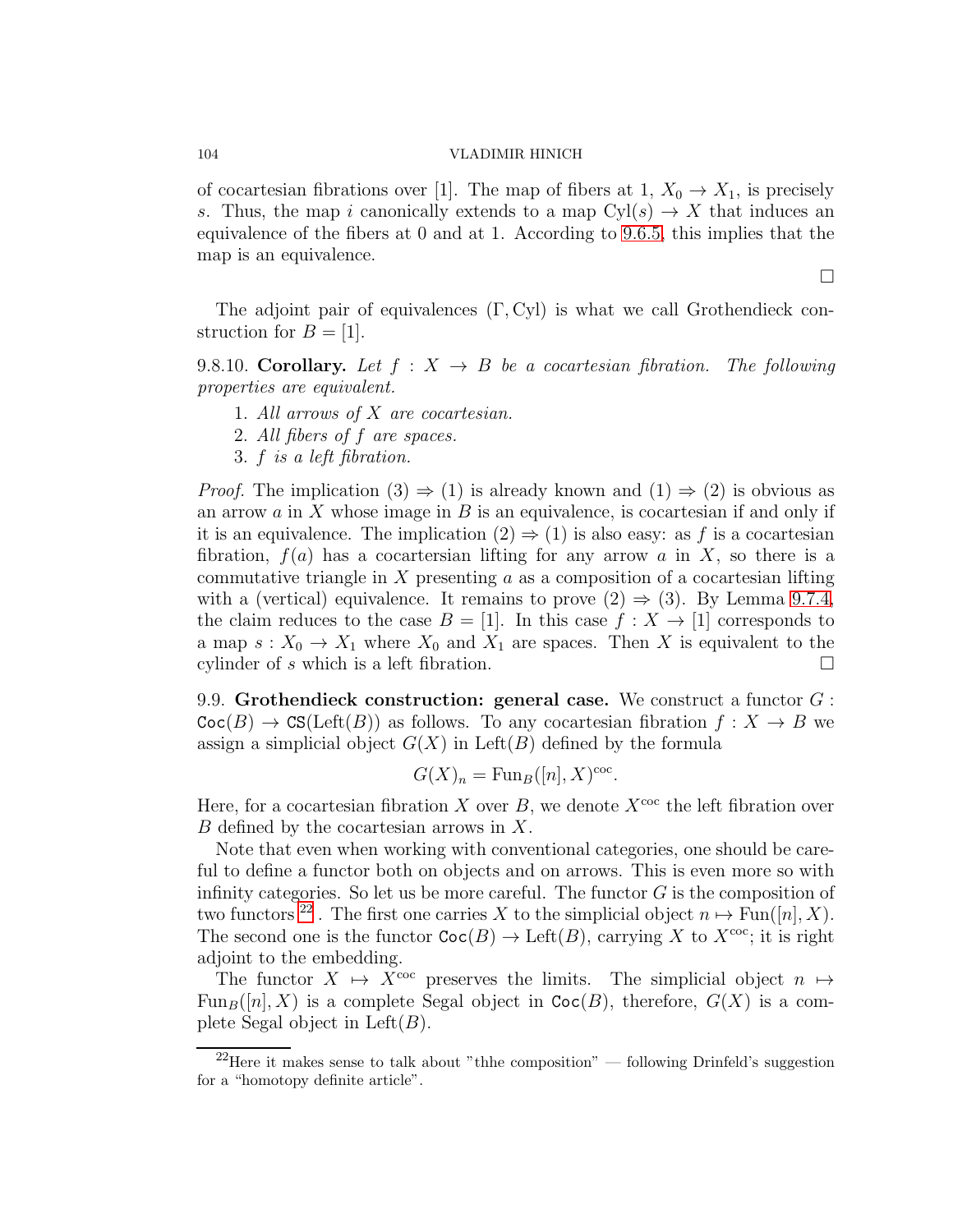of cocartesian fibrations over [1]. The map of fibers at 1,  $X_0 \to X_1$ , is precisely s. Thus, the map i canonically extends to a map  $Cyl(s) \to X$  that induces an equivalence of the fibers at 0 and at 1. According to [9.6.5,](#page-97-1) this implies that the map is an equivalence.

The adjoint pair of equivalences  $(\Gamma, Cyl)$  is what we call Grothendieck construction for  $B = [1]$ .

<span id="page-103-0"></span>9.8.10. Corollary. Let  $f : X \rightarrow B$  be a cocartesian fibration. The following properties are equivalent.

- 1. All arrows of X are cocartesian.
- 2. All fibers of f are spaces.
- 3. f is a left fibration.

*Proof.* The implication  $(3) \Rightarrow (1)$  is already known and  $(1) \Rightarrow (2)$  is obvious as an arrow  $a$  in  $X$  whose image in  $B$  is an equivalence, is cocartesian if and only if it is an equivalence. The implication  $(2) \Rightarrow (1)$  is also easy: as f is a cocartesian fibration,  $f(a)$  has a cocartersian lifting for any arrow a in X, so there is a commutative triangle in X presenting  $a$  as a composition of a cocartesian lifting with a (vertical) equivalence. It remains to prove  $(2) \Rightarrow (3)$ . By Lemma [9.7.4,](#page-99-0) the claim reduces to the case  $B = [1]$ . In this case  $f : X \to [1]$  corresponds to a map  $s: X_0 \to X_1$  where  $X_0$  and  $X_1$  are spaces. Then X is equivalent to the cylinder of s which is a left fibration.  $\Box$ 

<span id="page-103-1"></span>9.9. Grothendieck construction: general case. We construct a functor  $G$ :  $\text{Coc}(B) \to \text{CS}(\text{Left}(B))$  as follows. To any cocartesian fibration  $f : X \to B$  we assign a simplicial object  $G(X)$  in Left(B) defined by the formula

$$
G(X)_n = \text{Fun}_B([n], X)^{\text{coc}}.
$$

Here, for a cocartesian fibration X over B, we denote  $X^{\text{coc}}$  the left fibration over B defined by the cocartesian arrows in X.

Note that even when working with conventional categories, one should be careful to define a functor both on objects and on arrows. This is even more so with infinity categories. So let us be more careful. The functor  $G$  is the composition of two functors <sup>[22](#page-103-2)</sup>. The first one carries X to the simplicial object  $n \mapsto \text{Fun}([n], X)$ . The second one is the functor  $\text{Coc}(B) \to \text{Left}(B)$ , carrying X to  $X^{\text{coc}}$ ; it is right adjoint to the embedding.

The functor  $X \mapsto X^{\text{coc}}$  preserves the limits. The simplicial object  $n \mapsto$  $Fun_B([n], X)$  is a complete Segal object in  $Coc(B)$ , therefore,  $G(X)$  is a complete Segal object in  $Left(B)$ .

 $\Box$ 

<span id="page-103-2"></span> $^{22}$ Here it makes sense to talk about "thhe composition" — following Drinfeld's suggestion for a "homotopy definite article".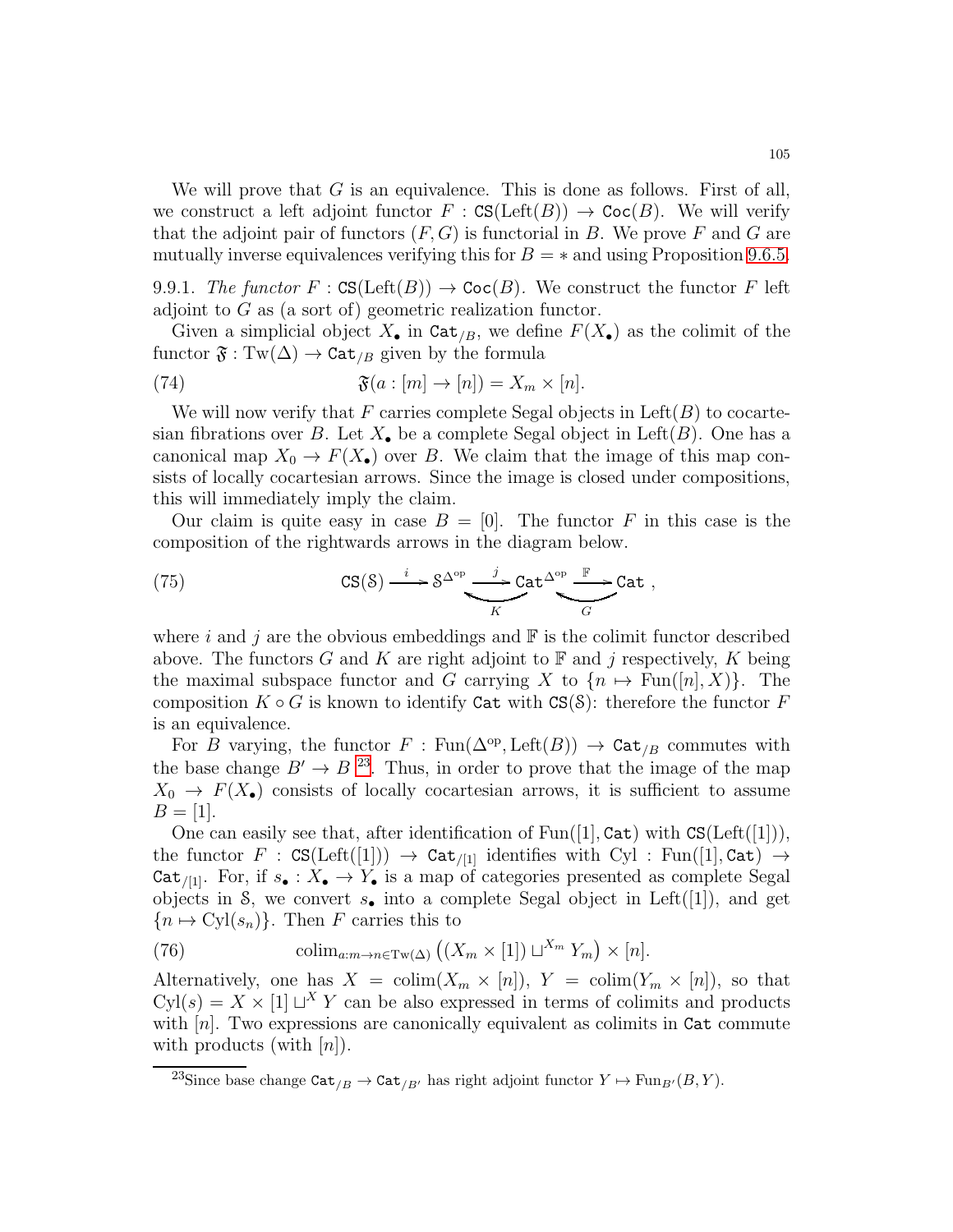We will prove that  $G$  is an equivalence. This is done as follows. First of all, we construct a left adjoint functor  $F : \text{CS}(\text{Left}(B)) \to \text{Coc}(B)$ . We will verify that the adjoint pair of functors  $(F, G)$  is functorial in B. We prove F and G are mutually inverse equivalences verifying this for  $B = *$  and using Proposition [9.6.5.](#page-97-1)

9.9.1. The functor  $F : \text{CS}(\text{Left}(B)) \to \text{Coc}(B)$ . We construct the functor F left adjoint to G as (a sort of) geometric realization functor.

Given a simplicial object  $X_{\bullet}$  in  $\text{Cat}_{/B}$ , we define  $F(X_{\bullet})$  as the colimit of the functor  $\mathfrak{F} : \mathrm{Tw}(\Delta) \to \mathrm{Cat}_{/B}$  given by the formula

(74) 
$$
\mathfrak{F}(a : [m] \to [n]) = X_m \times [n].
$$

We will now verify that F carries complete Segal objects in  $\mathrm{Left}(B)$  to cocartesian fibrations over B. Let  $X_{\bullet}$  be a complete Segal object in Left $(B)$ . One has a canonical map  $X_0 \to F(X_{\bullet})$  over B. We claim that the image of this map consists of locally cocartesian arrows. Since the image is closed under compositions, this will immediately imply the claim.

Our claim is quite easy in case  $B = [0]$ . The functor F in this case is the composition of the rightwards arrows in the diagram below.

(75) 
$$
\mathbf{CS}(\mathcal{S}) \xrightarrow{i} \mathcal{S}^{\Delta^{op}} \xrightarrow{j} \mathbf{Cat}^{\Delta^{op}} \xrightarrow{\mathbb{F}} \mathbf{Cat} ,
$$

where i and j are the obvious embeddings and  $\mathbb F$  is the colimit functor described above. The functors G and K are right adjoint to  $\mathbb F$  and j respectively, K being the maximal subspace functor and G carrying X to  $\{n \mapsto \text{Fun}([n], X)\}\$ . The composition  $K \circ G$  is known to identify Cat with  $CS(S)$ : therefore the functor F is an equivalence.

For B varying, the functor  $F : \text{Fun}(\Delta^{\text{op}}, \text{Left}(B)) \to \text{Cat}_{/B}$  commutes with the base change  $B' \to B^{23}$  $B' \to B^{23}$  $B' \to B^{23}$ . Thus, in order to prove that the image of the map  $X_0 \to F(X_{\bullet})$  consists of locally cocartesian arrows, it is sufficient to assume  $B = [1].$ 

One can easily see that, after identification of  $Fun([1], Cat)$  with  $CS(Left([1]))$ , the functor  $F : \text{CS}(\text{Left}([1])) \rightarrow \text{Cat}_{/[1]}$  identifies with Cyl : Fun([1], Cat)  $\rightarrow$ Cat<sub>/[1]</sub>. For, if  $s_{\bullet}: X_{\bullet} \to Y_{\bullet}$  is a map of categories presented as complete Segal objects in S, we convert  $s_{\bullet}$  into a complete Segal object in Left([1]), and get  ${n \mapsto \mathrm{Cyl}(s_n)}$ . Then F carries this to

(76) colim<sub>a:m→n∈Tw( $\Delta$ )</sub>  $((X_m \times [1]) \sqcup^{X_m} Y_m) \times [n].$ 

Alternatively, one has  $X = \text{colim}(X_m \times [n])$ ,  $Y = \text{colim}(Y_m \times [n])$ , so that  $Cyl(s) = X \times [1] \sqcup^{X} Y$  can be also expressed in terms of colimits and products with  $[n]$ . Two expressions are canonically equivalent as colimits in Cat commute with products (with  $[n]$ ).

<span id="page-104-0"></span><sup>&</sup>lt;sup>23</sup>Since base change  $\mathtt{Cat}_{/B} \to \mathtt{Cat}_{/B'}$  has right adjoint functor  $Y \mapsto \mathrm{Fun}_{B'}(B, Y)$ .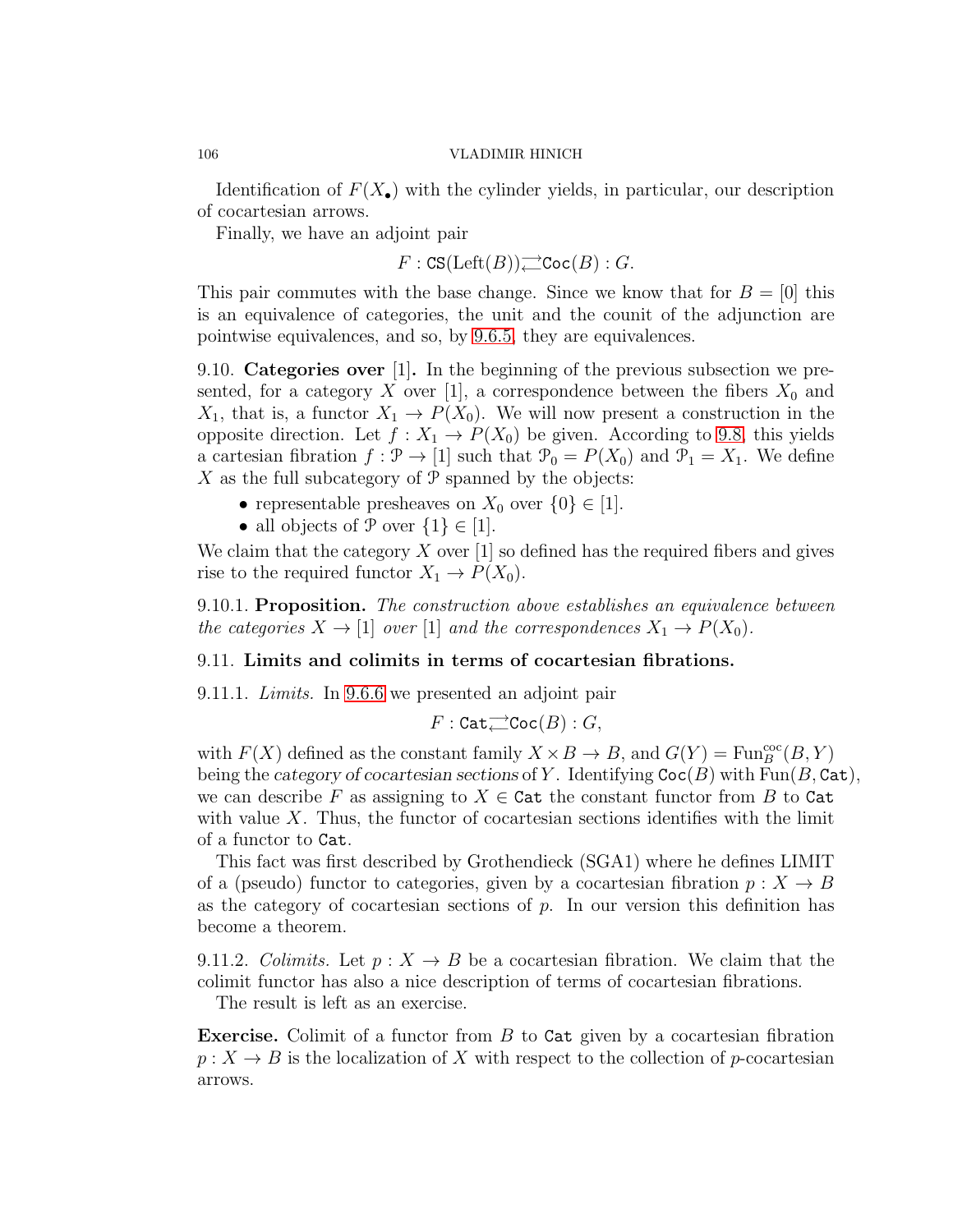Identification of  $F(X_{\bullet})$  with the cylinder yields, in particular, our description of cocartesian arrows.

Finally, we have an adjoint pair

 $F: {\rm CS}({\rm Left}(B))$ — ${\rm Coc}(B): G.$ 

This pair commutes with the base change. Since we know that for  $B = [0]$  this is an equivalence of categories, the unit and the counit of the adjunction are pointwise equivalences, and so, by [9.6.5,](#page-97-1) they are equivalences.

9.10. Categories over [1]. In the beginning of the previous subsection we presented, for a category X over [1], a correspondence between the fibers  $X_0$  and  $X_1$ , that is, a functor  $X_1 \to P(X_0)$ . We will now present a construction in the opposite direction. Let  $f: X_1 \to P(X_0)$  be given. According to [9.8,](#page-100-2) this yields a cartesian fibration  $f : \mathcal{P} \to [1]$  such that  $\mathcal{P}_0 = P(X_0)$  and  $\mathcal{P}_1 = X_1$ . We define X as the full subcategory of  $P$  spanned by the objects:

- representable presheaves on  $X_0$  over  $\{0\} \in [1]$ .
- all objects of  $P$  over  $\{1\} \in [1]$ .

We claim that the category  $X$  over [1] so defined has the required fibers and gives rise to the required functor  $X_1 \to P(X_0)$ .

9.10.1. Proposition. The construction above establishes an equivalence between the categories  $X \to [1]$  over [1] and the correspondences  $X_1 \to P(X_0)$ .

# 9.11. Limits and colimits in terms of cocartesian fibrations.

9.11.1. Limits. In [9.6.6](#page-98-0) we presented an adjoint pair

 $F:\mathtt{Cat}\overrightarrow{\rightarrow}\mathtt{Coc}(B):G,$ 

with  $F(X)$  defined as the constant family  $X \times B \to B$ , and  $G(Y) = \text{Fun}_{B}^{\text{coc}}(B, Y)$ being the *category of cocartesian sections* of Y. Identifying  $\text{Coc}(B)$  with Fun(B, Cat), we can describe F as assigning to  $X \in \text{Cat}$  the constant functor from B to Cat with value  $X$ . Thus, the functor of cocartesian sections identifies with the limit of a functor to Cat.

This fact was first described by Grothendieck (SGA1) where he defines LIMIT of a (pseudo) functor to categories, given by a cocartesian fibration  $p: X \to B$ as the category of cocartesian sections of  $p$ . In our version this definition has become a theorem.

9.11.2. Colimits. Let  $p: X \to B$  be a cocartesian fibration. We claim that the colimit functor has also a nice description of terms of cocartesian fibrations.

The result is left as an exercise.

**Exercise.** Colimit of a functor from  $B$  to  $Cat$  given by a cocartesian fibration  $p: X \to B$  is the localization of X with respect to the collection of p-cocartesian arrows.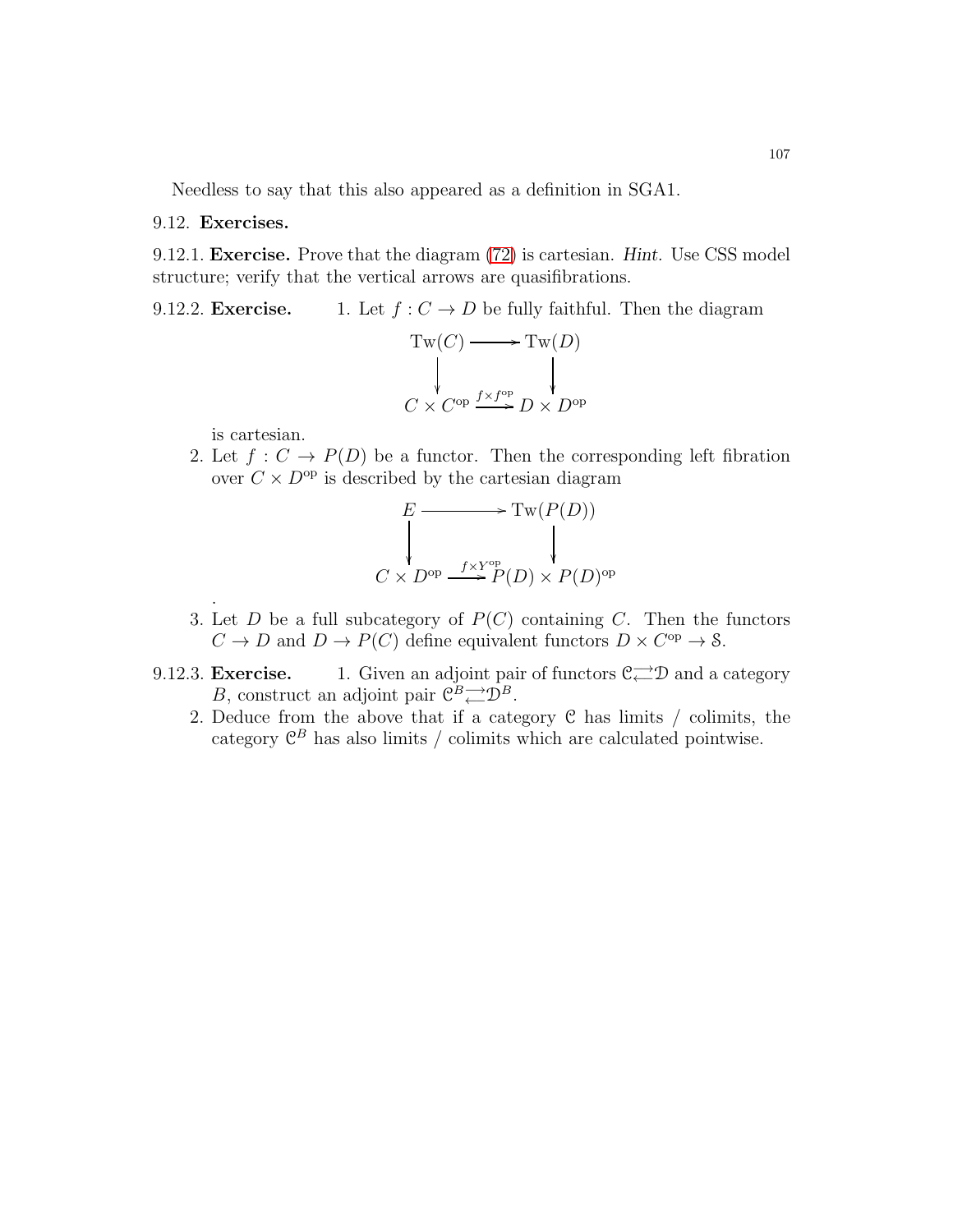Needless to say that this also appeared as a definition in SGA1.

9.12. Exercises.

<span id="page-106-0"></span>9.12.1. Exercise. Prove that the diagram [\(72\)](#page-102-1) is cartesian. *Hint.* Use CSS model structure; verify that the vertical arrows are quasifibrations.

9.12.2. Exercise. 1. Let  $f : C \to D$  be fully faithful. Then the diagram  $T(\alpha)$ 

$$
Tw(C) \longrightarrow Tw(D)
$$
  
\n
$$
\downarrow \qquad \qquad \downarrow
$$
  
\n
$$
C \times C^{op} \xrightarrow{f \times f^{op}} D \times D^{op}
$$

is cartesian.

.

2. Let  $f: C \to P(D)$  be a functor. Then the corresponding left fibration over  $C \times D^{\text{op}}$  is described by the cartesian diagram

$$
E \longrightarrow \text{Tw}(P(D))
$$
  
\n
$$
\downarrow
$$
  
\n
$$
C \times D^{\text{op}} \xrightarrow{f \times Y^{\text{op}} P(D) \times P(D)^{\text{op}}}
$$

- 3. Let  $D$  be a full subcategory of  $P(C)$  containing  $C$ . Then the functors  $C \to D$  and  $D \to P(C)$  define equivalent functors  $D \times C^{\text{op}} \to \mathcal{S}$ .
- 9.12.3. **Exercise.** 1. Given an adjoint pair of functors  $\mathcal{C}^{\longrightarrow}_{\leftarrow} \mathcal{D}$  and a category B, construct an adjoint pair  $\mathcal{C}^B \rightleftharpoons \mathcal{D}^B$ .
	- 2. Deduce from the above that if a category C has limits / colimits, the category  $\mathcal{C}^B$  has also limits / colimits which are calculated pointwise.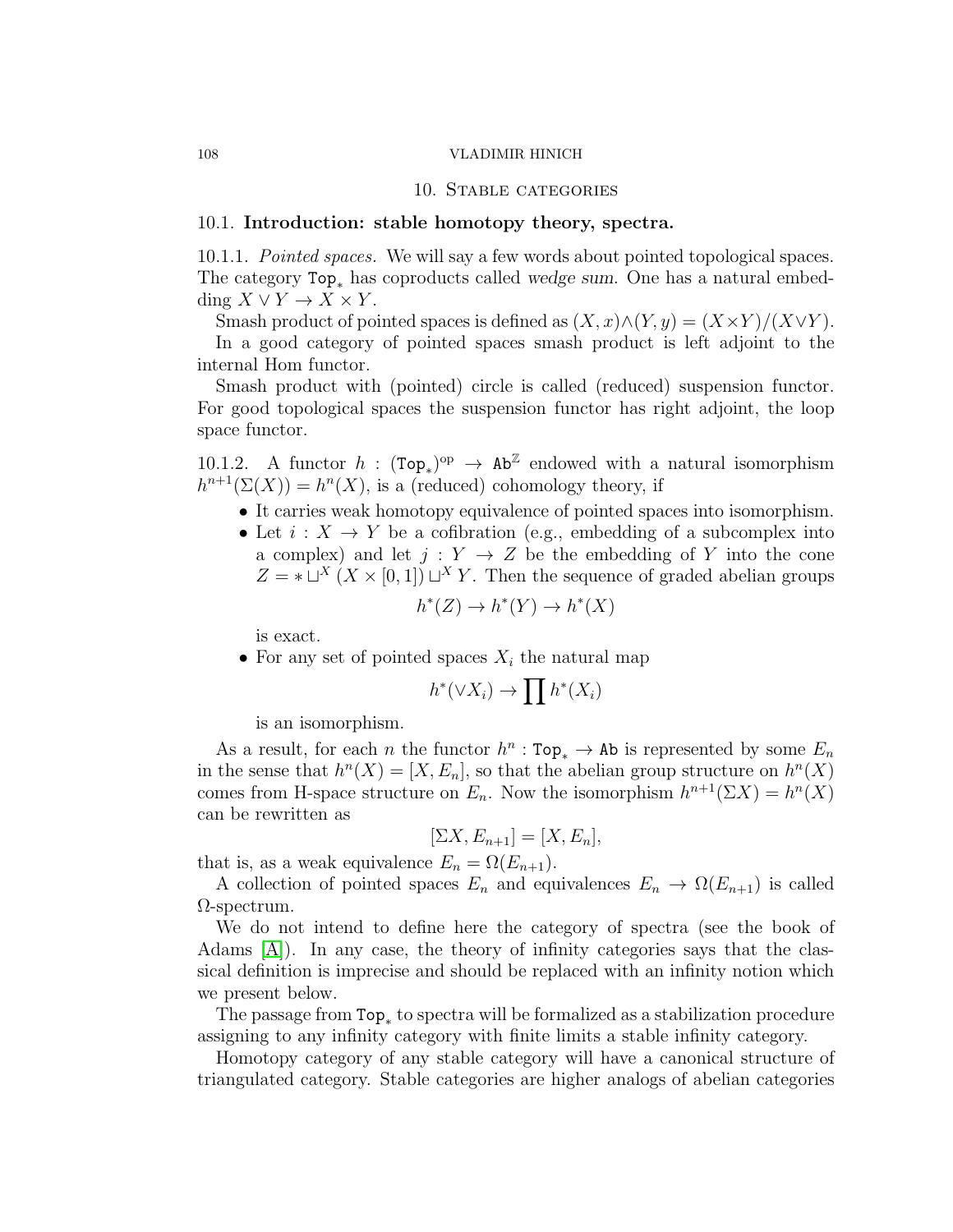### 10. Stable categories

# 10.1. Introduction: stable homotopy theory, spectra.

10.1.1. Pointed spaces. We will say a few words about pointed topological spaces. The category Top<sub>∗</sub> has coproducts called *wedge sum*. One has a natural embedding  $X \vee Y \to X \times Y$ .

Smash product of pointed spaces is defined as  $(X, x) \wedge (Y, y) = (X \times Y)/(X \vee Y)$ .

In a good category of pointed spaces smash product is left adjoint to the internal Hom functor.

Smash product with (pointed) circle is called (reduced) suspension functor. For good topological spaces the suspension functor has right adjoint, the loop space functor.

10.1.2. A functor  $h: (\text{Top}_*)^{\text{op}} \to \text{Ab}^{\mathbb{Z}}$  endowed with a natural isomorphism  $h^{n+1}(\Sigma(X)) = h^{n}(X)$ , is a (reduced) cohomology theory, if

- It carries weak homotopy equivalence of pointed spaces into isomorphism.
- Let  $i: X \to Y$  be a cofibration (e.g., embedding of a subcomplex into a complex) and let  $j: Y \to Z$  be the embedding of Y into the cone  $Z = * \sqcup^{X} (X \times [0,1]) \sqcup^{X} Y$ . Then the sequence of graded abelian groups ∗ $(5r)$ ∗∗∗

$$
h^*(Z) \to h^*(Y) \to h^*(X)
$$

is exact.

• For any set of pointed spaces  $X_i$  the natural map

$$
h^*(\vee X_i) \to \prod h^*(X_i)
$$

is an isomorphism.

As a result, for each *n* the functor  $h^n : \text{Top}_* \to \text{Ab}$  is represented by some  $E_n$ in the sense that  $h^{n}(X) = [X, E_n]$ , so that the abelian group structure on  $h^{n}(X)$ comes from H-space structure on  $E_n$ . Now the isomorphism  $h^{n+1}(\Sigma X) = h^n(X)$ can be rewritten as

$$
[\Sigma X, E_{n+1}] = [X, E_n],
$$

that is, as a weak equivalence  $E_n = \Omega(E_{n+1})$ .

A collection of pointed spaces  $E_n$  and equivalences  $E_n \to \Omega(E_{n+1})$  is called  $\Omega$ -spectrum.

We do not intend to define here the category of spectra (see the book of Adams [\[A\]](#page-123-7)). In any case, the theory of infinity categories says that the classical definition is imprecise and should be replaced with an infinity notion which we present below.

The passage from  $\texttt{Top}_*$  to spectra will be formalized as a stabilization procedure assigning to any infinity category with finite limits a stable infinity category.

Homotopy category of any stable category will have a canonical structure of triangulated category. Stable categories are higher analogs of abelian categories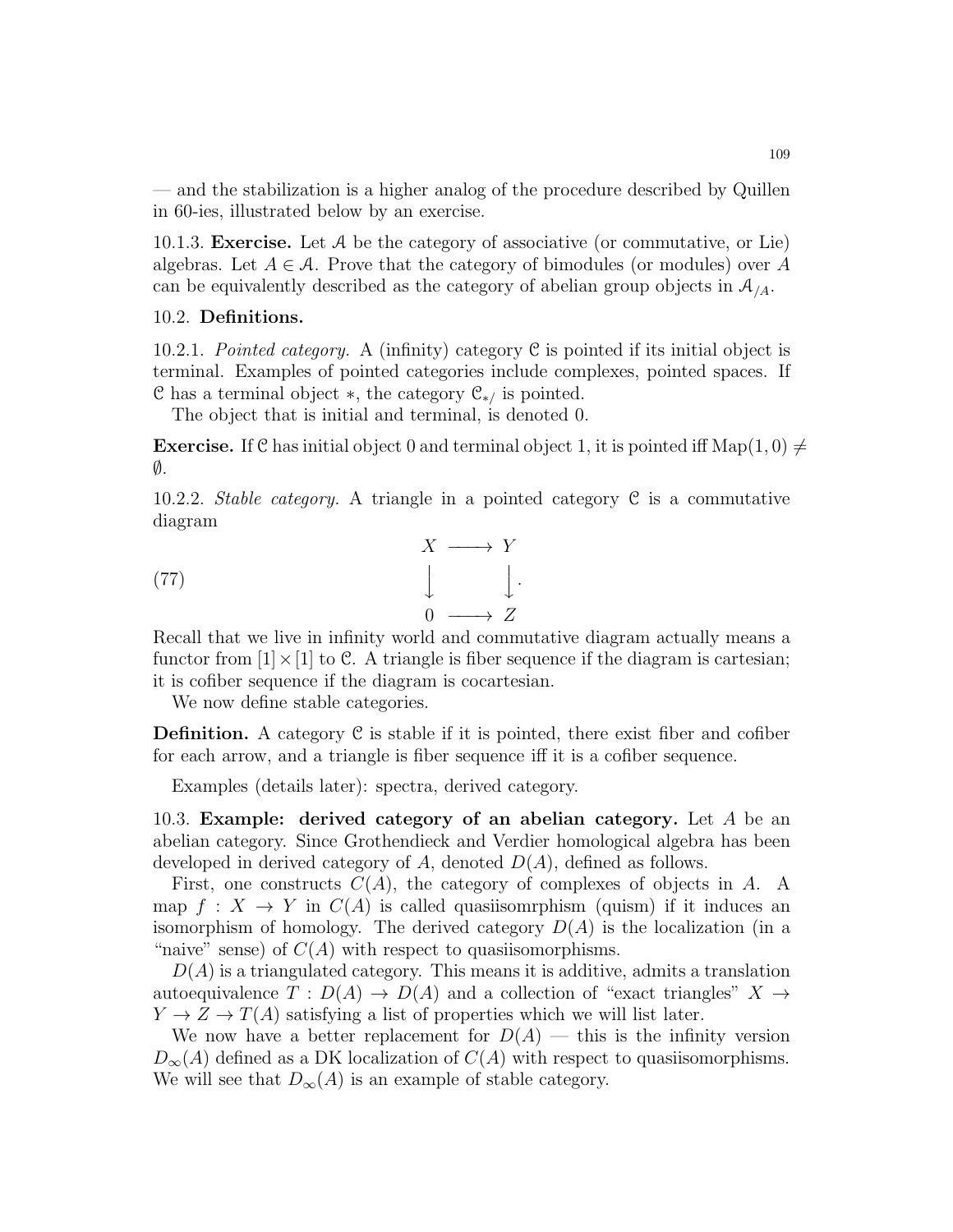— and the stabilization is a higher analog of the procedure described by Quillen in 60-ies, illustrated below by an exercise.

10.1.3. **Exercise.** Let  $\mathcal A$  be the category of associative (or commutative, or Lie) algebras. Let  $A \in \mathcal{A}$ . Prove that the category of bimodules (or modules) over A can be equivalently described as the category of abelian group objects in  $\mathcal{A}_{/A}$ .

# 10.2. Definitions.

10.2.1. Pointed category. A (infinity) category C is pointed if its initial object is terminal. Examples of pointed categories include complexes, pointed spaces. If C has a terminal object  $\ast$ , the category  $\mathcal{C}_{\ast}$  is pointed.

The object that is initial and terminal, is denoted 0.

**Exercise.** If C has initial object 0 and terminal object 1, it is pointed iff Map(1,0)  $\neq$  $\emptyset$ .

10.2.2. Stable category. A triangle in a pointed category  $\mathcal C$  is a commutative diagram

<span id="page-108-0"></span>(77) 
$$
\downarrow \qquad \qquad \downarrow \qquad \downarrow.
$$

$$
\downarrow \qquad \qquad \downarrow.
$$

$$
\downarrow \qquad \qquad \downarrow.
$$

$$
\downarrow \qquad \qquad \downarrow.
$$

Recall that we live in infinity world and commutative diagram actually means a functor from  $[1] \times [1]$  to C. A triangle is fiber sequence if the diagram is cartesian; it is cofiber sequence if the diagram is cocartesian.

We now define stable categories.

**Definition.** A category  $C$  is stable if it is pointed, there exist fiber and cofiber for each arrow, and a triangle is fiber sequence iff it is a cofiber sequence.

Examples (details later): spectra, derived category.

10.3. Example: derived category of an abelian category. Let  $A$  be an abelian category. Since Grothendieck and Verdier homological algebra has been developed in derived category of A, denoted  $D(A)$ , defined as follows.

First, one constructs  $C(A)$ , the category of complexes of objects in A. A. map  $f: X \to Y$  in  $C(A)$  is called quasiisomrphism (quism) if it induces an isomorphism of homology. The derived category  $D(A)$  is the localization (in a "naive" sense) of  $C(A)$  with respect to quasiisomorphisms.

 $D(A)$  is a triangulated category. This means it is additive, admits a translation autoequivalence  $T: D(A) \to D(A)$  and a collection of "exact triangles"  $X \to$  $Y \to Z \to T(A)$  satisfying a list of properties which we will list later.

We now have a better replacement for  $D(A)$  — this is the infinity version  $D_{\infty}(A)$  defined as a DK localization of  $C(A)$  with respect to quasiisomorphisms. We will see that  $D_{\infty}(A)$  is an example of stable category.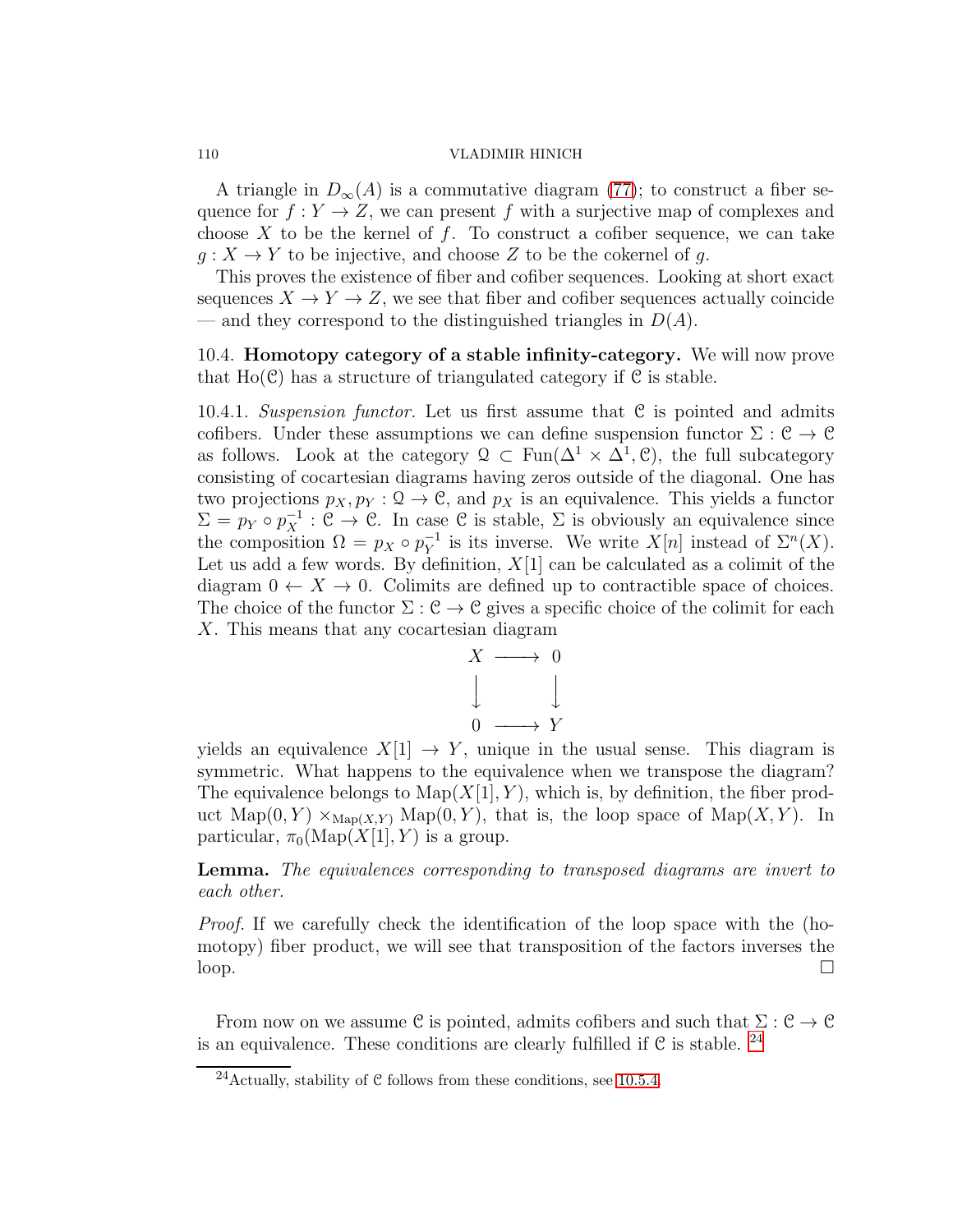A triangle in  $D_{\infty}(A)$  is a commutative diagram [\(77\)](#page-108-0); to construct a fiber sequence for  $f: Y \to Z$ , we can present f with a surjective map of complexes and choose  $X$  to be the kernel of  $f$ . To construct a cofiber sequence, we can take  $g: X \to Y$  to be injective, and choose Z to be the cokernel of g.

This proves the existence of fiber and cofiber sequences. Looking at short exact sequences  $X \to Y \to Z$ , we see that fiber and cofiber sequences actually coincide — and they correspond to the distinguished triangles in  $D(A)$ .

10.4. Homotopy category of a stable infinity-category. We will now prove that  $Ho(\mathcal{C})$  has a structure of triangulated category if  $\mathcal C$  is stable.

10.4.1. Suspension functor. Let us first assume that  $C$  is pointed and admits cofibers. Under these assumptions we can define suspension functor  $\Sigma : \mathcal{C} \to \mathcal{C}$ as follows. Look at the category  $\mathcal{Q} \subset \text{Fun}(\Delta^1 \times \Delta^1, \mathcal{C})$ , the full subcategory consisting of cocartesian diagrams having zeros outside of the diagonal. One has two projections  $p_X, p_Y : \mathcal{Q} \to \mathcal{C}$ , and  $p_X$  is an equivalence. This yields a functor  $\Sigma = p_Y \circ p_X^{-1} : \mathcal{C} \to \mathcal{C}$ . In case  $\mathcal{C}$  is stable,  $\Sigma$  is obviously an equivalence since the composition  $\Omega = p_X \circ p_Y^{-1}$  $Y<sup>-1</sup>$  is its inverse. We write  $X[n]$  instead of  $\Sigma^{n}(X)$ . Let us add a few words. By definition,  $X[1]$  can be calculated as a colimit of the diagram  $0 \leftarrow X \rightarrow 0$ . Colimits are defined up to contractible space of choices. The choice of the functor  $\Sigma : \mathcal{C} \to \mathcal{C}$  gives a specific choice of the colimit for each X. This means that any cocartesian diagram



yields an equivalence  $X[1] \rightarrow Y$ , unique in the usual sense. This diagram is symmetric. What happens to the equivalence when we transpose the diagram? The equivalence belongs to  $\text{Map}(X[1], Y)$ , which is, by definition, the fiber product  $\text{Map}(0, Y) \times_{\text{Map}(X, Y)} \text{Map}(0, Y)$ , that is, the loop space of  $\text{Map}(X, Y)$ . In particular,  $\pi_0(\text{Map}(X[1], Y)$  is a group.

Lemma. The equivalences corresponding to transposed diagrams are invert to each other.

Proof. If we carefully check the identification of the loop space with the (homotopy) fiber product, we will see that transposition of the factors inverses the  $\log$ .

From now on we assume  $\mathcal C$  is pointed, admits cofibers and such that  $\Sigma: \mathcal C \to \mathcal C$ is an equivalence. These conditions are clearly fulfilled if  $\mathcal C$  is stable. <sup>[24](#page-109-0)</sup>

<span id="page-109-0"></span><sup>&</sup>lt;sup>24</sup>Actually, stability of  $C$  follows from these conditions, see [10.5.4.](#page-113-0)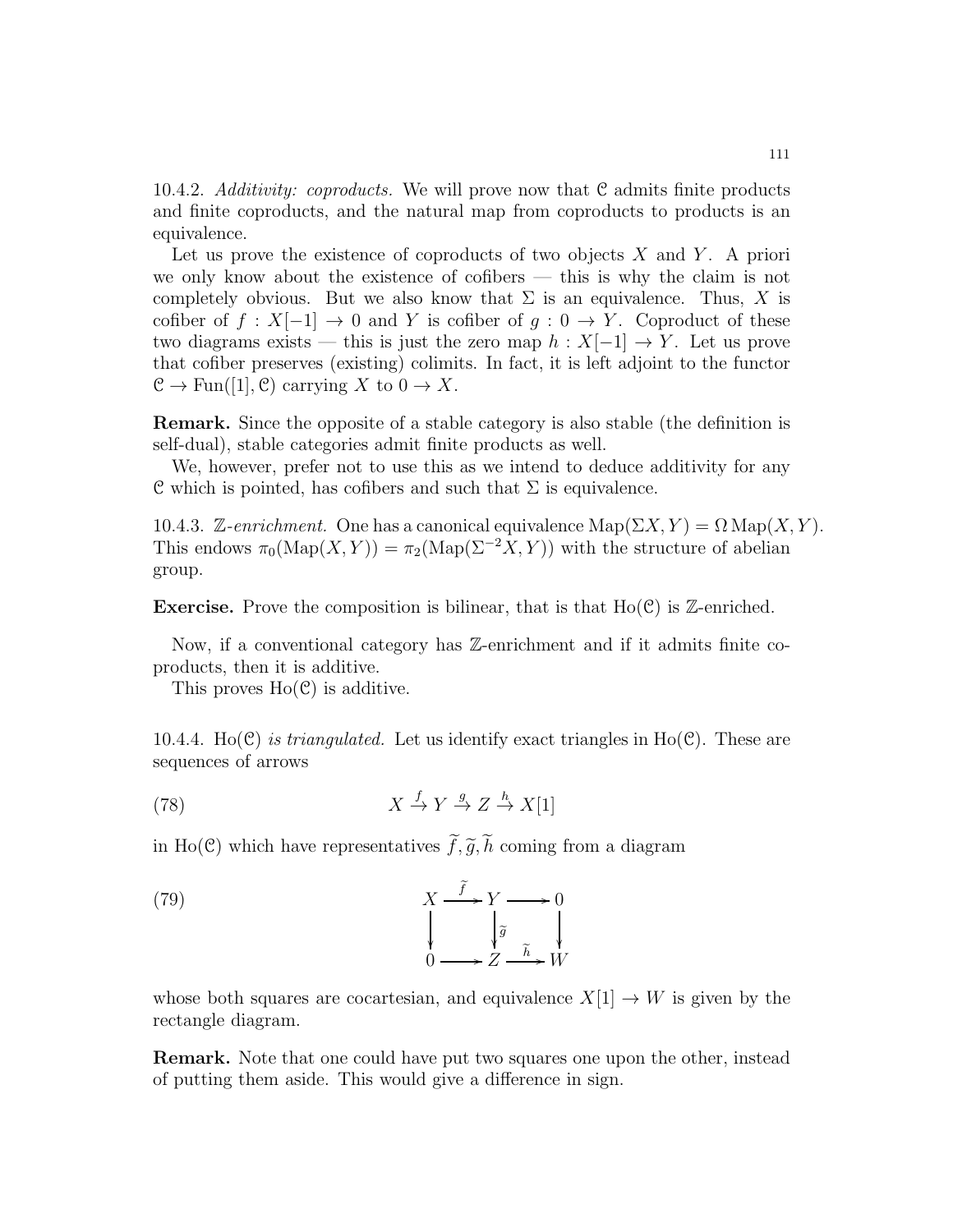10.4.2. Additivity: coproducts. We will prove now that C admits finite products and finite coproducts, and the natural map from coproducts to products is an equivalence.

Let us prove the existence of coproducts of two objects  $X$  and  $Y$ . A priori we only know about the existence of cofibers — this is why the claim is not completely obvious. But we also know that  $\Sigma$  is an equivalence. Thus, X is cofiber of  $f: X[-1] \to 0$  and Y is cofiber of  $g: 0 \to Y$ . Coproduct of these two diagrams exists — this is just the zero map  $h: X[-1] \to Y$ . Let us prove that cofiber preserves (existing) colimits. In fact, it is left adjoint to the functor  $\mathcal{C} \to \text{Fun}([1], \mathcal{C})$  carrying X to  $0 \to X$ .

Remark. Since the opposite of a stable category is also stable (the definition is self-dual), stable categories admit finite products as well.

We, however, prefer not to use this as we intend to deduce additivity for any C which is pointed, has cofibers and such that  $\Sigma$  is equivalence.

10.4.3. Z-enrichment. One has a canonical equivalence  $\text{Map}(\Sigma X, Y) = \Omega \text{Map}(X, Y)$ . This endows  $\pi_0(\text{Map}(X, Y)) = \pi_2(\text{Map}(\Sigma^{-2}X, Y))$  with the structure of abelian group.

**Exercise.** Prove the composition is bilinear, that is that  $Ho(\mathcal{C})$  is Z-enriched.

Now, if a conventional category has Z-enrichment and if it admits finite coproducts, then it is additive.

This proves  $Ho(\mathcal{C})$  is additive.

10.4.4. Ho(C) is triangulated. Let us identify exact triangles in Ho(C). These are sequences of arrows

<span id="page-110-1"></span>(78) 
$$
X \stackrel{f}{\to} Y \stackrel{g}{\to} Z \stackrel{h}{\to} X[1]
$$

in Ho(C) which have representatives  $\tilde{f}, \tilde{g}, \tilde{h}$  coming from a diagram

<span id="page-110-0"></span>(79) 
$$
X \xrightarrow{\tilde{f}} Y \longrightarrow 0
$$

$$
\downarrow \qquad \qquad \downarrow \qquad \downarrow \qquad \downarrow
$$

$$
0 \longrightarrow Z \xrightarrow{\tilde{h}} W
$$

whose both squares are cocartesian, and equivalence  $X[1] \to W$  is given by the rectangle diagram.

Remark. Note that one could have put two squares one upon the other, instead of putting them aside. This would give a difference in sign.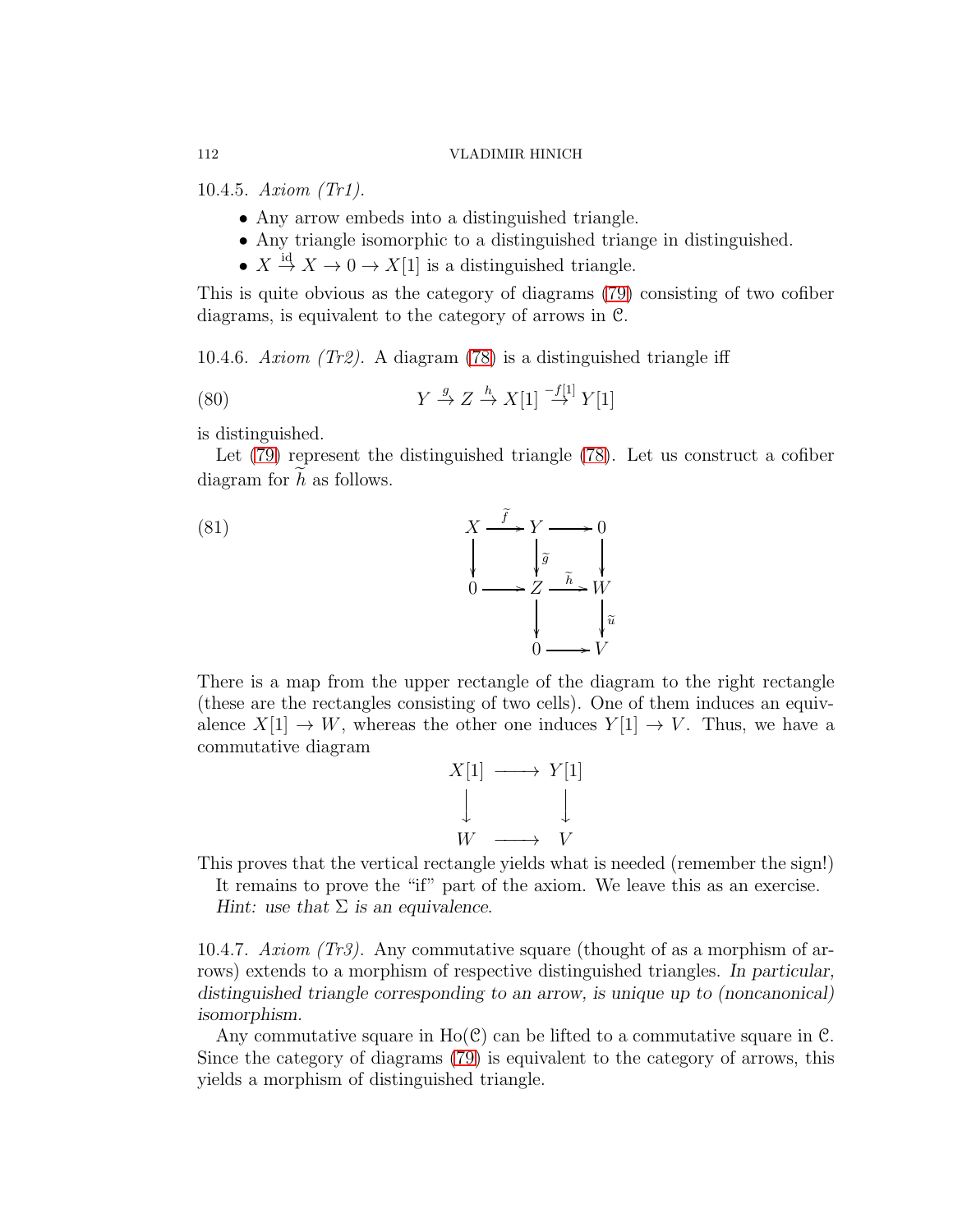10.4.5. Axiom (Tr1).

- Any arrow embeds into a distinguished triangle.
- Any triangle isomorphic to a distinguished triange in distinguished.
- $X \stackrel{\text{id}}{\rightarrow} X \rightarrow 0 \rightarrow X[1]$  is a distinguished triangle.

This is quite obvious as the category of diagrams [\(79\)](#page-110-0) consisting of two cofiber diagrams, is equivalent to the category of arrows in C.

10.4.6. Axiom (Tr2). A diagram [\(78\)](#page-110-1) is a distinguished triangle iff

(80) 
$$
Y \stackrel{g}{\rightarrow} Z \stackrel{h}{\rightarrow} X[1] \stackrel{-f[1]}{\rightarrow} Y[1]
$$

is distinguished.

Let [\(79\)](#page-110-0) represent the distinguished triangle [\(78\)](#page-110-1). Let us construct a cofiber diagram for  $h$  as follows.



There is a map from the upper rectangle of the diagram to the right rectangle (these are the rectangles consisting of two cells). One of them induces an equivalence  $X[1] \to W$ , whereas the other one induces  $Y[1] \to V$ . Thus, we have a commutative diagram



This proves that the vertical rectangle yields what is needed (remember the sign!)

It remains to prove the "if" part of the axiom. We leave this as an exercise.

*Hint: use that* Σ *is an equivalence*.

10.4.7. Axiom (Tr3). Any commutative square (thought of as a morphism of arrows) extends to a morphism of respective distinguished triangles. *In particular, distinguished triangle corresponding to an arrow, is unique up to (noncanonical) isomorphism.*

Any commutative square in  $Ho(\mathcal{C})$  can be lifted to a commutative square in  $\mathcal{C}$ . Since the category of diagrams [\(79\)](#page-110-0) is equivalent to the category of arrows, this yields a morphism of distinguished triangle.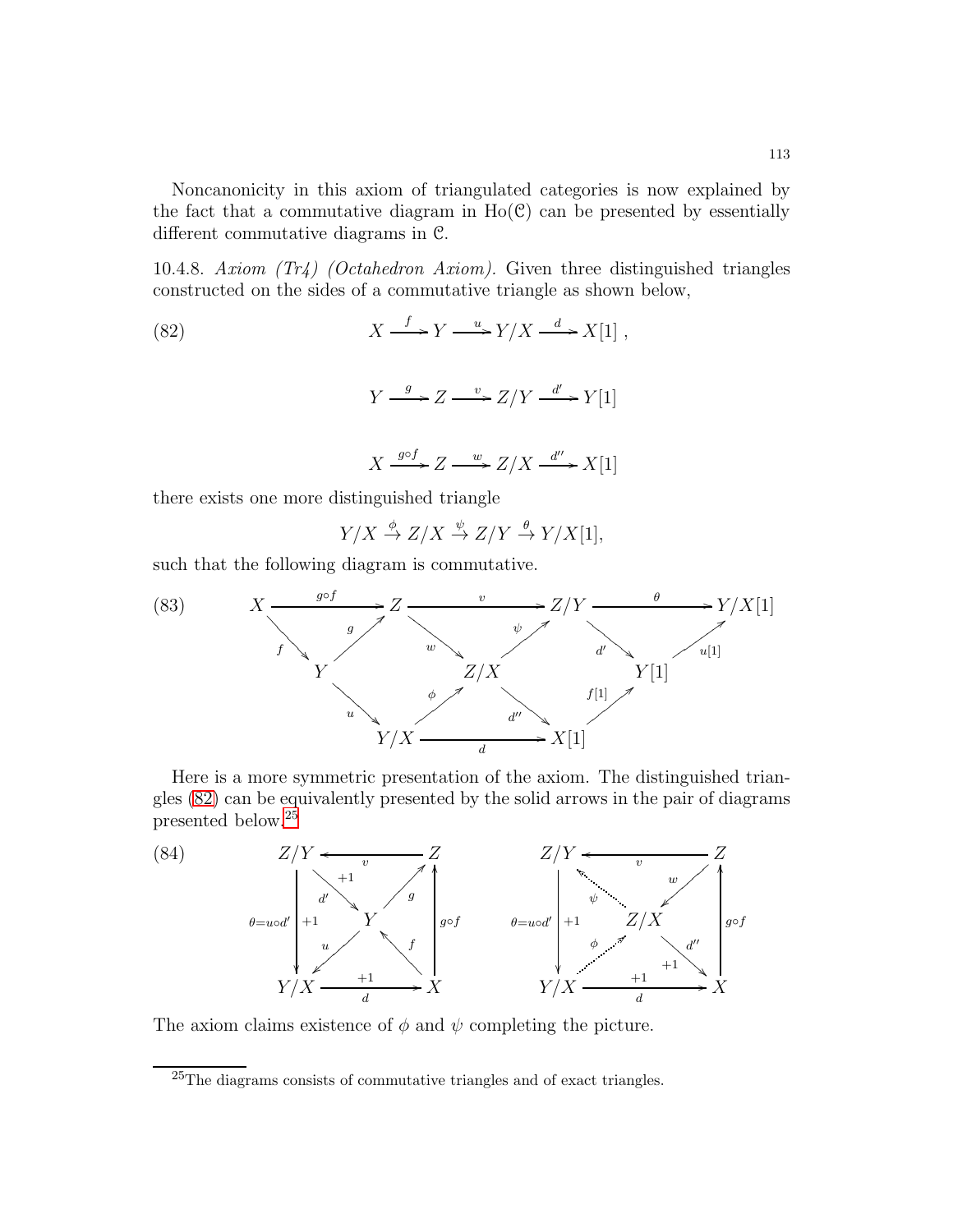Noncanonicity in this axiom of triangulated categories is now explained by the fact that a commutative diagram in  $Ho(\mathcal{C})$  can be presented by essentially different commutative diagrams in C.

10.4.8. Axiom (Tr4) (Octahedron Axiom). Given three distinguished triangles constructed on the sides of a commutative triangle as shown below,

<span id="page-112-0"></span>(82)  
\n
$$
X \xrightarrow{f} Y \xrightarrow{u} Y/X \xrightarrow{d} X[1],
$$
\n
$$
Y \xrightarrow{g} Z \xrightarrow{v} Z/Y \xrightarrow{d'} Y[1]
$$
\n
$$
X \xrightarrow{g \circ f} Z \xrightarrow{w} Z/X \xrightarrow{d''} X[1]
$$

there exists one more distinguished triangle

$$
Y/X \xrightarrow{\phi} Z/X \xrightarrow{\psi} Z/Y \xrightarrow{\theta} Y/X[1],
$$

such that the following diagram is commutative.

(83) 
$$
X \xrightarrow{g \circ f} Z \xrightarrow{v} Z/Y \xrightarrow{h} Y/X[1]
$$
\n
$$
Y \xrightarrow{g} Z/X \xrightarrow{d'} Y[1]
$$
\n
$$
Y/X \xrightarrow{d''} X[1]
$$

Here is a more symmetric presentation of the axiom. The distinguished triangles [\(82\)](#page-112-0) can be equivalently presented by the solid arrows in the pair of diagrams presented below.[25](#page-112-1)



The axiom claims existence of  $\phi$  and  $\psi$  completing the picture.

<span id="page-112-1"></span><sup>&</sup>lt;sup>25</sup>The diagrams consists of commutative triangles and of exact triangles.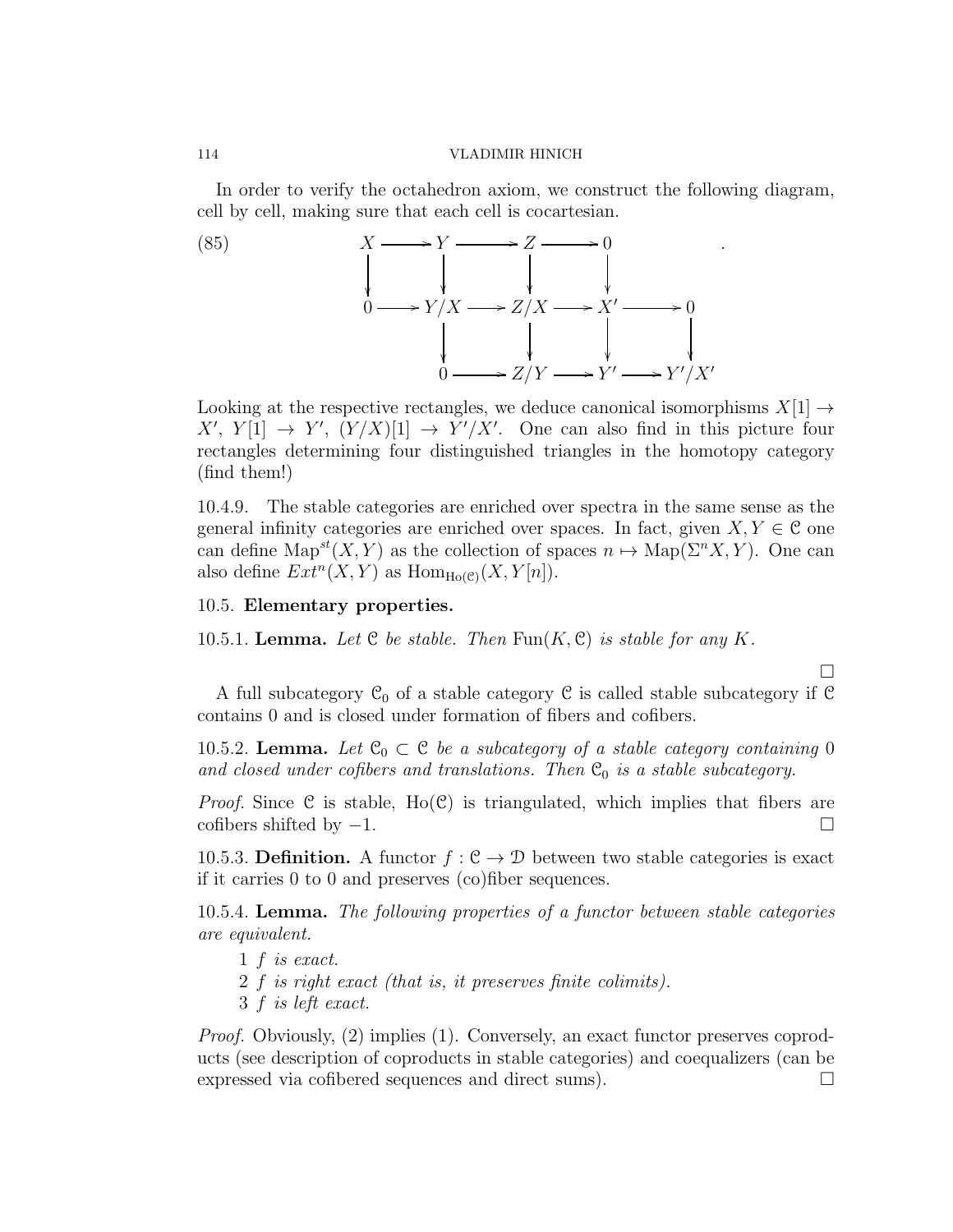In order to verify the octahedron axiom, we construct the following diagram, cell by cell, making sure that each cell is cocartesian.

.

 $\Box$ 

(85)  
\n
$$
\begin{array}{ccc}\n & X \longrightarrow Y \longrightarrow Z \longrightarrow 0 \\
 & \downarrow & \downarrow & \downarrow \\
0 \longrightarrow Y/X \longrightarrow Z/X \longrightarrow X' \longrightarrow 0 \\
 & \downarrow & \downarrow & \downarrow \\
0 \longrightarrow Z/Y \longrightarrow Y' \longrightarrow Y'/X'\n\end{array}
$$

Looking at the respective rectangles, we deduce canonical isomorphisms  $X[1] \rightarrow$  $X'$ ,  $Y[1] \rightarrow Y'$ ,  $(Y/X)[1] \rightarrow Y'/X'$ . One can also find in this picture four rectangles determining four distinguished triangles in the homotopy category (find them!)

10.4.9. The stable categories are enriched over spectra in the same sense as the general infinity categories are enriched over spaces. In fact, given  $X, Y \in \mathcal{C}$  one can define  $\text{Map}^{st}(X, Y)$  as the collection of spaces  $n \mapsto \text{Map}(\Sigma^n X, Y)$ . One can also define  $Ext^n(X,Y)$  as  $Hom_{Ho(\mathcal{C})}(X,Y[n]).$ 

### 10.5. Elementary properties.

10.5.1. Lemma. Let  $C$  be stable. Then  $\text{Fun}(K, \mathcal{C})$  is stable for any K.

A full subcategory  $\mathcal{C}_0$  of a stable category  $\mathcal C$  is called stable subcategory if  $\mathcal C$ contains 0 and is closed under formation of fibers and cofibers.

10.5.2. Lemma. Let  $\mathfrak{C}_0 \subset \mathfrak{C}$  be a subcategory of a stable category containing 0 and closed under cofibers and translations. Then  $\mathfrak{C}_0$  is a stable subcategory.

*Proof.* Since C is stable,  $Ho(\mathcal{C})$  is triangulated, which implies that fibers are cofibers shifted by  $-1$ .

10.5.3. Definition. A functor  $f : \mathcal{C} \to \mathcal{D}$  between two stable categories is exact if it carries 0 to 0 and preserves (co)fiber sequences.

<span id="page-113-0"></span>10.5.4. Lemma. The following properties of a functor between stable categories are equivalent.

- 1 f is exact.
- 2 f is right exact (that is, it preserves finite colimits).
- 3 f is left exact.

Proof. Obviously, (2) implies (1). Conversely, an exact functor preserves coproducts (see description of coproducts in stable categories) and coequalizers (can be expressed via cofibered sequences and direct sums).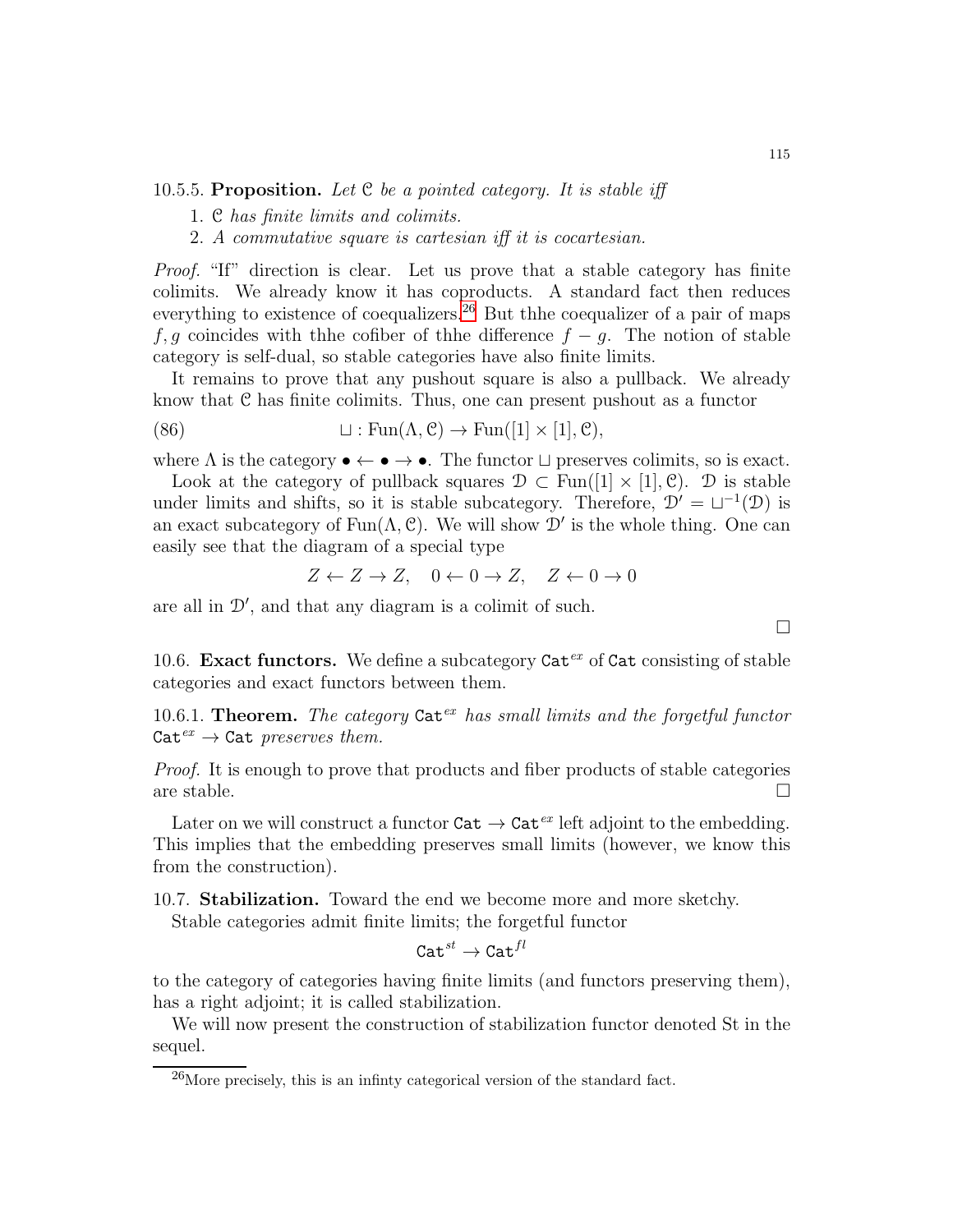# 10.5.5. Proposition. Let  $C$  be a pointed category. It is stable iff

- 1. C has finite limits and colimits.
- 2. A commutative square is cartesian iff it is cocartesian.

Proof. "If" direction is clear. Let us prove that a stable category has finite colimits. We already know it has coproducts. A standard fact then reduces everything to existence of coequalizers.<sup>[26](#page-114-0)</sup> But thhe coequalizer of a pair of maps f, q coincides with the cofiber of thhe difference  $f - q$ . The notion of stable category is self-dual, so stable categories have also finite limits.

It remains to prove that any pushout square is also a pullback. We already know that C has finite colimits. Thus, one can present pushout as a functor

(86) 
$$
\qquad \qquad \sqcup : \text{Fun}(\Lambda, \mathcal{C}) \to \text{Fun}([1] \times [1], \mathcal{C}),
$$

where  $\Lambda$  is the category  $\bullet \leftarrow \bullet \rightarrow \bullet$ . The functor  $\sqcup$  preserves colimits, so is exact.

Look at the category of pullback squares  $\mathcal{D} \subset \text{Fun}([1] \times [1], \mathcal{C})$ . D is stable under limits and shifts, so it is stable subcategory. Therefore,  $\mathcal{D}' = \sqcup^{-1}(\mathcal{D})$  is an exact subcategory of  $Fun(A, \mathcal{C})$ . We will show  $\mathcal{D}'$  is the whole thing. One can easily see that the diagram of a special type

$$
Z \leftarrow Z \rightarrow Z, \quad 0 \leftarrow 0 \rightarrow Z, \quad Z \leftarrow 0 \rightarrow 0
$$

are all in D′ , and that any diagram is a colimit of such.

10.6. Exact functors. We define a subcategory  $\text{Cat}^{ex}$  of  $\text{Cat}$  consisting of stable categories and exact functors between them.

10.6.1. Theorem. The category Catex has small limits and the forgetful functor  $Cat^{ex} \rightarrow Cat$  preserves them.

Proof. It is enough to prove that products and fiber products of stable categories are stable.  $\square$ 

Later on we will construct a functor  $\text{Cat} \to \text{Cat}^{ex}$  left adjoint to the embedding. This implies that the embedding preserves small limits (however, we know this from the construction).

10.7. Stabilization. Toward the end we become more and more sketchy.

Stable categories admit finite limits; the forgetful functor

$$
\mathtt{Cat}^{\mathit{st}} \to \mathtt{Cat}^{\mathit{fl}}
$$

to the category of categories having finite limits (and functors preserving them), has a right adjoint; it is called stabilization.

We will now present the construction of stabilization functor denoted St in the sequel.

 $\Box$ 

<span id="page-114-0"></span> $^{26}$ More precisely, this is an infinty categorical version of the standard fact.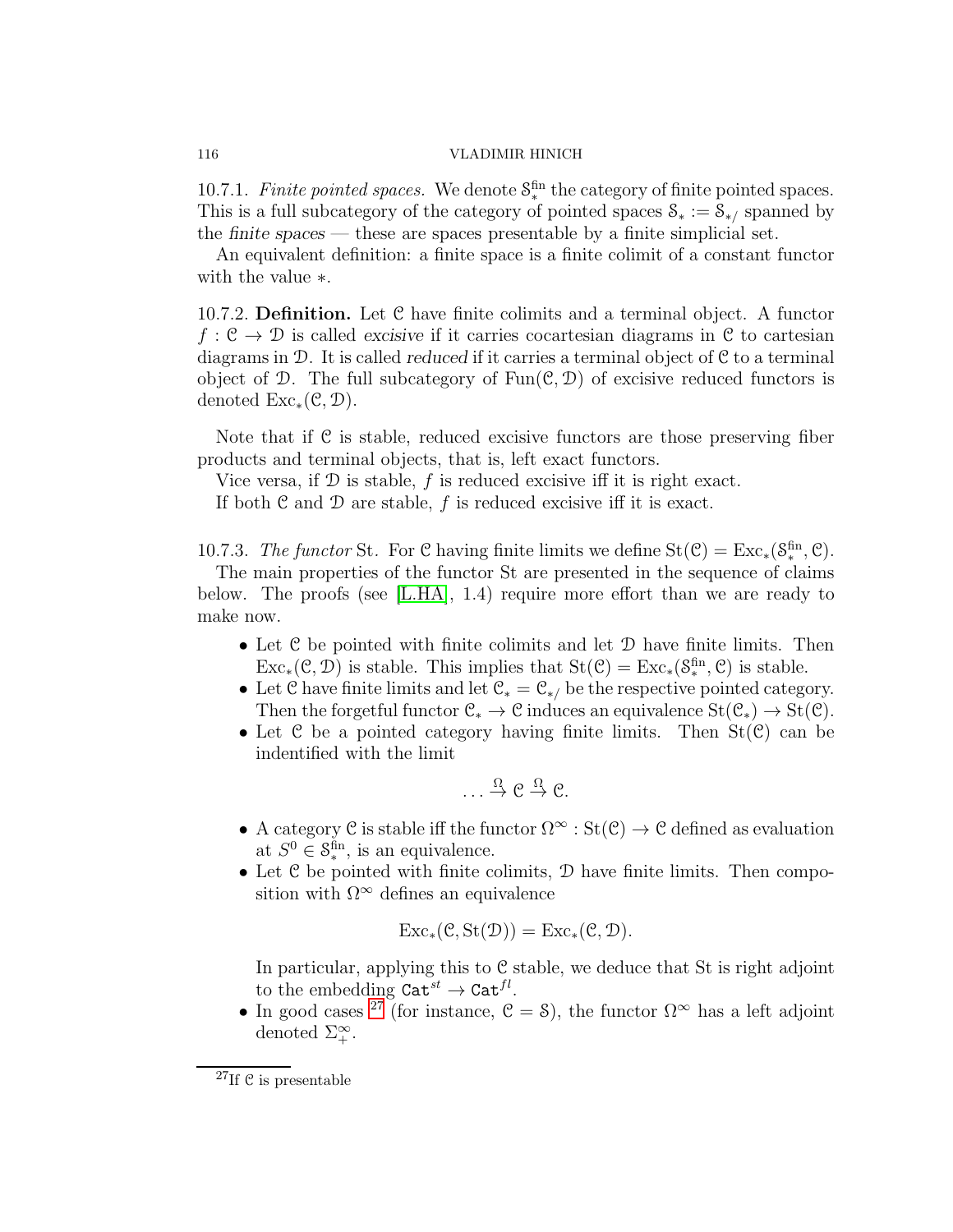10.7.1. Finite pointed spaces. We denote  $S_*^{\text{fin}}$  the category of finite pointed spaces. This is a full subcategory of the category of pointed spaces  $S_* := S_{*}/$  spanned by the *finite spaces* — these are spaces presentable by a finite simplicial set.

An equivalent definition: a finite space is a finite colimit of a constant functor with the value ∗.

10.7.2. Definition. Let C have finite colimits and a terminal object. A functor  $f: \mathcal{C} \to \mathcal{D}$  is called *excisive* if it carries cocartesian diagrams in  $\mathcal{C}$  to cartesian diagrams in D. It is called *reduced* if it carries a terminal object of C to a terminal object of D. The full subcategory of  $Fun(\mathcal{C}, \mathcal{D})$  of excisive reduced functors is denoted  $\text{Exc}_*(\mathcal{C},\mathcal{D}).$ 

Note that if C is stable, reduced excisive functors are those preserving fiber products and terminal objects, that is, left exact functors.

Vice versa, if  $\mathcal D$  is stable, f is reduced excisive iff it is right exact.

If both  $\mathfrak C$  and  $\mathfrak D$  are stable,  $f$  is reduced excisive iff it is exact.

10.7.3. The functor St. For C having finite limits we define  $St(\mathcal{C}) = Exc_*(S_*^{\text{fin}}, \mathcal{C})$ .

The main properties of the functor St are presented in the sequence of claims below. The proofs (see [\[L.HA\]](#page-123-0), 1.4) require more effort than we are ready to make now.

- Let  $\mathcal C$  be pointed with finite colimits and let  $\mathcal D$  have finite limits. Then  $Exc_*(\mathcal{C}, \mathcal{D})$  is stable. This implies that  $St(\mathcal{C}) = Exc_*(S_*^{\text{fin}}, \mathcal{C})$  is stable.
- Let  $\mathcal C$  have finite limits and let  $\mathcal C_* = \mathcal C_{*}/$  be the respective pointed category. Then the forgetful functor  $\mathcal{C}_* \to \mathcal{C}$  induces an equivalence  $St(\mathcal{C}_*) \to St(\mathcal{C})$ .
- Let  $\mathcal C$  be a pointed category having finite limits. Then  $St(\mathcal C)$  can be indentified with the limit

$$
\ldots \stackrel{\Omega}{\to} \mathcal{C} \stackrel{\Omega}{\to} \mathcal{C}.
$$

- A category C is stable iff the functor  $\Omega^{\infty} : \text{St}(\mathcal{C}) \to \mathcal{C}$  defined as evaluation at  $S^0 \in \mathcal{S}_{*}^{\text{fin}}$ , is an equivalence.
- $\bullet$  Let  $\mathcal C$  be pointed with finite colimits,  $\mathcal D$  have finite limits. Then composition with  $\Omega^{\infty}$  defines an equivalence

$$
Exc_*(\mathcal{C},St(\mathcal{D})) = Exc_*(\mathcal{C},\mathcal{D}).
$$

In particular, applying this to  $C$  stable, we deduce that St is right adjoint to the embedding  $\mathtt{Cat}^{st} \to \mathtt{Cat}^{fl}$ .

• In good cases <sup>[27](#page-115-0)</sup> (for instance,  $\mathcal{C} = \mathcal{S}$ ), the functor  $\Omega^{\infty}$  has a left adjoint denoted  $\Sigma_{+}^{\infty}$ .

<span id="page-115-0"></span> $27$ If C is presentable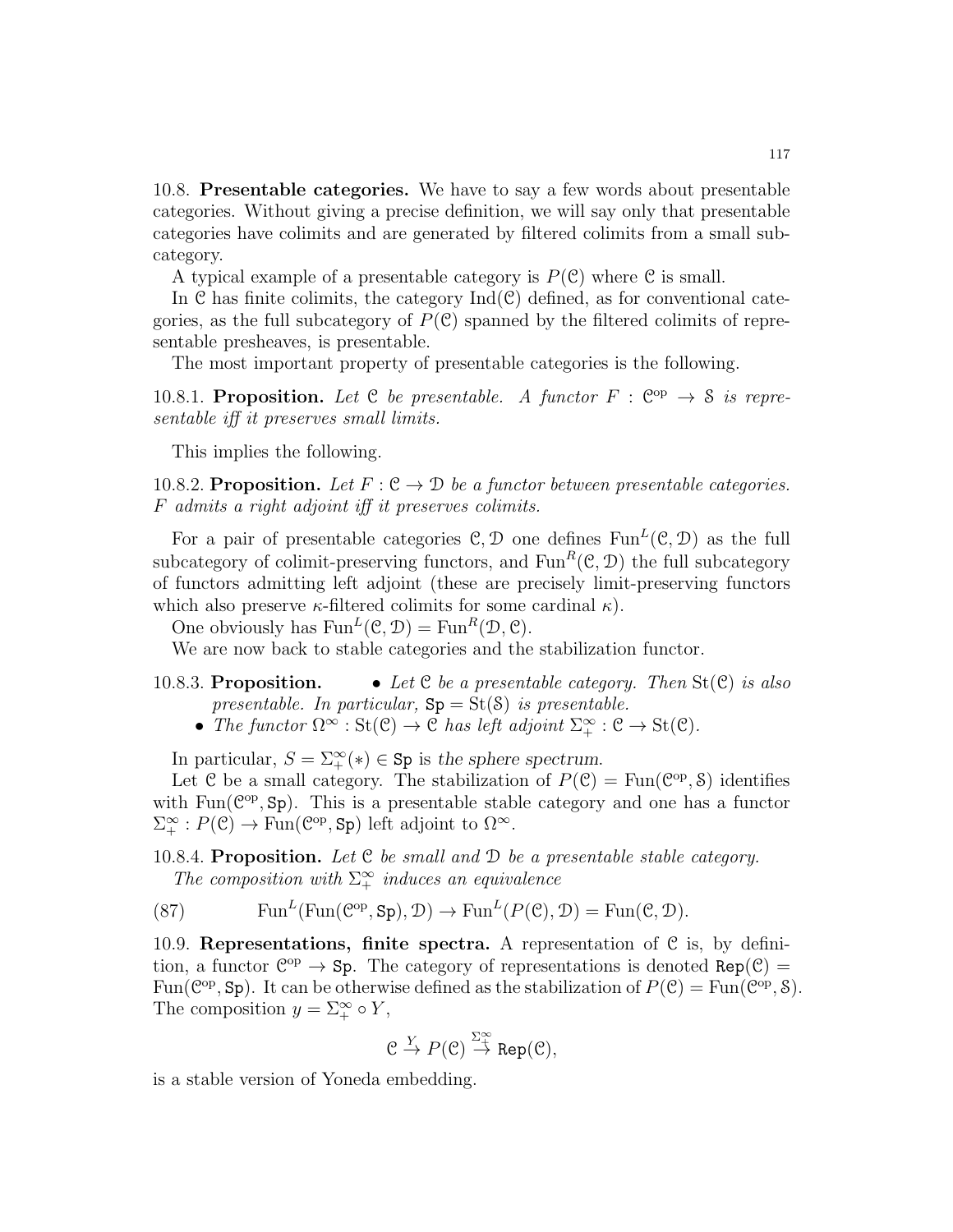10.8. Presentable categories. We have to say a few words about presentable categories. Without giving a precise definition, we will say only that presentable categories have colimits and are generated by filtered colimits from a small subcategory.

A typical example of a presentable category is  $P(\mathcal{C})$  where  $\mathcal C$  is small.

In  $\mathcal C$  has finite colimits, the category  $\mathrm{Ind}(\mathcal C)$  defined, as for conventional categories, as the full subcategory of  $P(\mathcal{C})$  spanned by the filtered colimits of representable presheaves, is presentable.

The most important property of presentable categories is the following.

10.8.1. Proposition. Let C be presentable. A functor  $F : \mathbb{C}^{op} \to \mathcal{S}$  is representable iff it preserves small limits.

This implies the following.

10.8.2. Proposition. Let  $F: \mathcal{C} \to \mathcal{D}$  be a functor between presentable categories. F admits a right adjoint iff it preserves colimits.

For a pair of presentable categories  $\mathcal{C}, \mathcal{D}$  one defines  $\text{Fun}^L(\mathcal{C}, \mathcal{D})$  as the full subcategory of colimit-preserving functors, and  $\text{Fun}^R(\mathcal{C}, \mathcal{D})$  the full subcategory of functors admitting left adjoint (these are precisely limit-preserving functors which also preserve  $\kappa$ -filtered colimits for some cardinal  $\kappa$ ).

One obviously has  $\text{Fun}^L(\mathcal{C}, \mathcal{D}) = \text{Fun}^R(\mathcal{D}, \mathcal{C})$ .

We are now back to stable categories and the stabilization functor.

- 10.8.3. Proposition. Let C be a presentable category. Then  $St(\mathcal{C})$  is also presentable. In particular,  $Sp = St(S)$  is presentable.
	- The functor  $\Omega^{\infty} : \text{St}(\mathcal{C}) \to \mathcal{C}$  has left adjoint  $\Sigma^{\infty}_+ : \mathcal{C} \to \text{St}(\mathcal{C})$ .

In particular,  $S = \sum_{+}^{\infty} (*) \in \text{Sp}$  is the sphere spectrum.

Let C be a small category. The stabilization of  $P(\mathcal{C}) = \text{Fun}(\mathcal{C}^{\text{op}}, \mathcal{S})$  identifies with  $Fun(\mathcal{C}^{op}, Sp)$ . This is a presentable stable category and one has a functor  $\Sigma^{\infty}_+ : P(\mathcal{C}) \to \text{Fun}(\mathcal{C}^{\text{op}}, \text{Sp})$  left adjoint to  $\Omega^{\infty}$ .

<span id="page-116-0"></span>10.8.4. Proposition. Let C be small and D be a presentable stable category. The composition with  $\Sigma^{\infty}$  induces an equivalence

(87) 
$$
\text{Fun}^L(\text{Fun}(\mathcal{C}^{op}, \text{Sp}), \mathcal{D}) \to \text{Fun}^L(P(\mathcal{C}), \mathcal{D}) = \text{Fun}(\mathcal{C}, \mathcal{D}).
$$

10.9. Representations, finite spectra. A representation of  $C$  is, by definition, a functor  $\mathbb{C}^{op} \to \mathbb{S}p$ . The category of representations is denoted  $\text{Rep}(\mathcal{C}) =$ Fun( $\mathcal{C}^{\mathrm{op}}, \mathsf{Sp}$ ). It can be otherwise defined as the stabilization of  $P(\mathcal{C}) = \mathrm{Fun}(\mathcal{C}^{\mathrm{op}}, \mathcal{S})$ . The composition  $y = \sum_{+}^{\infty} \circ Y$ ,

$$
\mathcal{C} \stackrel{Y}{\to} P(\mathcal{C}) \stackrel{\Sigma^{\infty}_{+}}{\to} \operatorname{Rep}(\mathcal{C}),
$$

is a stable version of Yoneda embedding.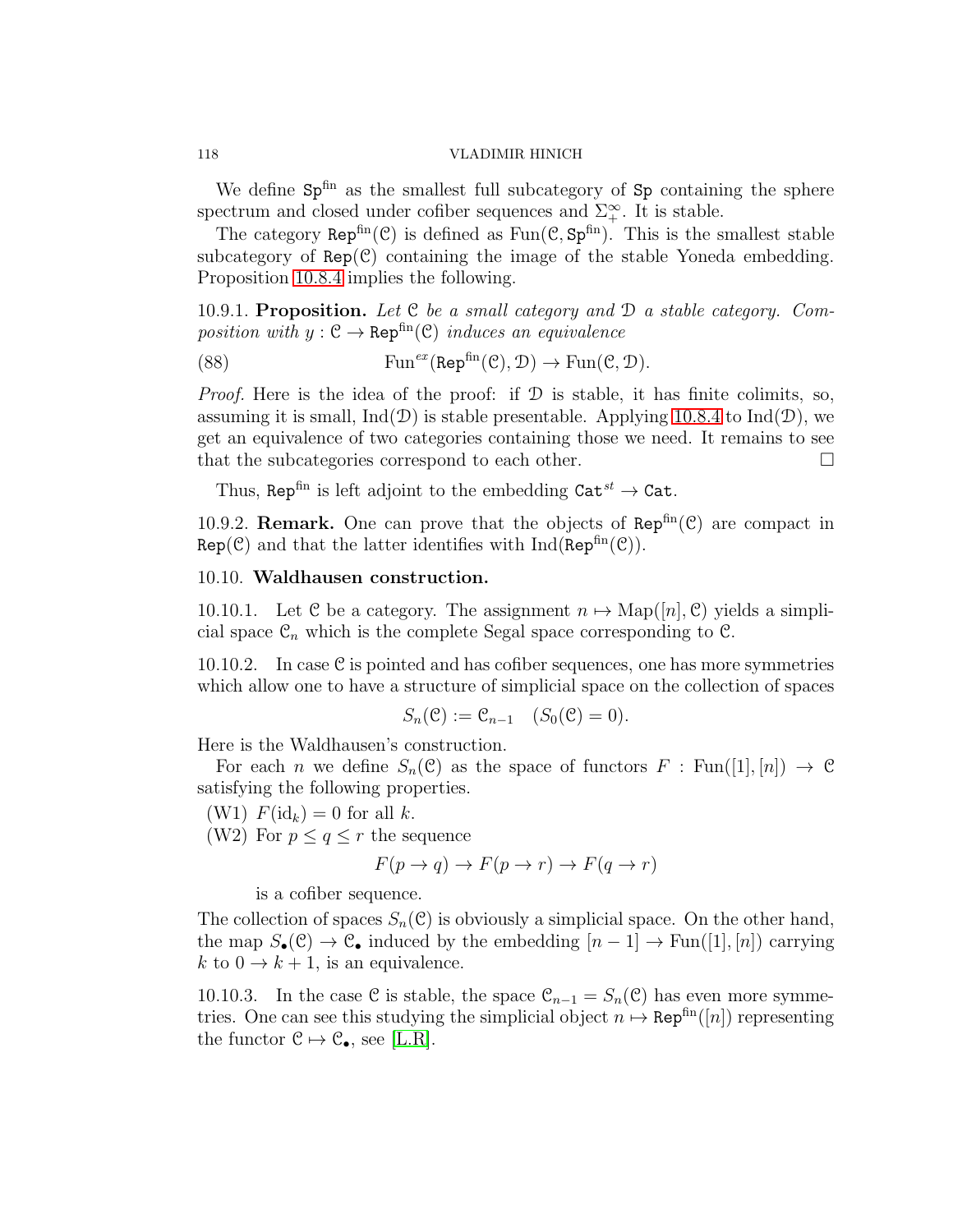We define  $Sp^{\text{fin}}$  as the smallest full subcategory of  $Sp$  containing the sphere spectrum and closed under cofiber sequences and  $\Sigma^{\infty}_+$ . It is stable.

The category  $\text{Rep}^{\text{fin}}(\mathcal{C})$  is defined as  $\text{Fun}(\mathcal{C}, \text{Sp}^{\text{fin}})$ . This is the smallest stable subcategory of  $Rep(\mathcal{C})$  containing the image of the stable Yoneda embedding. Proposition [10.8.4](#page-116-0) implies the following.

10.9.1. Proposition. Let  $C$  be a small category and  $D$  a stable category. Composition with  $y : \mathcal{C} \to \text{Rep}^{\text{fin}}(\mathcal{C})$  induces an equivalence

(88) 
$$
\text{Fun}^{ex}(\text{Rep}^{\text{fin}}(\mathcal{C}), \mathcal{D}) \to \text{Fun}(\mathcal{C}, \mathcal{D}).
$$

*Proof.* Here is the idea of the proof: if  $D$  is stable, it has finite colimits, so, assuming it is small,  $Ind(\mathcal{D})$  is stable presentable. Applying [10.8.4](#page-116-0) to  $Ind(\mathcal{D})$ , we get an equivalence of two categories containing those we need. It remains to see that the subcategories correspond to each other.

Thus, Rep<sup>fin</sup> is left adjoint to the embedding  $\text{Cat}^{st} \to \text{Cat}$ .

10.9.2. **Remark.** One can prove that the objects of  $\text{Rep}^{\text{fin}}(\mathcal{C})$  are compact in  $Rep(\mathcal{C})$  and that the latter identifies with  $Ind(Rep<sup>fin</sup>(\mathcal{C}))$ .

# 10.10. Waldhausen construction.

10.10.1. Let C be a category. The assignment  $n \mapsto \mathrm{Map}([n], \mathcal{C})$  yields a simplicial space  $\mathcal{C}_n$  which is the complete Segal space corresponding to  $\mathcal{C}$ .

10.10.2. In case  $C$  is pointed and has cofiber sequences, one has more symmetries which allow one to have a structure of simplicial space on the collection of spaces

$$
S_n(\mathcal{C}) := \mathcal{C}_{n-1} \quad (S_0(\mathcal{C}) = 0).
$$

Here is the Waldhausen's construction.

For each n we define  $S_n(\mathcal{C})$  as the space of functors  $F : \text{Fun}([1], [n]) \to \mathcal{C}$ satisfying the following properties.

(W1)  $F(\mathrm{id}_k) = 0$  for all k.

(W2) For  $p \leq q \leq r$  the sequence

$$
F(p \to q) \to F(p \to r) \to F(q \to r)
$$

is a cofiber sequence.

The collection of spaces  $S_n(\mathcal{C})$  is obviously a simplicial space. On the other hand, the map  $S_{\bullet}(\mathcal{C}) \to \mathcal{C}_{\bullet}$  induced by the embedding  $[n-1] \to \text{Fun}([1], [n])$  carrying k to  $0 \to k + 1$ , is an equivalence.

10.10.3. In the case C is stable, the space  $\mathcal{C}_{n-1} = S_n(\mathcal{C})$  has even more symmetries. One can see this studying the simplicial object  $n \mapsto \text{Rep}^{\text{fin}}([n])$  representing the functor  $C \mapsto C_{\bullet}$ , see [\[L.R\]](#page-123-1).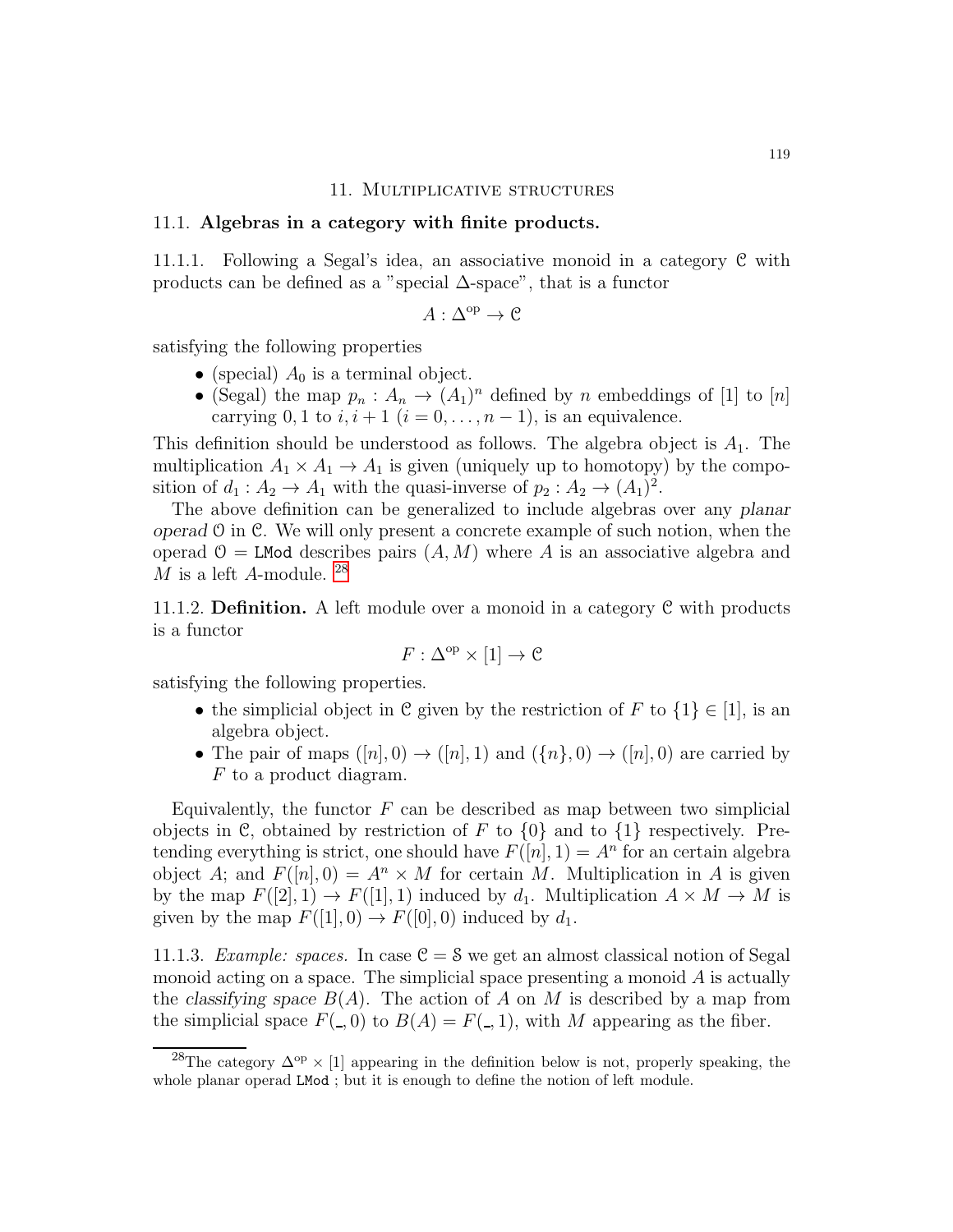### 11. Multiplicative structures

### 11.1. Algebras in a category with finite products.

11.1.1. Following a Segal's idea, an associative monoid in a category C with products can be defined as a "special  $\Delta$ -space", that is a functor

$$
A:\Delta^{\mathrm{op}}\to \mathcal{C}
$$

satisfying the following properties

- (special)  $A_0$  is a terminal object.
- (Segal) the map  $p_n: A_n \to (A_1)^n$  defined by n embeddings of [1] to [n] carrying 0, 1 to  $i, i+1$   $(i = 0, \ldots, n-1)$ , is an equivalence.

This definition should be understood as follows. The algebra object is  $A_1$ . The multiplication  $A_1 \times A_1 \to A_1$  is given (uniquely up to homotopy) by the composition of  $d_1: A_2 \to A_1$  with the quasi-inverse of  $p_2: A_2 \to (A_1)^2$ .

The above definition can be generalized to include algebras over any *planar operad* O in C. We will only present a concrete example of such notion, when the operad  $\mathcal{O} = L \mathbf{Mod}$  describes pairs  $(A, M)$  where A is an associative algebra and M is a left A-module.  $^{28}$  $^{28}$  $^{28}$ 

11.1.2. **Definition.** A left module over a monoid in a category  $C$  with products is a functor

$$
F: \Delta^{\mathrm{op}} \times [1] \to \mathcal{C}
$$

satisfying the following properties.

- the simplicial object in C given by the restriction of F to  $\{1\} \in [1]$ , is an algebra object.
- The pair of maps  $([n], 0) \rightarrow ([n], 1)$  and  $(\{n\}, 0) \rightarrow ([n], 0)$  are carried by F to a product diagram.

Equivalently, the functor  $F$  can be described as map between two simplicial objects in C, obtained by restriction of F to  $\{0\}$  and to  $\{1\}$  respectively. Pretending everything is strict, one should have  $F([n], 1) = A<sup>n</sup>$  for an certain algebra object A; and  $F([n], 0) = A<sup>n</sup> \times M$  for certain M. Multiplication in A is given by the map  $F([2], 1) \to F([1], 1)$  induced by  $d_1$ . Multiplication  $A \times M \to M$  is given by the map  $F([1], 0) \to F([0], 0)$  induced by  $d_1$ .

11.1.3. Example: spaces. In case  $C = S$  we get an almost classical notion of Segal monoid acting on a space. The simplicial space presenting a monoid  $A$  is actually the *classifying space*  $B(A)$ . The action of A on M is described by a map from the simplicial space  $F($ , 0) to  $B(A) = F($ , 1), with M appearing as the fiber.

<span id="page-118-0"></span><sup>&</sup>lt;sup>28</sup>The category  $\Delta^{op}$  × [1] appearing in the definition below is not, properly speaking, the whole planar operad LMod ; but it is enough to define the notion of left module.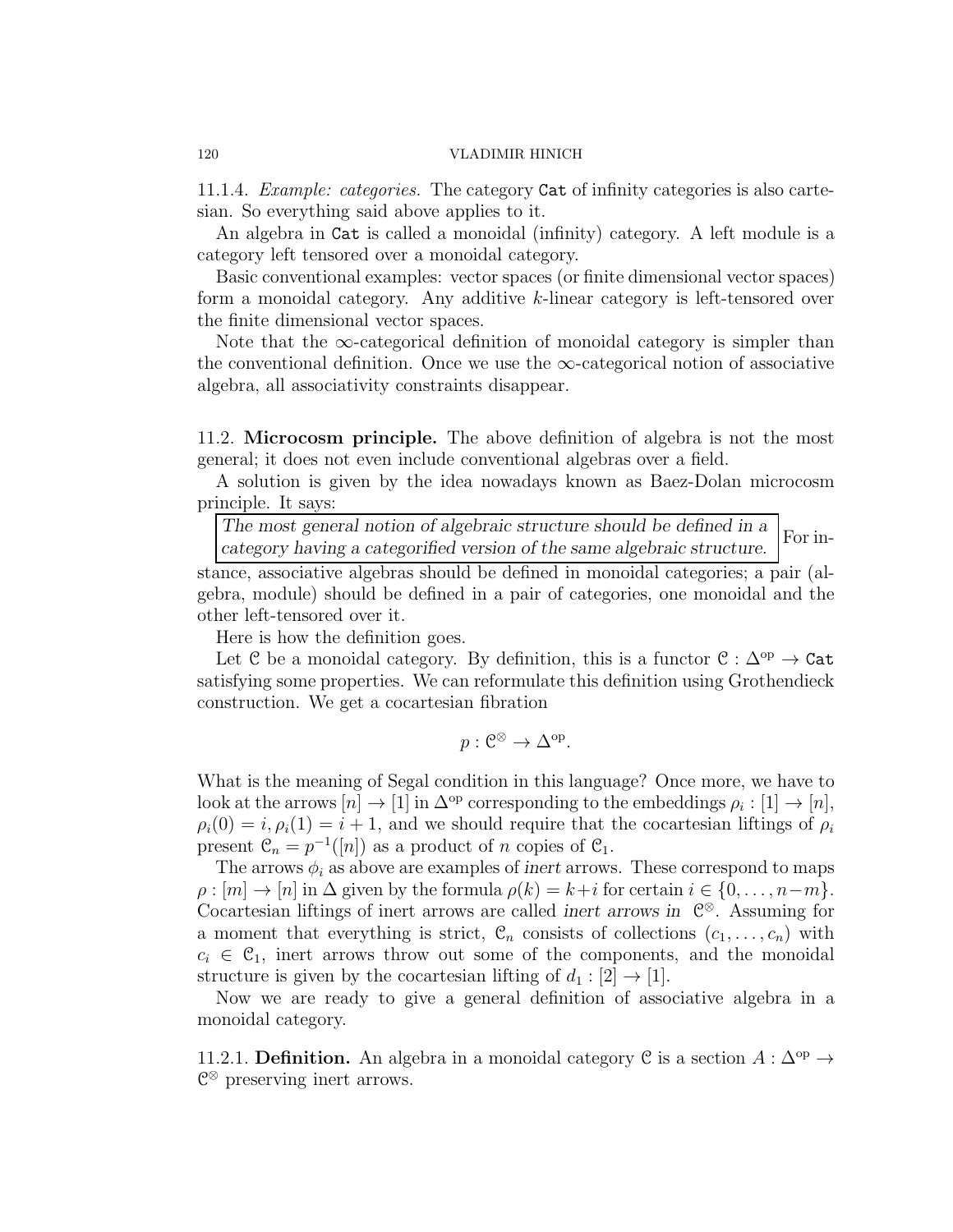11.1.4. Example: categories. The category Cat of infinity categories is also cartesian. So everything said above applies to it.

An algebra in Cat is called a monoidal (infinity) category. A left module is a category left tensored over a monoidal category.

Basic conventional examples: vector spaces (or finite dimensional vector spaces) form a monoidal category. Any additive k-linear category is left-tensored over the finite dimensional vector spaces.

Note that the  $\infty$ -categorical definition of monoidal category is simpler than the conventional definition. Once we use the  $\infty$ -categorical notion of associative algebra, all associativity constraints disappear.

11.2. Microcosm principle. The above definition of algebra is not the most general; it does not even include conventional algebras over a field.

A solution is given by the idea nowadays known as Baez-Dolan microcosm principle. It says:

*The most general notion of algebraic structure should be defined in a category having a categorified version of the same algebraic structure.* For in-

stance, associative algebras should be defined in monoidal categories; a pair (algebra, module) should be defined in a pair of categories, one monoidal and the other left-tensored over it.

Here is how the definition goes.

Let C be a monoidal category. By definition, this is a functor  $C : \Delta^{op} \to \text{Cat}$ satisfying some properties. We can reformulate this definition using Grothendieck construction. We get a cocartesian fibration

$$
p: \mathcal{C}^{\otimes} \to \Delta^{\mathrm{op}}.
$$

What is the meaning of Segal condition in this language? Once more, we have to look at the arrows  $[n] \to [1]$  in  $\Delta^{\rm op}$  corresponding to the embeddings  $\rho_i : [1] \to [n],$  $\rho_i(0) = i, \rho_i(1) = i + 1$ , and we should require that the cocartesian liftings of  $\rho_i$ present  $\mathfrak{C}_n = p^{-1}([n])$  as a product of n copies of  $\mathfrak{C}_1$ .

The arrows  $\phi_i$  as above are examples of *inert* arrows. These correspond to maps  $\rho : [m] \to [n]$  in  $\Delta$  given by the formula  $\rho(k) = k+i$  for certain  $i \in \{0, \ldots, n-m\}.$ Cocartesian liftings of inert arrows are called *inert arrows in* C <sup>⊗</sup>. Assuming for a moment that everything is strict,  $\mathcal{C}_n$  consists of collections  $(c_1, \ldots, c_n)$  with  $c_i \in C_1$ , inert arrows throw out some of the components, and the monoidal structure is given by the cocartesian lifting of  $d_1 : [2] \rightarrow [1]$ .

Now we are ready to give a general definition of associative algebra in a monoidal category.

11.2.1. **Definition.** An algebra in a monoidal category C is a section  $A : \Delta^{\rm op} \to$ C <sup>⊗</sup> preserving inert arrows.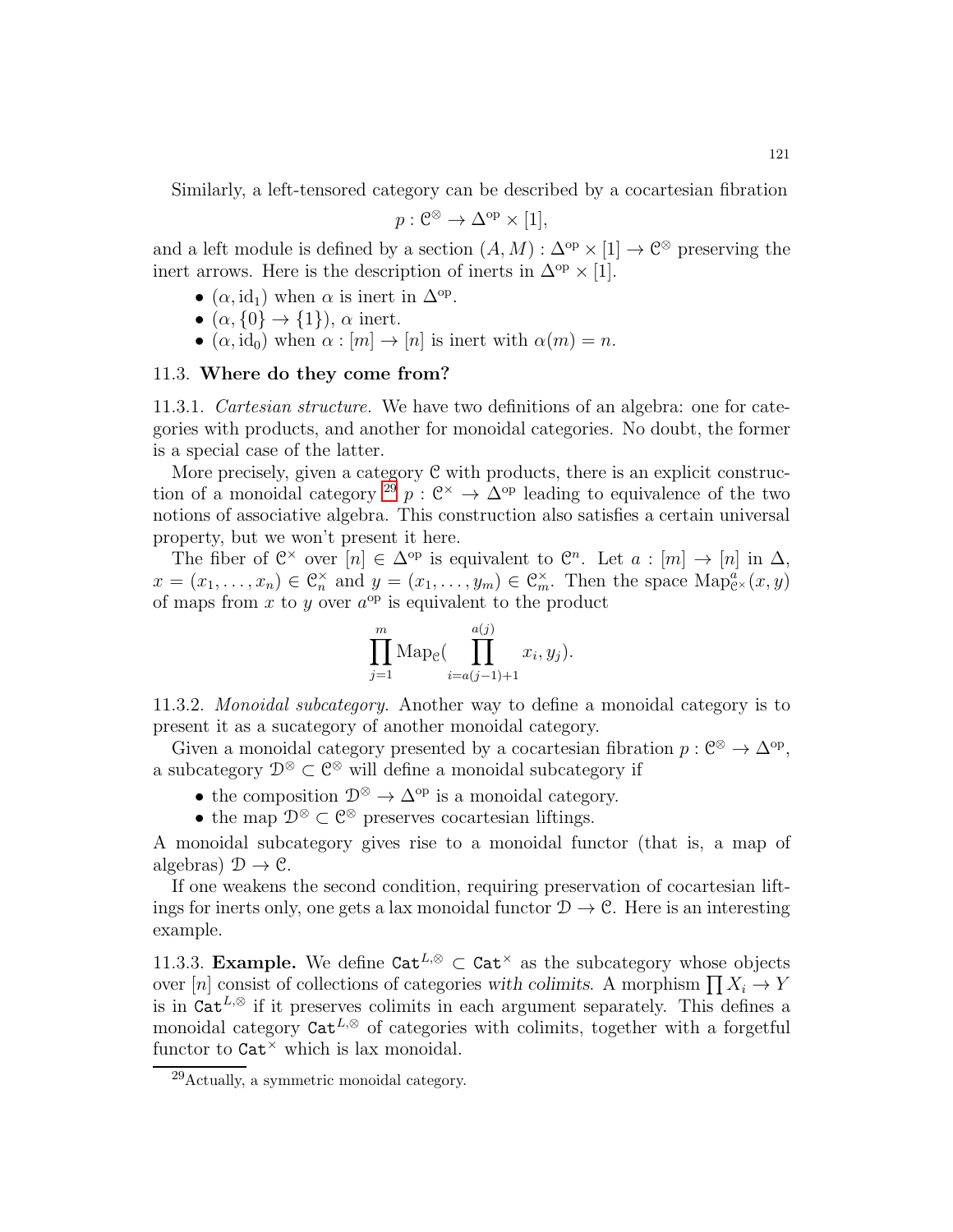Similarly, a left-tensored category can be described by a cocartesian fibration

$$
p: \mathcal{C}^{\otimes} \to \Delta^{\mathrm{op}} \times [1],
$$

and a left module is defined by a section  $(A, M) : \Delta^{\text{op}} \times [1] \to \mathbb{C}^{\otimes}$  preserving the inert arrows. Here is the description of inerts in  $\Delta^{op} \times [1]$ .

- $(\alpha, id_1)$  when  $\alpha$  is inert in  $\Delta^{op}$ .
- $(\alpha, \{0\} \rightarrow \{1\}), \alpha$  inert.
- $(\alpha, id_0)$  when  $\alpha : [m] \to [n]$  is inert with  $\alpha(m) = n$ .

### 11.3. Where do they come from?

11.3.1. Cartesian structure. We have two definitions of an algebra: one for categories with products, and another for monoidal categories. No doubt, the former is a special case of the latter.

More precisely, given a category  $C$  with products, there is an explicit construc-tion of a monoidal category <sup>[29](#page-120-0)</sup>  $p: \mathbb{C}^{\times} \to \Delta^{\text{op}}$  leading to equivalence of the two notions of associative algebra. This construction also satisfies a certain universal property, but we won't present it here.

The fiber of  $\mathbb{C}^\times$  over  $[n] \in \Delta^{\text{op}}$  is equivalent to  $\mathbb{C}^n$ . Let  $a : [m] \to [n]$  in  $\Delta$ ,  $x = (x_1, \ldots, x_n) \in \mathbb{C}_n^{\times}$  and  $y = (x_1, \ldots, y_m) \in \mathbb{C}_m^{\times}$ . Then the space  $\text{Map}^a_{\mathbb{C}^{\times}}(x, y)$ of maps from  $x$  to  $y$  over  $a^{op}$  is equivalent to the product

$$
\prod_{j=1}^m \mathrm{Map}_{\mathcal{C}}\left(\prod_{i=a(j-1)+1}^{a(j)} x_i, y_j\right).
$$

11.3.2. Monoidal subcategory. Another way to define a monoidal category is to present it as a sucategory of another monoidal category.

Given a monoidal category presented by a cocartesian fibration  $p: \mathbb{C}^{\otimes} \to \Delta^{\mathrm{op}}$ , a subcategory  $\mathcal{D}^{\otimes} \subset \mathcal{C}^{\otimes}$  will define a monoidal subcategory if

- the composition  $\mathcal{D}^{\otimes} \to \Delta^{\mathrm{op}}$  is a monoidal category.
- the map  $\mathcal{D}^{\otimes} \subset \mathcal{C}^{\otimes}$  preserves cocartesian liftings.

A monoidal subcategory gives rise to a monoidal functor (that is, a map of algebras)  $\mathcal{D} \to \mathcal{C}$ .

If one weakens the second condition, requiring preservation of cocartesian liftings for inerts only, one gets a lax monoidal functor  $\mathcal{D} \to \mathcal{C}$ . Here is an interesting example.

11.3.3. Example. We define  $\text{Cat}^{L,\otimes} \subset \text{Cat}^{\times}$  as the subcategory whose objects over [n] consist of collections of categories with colimits. A morphism  $\prod X_i \to Y$ is in  $\tilde{Cat}^{L,\otimes}$  if it preserves colimits in each argument separately. This defines a monoidal category  $\text{Cat}^{L,\otimes}$  of categories with colimits, together with a forgetful functor to  $\text{Cat}^{\times}$  which is lax monoidal.

<span id="page-120-0"></span> $29$ Actually, a symmetric monoidal category.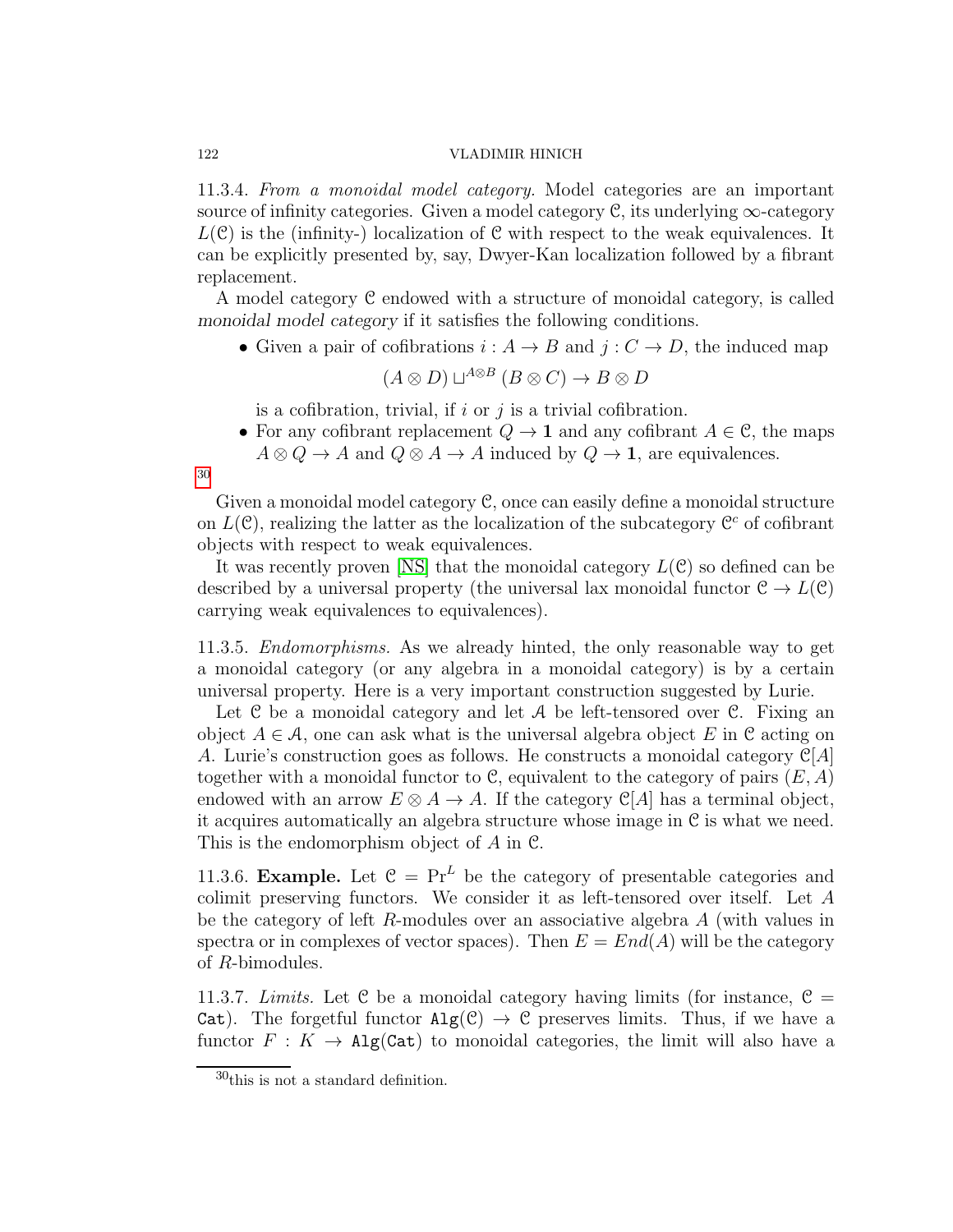11.3.4. From a monoidal model category. Model categories are an important source of infinity categories. Given a model category  $\mathcal C$ , its underlying  $\infty$ -category  $L(\mathcal{C})$  is the (infinity-) localization of  $\mathcal C$  with respect to the weak equivalences. It can be explicitly presented by, say, Dwyer-Kan localization followed by a fibrant replacement.

A model category C endowed with a structure of monoidal category, is called *monoidal model category* if it satisfies the following conditions.

• Given a pair of cofibrations  $i : A \to B$  and  $j : C \to D$ , the induced map

$$
(A \otimes D) \sqcup^{A \otimes B} (B \otimes C) \to B \otimes D
$$

is a cofibration, trivial, if  $i$  or  $j$  is a trivial cofibration.

- For any cofibrant replacement  $Q \to \mathbf{1}$  and any cofibrant  $A \in \mathcal{C}$ , the maps
- $A \otimes Q \to A$  and  $Q \otimes A \to A$  induced by  $Q \to \mathbf{1}$ , are equivalences.

Given a monoidal model category C, once can easily define a monoidal structure on  $L(\mathcal{C})$ , realizing the latter as the localization of the subcategory  $\mathcal{C}^c$  of cofibrant objects with respect to weak equivalences.

It was recently proven [\[NS\]](#page-123-2) that the monoidal category  $L(\mathcal{C})$  so defined can be described by a universal property (the universal lax monoidal functor  $\mathcal{C} \to L(\mathcal{C})$ carrying weak equivalences to equivalences).

11.3.5. Endomorphisms. As we already hinted, the only reasonable way to get a monoidal category (or any algebra in a monoidal category) is by a certain universal property. Here is a very important construction suggested by Lurie.

Let  $C$  be a monoidal category and let  $A$  be left-tensored over  $C$ . Fixing an object  $A \in \mathcal{A}$ , one can ask what is the universal algebra object E in C acting on A. Lurie's construction goes as follows. He constructs a monoidal category  $\mathbb{C}[A]$ together with a monoidal functor to C, equivalent to the category of pairs  $(E, A)$ endowed with an arrow  $E \otimes A \to A$ . If the category  $\mathcal{C}[A]$  has a terminal object, it acquires automatically an algebra structure whose image in C is what we need. This is the endomorphism object of A in C.

11.3.6. Example. Let  $C = Pr^L$  be the category of presentable categories and colimit preserving functors. We consider it as left-tensored over itself. Let A be the category of left R-modules over an associative algebra A (with values in spectra or in complexes of vector spaces). Then  $E = End(A)$  will be the category of R-bimodules.

11.3.7. Limits. Let C be a monoidal category having limits (for instance,  $C =$ Cat). The forgetful functor  $\text{Alg}(\mathcal{C}) \to \mathcal{C}$  preserves limits. Thus, if we have a functor  $F: K \to \text{Alg}(\text{Cat})$  to monoidal categories, the limit will also have a

[30](#page-121-0)

<span id="page-121-0"></span> $30$ <sup>this</sup> is not a standard definition.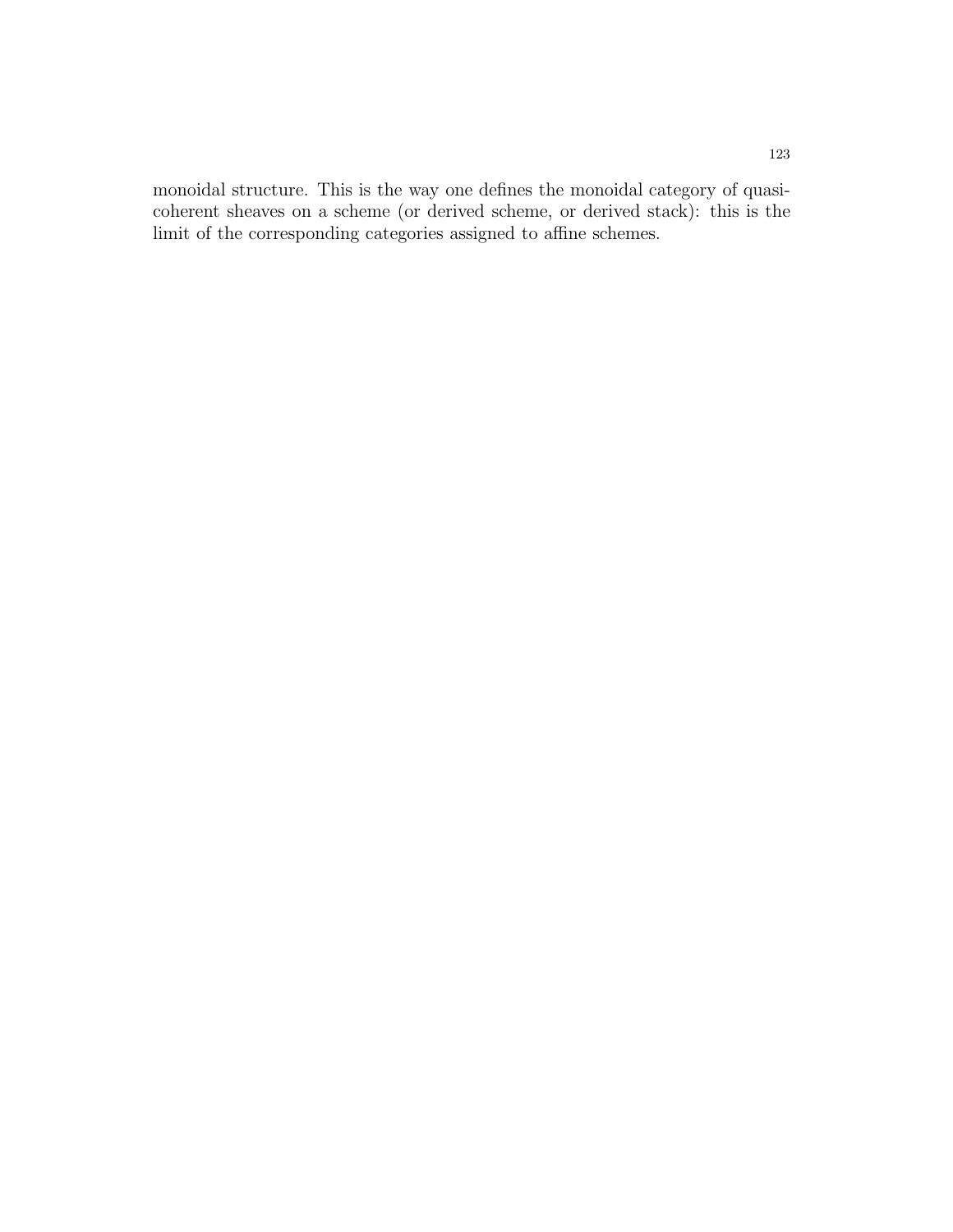monoidal structure. This is the way one defines the monoidal category of quasicoherent sheaves on a scheme (or derived scheme, or derived stack): this is the limit of the corresponding categories assigned to affine schemes.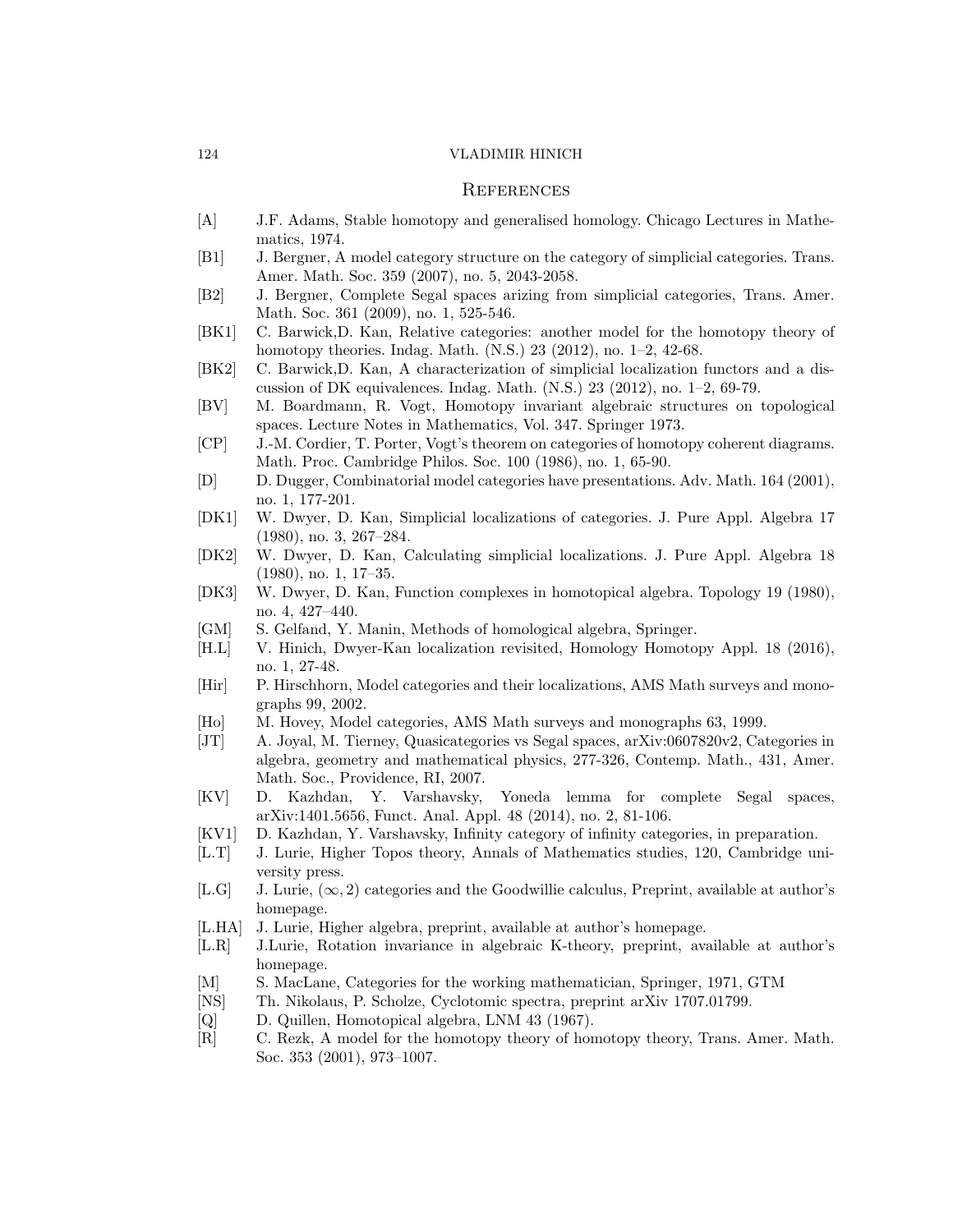### **REFERENCES**

- [A] J.F. Adams, Stable homotopy and generalised homology. Chicago Lectures in Mathematics, 1974.
- [B1] J. Bergner, A model category structure on the category of simplicial categories. Trans. Amer. Math. Soc. 359 (2007), no. 5, 2043-2058.
- [B2] J. Bergner, Complete Segal spaces arizing from simplicial categories, Trans. Amer. Math. Soc. 361 (2009), no. 1, 525-546.
- [BK1] C. Barwick,D. Kan, Relative categories: another model for the homotopy theory of homotopy theories. Indag. Math. (N.S.) 23 (2012), no. 1–2, 42-68.
- [BK2] C. Barwick,D. Kan, A characterization of simplicial localization functors and a discussion of DK equivalences. Indag. Math.  $(N.S.)$  23 (2012), no. 1–2, 69-79.
- [BV] M. Boardmann, R. Vogt, Homotopy invariant algebraic structures on topological spaces. Lecture Notes in Mathematics, Vol. 347. Springer 1973.
- [CP] J.-M. Cordier, T. Porter, Vogt's theorem on categories of homotopy coherent diagrams. Math. Proc. Cambridge Philos. Soc. 100 (1986), no. 1, 65-90.
- [D] D. Dugger, Combinatorial model categories have presentations. Adv. Math. 164 (2001), no. 1, 177-201.
- [DK1] W. Dwyer, D. Kan, Simplicial localizations of categories. J. Pure Appl. Algebra 17 (1980), no. 3, 267–284.
- [DK2] W. Dwyer, D. Kan, Calculating simplicial localizations. J. Pure Appl. Algebra 18 (1980), no. 1, 17–35.
- [DK3] W. Dwyer, D. Kan, Function complexes in homotopical algebra. Topology 19 (1980), no. 4, 427–440.
- [GM] S. Gelfand, Y. Manin, Methods of homological algebra, Springer.
- [H.L] V. Hinich, Dwyer-Kan localization revisited, Homology Homotopy Appl. 18 (2016), no. 1, 27-48.
- [Hir] P. Hirschhorn, Model categories and their localizations, AMS Math surveys and monographs 99, 2002.
- [Ho] M. Hovey, Model categories, AMS Math surveys and monographs 63, 1999.
- [JT] A. Joyal, M. Tierney, Quasicategories vs Segal spaces, arXiv:0607820v2, Categories in algebra, geometry and mathematical physics, 277-326, Contemp. Math., 431, Amer. Math. Soc., Providence, RI, 2007.
- [KV] D. Kazhdan, Y. Varshavsky, Yoneda lemma for complete Segal spaces, arXiv:1401.5656, Funct. Anal. Appl. 48 (2014), no. 2, 81-106.
- [KV1] D. Kazhdan, Y. Varshavsky, Infinity category of infinity categories, in preparation.
- [L.T] J. Lurie, Higher Topos theory, Annals of Mathematics studies, 120, Cambridge university press.
- [L.G] J. Lurie,  $(\infty, 2)$  categories and the Goodwillie calculus, Preprint, available at author's homepage.
- <span id="page-123-0"></span>[L.HA] J. Lurie, Higher algebra, preprint, available at author's homepage.
- <span id="page-123-1"></span>[L.R] J.Lurie, Rotation invariance in algebraic K-theory, preprint, available at author's homepage.
- [M] S. MacLane, Categories for the working mathematician, Springer, 1971, GTM
- <span id="page-123-2"></span>[NS] Th. Nikolaus, P. Scholze, Cyclotomic spectra, preprint arXiv 1707.01799.
- [Q] D. Quillen, Homotopical algebra, LNM 43 (1967).
- [R] C. Rezk, A model for the homotopy theory of homotopy theory, Trans. Amer. Math. Soc. 353 (2001), 973–1007.